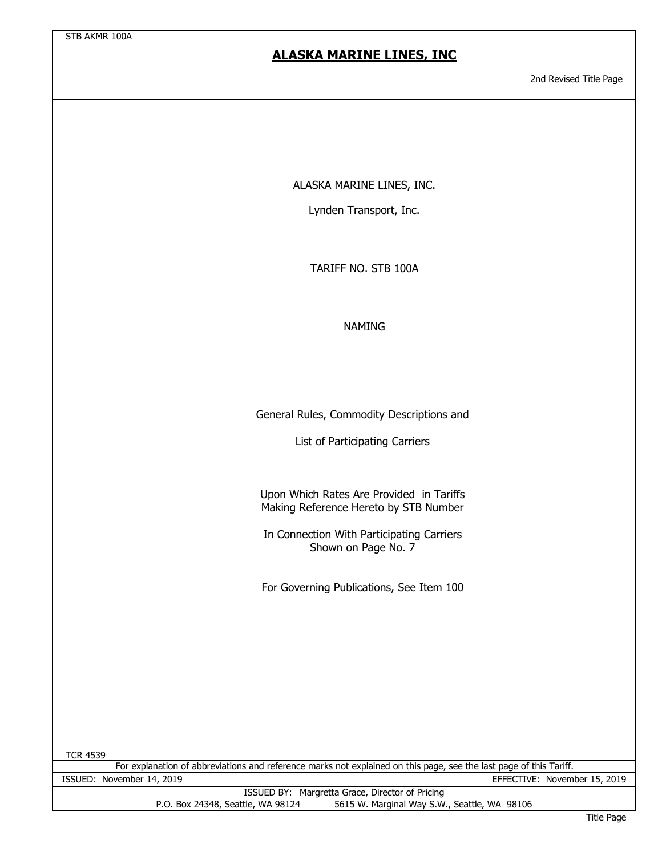2nd Revised Title Page

ALASKA MARINE LINES, INC.

Lynden Transport, Inc.

TARIFF NO. STB 100A

#### NAMING

General Rules, Commodity Descriptions and

List of Participating Carriers

Upon Which Rates Are Provided in Tariffs Making Reference Hereto by STB Number

In Connection With Participating Carriers Shown on Page No. 7

For Governing Publications, See Item 100

For explanation of abbreviations and reference marks not explained on this page, see the last page of this Tariff. ISSUED: November 14, 2019 EFFECTIVE: November 15, 2019

|                                   | ISSUED BY: Margretta Grace, Director of Pricing |
|-----------------------------------|-------------------------------------------------|
| P.O. Box 24348, Seattle, WA 98124 | 5615 W. Marginal Way S.W., Seattle, WA 98106    |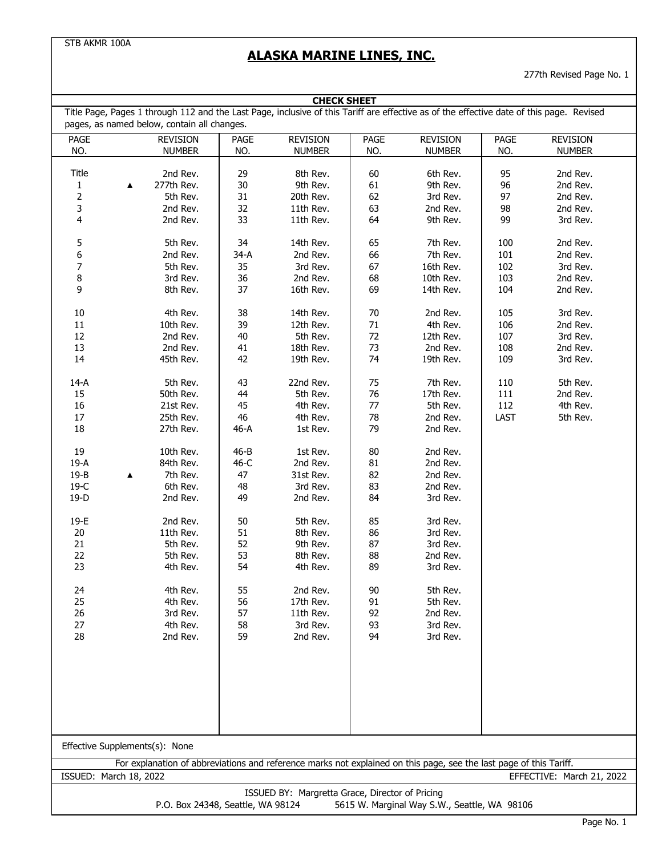# **ALASKA MARINE LINES, INC.**

277th Revised Page No. 1

| <b>CHECK SHEET</b>                                                                                                                                                        |                                                                                                                                          |          |                 |      |                                              |         |                 |
|---------------------------------------------------------------------------------------------------------------------------------------------------------------------------|------------------------------------------------------------------------------------------------------------------------------------------|----------|-----------------|------|----------------------------------------------|---------|-----------------|
|                                                                                                                                                                           | Title Page, Pages 1 through 112 and the Last Page, inclusive of this Tariff are effective as of the effective date of this page. Revised |          |                 |      |                                              |         |                 |
|                                                                                                                                                                           | pages, as named below, contain all changes.                                                                                              |          |                 |      |                                              |         |                 |
| PAGE                                                                                                                                                                      | <b>REVISION</b>                                                                                                                          | PAGE     | <b>REVISION</b> | PAGE | <b>REVISION</b>                              | PAGE    | <b>REVISION</b> |
| NO.                                                                                                                                                                       | <b>NUMBER</b>                                                                                                                            | NO.      | <b>NUMBER</b>   | NO.  | <b>NUMBER</b>                                | NO.     | <b>NUMBER</b>   |
|                                                                                                                                                                           |                                                                                                                                          |          |                 |      |                                              |         |                 |
| Title                                                                                                                                                                     | 2nd Rev.                                                                                                                                 | 29       | 8th Rev.        | 60   | 6th Rev.                                     | 95      | 2nd Rev.        |
| 1                                                                                                                                                                         | 277th Rev.<br>▲                                                                                                                          | 30       | 9th Rev.        | 61   | 9th Rev.                                     | 96      | 2nd Rev.        |
| $\overline{2}$                                                                                                                                                            | 5th Rev.                                                                                                                                 | 31       | 20th Rev.       | 62   | 3rd Rev.                                     | 97      | 2nd Rev.        |
| 3                                                                                                                                                                         | 2nd Rev.                                                                                                                                 | 32       | 11th Rev.       | 63   | 2nd Rev.                                     | 98      | 2nd Rev.        |
| 4                                                                                                                                                                         | 2nd Rev.                                                                                                                                 | 33       | 11th Rev.       | 64   | 9th Rev.                                     | 99      | 3rd Rev.        |
| 5                                                                                                                                                                         | 5th Rev.                                                                                                                                 | 34       | 14th Rev.       | 65   | 7th Rev.                                     | 100     | 2nd Rev.        |
| 6                                                                                                                                                                         | 2nd Rev.                                                                                                                                 | 34-A     | 2nd Rev.        | 66   | 7th Rev.                                     | 101     | 2nd Rev.        |
| 7                                                                                                                                                                         | 5th Rev.                                                                                                                                 | 35       | 3rd Rev.        | 67   | 16th Rev.                                    | 102     | 3rd Rev.        |
| 8                                                                                                                                                                         | 3rd Rev.                                                                                                                                 | 36       | 2nd Rev.        | 68   | 10th Rev.                                    | 103     | 2nd Rev.        |
| 9                                                                                                                                                                         | 8th Rev.                                                                                                                                 | 37       | 16th Rev.       | 69   | 14th Rev.                                    | 104     | 2nd Rev.        |
|                                                                                                                                                                           |                                                                                                                                          |          |                 |      |                                              |         |                 |
| $10\,$                                                                                                                                                                    | 4th Rev.                                                                                                                                 | 38       | 14th Rev.       | 70   | 2nd Rev.                                     | 105     | 3rd Rev.        |
| $11\,$                                                                                                                                                                    | 10th Rev.                                                                                                                                | 39       | 12th Rev.       | 71   | 4th Rev.                                     | 106     | 2nd Rev.        |
| $12\,$                                                                                                                                                                    | 2nd Rev.                                                                                                                                 | 40       | 5th Rev.        | 72   | 12th Rev.                                    | 107     | 3rd Rev.        |
| 13                                                                                                                                                                        | 2nd Rev.                                                                                                                                 | 41       | 18th Rev.       | 73   | 2nd Rev.                                     | 108     | 2nd Rev.        |
| 14                                                                                                                                                                        | 45th Rev.                                                                                                                                | 42       | 19th Rev.       | 74   | 19th Rev.                                    | 109     | 3rd Rev.        |
|                                                                                                                                                                           |                                                                                                                                          |          |                 |      |                                              |         |                 |
| $14-A$                                                                                                                                                                    | 5th Rev.                                                                                                                                 | 43       | 22nd Rev.       | 75   | 7th Rev.                                     | 110     | 5th Rev.        |
| 15                                                                                                                                                                        | 50th Rev.                                                                                                                                | 44       | 5th Rev.        | 76   | 17th Rev.                                    | $111\,$ | 2nd Rev.        |
| 16                                                                                                                                                                        | 21st Rev.                                                                                                                                | 45       | 4th Rev.        | 77   | 5th Rev.                                     | 112     | 4th Rev.        |
| 17                                                                                                                                                                        | 25th Rev.                                                                                                                                | 46       | 4th Rev.        | 78   | 2nd Rev.                                     | LAST    | 5th Rev.        |
| 18                                                                                                                                                                        | 27th Rev.                                                                                                                                | 46-A     | 1st Rev.        | 79   | 2nd Rev.                                     |         |                 |
|                                                                                                                                                                           |                                                                                                                                          |          |                 |      |                                              |         |                 |
| 19                                                                                                                                                                        | 10th Rev.                                                                                                                                | $46 - B$ | 1st Rev.        | 80   | 2nd Rev.                                     |         |                 |
| 19-A                                                                                                                                                                      | 84th Rev.                                                                                                                                | 46-C     | 2nd Rev.        | 81   | 2nd Rev.                                     |         |                 |
| $19 - B$                                                                                                                                                                  | 7th Rev.                                                                                                                                 | 47       | 31st Rev.       | 82   | 2nd Rev.                                     |         |                 |
| $19-C$                                                                                                                                                                    | 6th Rev.                                                                                                                                 | 48       | 3rd Rev.        | 83   | 2nd Rev.                                     |         |                 |
| $19-D$                                                                                                                                                                    | 2nd Rev.                                                                                                                                 | 49       | 2nd Rev.        | 84   | 3rd Rev.                                     |         |                 |
|                                                                                                                                                                           | 2nd Rev.                                                                                                                                 |          |                 |      |                                              |         |                 |
| 19-E                                                                                                                                                                      |                                                                                                                                          | 50       | 5th Rev.        | 85   | 3rd Rev.                                     |         |                 |
| 20                                                                                                                                                                        | 11th Rev.                                                                                                                                | 51       | 8th Rev.        | 86   | 3rd Rev.                                     |         |                 |
| 21                                                                                                                                                                        | 5th Rev.                                                                                                                                 | 52       | 9th Rev.        | 87   | 3rd Rev.                                     |         |                 |
| 22                                                                                                                                                                        | 5th Rev.                                                                                                                                 | 53       | 8th Rev.        | 88   | 2nd Rev.                                     |         |                 |
| 23                                                                                                                                                                        | 4th Rev.                                                                                                                                 | 54       | 4th Rev.        | 89   | 3rd Rev.                                     |         |                 |
| 24                                                                                                                                                                        | 4th Rev.                                                                                                                                 | 55       | 2nd Rev.        | 90   | 5th Rev.                                     |         |                 |
| 25                                                                                                                                                                        | 4th Rev.                                                                                                                                 | 56       | 17th Rev.       | 91   | 5th Rev.                                     |         |                 |
| 26                                                                                                                                                                        | 3rd Rev.                                                                                                                                 | 57       | 11th Rev.       | 92   | 2nd Rev.                                     |         |                 |
| 27                                                                                                                                                                        | 4th Rev.                                                                                                                                 | 58       | 3rd Rev.        | 93   | 3rd Rev.                                     |         |                 |
| 28                                                                                                                                                                        | 2nd Rev.                                                                                                                                 | 59       | 2nd Rev.        | 94   | 3rd Rev.                                     |         |                 |
|                                                                                                                                                                           |                                                                                                                                          |          |                 |      |                                              |         |                 |
|                                                                                                                                                                           |                                                                                                                                          |          |                 |      |                                              |         |                 |
|                                                                                                                                                                           |                                                                                                                                          |          |                 |      |                                              |         |                 |
|                                                                                                                                                                           |                                                                                                                                          |          |                 |      |                                              |         |                 |
|                                                                                                                                                                           |                                                                                                                                          |          |                 |      |                                              |         |                 |
|                                                                                                                                                                           |                                                                                                                                          |          |                 |      |                                              |         |                 |
|                                                                                                                                                                           |                                                                                                                                          |          |                 |      |                                              |         |                 |
|                                                                                                                                                                           | Effective Supplements(s): None                                                                                                           |          |                 |      |                                              |         |                 |
|                                                                                                                                                                           |                                                                                                                                          |          |                 |      |                                              |         |                 |
| For explanation of abbreviations and reference marks not explained on this page, see the last page of this Tariff.<br>ISSUED: March 18, 2022<br>EFFECTIVE: March 21, 2022 |                                                                                                                                          |          |                 |      |                                              |         |                 |
| ISSUED BY: Margretta Grace, Director of Pricing                                                                                                                           |                                                                                                                                          |          |                 |      |                                              |         |                 |
|                                                                                                                                                                           | P.O. Box 24348, Seattle, WA 98124                                                                                                        |          |                 |      | 5615 W. Marginal Way S.W., Seattle, WA 98106 |         |                 |
|                                                                                                                                                                           |                                                                                                                                          |          |                 |      |                                              |         |                 |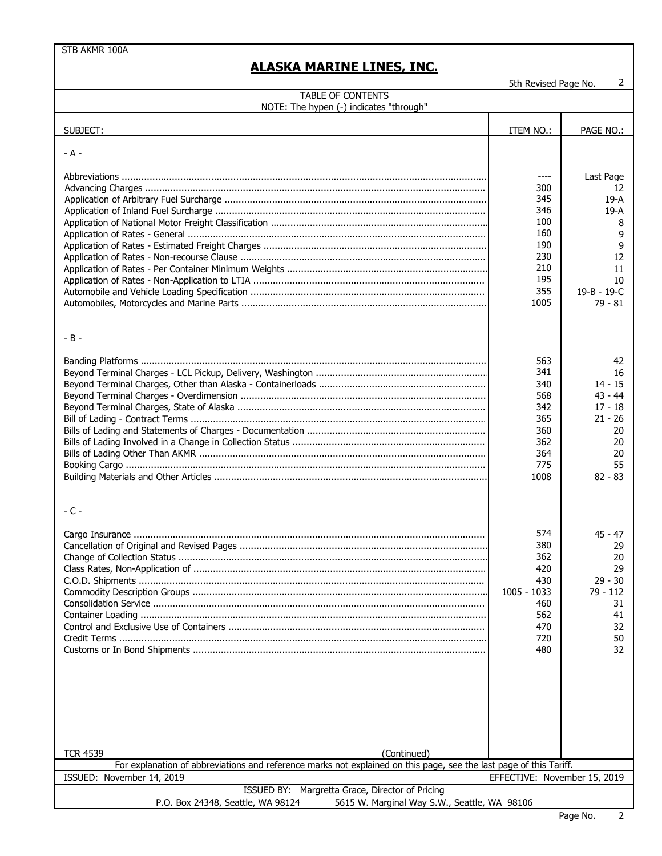5th Revised Page No. 2

| <b>TABLE OF CONTENTS</b><br>NOTE: The hypen (-) indicates "through"                                                                                                                                                                  |                                                                                   |                                                                                                   |
|--------------------------------------------------------------------------------------------------------------------------------------------------------------------------------------------------------------------------------------|-----------------------------------------------------------------------------------|---------------------------------------------------------------------------------------------------|
| SUBJECT:                                                                                                                                                                                                                             | ITEM NO.:                                                                         | PAGE NO.:                                                                                         |
|                                                                                                                                                                                                                                      |                                                                                   |                                                                                                   |
| $- A -$                                                                                                                                                                                                                              | 300<br>345<br>346<br>100<br>160<br>190<br>230<br>210<br>195<br>355                | Last Page<br>12<br>$19-A$<br>19-A<br>8<br>9<br>9<br>12<br>11<br>10                                |
| $-B -$                                                                                                                                                                                                                               | 1005                                                                              | 19-B - 19-C<br>$79 - 81$                                                                          |
|                                                                                                                                                                                                                                      | 563<br>341<br>340<br>568<br>342<br>365<br>360<br>362<br>364<br>775<br>1008        | 42<br>16<br>$14 - 15$<br>$43 - 44$<br>$17 - 18$<br>$21 - 26$<br>20<br>20<br>20<br>55<br>$82 - 83$ |
| $-C -$                                                                                                                                                                                                                               | 574<br>380<br>362<br>420<br>430<br>1005 - 1033<br>460<br>562<br>470<br>720<br>480 | $45 - 47$<br>29<br>20<br>29<br>$29 - 30$<br>79 - 112<br>31<br>41<br>32<br>50<br>32                |
| (Continued)<br><b>TCR 4539</b><br>For explanation of abbreviations and reference marks not explained on this page, see the last page of this Tariff.<br>ISSUED: November 14, 2019<br>ISSUED BY: Margretta Grace, Director of Pricing | EFFECTIVE: November 15, 2019                                                      |                                                                                                   |
| P.O. Box 24348, Seattle, WA 98124<br>5615 W. Marginal Way S.W., Seattle, WA 98106                                                                                                                                                    |                                                                                   |                                                                                                   |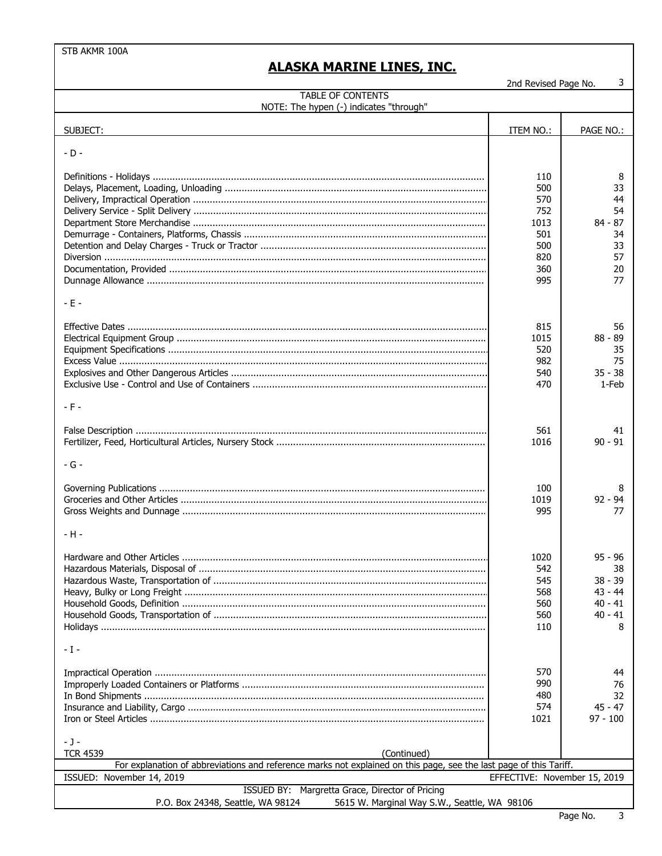2nd Revised Page No.  $\mathbf{3}$ 

| <b>TABLE OF CONTENTS</b>                                                                                                                             |                                                                     |                                                                          |  |  |
|------------------------------------------------------------------------------------------------------------------------------------------------------|---------------------------------------------------------------------|--------------------------------------------------------------------------|--|--|
| NOTE: The hypen (-) indicates "through"                                                                                                              |                                                                     |                                                                          |  |  |
| SUBJECT:                                                                                                                                             | ITEM NO.:                                                           | PAGE NO.:                                                                |  |  |
| $-D -$                                                                                                                                               |                                                                     |                                                                          |  |  |
| $-E -$                                                                                                                                               | 110<br>500<br>570<br>752<br>1013<br>501<br>500<br>820<br>360<br>995 | 8<br>33<br>44<br>54<br>$84 - 87$<br>34<br>33<br>57<br>20<br>77           |  |  |
| $-F -$                                                                                                                                               | 815<br>1015<br>520<br>982<br>540<br>470                             | 56<br>$88 - 89$<br>35<br>75<br>$35 - 38$<br>1-Feb                        |  |  |
| $-G -$                                                                                                                                               | 561<br>1016                                                         | 41<br>$90 - 91$                                                          |  |  |
| $-H -$                                                                                                                                               | 100<br>1019<br>995                                                  | 8<br>$92 - 94$<br>77                                                     |  |  |
|                                                                                                                                                      | 1020<br>542<br>545<br>568<br>560<br>560<br>110                      | $95 - 96$<br>38<br>$38 - 39$<br>$43 - 44$<br>$40 - 41$<br>$40 - 41$<br>8 |  |  |
| $-1-$                                                                                                                                                | 570                                                                 | 44                                                                       |  |  |
|                                                                                                                                                      | 990<br>480<br>574<br>1021                                           | 76<br>32<br>45 - 47<br>$97 - 100$                                        |  |  |
| $-1-$                                                                                                                                                |                                                                     |                                                                          |  |  |
| (Continued)<br><b>TCR 4539</b><br>For explanation of abbreviations and reference marks not explained on this page, see the last page of this Tariff. |                                                                     |                                                                          |  |  |
| ISSUED: November 14, 2019                                                                                                                            | EFFECTIVE: November 15, 2019                                        |                                                                          |  |  |
| ISSUED BY: Margretta Grace, Director of Pricing                                                                                                      |                                                                     |                                                                          |  |  |
| 5615 W Marginal Way S W Seattle WA 98106<br>$P \cap Rov$ 24348 Seattle MA 98124                                                                      |                                                                     |                                                                          |  |  |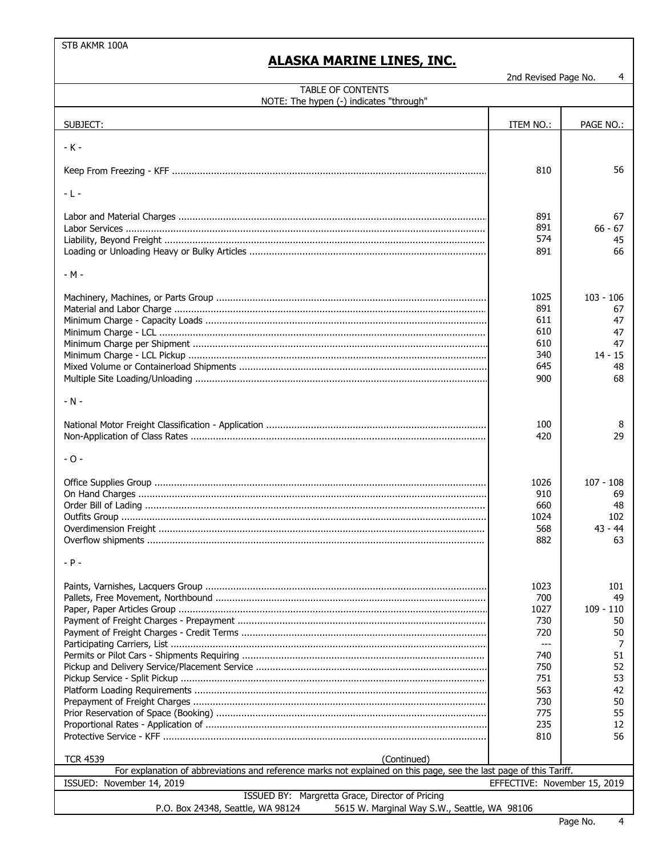## **ALASKA MARINE LINES, INC.**

2nd Revised Page No.

 $\overline{4}$ 

| TABLE OF CONTENTS<br>NOTE: The hypen (-) indicates "through"                                                                                         |                                                       |                                                              |  |  |
|------------------------------------------------------------------------------------------------------------------------------------------------------|-------------------------------------------------------|--------------------------------------------------------------|--|--|
| SUBJECT:                                                                                                                                             | ITEM NO.:                                             | PAGE NO.:                                                    |  |  |
| $-K -$                                                                                                                                               |                                                       |                                                              |  |  |
|                                                                                                                                                      | 810                                                   | 56                                                           |  |  |
| $-L -$                                                                                                                                               |                                                       |                                                              |  |  |
|                                                                                                                                                      | 891<br>891<br>574<br>891                              | 67<br>$66 - 67$<br>45<br>66                                  |  |  |
| - M -                                                                                                                                                |                                                       |                                                              |  |  |
|                                                                                                                                                      | 1025<br>891<br>611<br>610<br>610<br>340<br>645<br>900 | $103 - 106$<br>67<br>47<br>47<br>47<br>$14 - 15$<br>48<br>68 |  |  |
| $-N -$                                                                                                                                               |                                                       |                                                              |  |  |
|                                                                                                                                                      | 100<br>420                                            | 8<br>29                                                      |  |  |
| - 0 -                                                                                                                                                |                                                       |                                                              |  |  |
|                                                                                                                                                      | 1026<br>910<br>660<br>1024<br>568<br>882              | $107 - 108$<br>69<br>48<br>102<br>$43 - 44$<br>63            |  |  |
| - P -                                                                                                                                                |                                                       |                                                              |  |  |
|                                                                                                                                                      | 1023<br>700<br>1027<br>730<br>720<br>$---$<br>740     | 101<br>49<br>$109 - 110$<br>50<br>50<br>7<br>51              |  |  |
|                                                                                                                                                      | 750<br>751<br>563<br>730<br>775                       | 52<br>53<br>42<br>50<br>55                                   |  |  |
|                                                                                                                                                      | 235                                                   | 12                                                           |  |  |
|                                                                                                                                                      | 810                                                   | 56                                                           |  |  |
| <b>TCR 4539</b><br>(Continued)<br>For explanation of abbreviations and reference marks not explained on this page, see the last page of this Tariff. |                                                       |                                                              |  |  |
| ISSUED: November 14, 2019<br>EFFECTIVE: November 15, 2019                                                                                            |                                                       |                                                              |  |  |
| ISSUED BY: Margretta Grace, Director of Pricing<br>5615 W. Marginal Way S.W., Seattle, WA 98106<br>P.O. Box 24348, Seattle, WA 98124                 |                                                       |                                                              |  |  |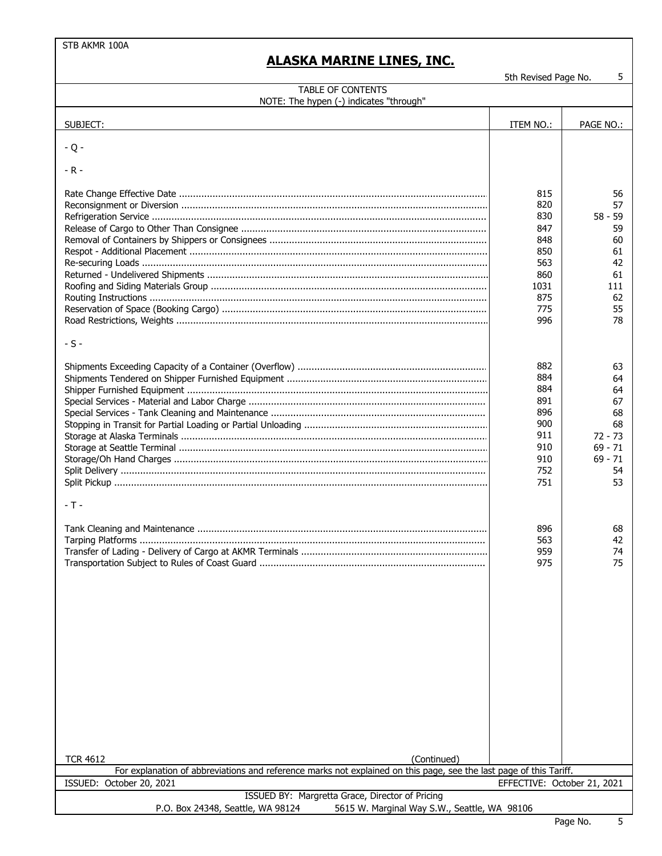# **ALASKA MARINE LINES, INC.**

5th Revised Page No. 5

| <b>TABLE OF CONTENTS</b><br>NOTE: The hypen (-) indicates "through"                                                |                             |                              |
|--------------------------------------------------------------------------------------------------------------------|-----------------------------|------------------------------|
|                                                                                                                    |                             |                              |
| SUBJECT:                                                                                                           | ITEM NO.:                   | PAGE NO.:                    |
| $-Q -$                                                                                                             |                             |                              |
| $-R -$                                                                                                             |                             |                              |
|                                                                                                                    | 815<br>820<br>830           | 56<br>57<br>$58 - 59$        |
|                                                                                                                    | 847<br>848<br>850<br>563    | 59<br>60<br>61<br>42         |
|                                                                                                                    | 860<br>1031<br>875          | 61<br>111<br>62              |
|                                                                                                                    | 775<br>996                  | 55<br>78                     |
| $-S -$                                                                                                             |                             |                              |
|                                                                                                                    | 882<br>884<br>884           | 63<br>64<br>64               |
|                                                                                                                    | 891<br>896<br>900<br>911    | 67<br>68<br>68<br>$72 - 73$  |
|                                                                                                                    | 910<br>910<br>752           | $69 - 71$<br>$69 - 71$<br>54 |
| - T -                                                                                                              | 751                         | 53                           |
|                                                                                                                    | 896<br>563<br>959<br>975    | 68<br>42<br>74<br>75         |
|                                                                                                                    |                             |                              |
|                                                                                                                    |                             |                              |
|                                                                                                                    |                             |                              |
|                                                                                                                    |                             |                              |
|                                                                                                                    |                             |                              |
| <b>TCR 4612</b><br>(Continued)                                                                                     |                             |                              |
| For explanation of abbreviations and reference marks not explained on this page, see the last page of this Tariff. |                             |                              |
| ISSUED: October 20, 2021<br>ISSUED BY: Margretta Grace, Director of Pricing                                        | EFFECTIVE: October 21, 2021 |                              |
| 5615 W. Marginal Way S.W., Seattle, WA 98106<br>P.O. Box 24348, Seattle, WA 98124                                  |                             |                              |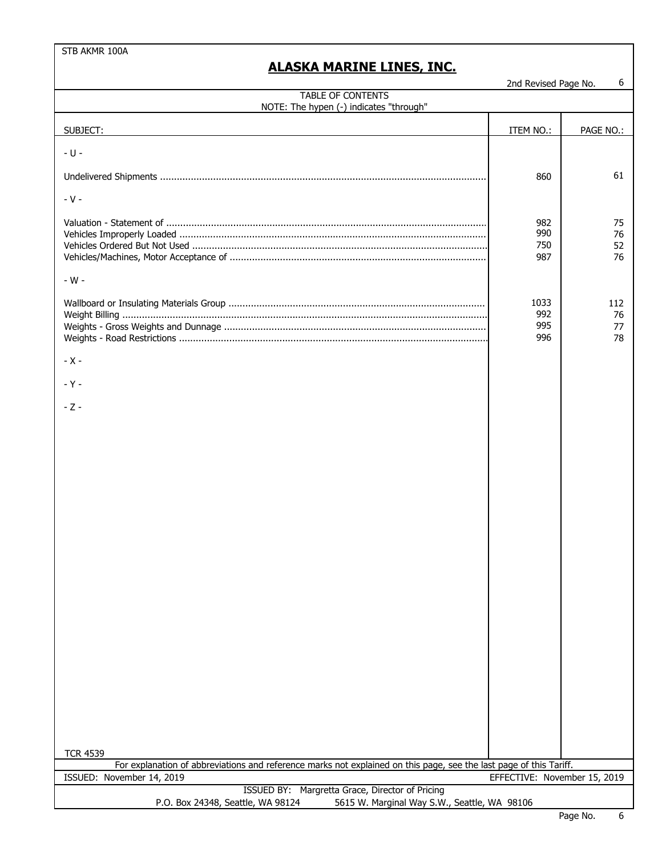|                                                                                                                                                 | 2nd Revised Page No.         | 6                     |  |  |
|-------------------------------------------------------------------------------------------------------------------------------------------------|------------------------------|-----------------------|--|--|
| <b>TABLE OF CONTENTS</b><br>NOTE: The hypen (-) indicates "through"                                                                             |                              |                       |  |  |
| SUBJECT:                                                                                                                                        | ITEM NO.:                    | PAGE NO.:             |  |  |
| $- U -$                                                                                                                                         |                              |                       |  |  |
|                                                                                                                                                 | 860                          | 61                    |  |  |
| $-V -$                                                                                                                                          |                              |                       |  |  |
|                                                                                                                                                 | 982<br>990<br>750<br>987     | 75<br>76<br>52<br>76  |  |  |
| - $W -$                                                                                                                                         |                              |                       |  |  |
|                                                                                                                                                 | 1033<br>992<br>995<br>996    | 112<br>76<br>77<br>78 |  |  |
| $-X -$                                                                                                                                          |                              |                       |  |  |
| $-Y -$                                                                                                                                          |                              |                       |  |  |
| $-Z -$                                                                                                                                          |                              |                       |  |  |
| <b>TCR 4539</b>                                                                                                                                 |                              |                       |  |  |
| For explanation of abbreviations and reference marks not explained on this page, see the last page of this Tariff.<br>ISSUED: November 14, 2019 | EFFECTIVE: November 15, 2019 |                       |  |  |
| ISSUED BY: Margretta Grace, Director of Pricing                                                                                                 |                              |                       |  |  |
| P.O. Box 24348, Seattle, WA 98124<br>5615 W. Marginal Way S.W., Seattle, WA 98106                                                               |                              |                       |  |  |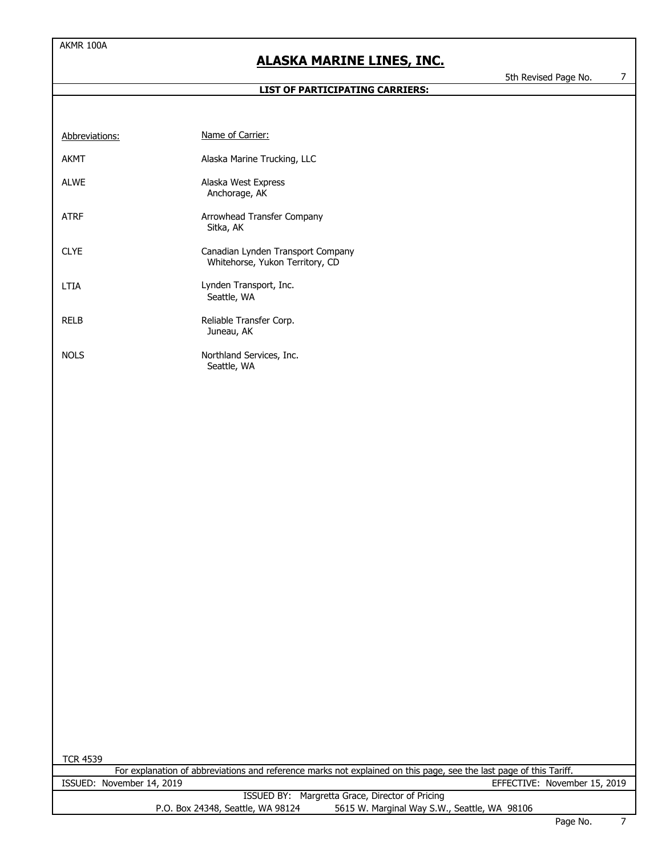#### **LIST OF PARTICIPATING CARRIERS:**

5th Revised Page No. 7

| Abbreviations: | Name of Carrier:                                                     |
|----------------|----------------------------------------------------------------------|
| AKMT           | Alaska Marine Trucking, LLC                                          |
| ALWE           | Alaska West Express<br>Anchorage, AK                                 |
| ATRF           | Arrowhead Transfer Company<br>Sitka, AK                              |
| <b>CLYE</b>    | Canadian Lynden Transport Company<br>Whitehorse, Yukon Territory, CD |
| I TIA          | Lynden Transport, Inc.<br>Seattle, WA                                |
| RELB           | Reliable Transfer Corp.<br>Juneau, AK                                |
| <b>NOLS</b>    | Northland Services, Inc.<br>Seattle, WA                              |

| ч |
|---|
|---|

| For explanation of abbreviations and reference marks not explained on this page, see the last page of this Tariff. |                           |                                   |                                              |                              |  |
|--------------------------------------------------------------------------------------------------------------------|---------------------------|-----------------------------------|----------------------------------------------|------------------------------|--|
|                                                                                                                    | ISSUED: November 14, 2019 |                                   |                                              | EFFECTIVE: November 15, 2019 |  |
| ISSUED BY: Margretta Grace, Director of Pricing                                                                    |                           |                                   |                                              |                              |  |
|                                                                                                                    |                           | P.O. Box 24348, Seattle, WA 98124 | 5615 W. Marginal Way S.W., Seattle, WA 98106 |                              |  |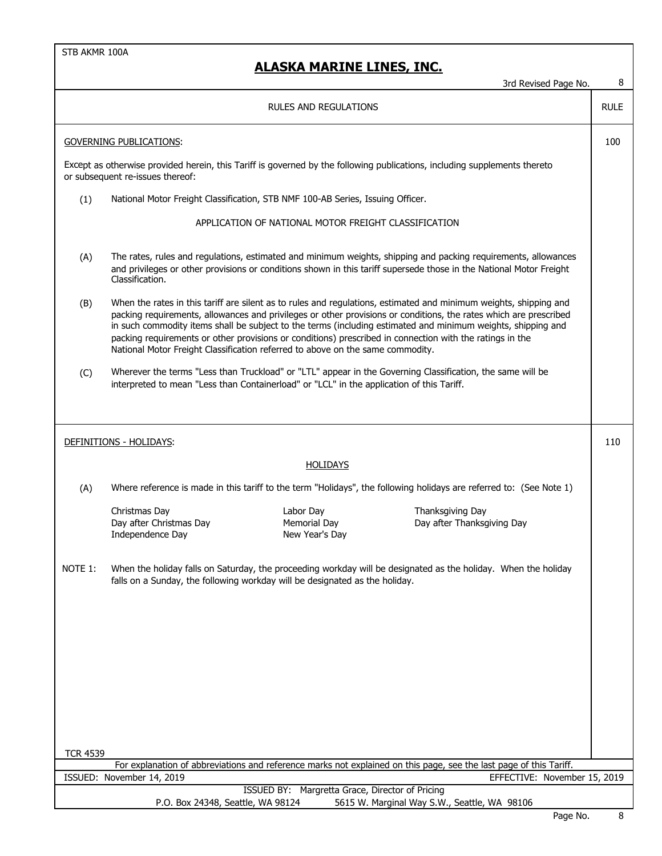|                                                                                                                                                                                                                                                                 | 3rd Revised Page No.                                                                                                                                                                                                                                                                                                                                                                                                                                                                                                                                 | 8           |  |  |
|-----------------------------------------------------------------------------------------------------------------------------------------------------------------------------------------------------------------------------------------------------------------|------------------------------------------------------------------------------------------------------------------------------------------------------------------------------------------------------------------------------------------------------------------------------------------------------------------------------------------------------------------------------------------------------------------------------------------------------------------------------------------------------------------------------------------------------|-------------|--|--|
|                                                                                                                                                                                                                                                                 | RULES AND REGULATIONS                                                                                                                                                                                                                                                                                                                                                                                                                                                                                                                                | <b>RULE</b> |  |  |
|                                                                                                                                                                                                                                                                 | <b>GOVERNING PUBLICATIONS:</b>                                                                                                                                                                                                                                                                                                                                                                                                                                                                                                                       | 100         |  |  |
|                                                                                                                                                                                                                                                                 | Except as otherwise provided herein, this Tariff is governed by the following publications, including supplements thereto<br>or subsequent re-issues thereof:                                                                                                                                                                                                                                                                                                                                                                                        |             |  |  |
| (1)                                                                                                                                                                                                                                                             | National Motor Freight Classification, STB NMF 100-AB Series, Issuing Officer.                                                                                                                                                                                                                                                                                                                                                                                                                                                                       |             |  |  |
|                                                                                                                                                                                                                                                                 | APPLICATION OF NATIONAL MOTOR FREIGHT CLASSIFICATION                                                                                                                                                                                                                                                                                                                                                                                                                                                                                                 |             |  |  |
| The rates, rules and regulations, estimated and minimum weights, shipping and packing requirements, allowances<br>(A)<br>and privileges or other provisions or conditions shown in this tariff supersede those in the National Motor Freight<br>Classification. |                                                                                                                                                                                                                                                                                                                                                                                                                                                                                                                                                      |             |  |  |
| (B)                                                                                                                                                                                                                                                             | When the rates in this tariff are silent as to rules and regulations, estimated and minimum weights, shipping and<br>packing requirements, allowances and privileges or other provisions or conditions, the rates which are prescribed<br>in such commodity items shall be subject to the terms (including estimated and minimum weights, shipping and<br>packing requirements or other provisions or conditions) prescribed in connection with the ratings in the<br>National Motor Freight Classification referred to above on the same commodity. |             |  |  |
| (C)                                                                                                                                                                                                                                                             | Wherever the terms "Less than Truckload" or "LTL" appear in the Governing Classification, the same will be<br>interpreted to mean "Less than Containerload" or "LCL" in the application of this Tariff.                                                                                                                                                                                                                                                                                                                                              |             |  |  |
|                                                                                                                                                                                                                                                                 | DEFINITIONS - HOLIDAYS:                                                                                                                                                                                                                                                                                                                                                                                                                                                                                                                              | 110         |  |  |
|                                                                                                                                                                                                                                                                 | HOLIDAYS                                                                                                                                                                                                                                                                                                                                                                                                                                                                                                                                             |             |  |  |
| (A)                                                                                                                                                                                                                                                             | Where reference is made in this tariff to the term "Holidays", the following holidays are referred to: (See Note 1)                                                                                                                                                                                                                                                                                                                                                                                                                                  |             |  |  |
|                                                                                                                                                                                                                                                                 | Christmas Day<br>Labor Day<br>Thanksgiving Day<br>Day after Christmas Day<br>Memorial Day<br>Day after Thanksgiving Day<br>Independence Day<br>New Year's Day                                                                                                                                                                                                                                                                                                                                                                                        |             |  |  |
| NOTE 1:                                                                                                                                                                                                                                                         | When the holiday falls on Saturday, the proceeding workday will be designated as the holiday. When the holiday<br>falls on a Sunday, the following workday will be designated as the holiday.                                                                                                                                                                                                                                                                                                                                                        |             |  |  |
|                                                                                                                                                                                                                                                                 |                                                                                                                                                                                                                                                                                                                                                                                                                                                                                                                                                      |             |  |  |
|                                                                                                                                                                                                                                                                 |                                                                                                                                                                                                                                                                                                                                                                                                                                                                                                                                                      |             |  |  |
| <b>TCR 4539</b>                                                                                                                                                                                                                                                 | For explanation of abbreviations and reference marks not explained on this page, see the last page of this Tariff.                                                                                                                                                                                                                                                                                                                                                                                                                                   |             |  |  |
|                                                                                                                                                                                                                                                                 | ISSUED: November 14, 2019<br>EFFECTIVE: November 15, 2019                                                                                                                                                                                                                                                                                                                                                                                                                                                                                            |             |  |  |
|                                                                                                                                                                                                                                                                 | ISSUED BY: Margretta Grace, Director of Pricing<br>P.O. Box 24348, Seattle, WA 98124<br>5615 W. Marginal Way S.W., Seattle, WA 98106                                                                                                                                                                                                                                                                                                                                                                                                                 |             |  |  |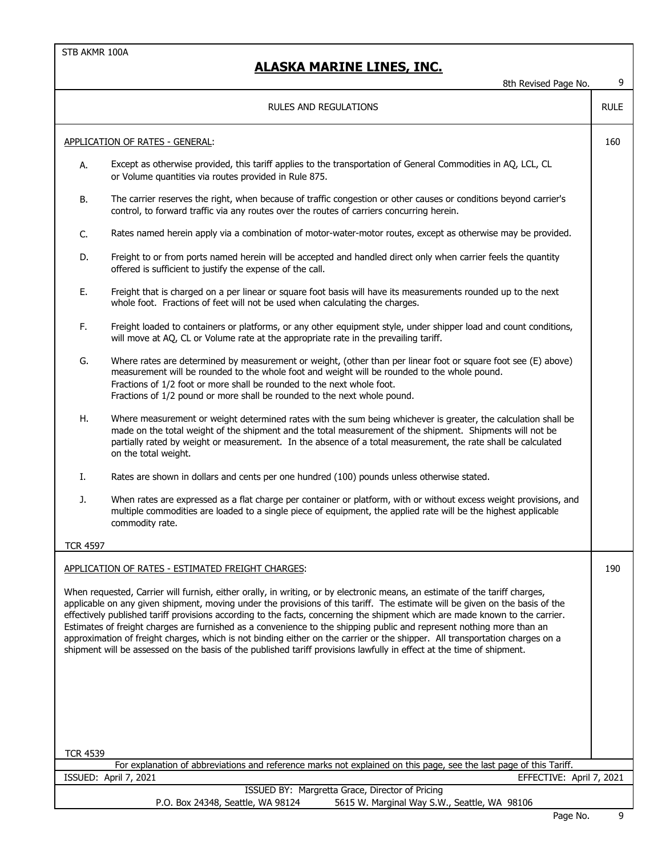|                 | 8th Revised Page No.                                                                                                                                                                                                                                                                                                                                                                                                                                                                                                                                                                                                                                                                                                                                                          | 9           |
|-----------------|-------------------------------------------------------------------------------------------------------------------------------------------------------------------------------------------------------------------------------------------------------------------------------------------------------------------------------------------------------------------------------------------------------------------------------------------------------------------------------------------------------------------------------------------------------------------------------------------------------------------------------------------------------------------------------------------------------------------------------------------------------------------------------|-------------|
|                 | RULES AND REGULATIONS                                                                                                                                                                                                                                                                                                                                                                                                                                                                                                                                                                                                                                                                                                                                                         | <b>RULE</b> |
|                 | APPLICATION OF RATES - GENERAL:                                                                                                                                                                                                                                                                                                                                                                                                                                                                                                                                                                                                                                                                                                                                               | 160         |
| А.              | Except as otherwise provided, this tariff applies to the transportation of General Commodities in AQ, LCL, CL<br>or Volume quantities via routes provided in Rule 875.                                                                                                                                                                                                                                                                                                                                                                                                                                                                                                                                                                                                        |             |
| В.              | The carrier reserves the right, when because of traffic congestion or other causes or conditions beyond carrier's<br>control, to forward traffic via any routes over the routes of carriers concurring herein.                                                                                                                                                                                                                                                                                                                                                                                                                                                                                                                                                                |             |
| C.              | Rates named herein apply via a combination of motor-water-motor routes, except as otherwise may be provided.                                                                                                                                                                                                                                                                                                                                                                                                                                                                                                                                                                                                                                                                  |             |
| D.              | Freight to or from ports named herein will be accepted and handled direct only when carrier feels the quantity<br>offered is sufficient to justify the expense of the call.                                                                                                                                                                                                                                                                                                                                                                                                                                                                                                                                                                                                   |             |
| Ε.              | Freight that is charged on a per linear or square foot basis will have its measurements rounded up to the next<br>whole foot. Fractions of feet will not be used when calculating the charges.                                                                                                                                                                                                                                                                                                                                                                                                                                                                                                                                                                                |             |
| F.              | Freight loaded to containers or platforms, or any other equipment style, under shipper load and count conditions,<br>will move at AQ, CL or Volume rate at the appropriate rate in the prevailing tariff.                                                                                                                                                                                                                                                                                                                                                                                                                                                                                                                                                                     |             |
| G.              | Where rates are determined by measurement or weight, (other than per linear foot or square foot see (E) above)<br>measurement will be rounded to the whole foot and weight will be rounded to the whole pound.<br>Fractions of 1/2 foot or more shall be rounded to the next whole foot.<br>Fractions of 1/2 pound or more shall be rounded to the next whole pound.                                                                                                                                                                                                                                                                                                                                                                                                          |             |
| Η.              | Where measurement or weight determined rates with the sum being whichever is greater, the calculation shall be<br>made on the total weight of the shipment and the total measurement of the shipment. Shipments will not be<br>partially rated by weight or measurement. In the absence of a total measurement, the rate shall be calculated<br>on the total weight.                                                                                                                                                                                                                                                                                                                                                                                                          |             |
| Ι.              | Rates are shown in dollars and cents per one hundred (100) pounds unless otherwise stated.                                                                                                                                                                                                                                                                                                                                                                                                                                                                                                                                                                                                                                                                                    |             |
| J.              | When rates are expressed as a flat charge per container or platform, with or without excess weight provisions, and<br>multiple commodities are loaded to a single piece of equipment, the applied rate will be the highest applicable<br>commodity rate.                                                                                                                                                                                                                                                                                                                                                                                                                                                                                                                      |             |
| <b>TCR_4597</b> |                                                                                                                                                                                                                                                                                                                                                                                                                                                                                                                                                                                                                                                                                                                                                                               |             |
|                 | APPLICATION OF RATES - ESTIMATED FREIGHT CHARGES:                                                                                                                                                                                                                                                                                                                                                                                                                                                                                                                                                                                                                                                                                                                             | 190         |
|                 | When requested, Carrier will furnish, either orally, in writing, or by electronic means, an estimate of the tariff charges,<br>applicable on any given shipment, moving under the provisions of this tariff. The estimate will be given on the basis of the<br>effectively published tariff provisions according to the facts, concerning the shipment which are made known to the carrier.<br>Estimates of freight charges are furnished as a convenience to the shipping public and represent nothing more than an<br>approximation of freight charges, which is not binding either on the carrier or the shipper. All transportation charges on a<br>shipment will be assessed on the basis of the published tariff provisions lawfully in effect at the time of shipment. |             |
|                 |                                                                                                                                                                                                                                                                                                                                                                                                                                                                                                                                                                                                                                                                                                                                                                               |             |
| <b>TCR 4539</b> |                                                                                                                                                                                                                                                                                                                                                                                                                                                                                                                                                                                                                                                                                                                                                                               |             |
|                 | For explanation of abbreviations and reference marks not explained on this page, see the last page of this Tariff.                                                                                                                                                                                                                                                                                                                                                                                                                                                                                                                                                                                                                                                            |             |
|                 | ISSUED: April 7, 2021<br>EFFECTIVE: April 7, 2021                                                                                                                                                                                                                                                                                                                                                                                                                                                                                                                                                                                                                                                                                                                             |             |
|                 | ISSUED BY: Margretta Grace, Director of Pricing<br>P.O. Box 24348, Seattle, WA 98124<br>5615 W. Marginal Way S.W., Seattle, WA 98106                                                                                                                                                                                                                                                                                                                                                                                                                                                                                                                                                                                                                                          |             |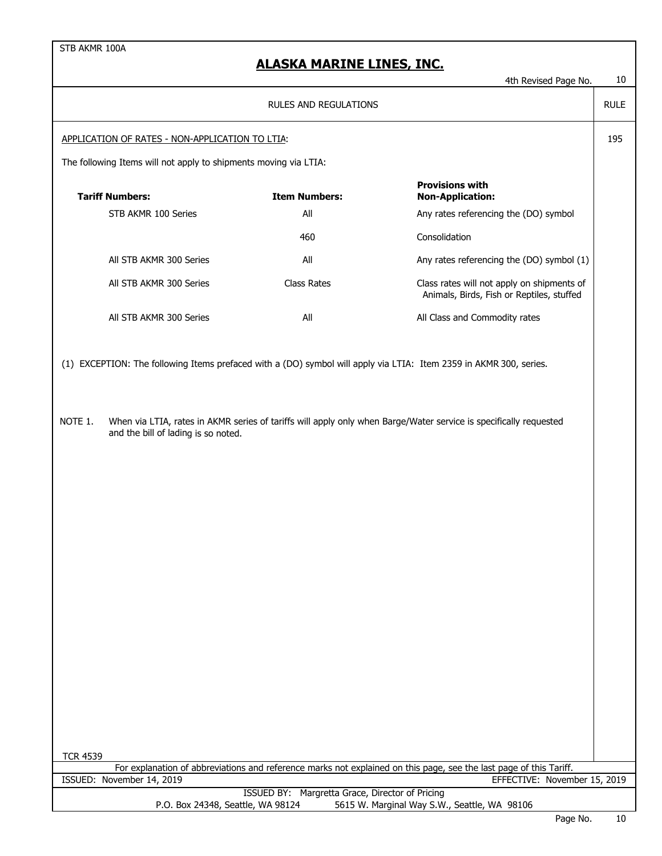|                                                 |                                                                  |                                                                                                                    | 401 Revised Page No.                                                                                                                               | τv          |  |  |  |
|-------------------------------------------------|------------------------------------------------------------------|--------------------------------------------------------------------------------------------------------------------|----------------------------------------------------------------------------------------------------------------------------------------------------|-------------|--|--|--|
|                                                 |                                                                  | <b>RULES AND REGULATIONS</b>                                                                                       |                                                                                                                                                    | <b>RULE</b> |  |  |  |
| APPLICATION OF RATES - NON-APPLICATION TO LTIA: |                                                                  |                                                                                                                    |                                                                                                                                                    |             |  |  |  |
|                                                 | The following Items will not apply to shipments moving via LTIA: |                                                                                                                    |                                                                                                                                                    |             |  |  |  |
|                                                 | <b>Tariff Numbers:</b>                                           | <b>Item Numbers:</b>                                                                                               | <b>Provisions with</b><br><b>Non-Application:</b>                                                                                                  |             |  |  |  |
|                                                 | STB AKMR 100 Series                                              | All                                                                                                                | Any rates referencing the (DO) symbol                                                                                                              |             |  |  |  |
|                                                 |                                                                  | 460                                                                                                                | Consolidation                                                                                                                                      |             |  |  |  |
|                                                 | All STB AKMR 300 Series                                          | All                                                                                                                | Any rates referencing the (DO) symbol (1)                                                                                                          |             |  |  |  |
|                                                 | All STB AKMR 300 Series                                          | <b>Class Rates</b>                                                                                                 | Class rates will not apply on shipments of<br>Animals, Birds, Fish or Reptiles, stuffed                                                            |             |  |  |  |
|                                                 | All STB AKMR 300 Series                                          | All                                                                                                                | All Class and Commodity rates                                                                                                                      |             |  |  |  |
|                                                 |                                                                  | (1) EXCEPTION: The following Items prefaced with a (DO) symbol will apply via LTIA: Item 2359 in AKMR 300, series. |                                                                                                                                                    |             |  |  |  |
| NOTE 1.                                         | and the bill of lading is so noted.                              | When via LTIA, rates in AKMR series of tariffs will apply only when Barge/Water service is specifically requested  |                                                                                                                                                    |             |  |  |  |
|                                                 |                                                                  |                                                                                                                    |                                                                                                                                                    |             |  |  |  |
|                                                 |                                                                  |                                                                                                                    |                                                                                                                                                    |             |  |  |  |
|                                                 |                                                                  |                                                                                                                    |                                                                                                                                                    |             |  |  |  |
|                                                 |                                                                  |                                                                                                                    |                                                                                                                                                    |             |  |  |  |
|                                                 |                                                                  |                                                                                                                    |                                                                                                                                                    |             |  |  |  |
|                                                 |                                                                  |                                                                                                                    |                                                                                                                                                    |             |  |  |  |
|                                                 |                                                                  |                                                                                                                    |                                                                                                                                                    |             |  |  |  |
|                                                 |                                                                  |                                                                                                                    |                                                                                                                                                    |             |  |  |  |
|                                                 |                                                                  |                                                                                                                    |                                                                                                                                                    |             |  |  |  |
|                                                 |                                                                  |                                                                                                                    |                                                                                                                                                    |             |  |  |  |
|                                                 |                                                                  |                                                                                                                    |                                                                                                                                                    |             |  |  |  |
|                                                 |                                                                  |                                                                                                                    |                                                                                                                                                    |             |  |  |  |
|                                                 |                                                                  |                                                                                                                    |                                                                                                                                                    |             |  |  |  |
|                                                 |                                                                  |                                                                                                                    |                                                                                                                                                    |             |  |  |  |
|                                                 |                                                                  |                                                                                                                    |                                                                                                                                                    |             |  |  |  |
| <b>TCR 4539</b>                                 |                                                                  |                                                                                                                    |                                                                                                                                                    |             |  |  |  |
|                                                 | ISSUED: November 14, 2019                                        |                                                                                                                    | For explanation of abbreviations and reference marks not explained on this page, see the last page of this Tariff.<br>EFFECTIVE: November 15, 2019 |             |  |  |  |
|                                                 |                                                                  | ISSUED BY: Margretta Grace, Director of Pricing                                                                    |                                                                                                                                                    |             |  |  |  |
|                                                 | P.O. Box 24348, Seattle, WA 98124                                |                                                                                                                    | 5615 W. Marginal Way S.W., Seattle, WA 98106                                                                                                       |             |  |  |  |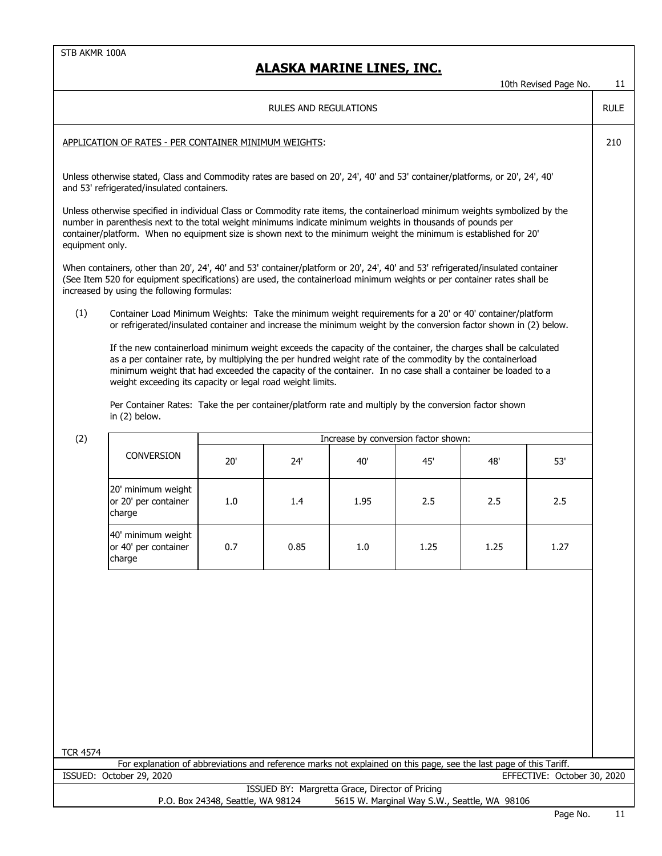|                                                                                                                                                                                                                                                                                                                                                                                    |                                                                                                                                                                                                                                                                                                                                                                                                           |     |      |                                      |      |      | 10th Revised Page No.       | 11  |  |  |
|------------------------------------------------------------------------------------------------------------------------------------------------------------------------------------------------------------------------------------------------------------------------------------------------------------------------------------------------------------------------------------|-----------------------------------------------------------------------------------------------------------------------------------------------------------------------------------------------------------------------------------------------------------------------------------------------------------------------------------------------------------------------------------------------------------|-----|------|--------------------------------------|------|------|-----------------------------|-----|--|--|
| RULES AND REGULATIONS                                                                                                                                                                                                                                                                                                                                                              |                                                                                                                                                                                                                                                                                                                                                                                                           |     |      |                                      |      |      |                             |     |  |  |
|                                                                                                                                                                                                                                                                                                                                                                                    | APPLICATION OF RATES - PER CONTAINER MINIMUM WEIGHTS:                                                                                                                                                                                                                                                                                                                                                     |     |      |                                      |      |      |                             | 210 |  |  |
| Unless otherwise stated, Class and Commodity rates are based on 20', 24', 40' and 53' container/platforms, or 20', 24', 40'<br>and 53' refrigerated/insulated containers.                                                                                                                                                                                                          |                                                                                                                                                                                                                                                                                                                                                                                                           |     |      |                                      |      |      |                             |     |  |  |
| Unless otherwise specified in individual Class or Commodity rate items, the containerload minimum weights symbolized by the<br>number in parenthesis next to the total weight minimums indicate minimum weights in thousands of pounds per<br>container/platform. When no equipment size is shown next to the minimum weight the minimum is established for 20'<br>equipment only. |                                                                                                                                                                                                                                                                                                                                                                                                           |     |      |                                      |      |      |                             |     |  |  |
|                                                                                                                                                                                                                                                                                                                                                                                    | When containers, other than 20', 24', 40' and 53' container/platform or 20', 24', 40' and 53' refrigerated/insulated container<br>(See Item 520 for equipment specifications) are used, the containerload minimum weights or per container rates shall be<br>increased by using the following formulas:                                                                                                   |     |      |                                      |      |      |                             |     |  |  |
| (1)                                                                                                                                                                                                                                                                                                                                                                                | Container Load Minimum Weights: Take the minimum weight requirements for a 20' or 40' container/platform<br>or refrigerated/insulated container and increase the minimum weight by the conversion factor shown in (2) below.                                                                                                                                                                              |     |      |                                      |      |      |                             |     |  |  |
|                                                                                                                                                                                                                                                                                                                                                                                    | If the new container load minimum weight exceeds the capacity of the container, the charges shall be calculated<br>as a per container rate, by multiplying the per hundred weight rate of the commodity by the containerload<br>minimum weight that had exceeded the capacity of the container. In no case shall a container be loaded to a<br>weight exceeding its capacity or legal road weight limits. |     |      |                                      |      |      |                             |     |  |  |
|                                                                                                                                                                                                                                                                                                                                                                                    | Per Container Rates: Take the per container/platform rate and multiply by the conversion factor shown<br>in $(2)$ below.                                                                                                                                                                                                                                                                                  |     |      |                                      |      |      |                             |     |  |  |
| (2)                                                                                                                                                                                                                                                                                                                                                                                |                                                                                                                                                                                                                                                                                                                                                                                                           |     |      | Increase by conversion factor shown: |      |      |                             |     |  |  |
|                                                                                                                                                                                                                                                                                                                                                                                    | <b>CONVERSION</b>                                                                                                                                                                                                                                                                                                                                                                                         | 20' | 24'  | 40'                                  | 45'  | 48'  | 53'                         |     |  |  |
|                                                                                                                                                                                                                                                                                                                                                                                    | 20' minimum weight<br>or 20' per container<br>charge                                                                                                                                                                                                                                                                                                                                                      | 1.0 | 1.4  | 1.95                                 | 2.5  | 2.5  | 2.5                         |     |  |  |
|                                                                                                                                                                                                                                                                                                                                                                                    | 40' minimum weight<br>or 40' per container<br>charge                                                                                                                                                                                                                                                                                                                                                      | 0.7 | 0.85 | 1.0                                  | 1.25 | 1.25 | 1.27                        |     |  |  |
|                                                                                                                                                                                                                                                                                                                                                                                    |                                                                                                                                                                                                                                                                                                                                                                                                           |     |      |                                      |      |      |                             |     |  |  |
|                                                                                                                                                                                                                                                                                                                                                                                    |                                                                                                                                                                                                                                                                                                                                                                                                           |     |      |                                      |      |      |                             |     |  |  |
|                                                                                                                                                                                                                                                                                                                                                                                    |                                                                                                                                                                                                                                                                                                                                                                                                           |     |      |                                      |      |      |                             |     |  |  |
|                                                                                                                                                                                                                                                                                                                                                                                    |                                                                                                                                                                                                                                                                                                                                                                                                           |     |      |                                      |      |      |                             |     |  |  |
|                                                                                                                                                                                                                                                                                                                                                                                    |                                                                                                                                                                                                                                                                                                                                                                                                           |     |      |                                      |      |      |                             |     |  |  |
| <b>TCR 4574</b>                                                                                                                                                                                                                                                                                                                                                                    |                                                                                                                                                                                                                                                                                                                                                                                                           |     |      |                                      |      |      |                             |     |  |  |
|                                                                                                                                                                                                                                                                                                                                                                                    | For explanation of abbreviations and reference marks not explained on this page, see the last page of this Tariff.<br>ISSUED: October 29, 2020                                                                                                                                                                                                                                                            |     |      |                                      |      |      | EFFECTIVE: October 30, 2020 |     |  |  |
|                                                                                                                                                                                                                                                                                                                                                                                    |                                                                                                                                                                                                                                                                                                                                                                                                           |     |      |                                      |      |      |                             |     |  |  |
| ISSUED BY: Margretta Grace, Director of Pricing<br>P.O. Box 24348, Seattle, WA 98124<br>5615 W. Marginal Way S.W., Seattle, WA 98106                                                                                                                                                                                                                                               |                                                                                                                                                                                                                                                                                                                                                                                                           |     |      |                                      |      |      |                             |     |  |  |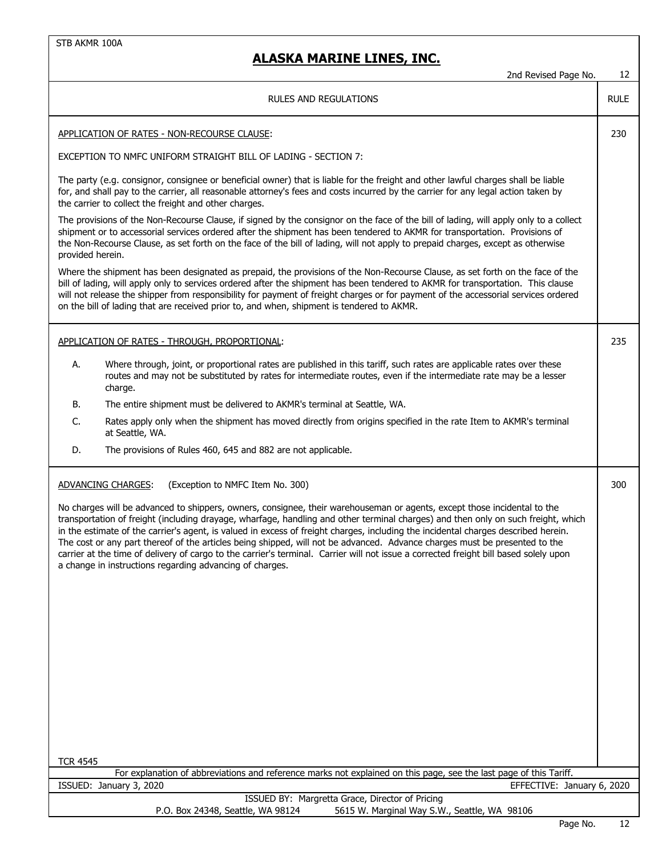|                                                                                                                                                                                                                                                                                                                                 |                                                                                                                                                                                                                                                                                                                                                                                                                                                                                                                                                                                                                                                                                                                                        | 2nd Revised Page No.       | 12          |  |  |  |  |
|---------------------------------------------------------------------------------------------------------------------------------------------------------------------------------------------------------------------------------------------------------------------------------------------------------------------------------|----------------------------------------------------------------------------------------------------------------------------------------------------------------------------------------------------------------------------------------------------------------------------------------------------------------------------------------------------------------------------------------------------------------------------------------------------------------------------------------------------------------------------------------------------------------------------------------------------------------------------------------------------------------------------------------------------------------------------------------|----------------------------|-------------|--|--|--|--|
|                                                                                                                                                                                                                                                                                                                                 | <b>RULES AND REGULATIONS</b>                                                                                                                                                                                                                                                                                                                                                                                                                                                                                                                                                                                                                                                                                                           |                            | <b>RULE</b> |  |  |  |  |
| APPLICATION OF RATES - NON-RECOURSE CLAUSE:                                                                                                                                                                                                                                                                                     |                                                                                                                                                                                                                                                                                                                                                                                                                                                                                                                                                                                                                                                                                                                                        |                            | 230         |  |  |  |  |
|                                                                                                                                                                                                                                                                                                                                 | EXCEPTION TO NMFC UNIFORM STRAIGHT BILL OF LADING - SECTION 7:                                                                                                                                                                                                                                                                                                                                                                                                                                                                                                                                                                                                                                                                         |                            |             |  |  |  |  |
| The party (e.g. consignor, consignee or beneficial owner) that is liable for the freight and other lawful charges shall be liable<br>for, and shall pay to the carrier, all reasonable attorney's fees and costs incurred by the carrier for any legal action taken by<br>the carrier to collect the freight and other charges. |                                                                                                                                                                                                                                                                                                                                                                                                                                                                                                                                                                                                                                                                                                                                        |                            |             |  |  |  |  |
| provided herein.                                                                                                                                                                                                                                                                                                                | The provisions of the Non-Recourse Clause, if signed by the consignor on the face of the bill of lading, will apply only to a collect<br>shipment or to accessorial services ordered after the shipment has been tendered to AKMR for transportation. Provisions of<br>the Non-Recourse Clause, as set forth on the face of the bill of lading, will not apply to prepaid charges, except as otherwise                                                                                                                                                                                                                                                                                                                                 |                            |             |  |  |  |  |
|                                                                                                                                                                                                                                                                                                                                 | Where the shipment has been designated as prepaid, the provisions of the Non-Recourse Clause, as set forth on the face of the<br>bill of lading, will apply only to services ordered after the shipment has been tendered to AKMR for transportation. This clause<br>will not release the shipper from responsibility for payment of freight charges or for payment of the accessorial services ordered<br>on the bill of lading that are received prior to, and when, shipment is tendered to AKMR.                                                                                                                                                                                                                                   |                            |             |  |  |  |  |
|                                                                                                                                                                                                                                                                                                                                 | APPLICATION OF RATES - THROUGH, PROPORTIONAL:                                                                                                                                                                                                                                                                                                                                                                                                                                                                                                                                                                                                                                                                                          |                            | 235         |  |  |  |  |
| А.<br>charge.                                                                                                                                                                                                                                                                                                                   | Where through, joint, or proportional rates are published in this tariff, such rates are applicable rates over these<br>routes and may not be substituted by rates for intermediate routes, even if the intermediate rate may be a lesser                                                                                                                                                                                                                                                                                                                                                                                                                                                                                              |                            |             |  |  |  |  |
| В.                                                                                                                                                                                                                                                                                                                              | The entire shipment must be delivered to AKMR's terminal at Seattle, WA.                                                                                                                                                                                                                                                                                                                                                                                                                                                                                                                                                                                                                                                               |                            |             |  |  |  |  |
| C.<br>at Seattle, WA.                                                                                                                                                                                                                                                                                                           | Rates apply only when the shipment has moved directly from origins specified in the rate Item to AKMR's terminal                                                                                                                                                                                                                                                                                                                                                                                                                                                                                                                                                                                                                       |                            |             |  |  |  |  |
| D.                                                                                                                                                                                                                                                                                                                              | The provisions of Rules 460, 645 and 882 are not applicable.                                                                                                                                                                                                                                                                                                                                                                                                                                                                                                                                                                                                                                                                           |                            |             |  |  |  |  |
| ADVANCING CHARGES:                                                                                                                                                                                                                                                                                                              | (Exception to NMFC Item No. 300)                                                                                                                                                                                                                                                                                                                                                                                                                                                                                                                                                                                                                                                                                                       |                            | 300         |  |  |  |  |
|                                                                                                                                                                                                                                                                                                                                 | No charges will be advanced to shippers, owners, consignee, their warehouseman or agents, except those incidental to the<br>transportation of freight (including drayage, wharfage, handling and other terminal charges) and then only on such freight, which<br>in the estimate of the carrier's agent, is valued in excess of freight charges, including the incidental charges described herein.<br>The cost or any part thereof of the articles being shipped, will not be advanced. Advance charges must be presented to the<br>carrier at the time of delivery of cargo to the carrier's terminal. Carrier will not issue a corrected freight bill based solely upon<br>a change in instructions regarding advancing of charges. |                            |             |  |  |  |  |
|                                                                                                                                                                                                                                                                                                                                 |                                                                                                                                                                                                                                                                                                                                                                                                                                                                                                                                                                                                                                                                                                                                        |                            |             |  |  |  |  |
|                                                                                                                                                                                                                                                                                                                                 |                                                                                                                                                                                                                                                                                                                                                                                                                                                                                                                                                                                                                                                                                                                                        |                            |             |  |  |  |  |
|                                                                                                                                                                                                                                                                                                                                 |                                                                                                                                                                                                                                                                                                                                                                                                                                                                                                                                                                                                                                                                                                                                        |                            |             |  |  |  |  |
|                                                                                                                                                                                                                                                                                                                                 |                                                                                                                                                                                                                                                                                                                                                                                                                                                                                                                                                                                                                                                                                                                                        |                            |             |  |  |  |  |
|                                                                                                                                                                                                                                                                                                                                 |                                                                                                                                                                                                                                                                                                                                                                                                                                                                                                                                                                                                                                                                                                                                        |                            |             |  |  |  |  |
|                                                                                                                                                                                                                                                                                                                                 |                                                                                                                                                                                                                                                                                                                                                                                                                                                                                                                                                                                                                                                                                                                                        |                            |             |  |  |  |  |
| <b>TCR 4545</b>                                                                                                                                                                                                                                                                                                                 |                                                                                                                                                                                                                                                                                                                                                                                                                                                                                                                                                                                                                                                                                                                                        |                            |             |  |  |  |  |
| ISSUED: January 3, 2020                                                                                                                                                                                                                                                                                                         | For explanation of abbreviations and reference marks not explained on this page, see the last page of this Tariff.                                                                                                                                                                                                                                                                                                                                                                                                                                                                                                                                                                                                                     | EFFECTIVE: January 6, 2020 |             |  |  |  |  |
|                                                                                                                                                                                                                                                                                                                                 | ISSUED BY: Margretta Grace, Director of Pricing                                                                                                                                                                                                                                                                                                                                                                                                                                                                                                                                                                                                                                                                                        |                            |             |  |  |  |  |
|                                                                                                                                                                                                                                                                                                                                 | P.O. Box 24348, Seattle, WA 98124<br>5615 W. Marginal Way S.W., Seattle, WA 98106                                                                                                                                                                                                                                                                                                                                                                                                                                                                                                                                                                                                                                                      |                            |             |  |  |  |  |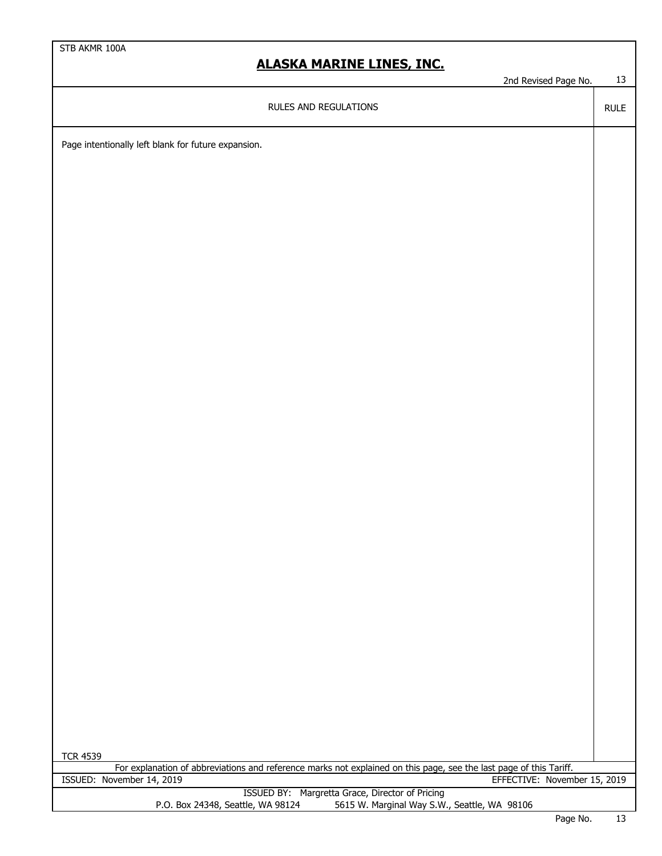2nd Revised Page No. 13

RULE

RULES AND REGULATIONS

Page intentionally left blank for future expansion.

| <b>TCR 4539</b>                   |                                                                                                                    |  |
|-----------------------------------|--------------------------------------------------------------------------------------------------------------------|--|
|                                   | For explanation of abbreviations and reference marks not explained on this page, see the last page of this Tariff. |  |
| ISSUED: November 14, 2019         | EFFECTIVE: November 15, 2019                                                                                       |  |
|                                   | ISSUED BY: Margretta Grace, Director of Pricing                                                                    |  |
| P.O. Box 24348, Seattle, WA 98124 | 5615 W. Marginal Way S.W., Seattle, WA 98106                                                                       |  |
|                                   | $\overline{\phantom{a}}$<br>$\sim$ $\sim$                                                                          |  |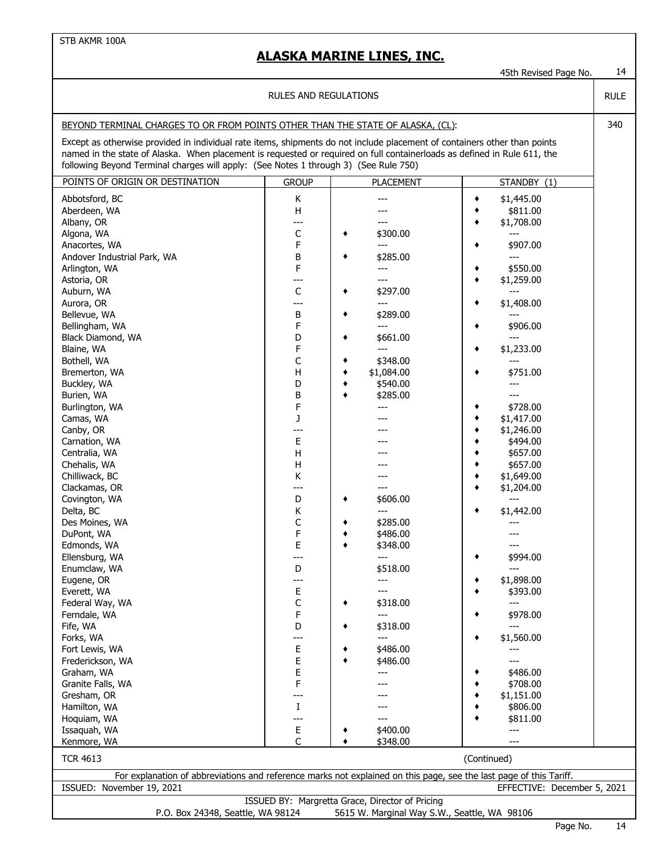45th Revised Page No. 14

RULE

| RULES AND REGULATIONS |
|-----------------------|
|                       |

#### BEYOND TERMINAL CHARGES TO OR FROM POINTS OTHER THAN THE STATE OF ALASKA, (CL): 340

Except as otherwise provided in individual rate items, shipments do not include placement of containers other than points named in the state of Alaska. When placement is requested or required on full containerloads as defined in Rule 611, the following Beyond Terminal charges will apply: (See Notes 1 through 3) (See Rule 750)

| POINTS OF ORIGIN OR DESTINATION                                                                                    | <b>GROUP</b> | <b>PLACEMENT</b>                                                                                | STANDBY (1)                 |
|--------------------------------------------------------------------------------------------------------------------|--------------|-------------------------------------------------------------------------------------------------|-----------------------------|
| Abbotsford, BC                                                                                                     |              |                                                                                                 | \$1,445.00<br>٠             |
| Aberdeen, WA                                                                                                       | Κ<br>H       |                                                                                                 | ٠                           |
|                                                                                                                    | ---          |                                                                                                 | \$811.00                    |
| Albany, OR                                                                                                         |              | \$300.00                                                                                        | \$1,708.00<br>٠             |
| Algona, WA                                                                                                         | C            | ٠                                                                                               |                             |
| Anacortes, WA                                                                                                      | F            | ---                                                                                             | \$907.00<br>٠               |
| Andover Industrial Park, WA                                                                                        | В            | \$285.00<br>٠                                                                                   |                             |
| Arlington, WA                                                                                                      | F            | ---                                                                                             | \$550.00<br>٠               |
| Astoria, OR                                                                                                        | ---          | ---                                                                                             | \$1,259.00<br>٠             |
| Auburn, WA                                                                                                         | C            | \$297.00<br>٠                                                                                   | $---$                       |
| Aurora, OR                                                                                                         | ---          | ---                                                                                             | \$1,408.00<br>٠             |
| Bellevue, WA                                                                                                       | B            | \$289.00<br>٠                                                                                   |                             |
| Bellingham, WA                                                                                                     | F            | ---                                                                                             | \$906.00<br>٠               |
| Black Diamond, WA                                                                                                  | D            | \$661.00                                                                                        | $---$                       |
| Blaine, WA                                                                                                         | F            | ---                                                                                             | \$1,233.00<br>٠             |
| Bothell, WA                                                                                                        | C            | \$348.00                                                                                        |                             |
| Bremerton, WA                                                                                                      | Н            | \$1,084.00                                                                                      | \$751.00                    |
| Buckley, WA                                                                                                        | D            | \$540.00<br>٠                                                                                   |                             |
| Burien, WA                                                                                                         | В            | \$285.00                                                                                        |                             |
| Burlington, WA                                                                                                     | F            |                                                                                                 | \$728.00<br>٠               |
| Camas, WA                                                                                                          | J            |                                                                                                 | \$1,417.00<br>٠             |
| Canby, OR                                                                                                          | $---$        |                                                                                                 | \$1,246.00<br>٠             |
| Carnation, WA                                                                                                      | E            |                                                                                                 | \$494.00                    |
| Centralia, WA                                                                                                      | Н            |                                                                                                 | \$657.00<br>٠               |
|                                                                                                                    |              |                                                                                                 | ٠                           |
| Chehalis, WA                                                                                                       | Н            |                                                                                                 | \$657.00                    |
| Chilliwack, BC                                                                                                     | Κ            |                                                                                                 | \$1,649.00<br>٠             |
| Clackamas, OR                                                                                                      | ---          |                                                                                                 | \$1,204.00<br>٠             |
| Covington, WA                                                                                                      | D            | \$606.00<br>٠                                                                                   | $\overline{a}$              |
| Delta, BC                                                                                                          | Κ            | ---                                                                                             | \$1,442.00<br>٠             |
| Des Moines, WA                                                                                                     | C            | \$285.00                                                                                        |                             |
| DuPont, WA                                                                                                         | F            | \$486.00                                                                                        |                             |
| Edmonds, WA                                                                                                        | E            | \$348.00                                                                                        |                             |
| Ellensburg, WA                                                                                                     | ---          | ---                                                                                             | \$994.00<br>٠               |
| Enumclaw, WA                                                                                                       | D            | \$518.00                                                                                        | ---                         |
| Eugene, OR                                                                                                         | ---          | ---                                                                                             | \$1,898.00<br>٠             |
| Everett, WA                                                                                                        | Ε            | ---                                                                                             | \$393.00<br>٠               |
| Federal Way, WA                                                                                                    | C            | \$318.00<br>٠                                                                                   | ---                         |
| Ferndale, WA                                                                                                       | F            | ---                                                                                             | \$978.00<br>٠               |
| Fife, WA                                                                                                           | D            | \$318.00                                                                                        | $\overline{a}$              |
| Forks, WA                                                                                                          | ---          |                                                                                                 | \$1,560.00                  |
| Fort Lewis, WA                                                                                                     | E            | \$486.00                                                                                        | ---                         |
| Frederickson, WA                                                                                                   | Ε            | \$486.00                                                                                        |                             |
| Graham, WA                                                                                                         | E            |                                                                                                 | \$486.00                    |
| Granite Falls, WA                                                                                                  | F            |                                                                                                 | \$708.00                    |
| Gresham, OR                                                                                                        | ---          |                                                                                                 | \$1,151.00                  |
| Hamilton, WA                                                                                                       | $\mathbf I$  |                                                                                                 | \$806.00                    |
| Hoquiam, WA                                                                                                        | ---          |                                                                                                 | \$811.00                    |
|                                                                                                                    |              | \$400.00                                                                                        |                             |
| Issaquah, WA                                                                                                       | Е            |                                                                                                 | ---                         |
| Kenmore, WA                                                                                                        | C            | \$348.00                                                                                        |                             |
| <b>TCR 4613</b>                                                                                                    |              |                                                                                                 | (Continued)                 |
| For explanation of abbreviations and reference marks not explained on this page, see the last page of this Tariff. |              |                                                                                                 |                             |
| ISSUED: November 19, 2021                                                                                          |              |                                                                                                 | EFFECTIVE: December 5, 2021 |
| P.O. Box 24348, Seattle, WA 98124                                                                                  |              | ISSUED BY: Margretta Grace, Director of Pricing<br>5615 W. Marginal Way S.W., Seattle, WA 98106 |                             |
|                                                                                                                    |              |                                                                                                 |                             |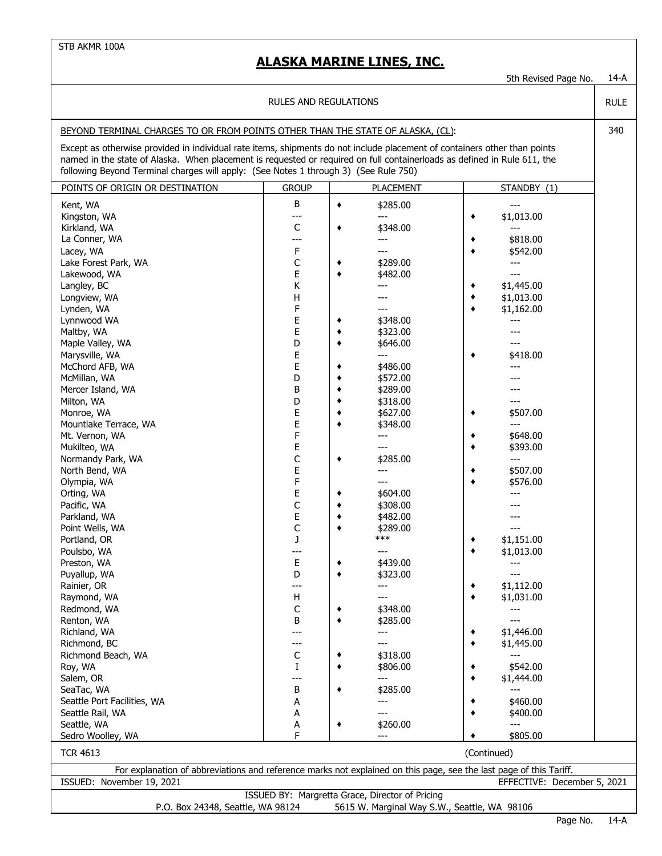5th Revised Page No. 14-A

RULE

#### RULES AND REGULATIONS

#### BEYOND TERMINAL CHARGES TO OR FROM POINTS OTHER THAN THE STATE OF ALASKA, (CL): 340

Except as otherwise provided in individual rate items, shipments do not include placement of containers other than points named in the state of Alaska. When placement is requested or required on full containerloads as defined in Rule 611, the following Beyond Terminal charges will apply: (See Notes 1 through 3) (See Rule 750)

| POINTS OF ORIGIN OR DESTINATION                                                                                    | <b>GROUP</b> |   | <b>PLACEMENT</b>                                | STANDBY $(1)$               |  |  |  |  |
|--------------------------------------------------------------------------------------------------------------------|--------------|---|-------------------------------------------------|-----------------------------|--|--|--|--|
| Kent, WA                                                                                                           | В            | ٠ | \$285.00                                        | ---                         |  |  |  |  |
| Kingston, WA                                                                                                       | ---          |   | ---                                             | \$1,013.00<br>٠             |  |  |  |  |
| Kirkland, WA                                                                                                       | C            | ٠ | \$348.00                                        |                             |  |  |  |  |
| La Conner, WA                                                                                                      | ---          |   | ---                                             | \$818.00<br>٠               |  |  |  |  |
| Lacey, WA                                                                                                          | F            |   |                                                 | \$542.00                    |  |  |  |  |
|                                                                                                                    | C            | ٠ | \$289.00                                        |                             |  |  |  |  |
| Lake Forest Park, WA<br>Lakewood, WA                                                                               | E            | ٠ | \$482.00                                        | ---<br>$---$                |  |  |  |  |
|                                                                                                                    | Κ            |   |                                                 | \$1,445.00                  |  |  |  |  |
| Langley, BC                                                                                                        | H            |   |                                                 |                             |  |  |  |  |
| Longview, WA                                                                                                       | F            |   | ---                                             | \$1,013.00<br>٠             |  |  |  |  |
| Lynden, WA                                                                                                         |              |   | \$348.00                                        | \$1,162.00                  |  |  |  |  |
| Lynnwood WA                                                                                                        | E<br>E       | ٠ | \$323.00                                        |                             |  |  |  |  |
| Maltby, WA                                                                                                         | D            | ٠ |                                                 |                             |  |  |  |  |
| Maple Valley, WA                                                                                                   |              | ٠ | \$646.00<br>---                                 |                             |  |  |  |  |
| Marysville, WA                                                                                                     | E            |   |                                                 | \$418.00                    |  |  |  |  |
| McChord AFB, WA                                                                                                    | E            |   | \$486.00                                        |                             |  |  |  |  |
| McMillan, WA                                                                                                       | D            | ٠ | \$572.00                                        |                             |  |  |  |  |
| Mercer Island, WA                                                                                                  | B            | ٠ | \$289.00                                        |                             |  |  |  |  |
| Milton, WA                                                                                                         | D            | ٠ | \$318.00                                        |                             |  |  |  |  |
| Monroe, WA                                                                                                         | E            | ٠ | \$627.00                                        | \$507.00<br>٠               |  |  |  |  |
| Mountlake Terrace, WA                                                                                              | E            | ٠ | \$348.00                                        | ---                         |  |  |  |  |
| Mt. Vernon, WA                                                                                                     | F            |   |                                                 | \$648.00<br>٠               |  |  |  |  |
| Mukilteo, WA                                                                                                       | E            |   | ---                                             | \$393.00                    |  |  |  |  |
| Normandy Park, WA                                                                                                  | C            | ٠ | \$285.00                                        | ---                         |  |  |  |  |
| North Bend, WA                                                                                                     | E            |   | ---                                             | \$507.00                    |  |  |  |  |
| Olympia, WA                                                                                                        | F            |   |                                                 | \$576.00                    |  |  |  |  |
| Orting, WA                                                                                                         | E            | ٠ | \$604.00                                        |                             |  |  |  |  |
| Pacific, WA                                                                                                        | C            | ٠ | \$308.00                                        |                             |  |  |  |  |
| Parkland, WA                                                                                                       | E            | ٠ | \$482.00                                        |                             |  |  |  |  |
| Point Wells, WA                                                                                                    | C            | ٠ | \$289.00                                        |                             |  |  |  |  |
| Portland, OR                                                                                                       | J            |   | ***                                             | \$1,151.00                  |  |  |  |  |
| Poulsbo, WA                                                                                                        | ---          |   |                                                 | \$1,013.00<br>٠             |  |  |  |  |
| Preston, WA                                                                                                        | E            |   | \$439.00                                        | $---$                       |  |  |  |  |
| Puyallup, WA                                                                                                       | D            | ٠ | \$323.00                                        | ---                         |  |  |  |  |
| Rainier, OR                                                                                                        | ---          |   | ---                                             | \$1,112.00                  |  |  |  |  |
| Raymond, WA                                                                                                        | н            |   |                                                 | \$1,031.00<br>٠             |  |  |  |  |
| Redmond, WA                                                                                                        | C            | ٠ | \$348.00                                        |                             |  |  |  |  |
| Renton, WA                                                                                                         | В            | ٠ | \$285.00                                        | ---                         |  |  |  |  |
| Richland, WA                                                                                                       | ---          |   | ---                                             | \$1,446.00                  |  |  |  |  |
| Richmond, BC                                                                                                       | ---          |   |                                                 | \$1,445.00                  |  |  |  |  |
| Richmond Beach, WA                                                                                                 | C            |   | \$318.00                                        |                             |  |  |  |  |
| Roy, WA                                                                                                            | $\mathbf I$  |   | \$806.00                                        | \$542.00                    |  |  |  |  |
| Salem, OR                                                                                                          | ---          |   | ---                                             | \$1,444.00                  |  |  |  |  |
| SeaTac, WA                                                                                                         | В            | ٠ | \$285.00                                        |                             |  |  |  |  |
| Seattle Port Facilities, WA                                                                                        | А            |   |                                                 | \$460.00                    |  |  |  |  |
| Seattle Rail, WA                                                                                                   | А            |   |                                                 | \$400.00                    |  |  |  |  |
| Seattle, WA                                                                                                        | А            | ٠ | \$260.00                                        |                             |  |  |  |  |
| Sedro Woolley, WA                                                                                                  | F            |   | ---                                             | \$805.00                    |  |  |  |  |
| <b>TCR 4613</b>                                                                                                    |              |   |                                                 | (Continued)                 |  |  |  |  |
| For explanation of abbreviations and reference marks not explained on this page, see the last page of this Tariff. |              |   |                                                 |                             |  |  |  |  |
| ISSUED: November 19, 2021                                                                                          |              |   |                                                 | EFFECTIVE: December 5, 2021 |  |  |  |  |
|                                                                                                                    |              |   | ISSUED BY: Margretta Grace, Director of Pricing |                             |  |  |  |  |
| 5615 W. Marginal Way S.W., Seattle, WA 98106<br>P.O. Box 24348, Seattle, WA 98124                                  |              |   |                                                 |                             |  |  |  |  |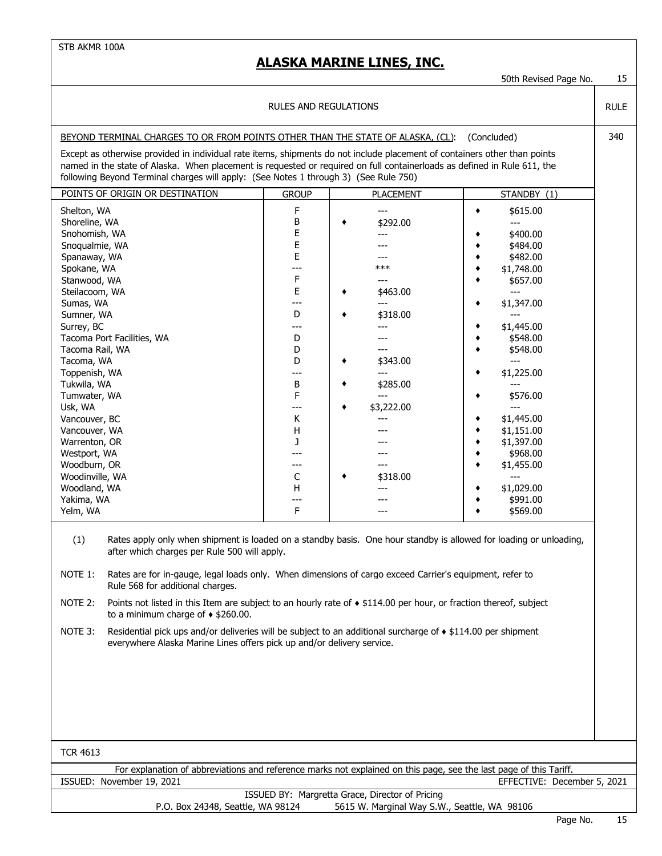|                                                                                                                                                                                                                                                                                                                                                                                                                                                                                                                                                                                                                                                                                                                                                                                                                                                                                                                                                                                                                                                                                                                                                                                                 |                                                                                                                                              |                                                                                                                                                    | 50th Revised Page No.                                                                                                                                                                                                                                                                                                            | 15          |  |  |  |  |
|-------------------------------------------------------------------------------------------------------------------------------------------------------------------------------------------------------------------------------------------------------------------------------------------------------------------------------------------------------------------------------------------------------------------------------------------------------------------------------------------------------------------------------------------------------------------------------------------------------------------------------------------------------------------------------------------------------------------------------------------------------------------------------------------------------------------------------------------------------------------------------------------------------------------------------------------------------------------------------------------------------------------------------------------------------------------------------------------------------------------------------------------------------------------------------------------------|----------------------------------------------------------------------------------------------------------------------------------------------|----------------------------------------------------------------------------------------------------------------------------------------------------|----------------------------------------------------------------------------------------------------------------------------------------------------------------------------------------------------------------------------------------------------------------------------------------------------------------------------------|-------------|--|--|--|--|
|                                                                                                                                                                                                                                                                                                                                                                                                                                                                                                                                                                                                                                                                                                                                                                                                                                                                                                                                                                                                                                                                                                                                                                                                 | <b>RULES AND REGULATIONS</b>                                                                                                                 |                                                                                                                                                    |                                                                                                                                                                                                                                                                                                                                  | <b>RULE</b> |  |  |  |  |
| BEYOND TERMINAL CHARGES TO OR FROM POINTS OTHER THAN THE STATE OF ALASKA, (CL):<br>(Concluded)                                                                                                                                                                                                                                                                                                                                                                                                                                                                                                                                                                                                                                                                                                                                                                                                                                                                                                                                                                                                                                                                                                  |                                                                                                                                              |                                                                                                                                                    |                                                                                                                                                                                                                                                                                                                                  |             |  |  |  |  |
| Except as otherwise provided in individual rate items, shipments do not include placement of containers other than points<br>named in the state of Alaska. When placement is requested or required on full containerloads as defined in Rule 611, the<br>following Beyond Terminal charges will apply: (See Notes 1 through 3) (See Rule 750)                                                                                                                                                                                                                                                                                                                                                                                                                                                                                                                                                                                                                                                                                                                                                                                                                                                   |                                                                                                                                              |                                                                                                                                                    |                                                                                                                                                                                                                                                                                                                                  |             |  |  |  |  |
| POINTS OF ORIGIN OR DESTINATION                                                                                                                                                                                                                                                                                                                                                                                                                                                                                                                                                                                                                                                                                                                                                                                                                                                                                                                                                                                                                                                                                                                                                                 | <b>GROUP</b>                                                                                                                                 | <b>PLACEMENT</b>                                                                                                                                   | STANDBY (1)                                                                                                                                                                                                                                                                                                                      |             |  |  |  |  |
| Shelton, WA<br>Shoreline, WA<br>Snohomish, WA<br>Snoqualmie, WA<br>Spanaway, WA<br>Spokane, WA<br>Stanwood, WA<br>Steilacoom, WA<br>Sumas, WA<br>Sumner, WA<br>Surrey, BC<br>Tacoma Port Facilities, WA<br>Tacoma Rail, WA<br>Tacoma, WA<br>Toppenish, WA<br>Tukwila, WA<br>Tumwater, WA<br>Usk, WA<br>Vancouver, BC<br>Vancouver, WA<br>Warrenton, OR<br>Westport, WA<br>Woodburn, OR<br>Woodinville, WA<br>Woodland, WA<br>Yakima, WA<br>Yelm, WA<br>(1)<br>Rates apply only when shipment is loaded on a standby basis. One hour standby is allowed for loading or unloading,<br>after which charges per Rule 500 will apply.<br>NOTE 1:<br>Rates are for in-gauge, legal loads only. When dimensions of cargo exceed Carrier's equipment, refer to<br>Rule 568 for additional charges.<br>NOTE 2:<br>Points not listed in this Item are subject to an hourly rate of $\bullet$ \$114.00 per hour, or fraction thereof, subject<br>to a minimum charge of $\triangle$ \$260.00.<br>NOTE 3:<br>Residential pick ups and/or deliveries will be subject to an additional surcharge of $\bullet$ \$114.00 per shipment<br>everywhere Alaska Marine Lines offers pick up and/or delivery service. | F<br>В<br>Ε<br>Ε<br>Ε<br>---<br>F<br>Ε<br>---<br>D<br>---<br>D<br>D<br>D<br>---<br>В<br>F<br>---<br>К<br>н<br>J<br>---<br>С<br>H<br>---<br>F | ---<br>\$292.00<br>٠<br>***<br>---<br>\$463.00<br>$---$<br>\$318.00<br>\$343.00<br>٠<br>---<br>\$285.00<br>٠<br>---<br>\$3,222.00<br>٠<br>\$318.00 | \$615.00<br>٠<br>$---$<br>\$400.00<br>\$484.00<br>\$482.00<br>\$1,748.00<br>\$657.00<br>$---$<br>\$1,347.00<br>$\overline{a}$<br>\$1,445.00<br>\$548.00<br>\$548.00<br>$---$<br>\$1,225.00<br>\$576.00<br>$---$<br>\$1,445.00<br>\$1,151.00<br>\$1,397.00<br>\$968.00<br>\$1,455.00<br>---<br>\$1,029.00<br>\$991.00<br>\$569.00 |             |  |  |  |  |
| <b>TCR 4613</b>                                                                                                                                                                                                                                                                                                                                                                                                                                                                                                                                                                                                                                                                                                                                                                                                                                                                                                                                                                                                                                                                                                                                                                                 |                                                                                                                                              |                                                                                                                                                    |                                                                                                                                                                                                                                                                                                                                  |             |  |  |  |  |
| For explanation of abbreviations and reference marks not explained on this page, see the last page of this Tariff.<br>ISSUED: November 19, 2021                                                                                                                                                                                                                                                                                                                                                                                                                                                                                                                                                                                                                                                                                                                                                                                                                                                                                                                                                                                                                                                 |                                                                                                                                              |                                                                                                                                                    | EFFECTIVE: December 5, 2021                                                                                                                                                                                                                                                                                                      |             |  |  |  |  |
|                                                                                                                                                                                                                                                                                                                                                                                                                                                                                                                                                                                                                                                                                                                                                                                                                                                                                                                                                                                                                                                                                                                                                                                                 |                                                                                                                                              | ISSUED BY: Margretta Grace, Director of Pricing                                                                                                    |                                                                                                                                                                                                                                                                                                                                  |             |  |  |  |  |
| P.O. Box 24348, Seattle, WA 98124                                                                                                                                                                                                                                                                                                                                                                                                                                                                                                                                                                                                                                                                                                                                                                                                                                                                                                                                                                                                                                                                                                                                                               |                                                                                                                                              | 5615 W. Marginal Way S.W., Seattle, WA 98106                                                                                                       |                                                                                                                                                                                                                                                                                                                                  |             |  |  |  |  |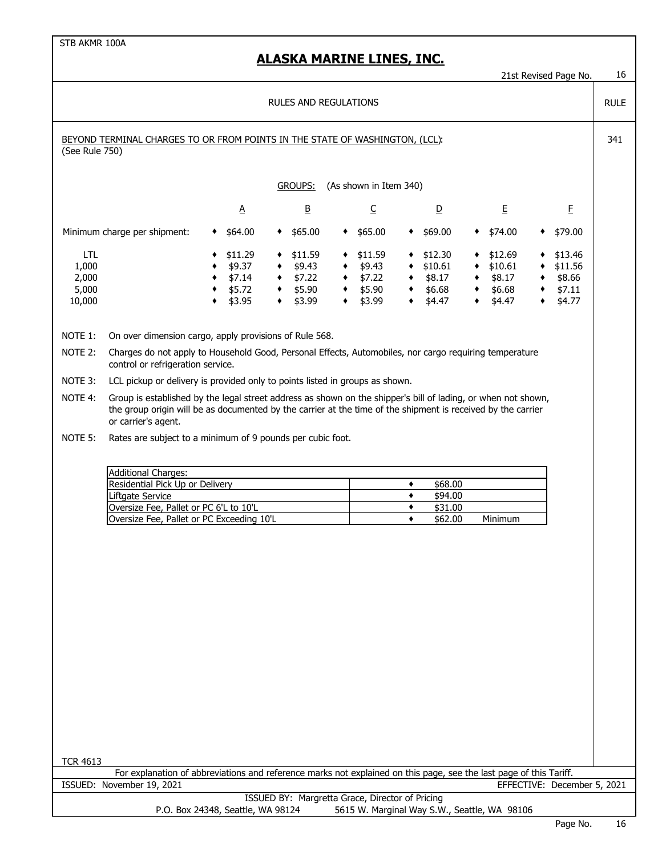#### **ALASKA MARINE LINES, INC.**

21st Revised Page No. 16

RULE

#### RULES AND REGULATIONS

| BEYOND TERMINAL CHARGES TO OR FROM POINTS IN THE STATE OF WASHINGTON, (LCL): | 341 |
|------------------------------------------------------------------------------|-----|
| (See Rule 750)                                                               |     |

GROUPS: (As shown in Item 340)

|                              | <u>А</u> |   | B       |   |         |   | <u>D</u> |   | E       |   | E       |
|------------------------------|----------|---|---------|---|---------|---|----------|---|---------|---|---------|
| Minimum charge per shipment: | \$64.00  | ٠ | \$65.00 | ٠ | \$65.00 | ٠ | \$69.00  |   | \$74.00 | ٠ | \$79.00 |
| LTL                          | \$11.29  | ٠ | \$11.59 | ٠ | \$11.59 | ٠ | \$12.30  |   | \$12.69 |   | \$13.46 |
| 1,000                        | \$9.37   | ٠ | \$9.43  | ٠ | \$9.43  | ٠ | \$10.61  |   | \$10.61 | ٠ | \$11.56 |
| 2,000                        | \$7.14   | ٠ | \$7.22  |   | \$7.22  | ٠ | \$8.17   | ٠ | \$8.17  |   | \$8.66  |
| 5,000                        | \$5.72   | ٠ | \$5.90  | ٠ | \$5.90  | ٠ | \$6.68   |   | \$6.68  | ٠ | \$7.11  |
| 10,000                       | \$3.95   | ٠ | \$3.99  |   | \$3.99  | ٠ | \$4.47   |   | \$4.47  | ٠ | \$4.77  |

NOTE 1: On over dimension cargo, apply provisions of Rule 568.

- NOTE 2: Charges do not apply to Household Good, Personal Effects, Automobiles, nor cargo requiring temperature control or refrigeration service.
- NOTE 3: LCL pickup or delivery is provided only to points listed in groups as shown.
- NOTE 4: Group is established by the legal street address as shown on the shipper's bill of lading, or when not shown, the group origin will be as documented by the carrier at the time of the shipment is received by the carrier or carrier's agent.

NOTE 5: Rates are subject to a minimum of 9 pounds per cubic foot.

| <b>Additional Charges:</b>                |         |         |
|-------------------------------------------|---------|---------|
| Residential Pick Up or Delivery           | \$68.00 |         |
| Liftgate Service                          | \$94.00 |         |
| Oversize Fee, Pallet or PC 6'L to 10'L    | \$31.00 |         |
| Oversize Fee, Pallet or PC Exceeding 10'L | \$62.00 | Minimum |

| TCR 4613 |  |
|----------|--|
|----------|--|

ISSUED: November 19, 2021 EFFECTIVE: December 5, 2021 For explanation of abbreviations and reference marks not explained on this page, see the last page of this Tariff.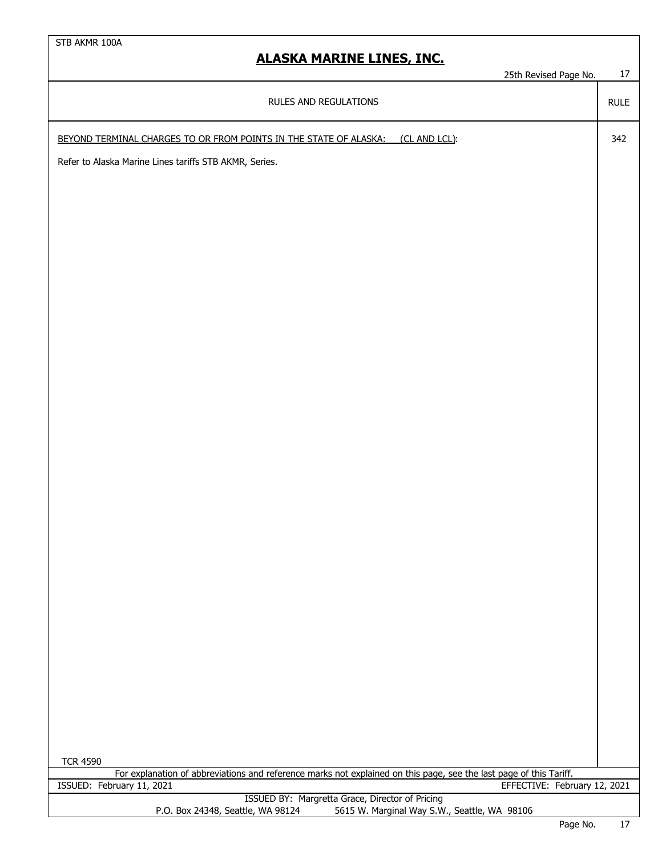25th Revised Page No. 17

RULE

RULES AND REGULATIONS

BEYOND TERMINAL CHARGES TO OR FROM POINTS IN THE STATE OF ALASKA: (CL AND LCL): 342

Refer to Alaska Marine Lines tariffs STB AKMR, Series.

| <b>TCR 4590</b>                                 |                                                                                                                    |                          |  |
|-------------------------------------------------|--------------------------------------------------------------------------------------------------------------------|--------------------------|--|
|                                                 | For explanation of abbreviations and reference marks not explained on this page, see the last page of this Tariff. |                          |  |
| ISSUED: February 11, 2021                       | EFFECTIVE: February 12, 2021                                                                                       |                          |  |
| ISSUED BY: Margretta Grace, Director of Pricing |                                                                                                                    |                          |  |
| P.O. Box 24348, Seattle, WA 98124               | 5615 W. Marginal Way S.W., Seattle, WA 98106                                                                       |                          |  |
|                                                 | .<br>__                                                                                                            | $\overline{\phantom{a}}$ |  |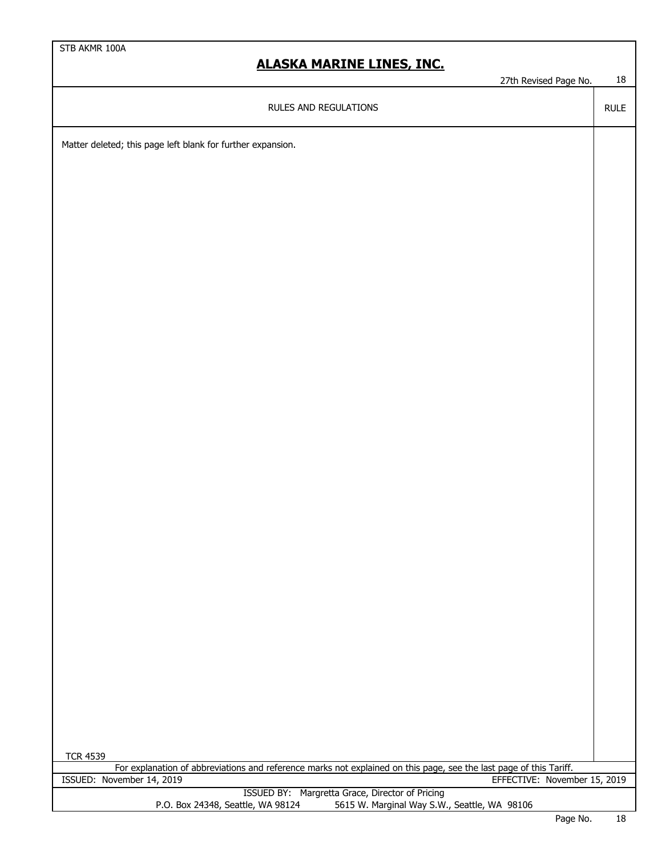27th Revised Page No. 18

RULE

RULES AND REGULATIONS

Matter deleted; this page left blank for further expansion.

| <b>TCR 4539</b>                                                                                                    |                                              |        |  |
|--------------------------------------------------------------------------------------------------------------------|----------------------------------------------|--------|--|
| For explanation of abbreviations and reference marks not explained on this page, see the last page of this Tariff. |                                              |        |  |
| ISSUED: November 14, 2019                                                                                          | EFFECTIVE: November 15, 2019                 |        |  |
| ISSUED BY: Margretta Grace, Director of Pricing                                                                    |                                              |        |  |
| P.O. Box 24348, Seattle, WA 98124                                                                                  | 5615 W. Marginal Way S.W., Seattle, WA 98106 |        |  |
|                                                                                                                    | $D - - - - - -$                              | $\sim$ |  |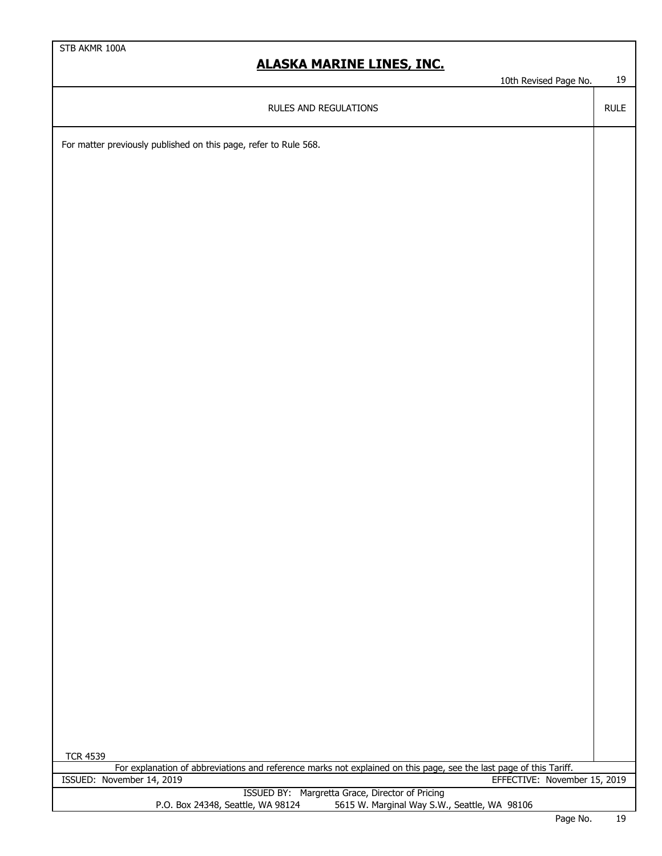10th Revised Page No. 19

RULE

RULES AND REGULATIONS

For matter previously published on this page, refer to Rule 568.

| <b>TCR 4539</b>                                                                                                    |               |        |
|--------------------------------------------------------------------------------------------------------------------|---------------|--------|
| For explanation of abbreviations and reference marks not explained on this page, see the last page of this Tariff. |               |        |
| EFFECTIVE: November 15, 2019<br>ISSUED: November 14, 2019                                                          |               |        |
| ISSUED BY: Margretta Grace, Director of Pricing                                                                    |               |        |
| 5615 W. Marginal Way S.W., Seattle, WA 98106<br>P.O. Box 24348, Seattle, WA 98124                                  |               |        |
|                                                                                                                    | $\sim$ $\sim$ | $\sim$ |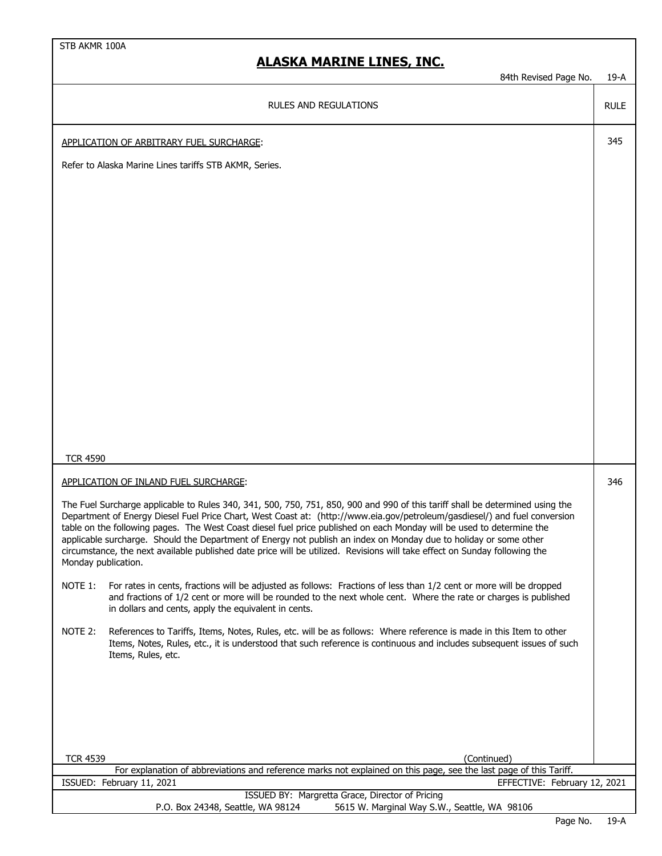RULE

#### RULES AND REGULATIONS

APPLICATION OF ARBITRARY FUEL SURCHARGE: 345

Refer to Alaska Marine Lines tariffs STB AKMR, Series.

TCR 4590

APPLICATION OF INLAND FUEL SURCHARGE: 346

The Fuel Surcharge applicable to Rules 340, 341, 500, 750, 751, 850, 900 and 990 of this tariff shall be determined using the Department of Energy Diesel Fuel Price Chart, West Coast at: (http://www.eia.gov/petroleum/gasdiesel/) and fuel conversion table on the following pages. The West Coast diesel fuel price published on each Monday will be used to determine the applicable surcharge. Should the Department of Energy not publish an index on Monday due to holiday or some other circumstance, the next available published date price will be utilized. Revisions will take effect on Sunday following the Monday publication.

- NOTE 1: For rates in cents, fractions will be adjusted as follows: Fractions of less than 1/2 cent or more will be dropped and fractions of 1/2 cent or more will be rounded to the next whole cent. Where the rate or charges is published in dollars and cents, apply the equivalent in cents.
- NOTE 2: References to Tariffs, Items, Notes, Rules, etc. will be as follows: Where reference is made in this Item to other Items, Notes, Rules, etc., it is understood that such reference is continuous and includes subsequent issues of such Items, Rules, etc.

| <b>TCR 4539</b><br>(Continued)                                                                                     |  |
|--------------------------------------------------------------------------------------------------------------------|--|
| For explanation of abbreviations and reference marks not explained on this page, see the last page of this Tariff. |  |
| EFFECTIVE: February 12, 2021<br>ISSUED: February 11, 2021                                                          |  |
| ISSUED BY: Margretta Grace, Director of Pricing                                                                    |  |
| 5615 W. Marginal Way S.W., Seattle, WA 98106<br>P.O. Box 24348, Seattle, WA 98124                                  |  |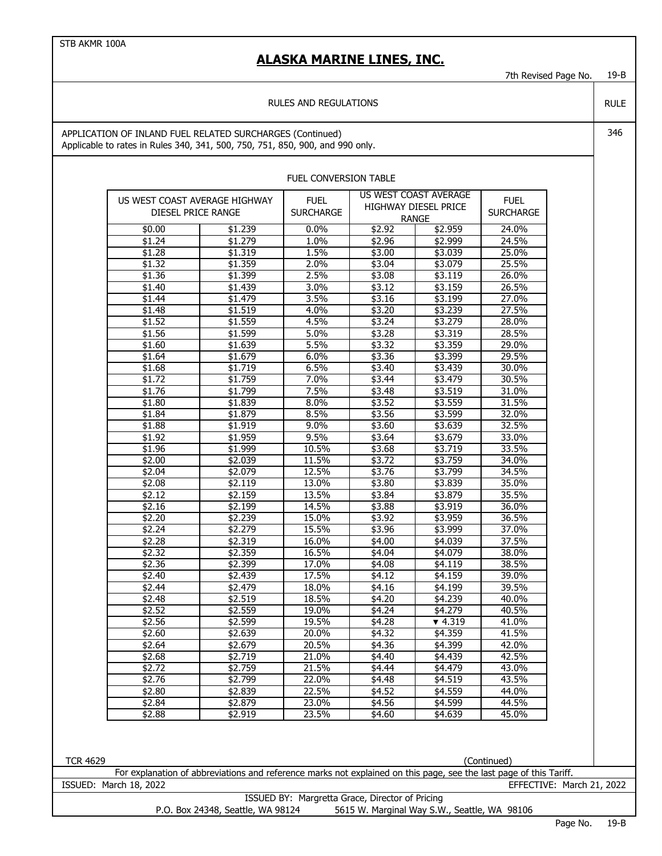7th Revised Page No. 19-B

RULE

#### RULES AND REGULATIONS

APPLICATION OF INLAND FUEL RELATED SURCHARGES (Continued) 346 Applicable to rates in Rules 340, 341, 500, 750, 751, 850, 900, and 990 only.

| DIESEL PRICE RANGE     | US WEST COAST AVERAGE HIGHWAY                                                                                      | US WEST COAST AVERAGE<br><b>FUEL</b><br>HIGHWAY DIESEL PRICE<br><b>SURCHARGE</b> |                  | <b>FUEL</b><br><b>SURCHARGE</b> |                           |
|------------------------|--------------------------------------------------------------------------------------------------------------------|----------------------------------------------------------------------------------|------------------|---------------------------------|---------------------------|
| \$0.00                 | \$1.239                                                                                                            | $0.0\%$                                                                          | \$2.92           | <b>RANGE</b><br>\$2.959         | 24.0%                     |
| \$1.24                 | \$1.279                                                                                                            | 1.0%                                                                             | \$2.96           | \$2,999                         | 24.5%                     |
| \$1.28                 | \$1.319                                                                                                            | 1.5%                                                                             | \$3.00           | \$3.039                         | 25.0%                     |
| \$1.32                 | \$1.359                                                                                                            | 2.0%                                                                             | \$3.04           | \$3.079                         | 25.5%                     |
| \$1.36                 | \$1.399                                                                                                            | 2.5%                                                                             | \$3.08           | \$3.119                         | 26.0%                     |
|                        | \$1.439                                                                                                            | 3.0%                                                                             | \$3.12           | \$3.159                         | 26.5%                     |
| \$1.40<br>\$1.44       | \$1.479                                                                                                            | 3.5%                                                                             | \$3.16           | \$3.199                         | 27.0%                     |
| \$1.48                 | \$1.519                                                                                                            | 4.0%                                                                             | \$3.20           | \$3.239                         | 27.5%                     |
| \$1.52                 | \$1.559                                                                                                            | 4.5%                                                                             | \$3.24           | \$3.279                         | 28.0%                     |
| \$1.56                 | \$1.599                                                                                                            | 5.0%                                                                             | \$3.28           | \$3.319                         | 28.5%                     |
|                        |                                                                                                                    | 5.5%                                                                             | $\sqrt{$3.32}$   |                                 | 29.0%                     |
| \$1.60                 | \$1.639                                                                                                            |                                                                                  |                  | \$3.359                         | 29.5%                     |
| \$1.64                 | \$1.679                                                                                                            | 6.0%                                                                             | \$3.36           | \$3.399                         |                           |
| \$1.68                 | \$1.719                                                                                                            | 6.5%                                                                             | \$3.40           | \$3.439                         | 30.0%                     |
| \$1.72                 | \$1.759                                                                                                            | 7.0%                                                                             | \$3.44           | \$3.479                         | 30.5%                     |
| \$1.76                 | \$1.799                                                                                                            | 7.5%                                                                             | \$3.48           | \$3.519                         | 31.0%                     |
| \$1.80                 | \$1.839                                                                                                            | 8.0%                                                                             | \$3.52           | \$3.559                         | 31.5%                     |
| \$1.84                 | \$1.879                                                                                                            | 8.5%                                                                             | \$3.56           | \$3.599                         | 32.0%                     |
| \$1.88                 | \$1.919                                                                                                            | 9.0%                                                                             | \$3.60           | \$3.639                         | 32.5%                     |
| \$1.92                 | \$1.959                                                                                                            | 9.5%                                                                             | \$3.64           | \$3.679                         | 33.0%                     |
| \$1.96                 | \$1.999                                                                                                            | 10.5%                                                                            | \$3.68           | \$3.719                         | 33.5%                     |
| \$2.00                 | \$2.039                                                                                                            | 11.5%                                                                            | $\sqrt{$3.72}$   | \$3.759                         | 34.0%                     |
| \$2.04                 | \$2.079                                                                                                            | 12.5%                                                                            | \$3.76           | \$3.799                         | 34.5%                     |
| \$2.08                 | \$2.119                                                                                                            | 13.0%                                                                            | \$3.80           | \$3.839                         | 35.0%                     |
| \$2.12                 | \$2.159                                                                                                            | 13.5%                                                                            | \$3.84           | \$3.879                         | 35.5%                     |
| \$2.16                 | \$2.199                                                                                                            | 14.5%                                                                            | \$3.88           | \$3.919                         | 36.0%                     |
| \$2.20                 | \$2.239                                                                                                            | 15.0%                                                                            | \$3.92           | \$3.959                         | 36.5%                     |
| \$2.24                 | \$2.279                                                                                                            | 15.5%                                                                            | \$3.96           | \$3.999                         | 37.0%                     |
| \$2.28                 | \$2.319                                                                                                            | 16.0%                                                                            | \$4.00           | \$4.039                         | 37.5%                     |
| \$2.32                 | \$2.359                                                                                                            | 16.5%                                                                            | \$4.04           | \$4.079                         | 38.0%                     |
| \$2.36                 | \$2.399                                                                                                            | 17.0%                                                                            | \$4.08           | \$4.119                         | 38.5%                     |
| \$2.40                 | \$2.439                                                                                                            | 17.5%                                                                            | \$4.12           | \$4.159                         | 39.0%                     |
| \$2.44                 | \$2.479                                                                                                            | 18.0%                                                                            | \$4.16           | \$4.199                         | 39.5%                     |
| \$2.48                 | \$2.519                                                                                                            | 18.5%                                                                            | \$4.20           | \$4.239                         | 40.0%                     |
| \$2.52                 | \$2.559                                                                                                            | 19.0%                                                                            | \$4.24           | \$4.279                         | 40.5%                     |
| \$2.56                 | \$2.599                                                                                                            | 19.5%                                                                            | \$4.28           | $\blacktriangledown$ 4.319      | 41.0%                     |
| \$2.60                 | \$2.639                                                                                                            | 20.0%                                                                            | \$4.32           | \$4.359                         | 41.5%                     |
| \$2.64                 | \$2.679                                                                                                            | 20.5%                                                                            | \$4.36           | \$4.399                         | 42.0%                     |
| \$2.68                 | \$2.719                                                                                                            | 21.0%                                                                            | \$4.40<br>\$4.44 | \$4.439                         | 42.5%                     |
| \$2.72                 | \$2.759                                                                                                            | 21.5%                                                                            |                  | \$4.479                         | 43.0%                     |
| \$2.76                 | \$2.799                                                                                                            | 22.0%                                                                            | \$4.48           | \$4.519                         | 43.5%                     |
| $\overline{$}2.80$     | \$2.839                                                                                                            | 22.5%                                                                            | \$4.52           | \$4.559                         | 44.0%                     |
| \$2.84                 | \$2.879                                                                                                            | 23.0%                                                                            | \$4.56           | \$4.599                         | 44.5%                     |
| \$2.88                 | \$2.919                                                                                                            | 23.5%                                                                            | \$4.60           | \$4.639                         | 45.0%                     |
|                        |                                                                                                                    |                                                                                  |                  |                                 | (Continued)               |
|                        | For explanation of abbreviations and reference marks not explained on this page, see the last page of this Tariff. |                                                                                  |                  |                                 |                           |
| ISSUED: March 18, 2022 |                                                                                                                    |                                                                                  |                  |                                 | EFFECTIVE: March 21, 2022 |

#### FUEL CONVERSION TABLE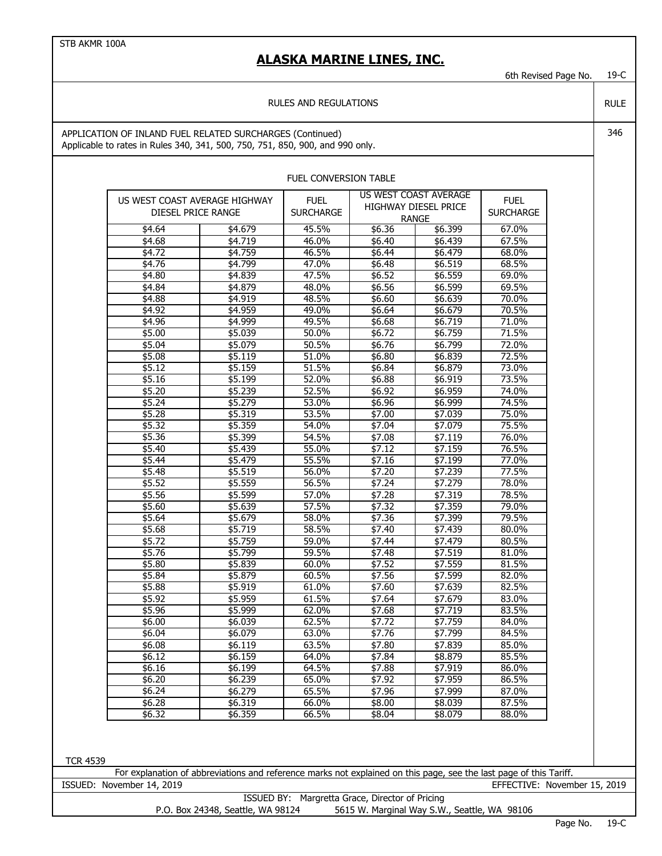6th Revised Page No. 19-C

#### RULES AND REGULATIONS

APPLICATION OF INLAND FUEL RELATED SURCHARGES (Continued) 346 Applicable to rates in Rules 340, 341, 500, 750, 751, 850, 900, and 990 only.

| US WEST COAST AVERAGE HIGHWAY<br>DIESEL PRICE RANGE | <b>FUEL</b><br><b>SURCHARGE</b> | US WEST COAST AVERAGE<br><b>HIGHWAY DIESEL PRICE</b><br><b>RANGE</b> |         | <b>FUEL</b><br><b>SURCHARGE</b> |  |
|-----------------------------------------------------|---------------------------------|----------------------------------------------------------------------|---------|---------------------------------|--|
| \$4.64<br>\$4.679                                   | 45.5%                           | \$6.36                                                               | \$6.399 | 67.0%                           |  |
| \$4.68<br>\$4.719                                   | 46.0%                           | \$6.40                                                               | \$6.439 | 67.5%                           |  |
| \$4.759<br>\$4.72                                   | 46.5%                           | \$6.44                                                               | \$6.479 | 68.0%                           |  |
| \$4.76<br>\$4.799                                   | 47.0%                           | \$6.48                                                               | \$6.519 | 68.5%                           |  |
| \$4.80<br>\$4.839                                   | 47.5%                           | \$6.52                                                               | \$6.559 | 69.0%                           |  |
| \$4.84<br>\$4.879                                   | 48.0%                           | \$6.56                                                               | \$6.599 | 69.5%                           |  |
| \$4.919<br>\$4.88                                   | 48.5%                           | \$6.60                                                               | \$6.639 | 70.0%                           |  |
| \$4.92<br>\$4.959                                   | 49.0%                           | \$6.64                                                               | \$6.679 | 70.5%                           |  |
| \$4.96<br>\$4.999                                   | 49.5%                           | \$6.68                                                               | \$6.719 | 71.0%                           |  |
| \$5.00<br>\$5.039                                   | 50.0%                           | \$6.72                                                               | \$6.759 | 71.5%                           |  |
| \$5.04<br>\$5.079                                   | 50.5%                           | \$6.76                                                               | \$6.799 | 72.0%                           |  |
| \$5.08<br>\$5.119                                   | 51.0%                           | \$6.80                                                               | \$6.839 | 72.5%                           |  |
| \$5.12<br>\$5.159                                   | 51.5%                           | \$6.84                                                               | \$6.879 | 73.0%                           |  |
| \$5.16<br>\$5.199                                   | 52.0%                           | \$6.88                                                               | \$6.919 | 73.5%                           |  |
| \$5.239<br>\$5.20                                   | 52.5%                           | \$6.92                                                               | \$6.959 | 74.0%                           |  |
| \$5.24<br>\$5.279                                   | 53.0%                           | \$6.96                                                               | \$6.999 | 74.5%                           |  |
| \$5.28<br>\$5.319                                   | 53.5%                           | \$7.00                                                               | \$7.039 | 75.0%                           |  |
| \$5.32<br>\$5.359                                   | 54.0%                           | \$7.04                                                               | \$7,079 | 75.5%                           |  |
| \$5.36<br>\$5.399                                   | 54.5%                           | \$7.08                                                               | \$7.119 | 76.0%                           |  |
| \$5.40<br>\$5.439                                   | 55.0%                           | \$7.12                                                               | \$7.159 | 76.5%                           |  |
| \$5.44<br>\$5.479                                   | 55.5%                           | \$7.16                                                               | \$7.199 | 77.0%                           |  |
| \$5.519<br>\$5.48                                   | 56.0%                           | \$7.20                                                               | \$7.239 | 77.5%                           |  |
| \$5.52<br>\$5.559                                   | 56.5%                           | \$7.24                                                               | \$7,279 | 78.0%                           |  |
| \$5.56<br>\$5.599                                   | 57.0%                           | \$7.28                                                               | \$7.319 | 78.5%                           |  |
| \$5.60<br>\$5.639                                   | 57.5%                           | \$7.32                                                               | \$7.359 | 79.0%                           |  |
| \$5.64<br>\$5.679                                   | 58.0%                           | \$7.36                                                               | \$7.399 | 79.5%                           |  |
| \$5.68<br>\$5.719                                   | 58.5%                           | \$7.40                                                               | \$7.439 | 80.0%                           |  |
| \$5.72<br>\$5.759                                   | 59.0%                           | \$7.44                                                               | \$7.479 | 80.5%                           |  |
| \$5.76<br>\$5.799                                   | 59.5%                           | \$7.48                                                               | \$7.519 | 81.0%                           |  |
| \$5.80<br>\$5.839                                   | 60.0%                           | \$7.52                                                               | \$7.559 | 81.5%                           |  |
| \$5.879<br>\$5.84                                   | 60.5%                           | \$7.56                                                               | \$7.599 | 82.0%                           |  |
| \$5.88<br>\$5.919                                   | 61.0%                           | \$7.60                                                               | \$7.639 | 82.5%                           |  |
| \$5.92<br>\$5.959                                   | 61.5%                           | \$7.64                                                               | \$7.679 | 83.0%                           |  |
| \$5.96<br>\$5.999                                   | 62.0%                           | \$7.68                                                               | \$7.719 | 83.5%                           |  |
| \$6.00<br>\$6.039                                   | 62.5%                           | \$7.72                                                               | \$7.759 | 84.0%                           |  |
| \$6.079<br>\$6.04                                   | 63.0%                           | \$7.76                                                               | \$7.799 | 84.5%                           |  |
| \$6.08<br>\$6.119                                   | 63.5%                           | \$7.80                                                               | \$7.839 | 85.0%                           |  |
| \$6.159<br>\$6.12                                   | 64.0%                           | \$7.84                                                               | \$8.879 | 85.5%                           |  |
| \$6.16<br>\$6.199                                   | 64.5%                           | \$7.88                                                               | \$7.919 | 86.0%                           |  |
| \$6.239<br>\$6.20                                   | 65.0%                           | \$7.92                                                               | \$7.959 | 86.5%                           |  |
| \$6.24<br>\$6.279                                   | 65.5%                           | \$7.96                                                               | \$7.999 | 87.0%                           |  |
| \$6.28<br>\$6.319                                   | 66.0%                           | \$8.00                                                               | \$8.039 | 87.5%                           |  |
| \$6.32<br>\$6.359                                   | 66.5%                           | \$8.04                                                               | \$8.079 | 88.0%                           |  |

#### FUEL CONVERSION TABLE

| R. | 4539 |
|----|------|
|----|------|

For explanation of abbreviations and reference marks not explained on this page, see the last page of this Tariff. ISSUED: November 14, 2019 EFFECTIVE: November 15, 2019

|                                   | ISSUED BY: Margretta Grace, Director of Pricing |
|-----------------------------------|-------------------------------------------------|
| P.O. Box 24348, Seattle, WA 98124 | 5615 W. Marginal Way S.W., Seattle, WA 98106    |

RULE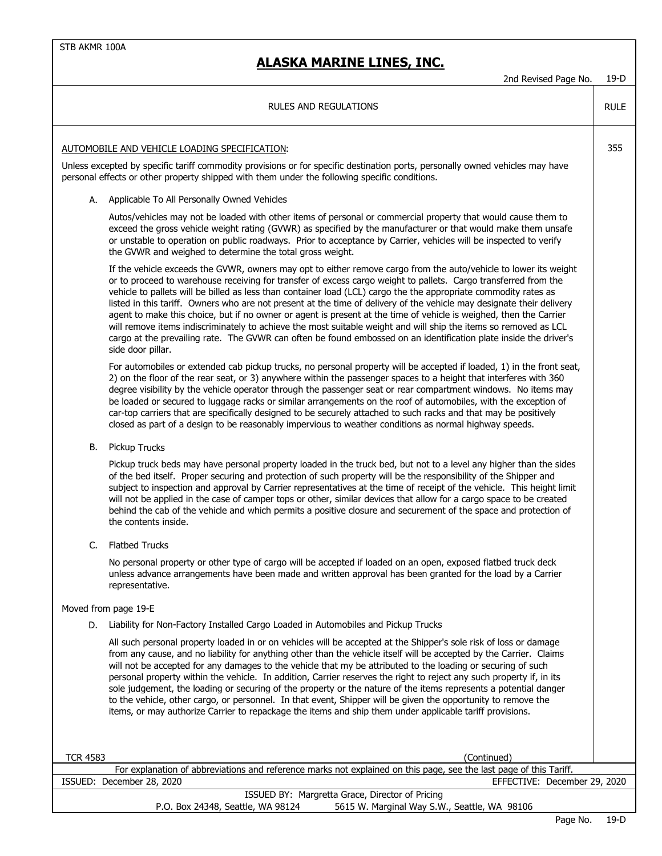## **ALASKA MARINE LINES, INC.**

|                 | <b>RULES AND REGULATIONS</b>                                                                                                                                                                                                                                                                                                                                                                                                                                                                                                                                                                                                                                                                                                                                                                                                                                         | <b>RULE</b> |
|-----------------|----------------------------------------------------------------------------------------------------------------------------------------------------------------------------------------------------------------------------------------------------------------------------------------------------------------------------------------------------------------------------------------------------------------------------------------------------------------------------------------------------------------------------------------------------------------------------------------------------------------------------------------------------------------------------------------------------------------------------------------------------------------------------------------------------------------------------------------------------------------------|-------------|
|                 | AUTOMOBILE AND VEHICLE LOADING SPECIFICATION:<br>Unless excepted by specific tariff commodity provisions or for specific destination ports, personally owned vehicles may have<br>personal effects or other property shipped with them under the following specific conditions.                                                                                                                                                                                                                                                                                                                                                                                                                                                                                                                                                                                      | 355         |
|                 | A. Applicable To All Personally Owned Vehicles                                                                                                                                                                                                                                                                                                                                                                                                                                                                                                                                                                                                                                                                                                                                                                                                                       |             |
|                 | Autos/vehicles may not be loaded with other items of personal or commercial property that would cause them to<br>exceed the gross vehicle weight rating (GVWR) as specified by the manufacturer or that would make them unsafe<br>or unstable to operation on public roadways. Prior to acceptance by Carrier, vehicles will be inspected to verify<br>the GVWR and weighed to determine the total gross weight.                                                                                                                                                                                                                                                                                                                                                                                                                                                     |             |
|                 | If the vehicle exceeds the GVWR, owners may opt to either remove cargo from the auto/vehicle to lower its weight<br>or to proceed to warehouse receiving for transfer of excess cargo weight to pallets. Cargo transferred from the<br>vehicle to pallets will be billed as less than container load (LCL) cargo the the appropriate commodity rates as<br>listed in this tariff. Owners who are not present at the time of delivery of the vehicle may designate their delivery<br>agent to make this choice, but if no owner or agent is present at the time of vehicle is weighed, then the Carrier<br>will remove items indiscriminately to achieve the most suitable weight and will ship the items so removed as LCL<br>cargo at the prevailing rate. The GVWR can often be found embossed on an identification plate inside the driver's<br>side door pillar. |             |
|                 | For automobiles or extended cab pickup trucks, no personal property will be accepted if loaded, 1) in the front seat,<br>2) on the floor of the rear seat, or 3) anywhere within the passenger spaces to a height that interferes with 360<br>degree visibility by the vehicle operator through the passenger seat or rear compartment windows. No items may<br>be loaded or secured to luggage racks or similar arrangements on the roof of automobiles, with the exception of<br>car-top carriers that are specifically designed to be securely attached to such racks and that may be positively<br>closed as part of a design to be reasonably impervious to weather conditions as normal highway speeds.                                                                                                                                                        |             |
| В.              | Pickup Trucks                                                                                                                                                                                                                                                                                                                                                                                                                                                                                                                                                                                                                                                                                                                                                                                                                                                        |             |
|                 | Pickup truck beds may have personal property loaded in the truck bed, but not to a level any higher than the sides<br>of the bed itself. Proper securing and protection of such property will be the responsibility of the Shipper and<br>subject to inspection and approval by Carrier representatives at the time of receipt of the vehicle. This height limit<br>will not be applied in the case of camper tops or other, similar devices that allow for a cargo space to be created<br>behind the cab of the vehicle and which permits a positive closure and securement of the space and protection of<br>the contents inside.                                                                                                                                                                                                                                  |             |
| C.              | <b>Flatbed Trucks</b>                                                                                                                                                                                                                                                                                                                                                                                                                                                                                                                                                                                                                                                                                                                                                                                                                                                |             |
|                 | No personal property or other type of cargo will be accepted if loaded on an open, exposed flatbed truck deck<br>unless advance arrangements have been made and written approval has been granted for the load by a Carrier<br>representative.                                                                                                                                                                                                                                                                                                                                                                                                                                                                                                                                                                                                                       |             |
|                 | Moved from page 19-E                                                                                                                                                                                                                                                                                                                                                                                                                                                                                                                                                                                                                                                                                                                                                                                                                                                 |             |
| D.              | Liability for Non-Factory Installed Cargo Loaded in Automobiles and Pickup Trucks                                                                                                                                                                                                                                                                                                                                                                                                                                                                                                                                                                                                                                                                                                                                                                                    |             |
|                 | All such personal property loaded in or on vehicles will be accepted at the Shipper's sole risk of loss or damage<br>from any cause, and no liability for anything other than the vehicle itself will be accepted by the Carrier. Claims<br>will not be accepted for any damages to the vehicle that my be attributed to the loading or securing of such<br>personal property within the vehicle. In addition, Carrier reserves the right to reject any such property if, in its<br>sole judgement, the loading or securing of the property or the nature of the items represents a potential danger<br>to the vehicle, other cargo, or personnel. In that event, Shipper will be given the opportunity to remove the<br>items, or may authorize Carrier to repackage the items and ship them under applicable tariff provisions.                                    |             |
| <b>TCR 4583</b> | (Continued)                                                                                                                                                                                                                                                                                                                                                                                                                                                                                                                                                                                                                                                                                                                                                                                                                                                          |             |
|                 | For explanation of abbreviations and reference marks not explained on this page, see the last page of this Tariff.                                                                                                                                                                                                                                                                                                                                                                                                                                                                                                                                                                                                                                                                                                                                                   |             |
|                 | ISSUED: December 28, 2020<br>EFFECTIVE: December 29, 2020<br>ISSUED BY: Margretta Grace, Director of Pricing                                                                                                                                                                                                                                                                                                                                                                                                                                                                                                                                                                                                                                                                                                                                                         |             |
|                 | P.O. Box 24348, Seattle, WA 98124<br>5615 W. Marginal Way S.W., Seattle, WA 98106                                                                                                                                                                                                                                                                                                                                                                                                                                                                                                                                                                                                                                                                                                                                                                                    |             |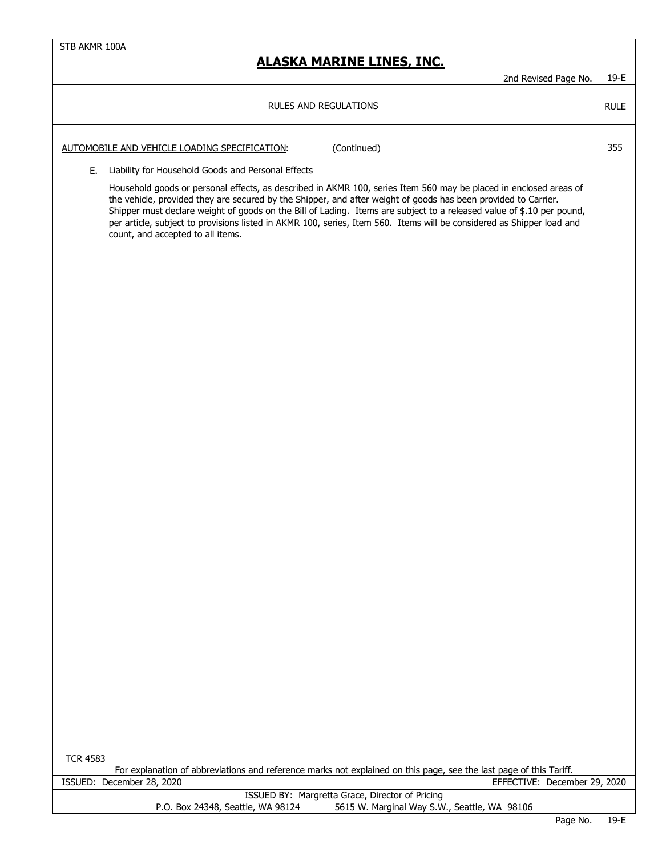| 2nd Revised Page No.                                                                                                                                                                                                                                                                                                                                                                                                                                                                                                       | 19-E        |
|----------------------------------------------------------------------------------------------------------------------------------------------------------------------------------------------------------------------------------------------------------------------------------------------------------------------------------------------------------------------------------------------------------------------------------------------------------------------------------------------------------------------------|-------------|
| RULES AND REGULATIONS                                                                                                                                                                                                                                                                                                                                                                                                                                                                                                      | <b>RULE</b> |
| (Continued)<br>AUTOMOBILE AND VEHICLE LOADING SPECIFICATION:                                                                                                                                                                                                                                                                                                                                                                                                                                                               | 355         |
| Liability for Household Goods and Personal Effects<br>Е.                                                                                                                                                                                                                                                                                                                                                                                                                                                                   |             |
| Household goods or personal effects, as described in AKMR 100, series Item 560 may be placed in enclosed areas of<br>the vehicle, provided they are secured by the Shipper, and after weight of goods has been provided to Carrier.<br>Shipper must declare weight of goods on the Bill of Lading. Items are subject to a released value of \$.10 per pound,<br>per article, subject to provisions listed in AKMR 100, series, Item 560. Items will be considered as Shipper load and<br>count, and accepted to all items. |             |
|                                                                                                                                                                                                                                                                                                                                                                                                                                                                                                                            |             |
|                                                                                                                                                                                                                                                                                                                                                                                                                                                                                                                            |             |
|                                                                                                                                                                                                                                                                                                                                                                                                                                                                                                                            |             |
|                                                                                                                                                                                                                                                                                                                                                                                                                                                                                                                            |             |
|                                                                                                                                                                                                                                                                                                                                                                                                                                                                                                                            |             |
|                                                                                                                                                                                                                                                                                                                                                                                                                                                                                                                            |             |
|                                                                                                                                                                                                                                                                                                                                                                                                                                                                                                                            |             |
|                                                                                                                                                                                                                                                                                                                                                                                                                                                                                                                            |             |
|                                                                                                                                                                                                                                                                                                                                                                                                                                                                                                                            |             |
|                                                                                                                                                                                                                                                                                                                                                                                                                                                                                                                            |             |
|                                                                                                                                                                                                                                                                                                                                                                                                                                                                                                                            |             |
|                                                                                                                                                                                                                                                                                                                                                                                                                                                                                                                            |             |
|                                                                                                                                                                                                                                                                                                                                                                                                                                                                                                                            |             |
| <b>TCR 4583</b><br>For explanation of abbreviations and reference marks not explained on this page, see the last page of this Tariff.                                                                                                                                                                                                                                                                                                                                                                                      |             |
| ISSUED: December 28, 2020<br>EFFECTIVE: December 29, 2020                                                                                                                                                                                                                                                                                                                                                                                                                                                                  |             |
| ISSUED BY: Margretta Grace, Director of Pricing<br>P.O. Box 24348, Seattle, WA 98124<br>5615 W. Marginal Way S.W., Seattle, WA 98106                                                                                                                                                                                                                                                                                                                                                                                       |             |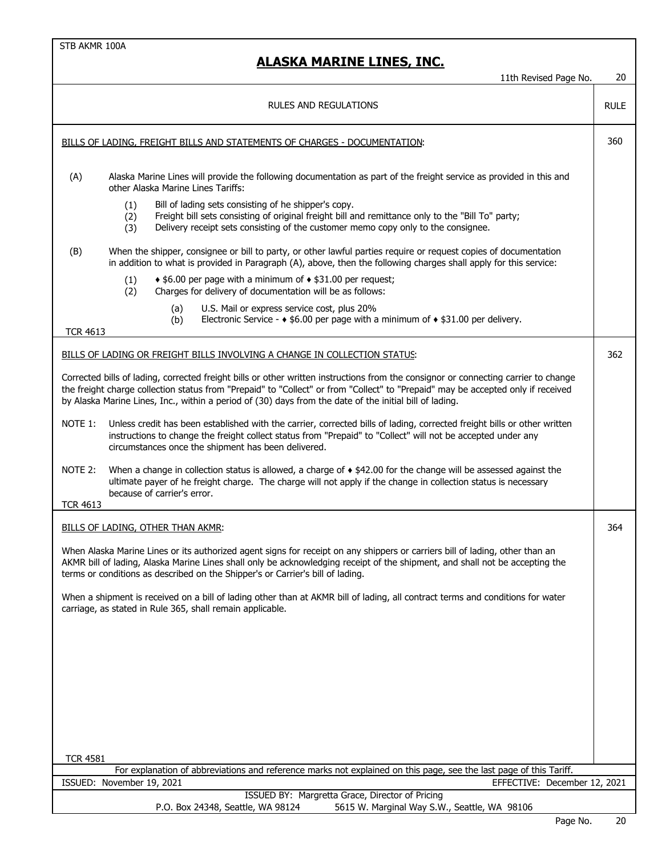|                            | 11th Revised Page No.                                                                                                                                                                                                                                                                                                                                                              | 20          |
|----------------------------|------------------------------------------------------------------------------------------------------------------------------------------------------------------------------------------------------------------------------------------------------------------------------------------------------------------------------------------------------------------------------------|-------------|
|                            | <b>RULES AND REGULATIONS</b>                                                                                                                                                                                                                                                                                                                                                       | <b>RULE</b> |
|                            | BILLS OF LADING, FREIGHT BILLS AND STATEMENTS OF CHARGES - DOCUMENTATION:                                                                                                                                                                                                                                                                                                          | 360         |
| (A)                        | Alaska Marine Lines will provide the following documentation as part of the freight service as provided in this and<br>other Alaska Marine Lines Tariffs:                                                                                                                                                                                                                          |             |
|                            | Bill of lading sets consisting of he shipper's copy.<br>(1)<br>Freight bill sets consisting of original freight bill and remittance only to the "Bill To" party;<br>(2)<br>Delivery receipt sets consisting of the customer memo copy only to the consignee.<br>(3)                                                                                                                |             |
| (B)                        | When the shipper, consignee or bill to party, or other lawful parties require or request copies of documentation<br>in addition to what is provided in Paragraph (A), above, then the following charges shall apply for this service:                                                                                                                                              |             |
|                            | $\triangle$ \$6.00 per page with a minimum of $\triangle$ \$31.00 per request;<br>(1)<br>(2)<br>Charges for delivery of documentation will be as follows:                                                                                                                                                                                                                          |             |
|                            | (a)<br>U.S. Mail or express service cost, plus 20%<br>Electronic Service - $\triangle$ \$6.00 per page with a minimum of $\triangle$ \$31.00 per delivery.<br>(b)                                                                                                                                                                                                                  |             |
| <b>TCR 4613</b>            | BILLS OF LADING OR FREIGHT BILLS INVOLVING A CHANGE IN COLLECTION STATUS:                                                                                                                                                                                                                                                                                                          | 362         |
|                            | Corrected bills of lading, corrected freight bills or other written instructions from the consignor or connecting carrier to change<br>the freight charge collection status from "Prepaid" to "Collect" or from "Collect" to "Prepaid" may be accepted only if received<br>by Alaska Marine Lines, Inc., within a period of (30) days from the date of the initial bill of lading. |             |
| NOTE 1:                    | Unless credit has been established with the carrier, corrected bills of lading, corrected freight bills or other written<br>instructions to change the freight collect status from "Prepaid" to "Collect" will not be accepted under any<br>circumstances once the shipment has been delivered.                                                                                    |             |
| NOTE 2:<br><b>TCR 4613</b> | When a change in collection status is allowed, a charge of $\bullet$ \$42.00 for the change will be assessed against the<br>ultimate payer of he freight charge. The charge will not apply if the change in collection status is necessary<br>because of carrier's error.                                                                                                          |             |
|                            | <b>BILLS OF LADING, OTHER THAN AKMR:</b>                                                                                                                                                                                                                                                                                                                                           | 364         |
|                            | When Alaska Marine Lines or its authorized agent signs for receipt on any shippers or carriers bill of lading, other than an<br>AKMR bill of lading, Alaska Marine Lines shall only be acknowledging receipt of the shipment, and shall not be accepting the<br>terms or conditions as described on the Shipper's or Carrier's bill of lading.                                     |             |
|                            | When a shipment is received on a bill of lading other than at AKMR bill of lading, all contract terms and conditions for water<br>carriage, as stated in Rule 365, shall remain applicable.                                                                                                                                                                                        |             |
|                            |                                                                                                                                                                                                                                                                                                                                                                                    |             |
|                            |                                                                                                                                                                                                                                                                                                                                                                                    |             |
|                            |                                                                                                                                                                                                                                                                                                                                                                                    |             |
|                            |                                                                                                                                                                                                                                                                                                                                                                                    |             |
|                            |                                                                                                                                                                                                                                                                                                                                                                                    |             |
| <b>TCR 4581</b>            | For explanation of abbreviations and reference marks not explained on this page, see the last page of this Tariff.                                                                                                                                                                                                                                                                 |             |
|                            | ISSUED: November 19, 2021<br>EFFECTIVE: December 12, 2021                                                                                                                                                                                                                                                                                                                          |             |
|                            | ISSUED BY: Margretta Grace, Director of Pricing<br>P.O. Box 24348, Seattle, WA 98124<br>5615 W. Marginal Way S.W., Seattle, WA 98106                                                                                                                                                                                                                                               |             |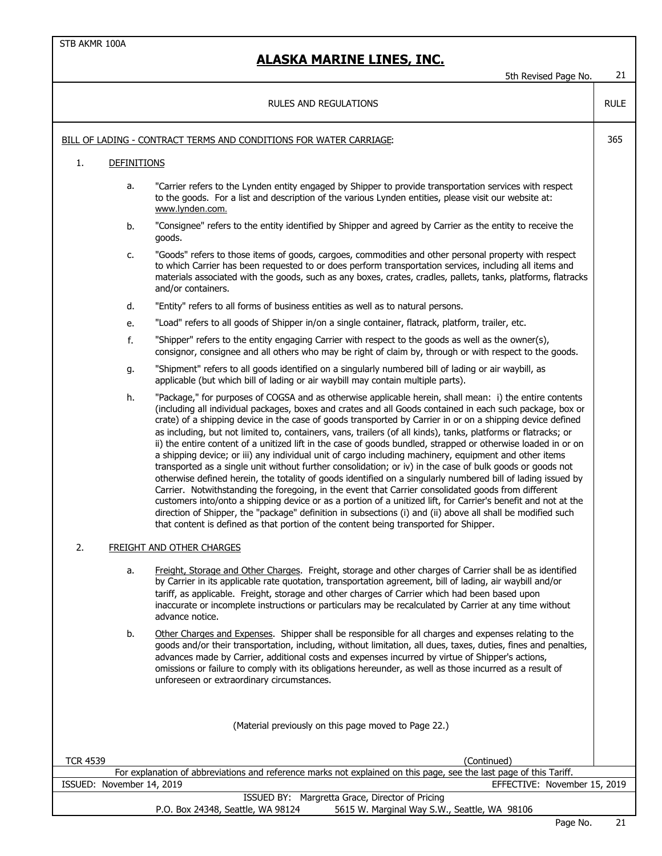5th Revised Page No. 21

#### RULE BILL OF LADING - CONTRACT TERMS AND CONDITIONS FOR WATER CARRIAGE: 365 1. DEFINITIONS a. "Carrier refers to the Lynden entity engaged by Shipper to provide transportation services with respect to the goods. For a list and description of the various Lynden entities, please visit our website at: www.lynden.com. b. "Consignee" refers to the entity identified by Shipper and agreed by Carrier as the entity to receive the goods. c. "Goods" refers to those items of goods, cargoes, commodities and other personal property with respect to which Carrier has been requested to or does perform transportation services, including all items and materials associated with the goods, such as any boxes, crates, cradles, pallets, tanks, platforms, flatracks and/or containers. d. "Entity" refers to all forms of business entities as well as to natural persons. e. "Load" refers to all goods of Shipper in/on a single container, flatrack, platform, trailer, etc. f. "Shipper" refers to the entity engaging Carrier with respect to the goods as well as the owner(s), consignor, consignee and all others who may be right of claim by, through or with respect to the goods. g. "Shipment" refers to all goods identified on a singularly numbered bill of lading or air waybill, as applicable (but which bill of lading or air waybill may contain multiple parts). h. "Package," for purposes of COGSA and as otherwise applicable herein, shall mean: i) the entire contents (including all individual packages, boxes and crates and all Goods contained in each such package, box or crate) of a shipping device in the case of goods transported by Carrier in or on a shipping device defined as including, but not limited to, containers, vans, trailers (of all kinds), tanks, platforms or flatracks; or ii) the entire content of a unitized lift in the case of goods bundled, strapped or otherwise loaded in or on a shipping device; or iii) any individual unit of cargo including machinery, equipment and other items transported as a single unit without further consolidation; or iv) in the case of bulk goods or goods not otherwise defined herein, the totality of goods identified on a singularly numbered bill of lading issued by Carrier. Notwithstanding the foregoing, in the event that Carrier consolidated goods from different customers into/onto a shipping device or as a portion of a unitized lift, for Carrier's benefit and not at the direction of Shipper, the "package" definition in subsections (i) and (ii) above all shall be modified such that content is defined as that portion of the content being transported for Shipper. 2. FREIGHT AND OTHER CHARGES a. Freight, Storage and Other Charges. Freight, storage and other charges of Carrier shall be as identified by Carrier in its applicable rate quotation, transportation agreement, bill of lading, air waybill and/or tariff, as applicable. Freight, storage and other charges of Carrier which had been based upon inaccurate or incomplete instructions or particulars may be recalculated by Carrier at any time without advance notice. b. Other Charges and Expenses. Shipper shall be responsible for all charges and expenses relating to the goods and/or their transportation, including, without limitation, all dues, taxes, duties, fines and penalties, advances made by Carrier, additional costs and expenses incurred by virtue of Shipper's actions, omissions or failure to comply with its obligations hereunder, as well as those incurred as a result of unforeseen or extraordinary circumstances. TCR 4539 (Continued) ISSUED: November 14, 2019 EFFECTIVE: November 15, 2019 ISSUED BY: Margretta Grace, Director of Pricing For explanation of abbreviations and reference marks not explained on this page, see the last page of this Tariff. (Material previously on this page moved to Page 22.) RULES AND REGULATIONS

P.O. Box 24348, Seattle, WA 98124 5615 W. Marginal Way S.W., Seattle, WA 98106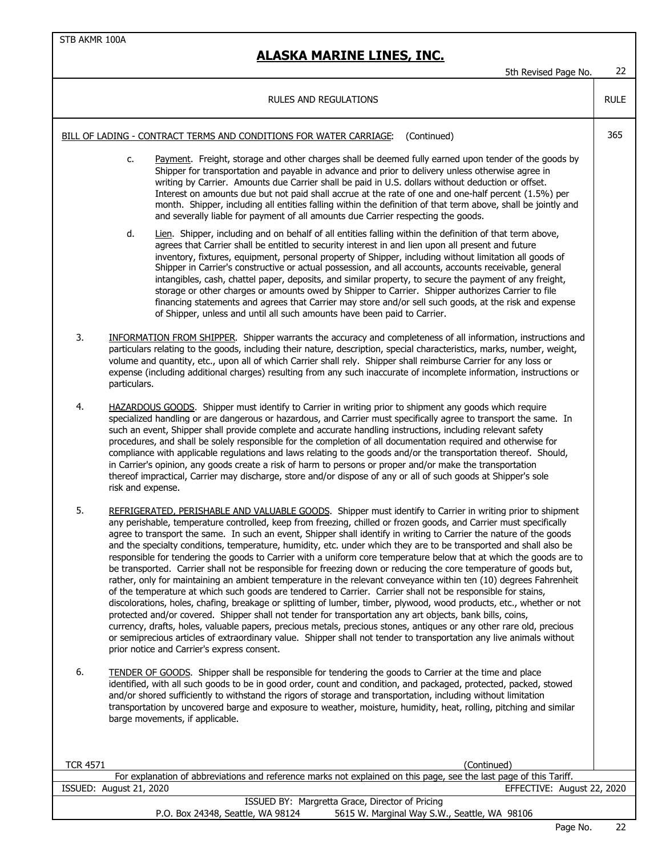|                                                                                                                    | 5th Revised Page No.                                                                                                                                                                                                                                                                                                                                                                                                                                                                                                                                                                                                                                                                                                                                                                                                                                                                                                                                                                                                                                                                                                                                                                                                                                                                                                                                                                                                                                                                                | 22          |
|--------------------------------------------------------------------------------------------------------------------|-----------------------------------------------------------------------------------------------------------------------------------------------------------------------------------------------------------------------------------------------------------------------------------------------------------------------------------------------------------------------------------------------------------------------------------------------------------------------------------------------------------------------------------------------------------------------------------------------------------------------------------------------------------------------------------------------------------------------------------------------------------------------------------------------------------------------------------------------------------------------------------------------------------------------------------------------------------------------------------------------------------------------------------------------------------------------------------------------------------------------------------------------------------------------------------------------------------------------------------------------------------------------------------------------------------------------------------------------------------------------------------------------------------------------------------------------------------------------------------------------------|-------------|
|                                                                                                                    | <b>RULES AND REGULATIONS</b>                                                                                                                                                                                                                                                                                                                                                                                                                                                                                                                                                                                                                                                                                                                                                                                                                                                                                                                                                                                                                                                                                                                                                                                                                                                                                                                                                                                                                                                                        | <b>RULE</b> |
| BILL OF LADING - CONTRACT TERMS AND CONDITIONS FOR WATER CARRIAGE:<br>(Continued)                                  |                                                                                                                                                                                                                                                                                                                                                                                                                                                                                                                                                                                                                                                                                                                                                                                                                                                                                                                                                                                                                                                                                                                                                                                                                                                                                                                                                                                                                                                                                                     |             |
|                                                                                                                    | Payment. Freight, storage and other charges shall be deemed fully earned upon tender of the goods by<br>c.<br>Shipper for transportation and payable in advance and prior to delivery unless otherwise agree in<br>writing by Carrier. Amounts due Carrier shall be paid in U.S. dollars without deduction or offset.<br>Interest on amounts due but not paid shall accrue at the rate of one and one-half percent (1.5%) per<br>month. Shipper, including all entities falling within the definition of that term above, shall be jointly and<br>and severally liable for payment of all amounts due Carrier respecting the goods.                                                                                                                                                                                                                                                                                                                                                                                                                                                                                                                                                                                                                                                                                                                                                                                                                                                                 |             |
|                                                                                                                    | d.<br>Lien. Shipper, including and on behalf of all entities falling within the definition of that term above,<br>agrees that Carrier shall be entitled to security interest in and lien upon all present and future<br>inventory, fixtures, equipment, personal property of Shipper, including without limitation all goods of<br>Shipper in Carrier's constructive or actual possession, and all accounts, accounts receivable, general<br>intangibles, cash, chattel paper, deposits, and similar property, to secure the payment of any freight,<br>storage or other charges or amounts owed by Shipper to Carrier. Shipper authorizes Carrier to file<br>financing statements and agrees that Carrier may store and/or sell such goods, at the risk and expense<br>of Shipper, unless and until all such amounts have been paid to Carrier.                                                                                                                                                                                                                                                                                                                                                                                                                                                                                                                                                                                                                                                    |             |
| 3.                                                                                                                 | INFORMATION FROM SHIPPER. Shipper warrants the accuracy and completeness of all information, instructions and<br>particulars relating to the goods, including their nature, description, special characteristics, marks, number, weight,<br>volume and quantity, etc., upon all of which Carrier shall rely. Shipper shall reimburse Carrier for any loss or<br>expense (including additional charges) resulting from any such inaccurate of incomplete information, instructions or<br>particulars.                                                                                                                                                                                                                                                                                                                                                                                                                                                                                                                                                                                                                                                                                                                                                                                                                                                                                                                                                                                                |             |
| 4.                                                                                                                 | HAZARDOUS GOODS. Shipper must identify to Carrier in writing prior to shipment any goods which require<br>specialized handling or are dangerous or hazardous, and Carrier must specifically agree to transport the same. In<br>such an event, Shipper shall provide complete and accurate handling instructions, including relevant safety<br>procedures, and shall be solely responsible for the completion of all documentation required and otherwise for<br>compliance with applicable regulations and laws relating to the goods and/or the transportation thereof. Should,<br>in Carrier's opinion, any goods create a risk of harm to persons or proper and/or make the transportation<br>thereof impractical, Carrier may discharge, store and/or dispose of any or all of such goods at Shipper's sole<br>risk and expense.                                                                                                                                                                                                                                                                                                                                                                                                                                                                                                                                                                                                                                                                |             |
| 5.                                                                                                                 | REFRIGERATED, PERISHABLE AND VALUABLE GOODS. Shipper must identify to Carrier in writing prior to shipment<br>any perishable, temperature controlled, keep from freezing, chilled or frozen goods, and Carrier must specifically<br>agree to transport the same. In such an event, Shipper shall identify in writing to Carrier the nature of the goods<br>and the specialty conditions, temperature, humidity, etc. under which they are to be transported and shall also be<br>responsible for tendering the goods to Carrier with a uniform core temperature below that at which the goods are to<br>be transported. Carrier shall not be responsible for freezing down or reducing the core temperature of goods but,<br>rather, only for maintaining an ambient temperature in the relevant conveyance within ten (10) degrees Fahrenheit<br>of the temperature at which such goods are tendered to Carrier. Carrier shall not be responsible for stains,<br>discolorations, holes, chafing, breakage or splitting of lumber, timber, plywood, wood products, etc., whether or not<br>protected and/or covered. Shipper shall not tender for transportation any art objects, bank bills, coins,<br>currency, drafts, holes, valuable papers, precious metals, precious stones, antiques or any other rare old, precious<br>or semiprecious articles of extraordinary value. Shipper shall not tender to transportation any live animals without<br>prior notice and Carrier's express consent. |             |
| 6.                                                                                                                 | <b>TENDER OF GOODS.</b> Shipper shall be responsible for tendering the goods to Carrier at the time and place<br>identified, with all such goods to be in good order, count and condition, and packaged, protected, packed, stowed<br>and/or shored sufficiently to withstand the rigors of storage and transportation, including without limitation<br>transportation by uncovered barge and exposure to weather, moisture, humidity, heat, rolling, pitching and similar<br>barge movements, if applicable.                                                                                                                                                                                                                                                                                                                                                                                                                                                                                                                                                                                                                                                                                                                                                                                                                                                                                                                                                                                       |             |
| <b>TCR 4571</b>                                                                                                    | (Continued)                                                                                                                                                                                                                                                                                                                                                                                                                                                                                                                                                                                                                                                                                                                                                                                                                                                                                                                                                                                                                                                                                                                                                                                                                                                                                                                                                                                                                                                                                         |             |
| For explanation of abbreviations and reference marks not explained on this page, see the last page of this Tariff. |                                                                                                                                                                                                                                                                                                                                                                                                                                                                                                                                                                                                                                                                                                                                                                                                                                                                                                                                                                                                                                                                                                                                                                                                                                                                                                                                                                                                                                                                                                     |             |
|                                                                                                                    | ISSUED: August 21, 2020<br>EFFECTIVE: August 22, 2020                                                                                                                                                                                                                                                                                                                                                                                                                                                                                                                                                                                                                                                                                                                                                                                                                                                                                                                                                                                                                                                                                                                                                                                                                                                                                                                                                                                                                                               |             |
|                                                                                                                    | ISSUED BY: Margretta Grace, Director of Pricing<br>P.O. Box 24348, Seattle, WA 98124<br>5615 W. Marginal Way S.W., Seattle, WA 98106                                                                                                                                                                                                                                                                                                                                                                                                                                                                                                                                                                                                                                                                                                                                                                                                                                                                                                                                                                                                                                                                                                                                                                                                                                                                                                                                                                |             |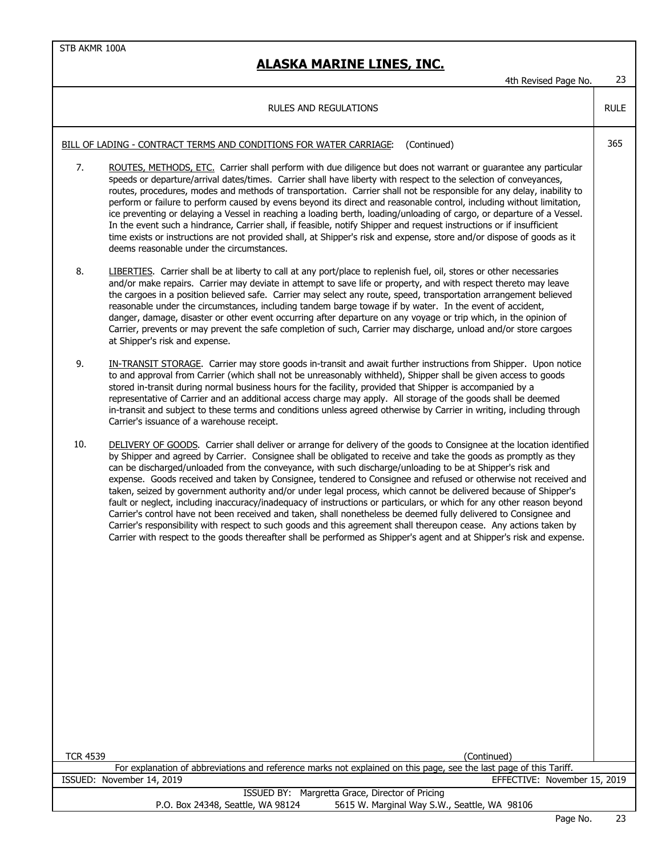|                                                                                                                    | 4th Revised Page No.                                                                                                                                                                                                                                                                                                                                                                                                                                                                                                                                                                                                                                                                                                                                                                                                                                                                                                                                                                                                                                                                       | 23          |  |
|--------------------------------------------------------------------------------------------------------------------|--------------------------------------------------------------------------------------------------------------------------------------------------------------------------------------------------------------------------------------------------------------------------------------------------------------------------------------------------------------------------------------------------------------------------------------------------------------------------------------------------------------------------------------------------------------------------------------------------------------------------------------------------------------------------------------------------------------------------------------------------------------------------------------------------------------------------------------------------------------------------------------------------------------------------------------------------------------------------------------------------------------------------------------------------------------------------------------------|-------------|--|
|                                                                                                                    | <b>RULES AND REGULATIONS</b>                                                                                                                                                                                                                                                                                                                                                                                                                                                                                                                                                                                                                                                                                                                                                                                                                                                                                                                                                                                                                                                               | <b>RULE</b> |  |
| BILL OF LADING - CONTRACT TERMS AND CONDITIONS FOR WATER CARRIAGE:<br>(Continued)                                  |                                                                                                                                                                                                                                                                                                                                                                                                                                                                                                                                                                                                                                                                                                                                                                                                                                                                                                                                                                                                                                                                                            | 365         |  |
| 7.                                                                                                                 | ROUTES, METHODS, ETC. Carrier shall perform with due diligence but does not warrant or guarantee any particular<br>speeds or departure/arrival dates/times. Carrier shall have liberty with respect to the selection of conveyances,<br>routes, procedures, modes and methods of transportation. Carrier shall not be responsible for any delay, inability to<br>perform or failure to perform caused by evens beyond its direct and reasonable control, including without limitation,<br>ice preventing or delaying a Vessel in reaching a loading berth, loading/unloading of cargo, or departure of a Vessel.<br>In the event such a hindrance, Carrier shall, if feasible, notify Shipper and request instructions or if insufficient<br>time exists or instructions are not provided shall, at Shipper's risk and expense, store and/or dispose of goods as it<br>deems reasonable under the circumstances.                                                                                                                                                                           |             |  |
| 8.                                                                                                                 | LIBERTIES. Carrier shall be at liberty to call at any port/place to replenish fuel, oil, stores or other necessaries<br>and/or make repairs. Carrier may deviate in attempt to save life or property, and with respect thereto may leave<br>the cargoes in a position believed safe. Carrier may select any route, speed, transportation arrangement believed<br>reasonable under the circumstances, including tandem barge towage if by water. In the event of accident,<br>danger, damage, disaster or other event occurring after departure on any voyage or trip which, in the opinion of<br>Carrier, prevents or may prevent the safe completion of such, Carrier may discharge, unload and/or store cargoes<br>at Shipper's risk and expense.                                                                                                                                                                                                                                                                                                                                        |             |  |
| 9.                                                                                                                 | <b>IN-TRANSIT STORAGE.</b> Carrier may store goods in-transit and await further instructions from Shipper. Upon notice<br>to and approval from Carrier (which shall not be unreasonably withheld), Shipper shall be given access to goods<br>stored in-transit during normal business hours for the facility, provided that Shipper is accompanied by a<br>representative of Carrier and an additional access charge may apply. All storage of the goods shall be deemed<br>in-transit and subject to these terms and conditions unless agreed otherwise by Carrier in writing, including through<br>Carrier's issuance of a warehouse receipt.                                                                                                                                                                                                                                                                                                                                                                                                                                            |             |  |
| 10.                                                                                                                | DELIVERY OF GOODS. Carrier shall deliver or arrange for delivery of the goods to Consignee at the location identified<br>by Shipper and agreed by Carrier. Consignee shall be obligated to receive and take the goods as promptly as they<br>can be discharged/unloaded from the conveyance, with such discharge/unloading to be at Shipper's risk and<br>expense. Goods received and taken by Consignee, tendered to Consignee and refused or otherwise not received and<br>taken, seized by government authority and/or under legal process, which cannot be delivered because of Shipper's<br>fault or neglect, including inaccuracy/inadequacy of instructions or particulars, or which for any other reason beyond<br>Carrier's control have not been received and taken, shall nonetheless be deemed fully delivered to Consignee and<br>Carrier's responsibility with respect to such goods and this agreement shall thereupon cease. Any actions taken by<br>Carrier with respect to the goods thereafter shall be performed as Shipper's agent and at Shipper's risk and expense. |             |  |
| <b>TCR 4539</b><br>(Continued)                                                                                     |                                                                                                                                                                                                                                                                                                                                                                                                                                                                                                                                                                                                                                                                                                                                                                                                                                                                                                                                                                                                                                                                                            |             |  |
| For explanation of abbreviations and reference marks not explained on this page, see the last page of this Tariff. |                                                                                                                                                                                                                                                                                                                                                                                                                                                                                                                                                                                                                                                                                                                                                                                                                                                                                                                                                                                                                                                                                            |             |  |
|                                                                                                                    | ISSUED: November 14, 2019<br>EFFECTIVE: November 15, 2019                                                                                                                                                                                                                                                                                                                                                                                                                                                                                                                                                                                                                                                                                                                                                                                                                                                                                                                                                                                                                                  |             |  |
|                                                                                                                    | ISSUED BY: Margretta Grace, Director of Pricing<br>P.O. Box 24348, Seattle, WA 98124<br>5615 W. Marginal Way S.W., Seattle, WA 98106                                                                                                                                                                                                                                                                                                                                                                                                                                                                                                                                                                                                                                                                                                                                                                                                                                                                                                                                                       |             |  |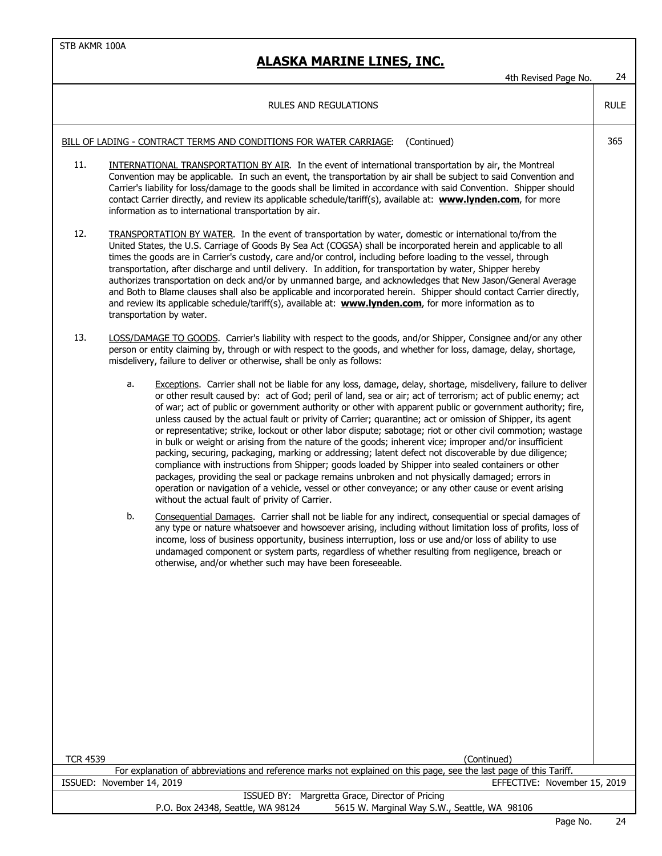|                                                                                                                                                                                 | 4th Revised Page No.                                                                                                                                                                                                                                                                                                                                                                                                                                                                                                                                                                                                                                                                                                                                                                                                                                                                                                                                                                                                                                                                                                                                                                                                                                                                                                                                                                                                                                                                                                                                                                                                                                                             | 24          |
|---------------------------------------------------------------------------------------------------------------------------------------------------------------------------------|----------------------------------------------------------------------------------------------------------------------------------------------------------------------------------------------------------------------------------------------------------------------------------------------------------------------------------------------------------------------------------------------------------------------------------------------------------------------------------------------------------------------------------------------------------------------------------------------------------------------------------------------------------------------------------------------------------------------------------------------------------------------------------------------------------------------------------------------------------------------------------------------------------------------------------------------------------------------------------------------------------------------------------------------------------------------------------------------------------------------------------------------------------------------------------------------------------------------------------------------------------------------------------------------------------------------------------------------------------------------------------------------------------------------------------------------------------------------------------------------------------------------------------------------------------------------------------------------------------------------------------------------------------------------------------|-------------|
|                                                                                                                                                                                 | <b>RULES AND REGULATIONS</b>                                                                                                                                                                                                                                                                                                                                                                                                                                                                                                                                                                                                                                                                                                                                                                                                                                                                                                                                                                                                                                                                                                                                                                                                                                                                                                                                                                                                                                                                                                                                                                                                                                                     | <b>RULE</b> |
| (Continued)<br>BILL OF LADING - CONTRACT TERMS AND CONDITIONS FOR WATER CARRIAGE:                                                                                               |                                                                                                                                                                                                                                                                                                                                                                                                                                                                                                                                                                                                                                                                                                                                                                                                                                                                                                                                                                                                                                                                                                                                                                                                                                                                                                                                                                                                                                                                                                                                                                                                                                                                                  |             |
| 11.                                                                                                                                                                             | <b>INTERNATIONAL TRANSPORTATION BY AIR.</b> In the event of international transportation by air, the Montreal<br>Convention may be applicable. In such an event, the transportation by air shall be subject to said Convention and<br>Carrier's liability for loss/damage to the goods shall be limited in accordance with said Convention. Shipper should<br>contact Carrier directly, and review its applicable schedule/tariff(s), available at: www.lynden.com, for more<br>information as to international transportation by air.                                                                                                                                                                                                                                                                                                                                                                                                                                                                                                                                                                                                                                                                                                                                                                                                                                                                                                                                                                                                                                                                                                                                           |             |
| 12.                                                                                                                                                                             | TRANSPORTATION BY WATER. In the event of transportation by water, domestic or international to/from the<br>United States, the U.S. Carriage of Goods By Sea Act (COGSA) shall be incorporated herein and applicable to all<br>times the goods are in Carrier's custody, care and/or control, including before loading to the vessel, through<br>transportation, after discharge and until delivery. In addition, for transportation by water, Shipper hereby<br>authorizes transportation on deck and/or by unmanned barge, and acknowledges that New Jason/General Average<br>and Both to Blame clauses shall also be applicable and incorporated herein. Shipper should contact Carrier directly,<br>and review its applicable schedule/tariff(s), available at: <b>www.lynden.com</b> , for more information as to<br>transportation by water.                                                                                                                                                                                                                                                                                                                                                                                                                                                                                                                                                                                                                                                                                                                                                                                                                                |             |
| 13.                                                                                                                                                                             | LOSS/DAMAGE TO GOODS. Carrier's liability with respect to the goods, and/or Shipper, Consignee and/or any other<br>person or entity claiming by, through or with respect to the goods, and whether for loss, damage, delay, shortage,<br>misdelivery, failure to deliver or otherwise, shall be only as follows:                                                                                                                                                                                                                                                                                                                                                                                                                                                                                                                                                                                                                                                                                                                                                                                                                                                                                                                                                                                                                                                                                                                                                                                                                                                                                                                                                                 |             |
|                                                                                                                                                                                 | Exceptions. Carrier shall not be liable for any loss, damage, delay, shortage, misdelivery, failure to deliver<br>a.<br>or other result caused by: act of God; peril of land, sea or air; act of terrorism; act of public enemy; act<br>of war; act of public or government authority or other with apparent public or government authority; fire,<br>unless caused by the actual fault or privity of Carrier; quarantine; act or omission of Shipper, its agent<br>or representative; strike, lockout or other labor dispute; sabotage; riot or other civil commotion; wastage<br>in bulk or weight or arising from the nature of the goods; inherent vice; improper and/or insufficient<br>packing, securing, packaging, marking or addressing; latent defect not discoverable by due diligence;<br>compliance with instructions from Shipper; goods loaded by Shipper into sealed containers or other<br>packages, providing the seal or package remains unbroken and not physically damaged; errors in<br>operation or navigation of a vehicle, vessel or other conveyance; or any other cause or event arising<br>without the actual fault of privity of Carrier.<br>Consequential Damages. Carrier shall not be liable for any indirect, consequential or special damages of<br>b.<br>any type or nature whatsoever and howsoever arising, including without limitation loss of profits, loss of<br>income, loss of business opportunity, business interruption, loss or use and/or loss of ability to use<br>undamaged component or system parts, regardless of whether resulting from negligence, breach or<br>otherwise, and/or whether such may have been foreseeable. |             |
| <b>TCR 4539</b>                                                                                                                                                                 | (Continued)                                                                                                                                                                                                                                                                                                                                                                                                                                                                                                                                                                                                                                                                                                                                                                                                                                                                                                                                                                                                                                                                                                                                                                                                                                                                                                                                                                                                                                                                                                                                                                                                                                                                      |             |
| For explanation of abbreviations and reference marks not explained on this page, see the last page of this Tariff.<br>ISSUED: November 14, 2019<br>EFFECTIVE: November 15, 2019 |                                                                                                                                                                                                                                                                                                                                                                                                                                                                                                                                                                                                                                                                                                                                                                                                                                                                                                                                                                                                                                                                                                                                                                                                                                                                                                                                                                                                                                                                                                                                                                                                                                                                                  |             |
|                                                                                                                                                                                 | ISSUED BY: Margretta Grace, Director of Pricing                                                                                                                                                                                                                                                                                                                                                                                                                                                                                                                                                                                                                                                                                                                                                                                                                                                                                                                                                                                                                                                                                                                                                                                                                                                                                                                                                                                                                                                                                                                                                                                                                                  |             |
|                                                                                                                                                                                 | P.O. Box 24348, Seattle, WA 98124<br>5615 W. Marginal Way S.W., Seattle, WA 98106                                                                                                                                                                                                                                                                                                                                                                                                                                                                                                                                                                                                                                                                                                                                                                                                                                                                                                                                                                                                                                                                                                                                                                                                                                                                                                                                                                                                                                                                                                                                                                                                |             |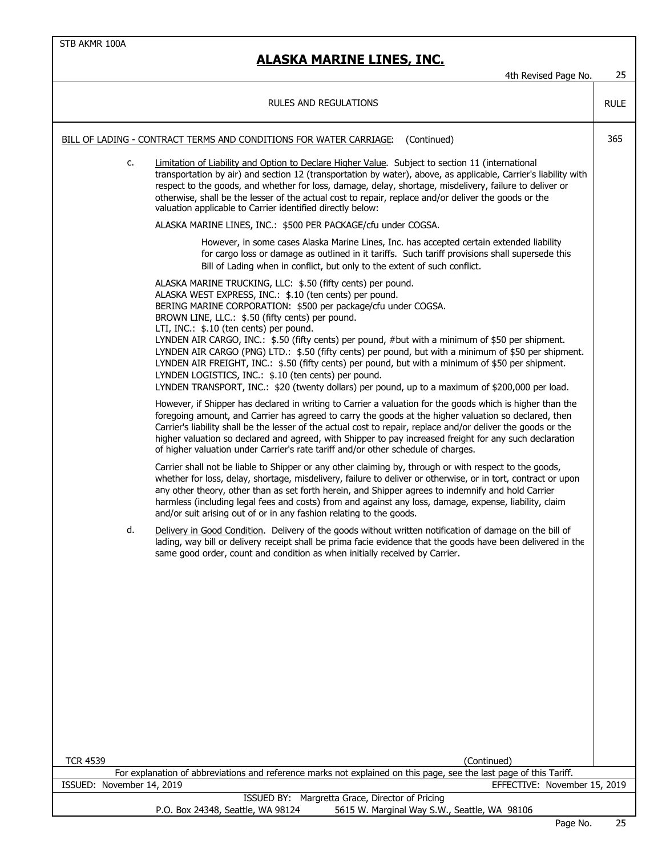## **ALASKA MARINE LINES, INC.**

4th Revised Page No. 25

| RULES AND REGULATIONS                                                                                                                |    |                                                                                                                                                                                                                                                                                                                                                                                                                                                                                                                                                                                                                                                                                                                                                                    | <b>RULE</b> |
|--------------------------------------------------------------------------------------------------------------------------------------|----|--------------------------------------------------------------------------------------------------------------------------------------------------------------------------------------------------------------------------------------------------------------------------------------------------------------------------------------------------------------------------------------------------------------------------------------------------------------------------------------------------------------------------------------------------------------------------------------------------------------------------------------------------------------------------------------------------------------------------------------------------------------------|-------------|
| (Continued)<br>BILL OF LADING - CONTRACT TERMS AND CONDITIONS FOR WATER CARRIAGE:                                                    |    | 365                                                                                                                                                                                                                                                                                                                                                                                                                                                                                                                                                                                                                                                                                                                                                                |             |
|                                                                                                                                      | c. | Limitation of Liability and Option to Declare Higher Value. Subject to section 11 (international<br>transportation by air) and section 12 (transportation by water), above, as applicable, Carrier's liability with<br>respect to the goods, and whether for loss, damage, delay, shortage, misdelivery, failure to deliver or<br>otherwise, shall be the lesser of the actual cost to repair, replace and/or deliver the goods or the<br>valuation applicable to Carrier identified directly below:                                                                                                                                                                                                                                                               |             |
|                                                                                                                                      |    | ALASKA MARINE LINES, INC.: \$500 PER PACKAGE/cfu under COGSA.                                                                                                                                                                                                                                                                                                                                                                                                                                                                                                                                                                                                                                                                                                      |             |
|                                                                                                                                      |    | However, in some cases Alaska Marine Lines, Inc. has accepted certain extended liability<br>for cargo loss or damage as outlined in it tariffs. Such tariff provisions shall supersede this<br>Bill of Lading when in conflict, but only to the extent of such conflict.                                                                                                                                                                                                                                                                                                                                                                                                                                                                                           |             |
|                                                                                                                                      |    | ALASKA MARINE TRUCKING, LLC: \$.50 (fifty cents) per pound.<br>ALASKA WEST EXPRESS, INC.: \$.10 (ten cents) per pound.<br>BERING MARINE CORPORATION: \$500 per package/cfu under COGSA.<br>BROWN LINE, LLC.: \$.50 (fifty cents) per pound.<br>LTI, INC.: \$.10 (ten cents) per pound.<br>LYNDEN AIR CARGO, INC.: \$.50 (fifty cents) per pound, #but with a minimum of \$50 per shipment.<br>LYNDEN AIR CARGO (PNG) LTD.: \$.50 (fifty cents) per pound, but with a minimum of \$50 per shipment.<br>LYNDEN AIR FREIGHT, INC.: \$.50 (fifty cents) per pound, but with a minimum of \$50 per shipment.<br>LYNDEN LOGISTICS, INC.: \$.10 (ten cents) per pound.<br>LYNDEN TRANSPORT, INC.: \$20 (twenty dollars) per pound, up to a maximum of \$200,000 per load. |             |
|                                                                                                                                      |    | However, if Shipper has declared in writing to Carrier a valuation for the goods which is higher than the<br>foregoing amount, and Carrier has agreed to carry the goods at the higher valuation so declared, then<br>Carrier's liability shall be the lesser of the actual cost to repair, replace and/or deliver the goods or the<br>higher valuation so declared and agreed, with Shipper to pay increased freight for any such declaration<br>of higher valuation under Carrier's rate tariff and/or other schedule of charges.                                                                                                                                                                                                                                |             |
|                                                                                                                                      |    | Carrier shall not be liable to Shipper or any other claiming by, through or with respect to the goods,<br>whether for loss, delay, shortage, misdelivery, failure to deliver or otherwise, or in tort, contract or upon<br>any other theory, other than as set forth herein, and Shipper agrees to indemnify and hold Carrier<br>harmless (including legal fees and costs) from and against any loss, damage, expense, liability, claim<br>and/or suit arising out of or in any fashion relating to the goods.                                                                                                                                                                                                                                                     |             |
|                                                                                                                                      | d. | Delivery in Good Condition. Delivery of the goods without written notification of damage on the bill of<br>lading, way bill or delivery receipt shall be prima facie evidence that the goods have been delivered in the<br>same good order, count and condition as when initially received by Carrier.                                                                                                                                                                                                                                                                                                                                                                                                                                                             |             |
|                                                                                                                                      |    |                                                                                                                                                                                                                                                                                                                                                                                                                                                                                                                                                                                                                                                                                                                                                                    |             |
|                                                                                                                                      |    |                                                                                                                                                                                                                                                                                                                                                                                                                                                                                                                                                                                                                                                                                                                                                                    |             |
| <b>TCR 4539</b>                                                                                                                      |    | (Continued)<br>For explanation of abbreviations and reference marks not explained on this page, see the last page of this Tariff.                                                                                                                                                                                                                                                                                                                                                                                                                                                                                                                                                                                                                                  |             |
| ISSUED: November 14, 2019                                                                                                            |    | EFFECTIVE: November 15, 2019                                                                                                                                                                                                                                                                                                                                                                                                                                                                                                                                                                                                                                                                                                                                       |             |
| ISSUED BY: Margretta Grace, Director of Pricing<br>P.O. Box 24348, Seattle, WA 98124<br>5615 W. Marginal Way S.W., Seattle, WA 98106 |    |                                                                                                                                                                                                                                                                                                                                                                                                                                                                                                                                                                                                                                                                                                                                                                    |             |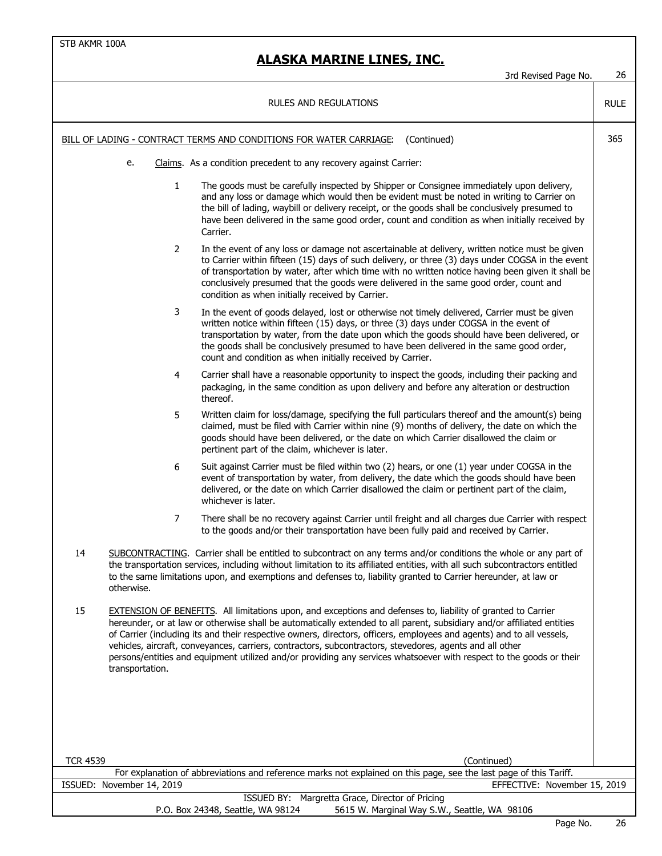#### **ALASKA MARINE LINES, INC.**

3rd Revised Page No. 26 RULE BILL OF LADING - CONTRACT TERMS AND CONDITIONS FOR WATER CARRIAGE: (Continued) 365 e. Claims. As a condition precedent to any recovery against Carrier: 1 The goods must be carefully inspected by Shipper or Consignee immediately upon delivery, and any loss or damage which would then be evident must be noted in writing to Carrier on the bill of lading, waybill or delivery receipt, or the goods shall be conclusively presumed to have been delivered in the same good order, count and condition as when initially received by Carrier. 2 In the event of any loss or damage not ascertainable at delivery, written notice must be given to Carrier within fifteen (15) days of such delivery, or three (3) days under COGSA in the event of transportation by water, after which time with no written notice having been given it shall be conclusively presumed that the goods were delivered in the same good order, count and condition as when initially received by Carrier. 3 In the event of goods delayed, lost or otherwise not timely delivered, Carrier must be given written notice within fifteen (15) days, or three (3) days under COGSA in the event of transportation by water, from the date upon which the goods should have been delivered, or the goods shall be conclusively presumed to have been delivered in the same good order, count and condition as when initially received by Carrier. 4 Carrier shall have a reasonable opportunity to inspect the goods, including their packing and packaging, in the same condition as upon delivery and before any alteration or destruction thereof. 5 Written claim for loss/damage, specifying the full particulars thereof and the amount(s) being claimed, must be filed with Carrier within nine (9) months of delivery, the date on which the goods should have been delivered, or the date on which Carrier disallowed the claim or pertinent part of the claim, whichever is later. 6 Suit against Carrier must be filed within two (2) hears, or one (1) year under COGSA in the event of transportation by water, from delivery, the date which the goods should have been delivered, or the date on which Carrier disallowed the claim or pertinent part of the claim, whichever is later. 7 There shall be no recovery against Carrier until freight and all charges due Carrier with respect to the goods and/or their transportation have been fully paid and received by Carrier. 14 SUBCONTRACTING. Carrier shall be entitled to subcontract on any terms and/or conditions the whole or any part of the transportation services, including without limitation to its affiliated entities, with all such subcontractors entitled to the same limitations upon, and exemptions and defenses to, liability granted to Carrier hereunder, at law or otherwise. 15 EXTENSION OF BENEFITS. All limitations upon, and exceptions and defenses to, liability of granted to Carrier hereunder, or at law or otherwise shall be automatically extended to all parent, subsidiary and/or affiliated entities of Carrier (including its and their respective owners, directors, officers, employees and agents) and to all vessels, vehicles, aircraft, conveyances, carriers, contractors, subcontractors, stevedores, agents and all other persons/entities and equipment utilized and/or providing any services whatsoever with respect to the goods or their transportation. RULES AND REGULATIONS

| <b>TCR 4539</b><br>(Continued)                                                                                     |    |  |  |
|--------------------------------------------------------------------------------------------------------------------|----|--|--|
| For explanation of abbreviations and reference marks not explained on this page, see the last page of this Tariff. |    |  |  |
| EFFECTIVE: November 15, 2019<br>ISSUED: November 14, 2019                                                          |    |  |  |
| ISSUED BY: Margretta Grace, Director of Pricing                                                                    |    |  |  |
| 5615 W. Marginal Way S.W., Seattle, WA 98106<br>P.O. Box 24348, Seattle, WA 98124                                  |    |  |  |
| $D = - - N$                                                                                                        | nr |  |  |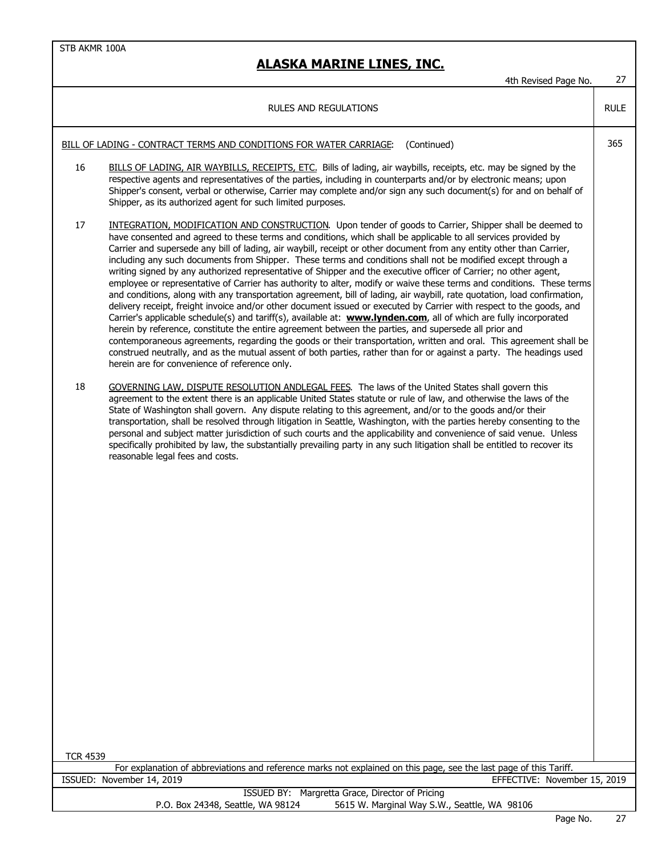|                                                                                   | 4th Revised Page No.                                                                                                                                                                                                                                                                                                                                                                                                                                                                                                                                                                                                                                                                                                                                                                                                                                                                                                                                                                                                                                                                                                                                                                                                                                                                                                                                                                                                                                                                            | 27          |
|-----------------------------------------------------------------------------------|-------------------------------------------------------------------------------------------------------------------------------------------------------------------------------------------------------------------------------------------------------------------------------------------------------------------------------------------------------------------------------------------------------------------------------------------------------------------------------------------------------------------------------------------------------------------------------------------------------------------------------------------------------------------------------------------------------------------------------------------------------------------------------------------------------------------------------------------------------------------------------------------------------------------------------------------------------------------------------------------------------------------------------------------------------------------------------------------------------------------------------------------------------------------------------------------------------------------------------------------------------------------------------------------------------------------------------------------------------------------------------------------------------------------------------------------------------------------------------------------------|-------------|
|                                                                                   | RULES AND REGULATIONS                                                                                                                                                                                                                                                                                                                                                                                                                                                                                                                                                                                                                                                                                                                                                                                                                                                                                                                                                                                                                                                                                                                                                                                                                                                                                                                                                                                                                                                                           | <b>RULE</b> |
| (Continued)<br>BILL OF LADING - CONTRACT TERMS AND CONDITIONS FOR WATER CARRIAGE: |                                                                                                                                                                                                                                                                                                                                                                                                                                                                                                                                                                                                                                                                                                                                                                                                                                                                                                                                                                                                                                                                                                                                                                                                                                                                                                                                                                                                                                                                                                 |             |
| 16                                                                                | BILLS OF LADING, AIR WAYBILLS, RECEIPTS, ETC. Bills of lading, air waybills, receipts, etc. may be signed by the<br>respective agents and representatives of the parties, including in counterparts and/or by electronic means; upon<br>Shipper's consent, verbal or otherwise, Carrier may complete and/or sign any such document(s) for and on behalf of<br>Shipper, as its authorized agent for such limited purposes.                                                                                                                                                                                                                                                                                                                                                                                                                                                                                                                                                                                                                                                                                                                                                                                                                                                                                                                                                                                                                                                                       |             |
| 17                                                                                | INTEGRATION, MODIFICATION AND CONSTRUCTION. Upon tender of goods to Carrier, Shipper shall be deemed to<br>have consented and agreed to these terms and conditions, which shall be applicable to all services provided by<br>Carrier and supersede any bill of lading, air waybill, receipt or other document from any entity other than Carrier,<br>including any such documents from Shipper. These terms and conditions shall not be modified except through a<br>writing signed by any authorized representative of Shipper and the executive officer of Carrier; no other agent,<br>employee or representative of Carrier has authority to alter, modify or waive these terms and conditions. These terms<br>and conditions, along with any transportation agreement, bill of lading, air waybill, rate quotation, load confirmation,<br>delivery receipt, freight invoice and/or other document issued or executed by Carrier with respect to the goods, and<br>Carrier's applicable schedule(s) and tariff(s), available at: www.lynden.com, all of which are fully incorporated<br>herein by reference, constitute the entire agreement between the parties, and supersede all prior and<br>contemporaneous agreements, regarding the goods or their transportation, written and oral. This agreement shall be<br>construed neutrally, and as the mutual assent of both parties, rather than for or against a party. The headings used<br>herein are for convenience of reference only. |             |
| 18                                                                                | GOVERNING LAW, DISPUTE RESOLUTION ANDLEGAL FEES. The laws of the United States shall govern this<br>agreement to the extent there is an applicable United States statute or rule of law, and otherwise the laws of the<br>State of Washington shall govern. Any dispute relating to this agreement, and/or to the goods and/or their<br>transportation, shall be resolved through litigation in Seattle, Washington, with the parties hereby consenting to the<br>personal and subject matter jurisdiction of such courts and the applicability and convenience of said venue. Unless<br>specifically prohibited by law, the substantially prevailing party in any such litigation shall be entitled to recover its<br>reasonable legal fees and costs.                                                                                                                                                                                                                                                                                                                                                                                                                                                                                                                                                                                                                                                                                                                                         |             |
| <b>TCR 4539</b>                                                                   | For explanation of abbreviations and reference marks not explained on this page, see the last page of this Tariff.                                                                                                                                                                                                                                                                                                                                                                                                                                                                                                                                                                                                                                                                                                                                                                                                                                                                                                                                                                                                                                                                                                                                                                                                                                                                                                                                                                              |             |
|                                                                                   | ISSUED: November 14, 2019<br>EFFECTIVE: November 15, 2019                                                                                                                                                                                                                                                                                                                                                                                                                                                                                                                                                                                                                                                                                                                                                                                                                                                                                                                                                                                                                                                                                                                                                                                                                                                                                                                                                                                                                                       |             |
|                                                                                   | ISSUED BY: Margretta Grace, Director of Pricing<br>5615 W. Marginal Way S.W., Seattle, WA 98106<br>P.O. Box 24348, Seattle, WA 98124                                                                                                                                                                                                                                                                                                                                                                                                                                                                                                                                                                                                                                                                                                                                                                                                                                                                                                                                                                                                                                                                                                                                                                                                                                                                                                                                                            |             |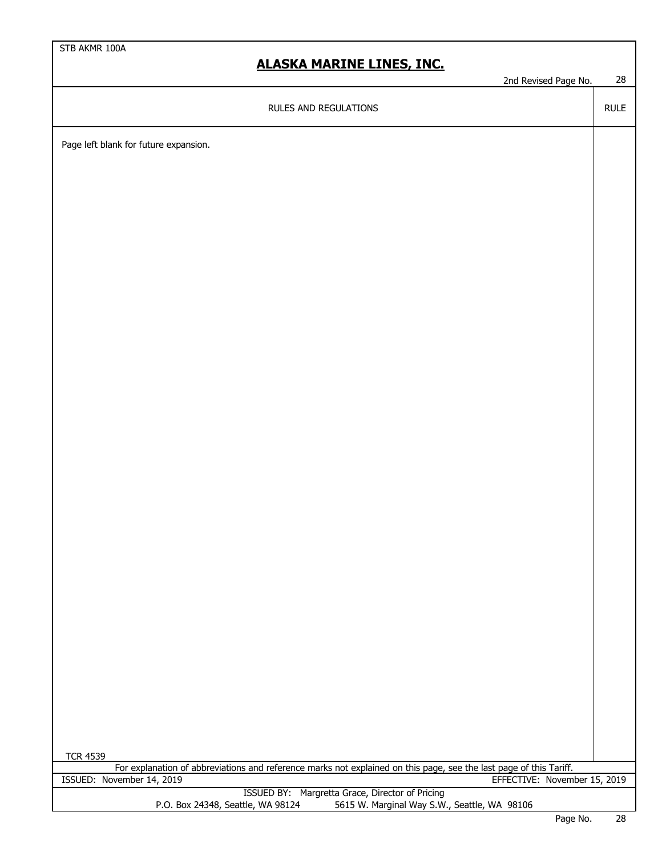## **ALASKA MARINE LINES, INC.**

2nd Revised Page No. 28

RULE

RULES AND REGULATIONS

Page left blank for future expansion.

| <b>TCR 4539</b>                                                                                                    |  |        |  |
|--------------------------------------------------------------------------------------------------------------------|--|--------|--|
| For explanation of abbreviations and reference marks not explained on this page, see the last page of this Tariff. |  |        |  |
| ISSUED: November 14, 2019<br>EFFECTIVE: November 15, 2019                                                          |  |        |  |
| ISSUED BY: Margretta Grace, Director of Pricing                                                                    |  |        |  |
| 5615 W. Marginal Way S.W., Seattle, WA 98106<br>P.O. Box 24348, Seattle, WA 98124                                  |  |        |  |
| $\sim$ $\sim$                                                                                                      |  | $\sim$ |  |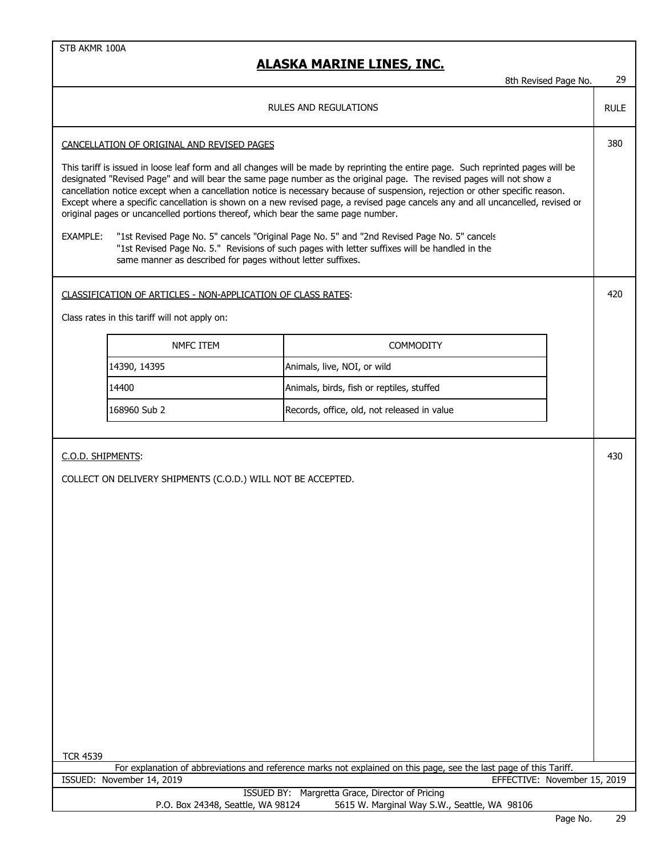|                                                                                                                                                                                                                                                                                                                                                                                                                                                                                                                                                                                                                   |                                                                                                                                                                                              | 8th Revised Page No. | 29          |
|-------------------------------------------------------------------------------------------------------------------------------------------------------------------------------------------------------------------------------------------------------------------------------------------------------------------------------------------------------------------------------------------------------------------------------------------------------------------------------------------------------------------------------------------------------------------------------------------------------------------|----------------------------------------------------------------------------------------------------------------------------------------------------------------------------------------------|----------------------|-------------|
| <b>RULES AND REGULATIONS</b>                                                                                                                                                                                                                                                                                                                                                                                                                                                                                                                                                                                      |                                                                                                                                                                                              |                      | <b>RULE</b> |
| CANCELLATION OF ORIGINAL AND REVISED PAGES                                                                                                                                                                                                                                                                                                                                                                                                                                                                                                                                                                        |                                                                                                                                                                                              |                      | 380         |
| This tariff is issued in loose leaf form and all changes will be made by reprinting the entire page. Such reprinted pages will be<br>designated "Revised Page" and will bear the same page number as the original page. The revised pages will not show a<br>cancellation notice except when a cancellation notice is necessary because of suspension, rejection or other specific reason.<br>Except where a specific cancellation is shown on a new revised page, a revised page cancels any and all uncancelled, revised or<br>original pages or uncancelled portions thereof, which bear the same page number. |                                                                                                                                                                                              |                      |             |
| EXAMPLE:<br>same manner as described for pages without letter suffixes.                                                                                                                                                                                                                                                                                                                                                                                                                                                                                                                                           | "1st Revised Page No. 5" cancels "Original Page No. 5" and "2nd Revised Page No. 5" cancels<br>"1st Revised Page No. 5." Revisions of such pages with letter suffixes will be handled in the |                      |             |
| CLASSIFICATION OF ARTICLES - NON-APPLICATION OF CLASS RATES:                                                                                                                                                                                                                                                                                                                                                                                                                                                                                                                                                      |                                                                                                                                                                                              |                      | 420         |
| Class rates in this tariff will not apply on:                                                                                                                                                                                                                                                                                                                                                                                                                                                                                                                                                                     |                                                                                                                                                                                              |                      |             |
| NMFC ITEM                                                                                                                                                                                                                                                                                                                                                                                                                                                                                                                                                                                                         | <b>COMMODITY</b>                                                                                                                                                                             |                      |             |
| 14390, 14395                                                                                                                                                                                                                                                                                                                                                                                                                                                                                                                                                                                                      | Animals, live, NOI, or wild                                                                                                                                                                  |                      |             |
| 14400                                                                                                                                                                                                                                                                                                                                                                                                                                                                                                                                                                                                             | Animals, birds, fish or reptiles, stuffed                                                                                                                                                    |                      |             |
| 168960 Sub 2                                                                                                                                                                                                                                                                                                                                                                                                                                                                                                                                                                                                      | Records, office, old, not released in value                                                                                                                                                  |                      |             |
|                                                                                                                                                                                                                                                                                                                                                                                                                                                                                                                                                                                                                   |                                                                                                                                                                                              |                      |             |
| C.O.D. SHIPMENTS:                                                                                                                                                                                                                                                                                                                                                                                                                                                                                                                                                                                                 |                                                                                                                                                                                              |                      | 430         |
| COLLECT ON DELIVERY SHIPMENTS (C.O.D.) WILL NOT BE ACCEPTED.                                                                                                                                                                                                                                                                                                                                                                                                                                                                                                                                                      |                                                                                                                                                                                              |                      |             |
|                                                                                                                                                                                                                                                                                                                                                                                                                                                                                                                                                                                                                   |                                                                                                                                                                                              |                      |             |
|                                                                                                                                                                                                                                                                                                                                                                                                                                                                                                                                                                                                                   |                                                                                                                                                                                              |                      |             |
|                                                                                                                                                                                                                                                                                                                                                                                                                                                                                                                                                                                                                   |                                                                                                                                                                                              |                      |             |
|                                                                                                                                                                                                                                                                                                                                                                                                                                                                                                                                                                                                                   |                                                                                                                                                                                              |                      |             |
|                                                                                                                                                                                                                                                                                                                                                                                                                                                                                                                                                                                                                   |                                                                                                                                                                                              |                      |             |
|                                                                                                                                                                                                                                                                                                                                                                                                                                                                                                                                                                                                                   |                                                                                                                                                                                              |                      |             |
|                                                                                                                                                                                                                                                                                                                                                                                                                                                                                                                                                                                                                   |                                                                                                                                                                                              |                      |             |
|                                                                                                                                                                                                                                                                                                                                                                                                                                                                                                                                                                                                                   |                                                                                                                                                                                              |                      |             |
|                                                                                                                                                                                                                                                                                                                                                                                                                                                                                                                                                                                                                   |                                                                                                                                                                                              |                      |             |
|                                                                                                                                                                                                                                                                                                                                                                                                                                                                                                                                                                                                                   |                                                                                                                                                                                              |                      |             |
|                                                                                                                                                                                                                                                                                                                                                                                                                                                                                                                                                                                                                   |                                                                                                                                                                                              |                      |             |
|                                                                                                                                                                                                                                                                                                                                                                                                                                                                                                                                                                                                                   |                                                                                                                                                                                              |                      |             |
|                                                                                                                                                                                                                                                                                                                                                                                                                                                                                                                                                                                                                   |                                                                                                                                                                                              |                      |             |
| <b>TCR 4539</b>                                                                                                                                                                                                                                                                                                                                                                                                                                                                                                                                                                                                   | For explanation of abbreviations and reference marks not explained on this page, see the last page of this Tariff.                                                                           |                      |             |
| ISSUED: November 14, 2019<br>EFFECTIVE: November 15, 2019<br>ISSUED BY: Margretta Grace, Director of Pricing                                                                                                                                                                                                                                                                                                                                                                                                                                                                                                      |                                                                                                                                                                                              |                      |             |
| P.O. Box 24348, Seattle, WA 98124                                                                                                                                                                                                                                                                                                                                                                                                                                                                                                                                                                                 | 5615 W. Marginal Way S.W., Seattle, WA 98106                                                                                                                                                 |                      |             |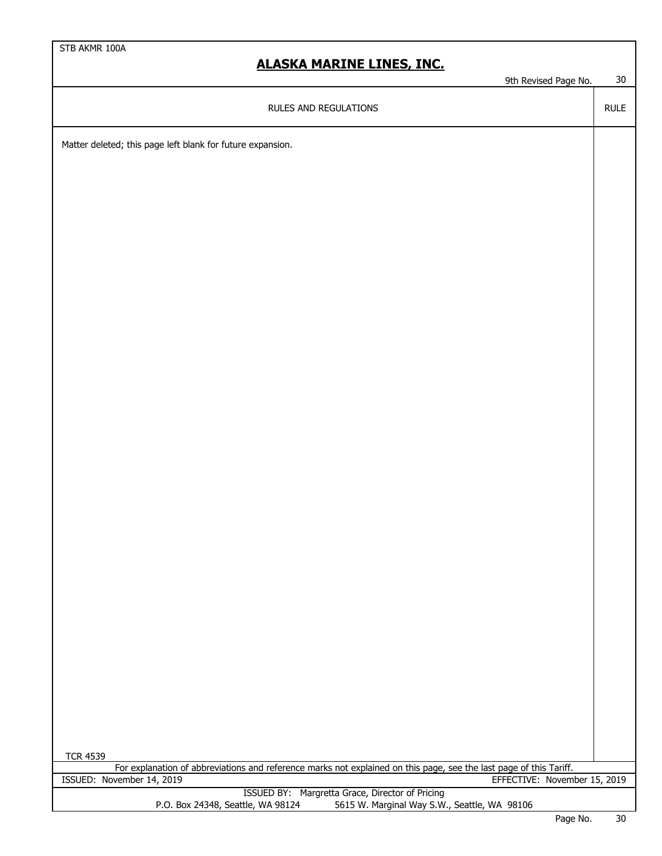9th Revised Page No. 30

RULE

RULES AND REGULATIONS

Matter deleted; this page left blank for future expansion.

| <b>TCR 4539</b>                                                                                                    |               |        |
|--------------------------------------------------------------------------------------------------------------------|---------------|--------|
| For explanation of abbreviations and reference marks not explained on this page, see the last page of this Tariff. |               |        |
| EFFECTIVE: November 15, 2019<br>ISSUED: November 14, 2019                                                          |               |        |
| ISSUED BY: Margretta Grace, Director of Pricing                                                                    |               |        |
| 5615 W. Marginal Way S.W., Seattle, WA 98106<br>P.O. Box 24348, Seattle, WA 98124                                  |               |        |
|                                                                                                                    | $\sim$ $\sim$ | $\sim$ |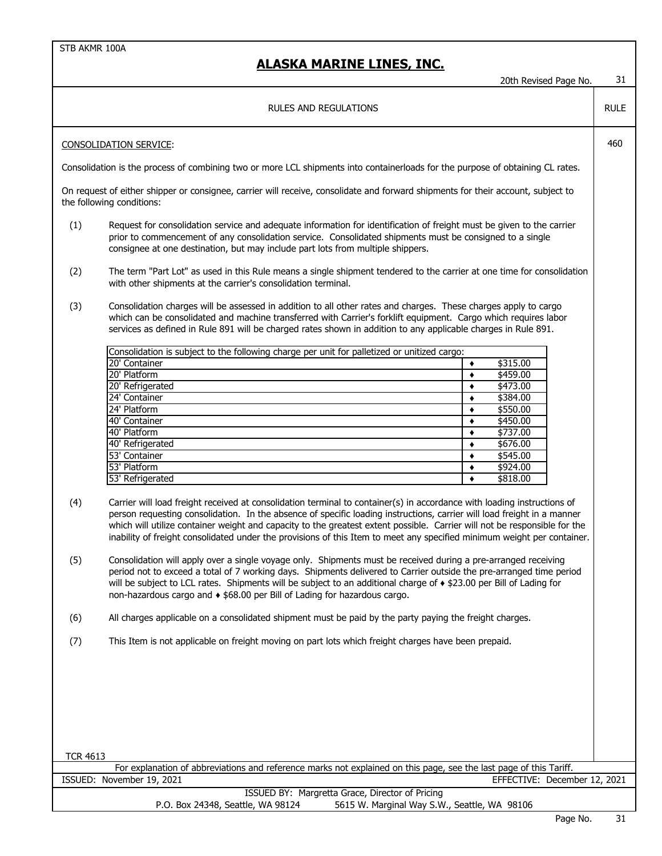|                 |                                                                                                                                                                                                                                                                                                                                                                                                                                                                                                            | 20th Revised Page No.                        | 31          |
|-----------------|------------------------------------------------------------------------------------------------------------------------------------------------------------------------------------------------------------------------------------------------------------------------------------------------------------------------------------------------------------------------------------------------------------------------------------------------------------------------------------------------------------|----------------------------------------------|-------------|
|                 | RULES AND REGULATIONS                                                                                                                                                                                                                                                                                                                                                                                                                                                                                      |                                              | <b>RULE</b> |
|                 | <b>CONSOLIDATION SERVICE:</b>                                                                                                                                                                                                                                                                                                                                                                                                                                                                              |                                              | 460         |
|                 | Consolidation is the process of combining two or more LCL shipments into containerloads for the purpose of obtaining CL rates.                                                                                                                                                                                                                                                                                                                                                                             |                                              |             |
|                 | On request of either shipper or consignee, carrier will receive, consolidate and forward shipments for their account, subject to<br>the following conditions:                                                                                                                                                                                                                                                                                                                                              |                                              |             |
| (1)             | Request for consolidation service and adequate information for identification of freight must be given to the carrier<br>prior to commencement of any consolidation service. Consolidated shipments must be consigned to a single<br>consignee at one destination, but may include part lots from multiple shippers.                                                                                                                                                                                       |                                              |             |
| (2)             | The term "Part Lot" as used in this Rule means a single shipment tendered to the carrier at one time for consolidation<br>with other shipments at the carrier's consolidation terminal.                                                                                                                                                                                                                                                                                                                    |                                              |             |
| (3)             | Consolidation charges will be assessed in addition to all other rates and charges. These charges apply to cargo<br>which can be consolidated and machine transferred with Carrier's forklift equipment. Cargo which requires labor<br>services as defined in Rule 891 will be charged rates shown in addition to any applicable charges in Rule 891.                                                                                                                                                       |                                              |             |
|                 | Consolidation is subject to the following charge per unit for palletized or unitized cargo:                                                                                                                                                                                                                                                                                                                                                                                                                |                                              |             |
|                 | 20' Container<br>20' Platform                                                                                                                                                                                                                                                                                                                                                                                                                                                                              | \$315.00<br>$\blacklozenge$<br>\$459.00<br>٠ |             |
|                 | 20' Refrigerated                                                                                                                                                                                                                                                                                                                                                                                                                                                                                           | \$473.00<br>$\bullet$                        |             |
|                 | 24' Container<br>24' Platform                                                                                                                                                                                                                                                                                                                                                                                                                                                                              | \$384.00<br>$\bullet$<br>\$550.00            |             |
|                 | 40' Container                                                                                                                                                                                                                                                                                                                                                                                                                                                                                              | $\bullet$<br>\$450.00<br>$\bullet$           |             |
|                 | 40' Platform                                                                                                                                                                                                                                                                                                                                                                                                                                                                                               | \$737.00<br>٠                                |             |
|                 | 40' Refrigerated                                                                                                                                                                                                                                                                                                                                                                                                                                                                                           | \$676.00<br>$\bullet$                        |             |
|                 | 53' Container                                                                                                                                                                                                                                                                                                                                                                                                                                                                                              | \$545.00<br>٠                                |             |
|                 | 53' Platform                                                                                                                                                                                                                                                                                                                                                                                                                                                                                               | \$924.00<br>٠                                |             |
|                 | 53' Refrigerated                                                                                                                                                                                                                                                                                                                                                                                                                                                                                           | \$818.00<br>٠                                |             |
| (4)             | Carrier will load freight received at consolidation terminal to container(s) in accordance with loading instructions of<br>person requesting consolidation. In the absence of specific loading instructions, carrier will load freight in a manner<br>which will utilize container weight and capacity to the greatest extent possible. Carrier will not be responsible for the<br>inability of freight consolidated under the provisions of this Item to meet any specified minimum weight per container. |                                              |             |
| (5)             | Consolidation will apply over a single voyage only. Shipments must be received during a pre-arranged receiving<br>period not to exceed a total of 7 working days. Shipments delivered to Carrier outside the pre-arranged time period<br>will be subject to LCL rates. Shipments will be subject to an additional charge of $\triangle$ \$23.00 per Bill of Lading for<br>non-hazardous cargo and $\ast$ \$68.00 per Bill of Lading for hazardous cargo.                                                   |                                              |             |
| (6)             | All charges applicable on a consolidated shipment must be paid by the party paying the freight charges.                                                                                                                                                                                                                                                                                                                                                                                                    |                                              |             |
| (7)             | This Item is not applicable on freight moving on part lots which freight charges have been prepaid.                                                                                                                                                                                                                                                                                                                                                                                                        |                                              |             |
|                 |                                                                                                                                                                                                                                                                                                                                                                                                                                                                                                            |                                              |             |
| <b>TCR 4613</b> |                                                                                                                                                                                                                                                                                                                                                                                                                                                                                                            |                                              |             |
|                 | For explanation of abbreviations and reference marks not explained on this page, see the last page of this Tariff.                                                                                                                                                                                                                                                                                                                                                                                         |                                              |             |
|                 | ISSUED: November 19, 2021                                                                                                                                                                                                                                                                                                                                                                                                                                                                                  | EFFECTIVE: December 12, 2021                 |             |
|                 | ISSUED BY: Margretta Grace, Director of Pricing<br>P.O. Box 24348, Seattle, WA 98124<br>5615 W. Marginal Way S.W., Seattle, WA 98106                                                                                                                                                                                                                                                                                                                                                                       |                                              |             |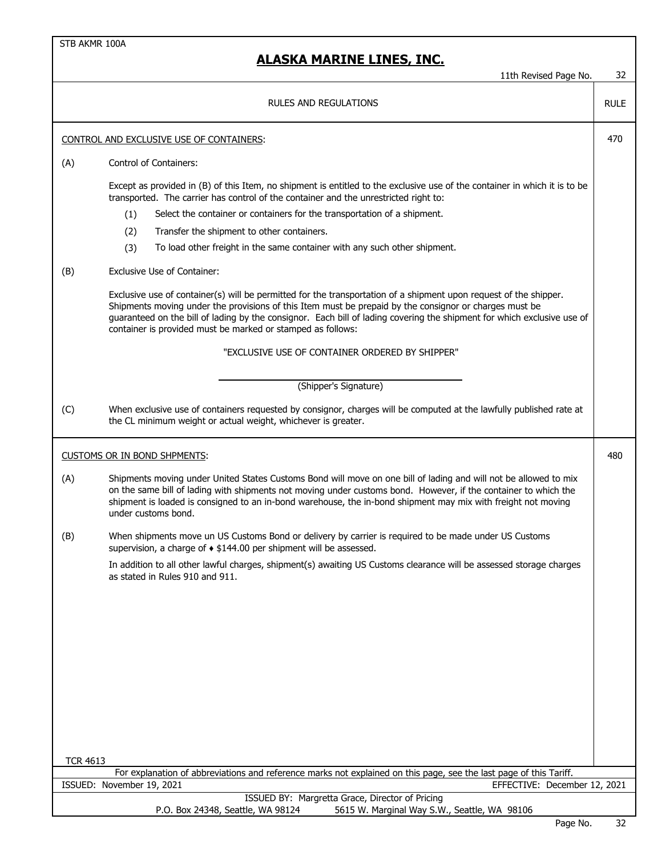STB AKMR 100A 11th Revised Page No. 32 RULE CONTROL AND EXCLUSIVE USE OF CONTAINERS: 470 (A) Control of Containers: Except as provided in (B) of this Item, no shipment is entitled to the exclusive use of the container in which it is to be transported. The carrier has control of the container and the unrestricted right to: (1) Select the container or containers for the transportation of a shipment. (2) Transfer the shipment to other containers. (3) To load other freight in the same container with any such other shipment. (B) Exclusive Use of Container: Exclusive use of container(s) will be permitted for the transportation of a shipment upon request of the shipper. Shipments moving under the provisions of this Item must be prepaid by the consignor or charges must be guaranteed on the bill of lading by the consignor. Each bill of lading covering the shipment for which exclusive use of container is provided must be marked or stamped as follows: (C) When exclusive use of containers requested by consignor, charges will be computed at the lawfully published rate at the CL minimum weight or actual weight, whichever is greater. CUSTOMS OR IN BOND SHPMENTS: 480 (A) Shipments moving under United States Customs Bond will move on one bill of lading and will not be allowed to mix on the same bill of lading with shipments not moving under customs bond. However, if the container to which the shipment is loaded is consigned to an in-bond warehouse, the in-bond shipment may mix with freight not moving under customs bond. (B) When shipments move un US Customs Bond or delivery by carrier is required to be made under US Customs supervision, a charge of ♦ \$144.00 per shipment will be assessed. In addition to all other lawful charges, shipment(s) awaiting US Customs clearance will be assessed storage charges as stated in Rules 910 and 911. TCR 4613 For explanation of abbreviations and reference marks not explained on this page, see the last page of this Tariff. "EXCLUSIVE USE OF CONTAINER ORDERED BY SHIPPER" (Shipper's Signature) **ALASKA MARINE LINES, INC.** RULES AND REGULATIONS ISSUED: November 19, 2021 EFFECTIVE: December 12, 2021 ISSUED BY: Margretta Grace, Director of Pricing P.O. Box 24348, Seattle, WA 98124 5615 W. Marginal Way S.W., Seattle, WA 98106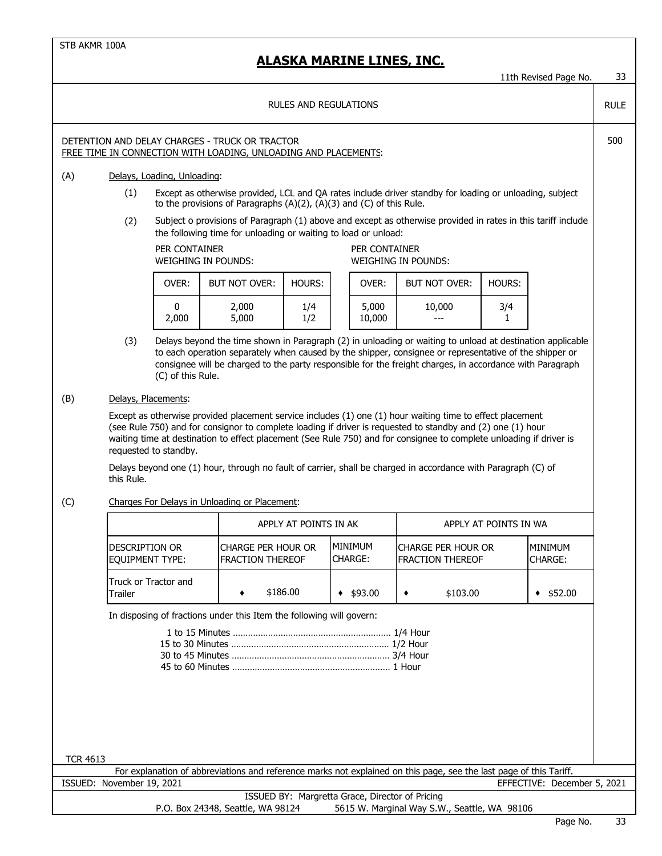## **ALASKA MARINE LINES, INC.**

11th Revised Page No. 33

RULE

### RULES AND REGULATIONS

### DETENTION AND DELAY CHARGES - TRUCK OR TRACTOR **FOUR SERVICE SERVICE SERVICE SERVICE SERVICE SERVICE SERVICE SERVICE SERVICE SERVICE SERVICE SERVICE SERVICE SERVICE SERVICE SERVICE SERVICE SERVICE SERVICE SERVICE SERVICE S** FREE TIME IN CONNECTION WITH LOADING, UNLOADING AND PLACEMENTS:

### (A) Delays, Loading, Unloading:

- (1) Except as otherwise provided, LCL and QA rates include driver standby for loading or unloading, subject to the provisions of Paragraphs (A)(2), (A)(3) and (C) of this Rule.
- (2) Subject o provisions of Paragraph (1) above and except as otherwise provided in rates in this tariff include the following time for unloading or waiting to load or unload:

#### PER CONTAINER WEIGHING IN POUNDS:

PER CONTAINER WEIGHING IN POUNDS:

| OVER: | <b>BUT NOT OVER:</b> | <b>HOURS:</b> | OVER:           | <b>BUT NOT OVER:</b> | <b>HOUR</b> |
|-------|----------------------|---------------|-----------------|----------------------|-------------|
| 2,000 | 2,000<br>5,000       | 1/4<br>1/2    | 5,000<br>10,000 | 10,000<br>---        | 3/          |

| 'ER:     | <b>BUT NOT OVER:</b> | HOURS:     | OVER:           | BUT NOT OVER: | <b>HOURS:</b> |
|----------|----------------------|------------|-----------------|---------------|---------------|
| 0<br>000 | 2,000<br>5,000       | 1/4<br>1/2 | 5,000<br>10,000 | 10,000<br>--- | 3/4           |

(3) Delays beyond the time shown in Paragraph (2) in unloading or waiting to unload at destination applicable to each operation separately when caused by the shipper, consignee or representative of the shipper or consignee will be charged to the party responsible for the freight charges, in accordance with Paragraph (C) of this Rule.

### (B) Delays, Placements:

Except as otherwise provided placement service includes (1) one (1) hour waiting time to effect placement (see Rule 750) and for consignor to complete loading if driver is requested to standby and (2) one (1) hour waiting time at destination to effect placement (See Rule 750) and for consignee to complete unloading if driver is requested to standby.

Delays beyond one (1) hour, through no fault of carrier, shall be charged in accordance with Paragraph (C) of this Rule.

### (C) Charges For Delays in Unloading or Placement:

|                                                   | APPLY AT POINTS IN AK                           |                            | APPLY AT POINTS IN WA                   |                           |  |
|---------------------------------------------------|-------------------------------------------------|----------------------------|-----------------------------------------|---------------------------|--|
| <b>IDESCRIPTION OR</b><br><b>IEOUIPMENT TYPE:</b> | icharge per hour or<br><b>IFRACTION THEREOF</b> | <b>IMINIMUM</b><br>CHARGE: | icharge per hour or<br>FRACTION THEREOF | MINIMUM<br><b>CHARGE:</b> |  |
| Truck or Tractor and<br>Trailer                   | \$186.00                                        | \$93.00                    | \$103.00                                | \$52.00                   |  |

In disposing of fractions under this Item the following will govern:

| For explanation of abbreviations and reference marks not explained on this page, see the last page of this Tariff. |  |
|--------------------------------------------------------------------------------------------------------------------|--|
| EFFECTIVE: December 5, 2021                                                                                        |  |
| ISSUED BY: Margretta Grace, Director of Pricing                                                                    |  |
| 5615 W. Marginal Way S.W., Seattle, WA 98106                                                                       |  |
|                                                                                                                    |  |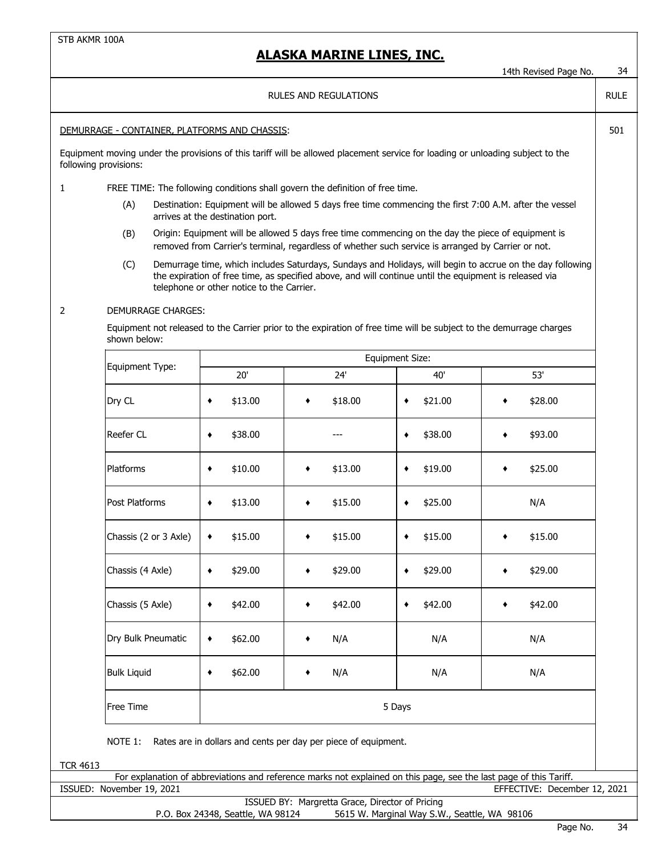|                                               |                           |                                           |                                                                                                                                                                                                                     |                                              | 14th Revised Page No.        | 34 |  |
|-----------------------------------------------|---------------------------|-------------------------------------------|---------------------------------------------------------------------------------------------------------------------------------------------------------------------------------------------------------------------|----------------------------------------------|------------------------------|----|--|
| <b>RULES AND REGULATIONS</b>                  |                           |                                           |                                                                                                                                                                                                                     |                                              |                              |    |  |
| DEMURRAGE - CONTAINER, PLATFORMS AND CHASSIS: |                           |                                           |                                                                                                                                                                                                                     |                                              |                              |    |  |
| following provisions:                         |                           |                                           | Equipment moving under the provisions of this tariff will be allowed placement service for loading or unloading subject to the                                                                                      |                                              |                              |    |  |
| $\mathbf{1}$                                  |                           |                                           | FREE TIME: The following conditions shall govern the definition of free time.                                                                                                                                       |                                              |                              |    |  |
|                                               | (A)                       | arrives at the destination port.          | Destination: Equipment will be allowed 5 days free time commencing the first 7:00 A.M. after the vessel                                                                                                             |                                              |                              |    |  |
|                                               | (B)                       |                                           | Origin: Equipment will be allowed 5 days free time commencing on the day the piece of equipment is<br>removed from Carrier's terminal, regardless of whether such service is arranged by Carrier or not.            |                                              |                              |    |  |
|                                               | (C)                       | telephone or other notice to the Carrier. | Demurrage time, which includes Saturdays, Sundays and Holidays, will begin to accrue on the day following<br>the expiration of free time, as specified above, and will continue until the equipment is released via |                                              |                              |    |  |
| 2                                             | <b>DEMURRAGE CHARGES:</b> |                                           |                                                                                                                                                                                                                     |                                              |                              |    |  |
|                                               | shown below:              |                                           | Equipment not released to the Carrier prior to the expiration of free time will be subject to the demurrage charges                                                                                                 |                                              |                              |    |  |
|                                               |                           |                                           |                                                                                                                                                                                                                     | Equipment Size:                              |                              |    |  |
|                                               | Equipment Type:           | 20'                                       | 24'                                                                                                                                                                                                                 | 40'                                          | 53'                          |    |  |
|                                               | Dry CL                    | \$13.00<br>٠                              | \$18.00<br>٠                                                                                                                                                                                                        | \$21.00<br>٠                                 | \$28.00<br>٠                 |    |  |
|                                               | Reefer CL                 | \$38.00<br>٠                              |                                                                                                                                                                                                                     | \$38.00<br>٠                                 | \$93.00                      |    |  |
|                                               | Platforms                 | \$10.00<br>٠                              | \$13.00                                                                                                                                                                                                             | \$19.00<br>٠                                 | \$25.00                      |    |  |
|                                               | Post Platforms            | \$13.00<br>٠                              | \$15.00<br>٠                                                                                                                                                                                                        | \$25.00<br>٠                                 | N/A                          |    |  |
|                                               | Chassis (2 or 3 Axle)     | \$15.00<br>٠                              | \$15.00                                                                                                                                                                                                             | \$15.00<br>٠                                 | \$15.00                      |    |  |
|                                               | Chassis (4 Axle)          | \$29.00<br>٠                              | \$29.00                                                                                                                                                                                                             | \$29.00<br>٠                                 | \$29.00                      |    |  |
|                                               | Chassis (5 Axle)          | \$42.00<br>٠                              | \$42.00                                                                                                                                                                                                             | \$42.00<br>٠                                 | \$42.00                      |    |  |
|                                               | Dry Bulk Pneumatic        | \$62.00<br>٠                              | N/A<br>٠                                                                                                                                                                                                            | N/A                                          | N/A                          |    |  |
|                                               | <b>Bulk Liquid</b>        | \$62.00<br>٠                              | N/A<br>٠                                                                                                                                                                                                            | N/A                                          | N/A                          |    |  |
|                                               | Free Time                 | 5 Days                                    |                                                                                                                                                                                                                     |                                              |                              |    |  |
|                                               | NOTE 1:                   |                                           | Rates are in dollars and cents per day per piece of equipment.                                                                                                                                                      |                                              |                              |    |  |
| <b>TCR 4613</b>                               |                           |                                           |                                                                                                                                                                                                                     |                                              |                              |    |  |
|                                               | ISSUED: November 19, 2021 |                                           | For explanation of abbreviations and reference marks not explained on this page, see the last page of this Tariff.                                                                                                  |                                              | EFFECTIVE: December 12, 2021 |    |  |
|                                               |                           |                                           | ISSUED BY: Margretta Grace, Director of Pricing                                                                                                                                                                     |                                              |                              |    |  |
|                                               |                           | P.O. Box 24348, Seattle, WA 98124         |                                                                                                                                                                                                                     | 5615 W. Marginal Way S.W., Seattle, WA 98106 |                              |    |  |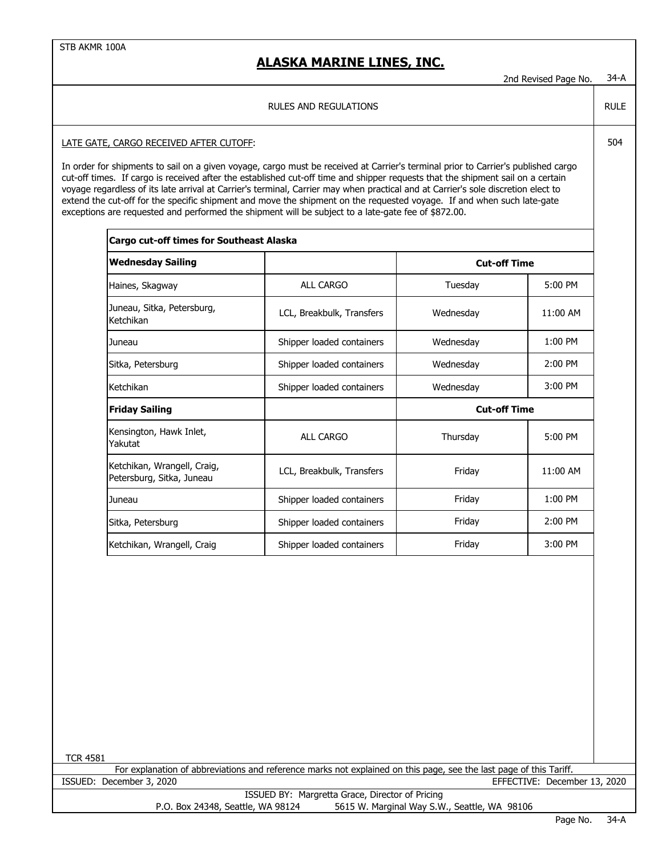## **ALASKA MARINE LINES, INC.**

2nd Revised Page No. 34-A

RULE

#### RULES AND REGULATIONS

### LATE GATE, CARGO RECEIVED AFTER CUTOFF: **504** SO4

In order for shipments to sail on a given voyage, cargo must be received at Carrier's terminal prior to Carrier's published cargo cut-off times. If cargo is received after the established cut-off time and shipper requests that the shipment sail on a certain voyage regardless of its late arrival at Carrier's terminal, Carrier may when practical and at Carrier's sole discretion elect to extend the cut-off for the specific shipment and move the shipment on the requested voyage. If and when such late-gate exceptions are requested and performed the shipment will be subject to a late-gate fee of \$872.00.

| <b>Cargo cut-off times for Southeast Alaska</b>          |                           |                     |           |  |  |
|----------------------------------------------------------|---------------------------|---------------------|-----------|--|--|
| <b>Wednesday Sailing</b>                                 |                           | <b>Cut-off Time</b> |           |  |  |
| Haines, Skagway                                          | <b>ALL CARGO</b>          | Tuesday             | $5:00$ PM |  |  |
| Juneau, Sitka, Petersburg,<br>Ketchikan                  | LCL, Breakbulk, Transfers | Wednesday           | 11:00 AM  |  |  |
| Juneau                                                   | Shipper loaded containers | Wednesday           | 1:00 PM   |  |  |
| Sitka, Petersburg                                        | Shipper loaded containers | Wednesday           | $2:00$ PM |  |  |
| Ketchikan<br>Shipper loaded containers                   |                           | Wednesday           | $3:00$ PM |  |  |
| <b>Friday Sailing</b>                                    |                           | <b>Cut-off Time</b> |           |  |  |
| Kensington, Hawk Inlet,<br>Yakutat                       | <b>ALL CARGO</b>          | Thursday            | $5:00$ PM |  |  |
| Ketchikan, Wrangell, Craig,<br>Petersburg, Sitka, Juneau | LCL, Breakbulk, Transfers | Friday              | 11:00 AM  |  |  |
| Juneau                                                   | Shipper loaded containers | Friday              | $1:00$ PM |  |  |
| Sitka, Petersburg                                        | Shipper loaded containers | 2:00 PM<br>Friday   |           |  |  |
| Ketchikan, Wrangell, Craig                               | Shipper loaded containers | Friday              | $3:00$ PM |  |  |

TCR 4581

ISSUED: December 3, 2020 EFFECTIVE: December 13, 2020 For explanation of abbreviations and reference marks not explained on this page, see the last page of this Tariff.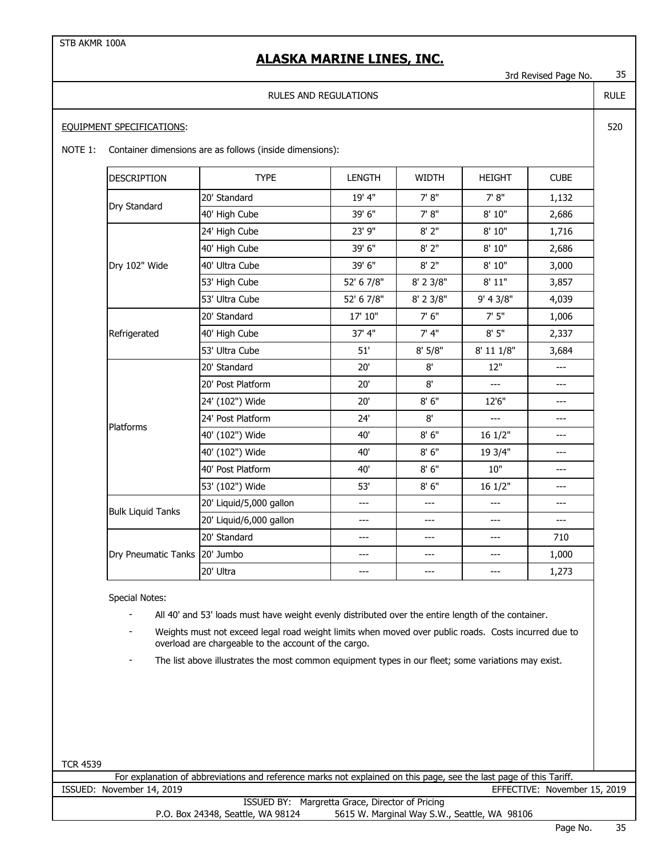## **ALASKA MARINE LINES, INC.**

3rd Revised Page No. 35

### RULES AND REGULATIONS

### EQUIPMENT SPECIFICATIONS:

NOTE 1: Container dimensions are as follows (inside dimensions):

| <b>DESCRIPTION</b>            | <b>TYPE</b>             | <b>LENGTH</b> | <b>WIDTH</b> | <b>HEIGHT</b> | <b>CUBE</b> |
|-------------------------------|-------------------------|---------------|--------------|---------------|-------------|
|                               | 20' Standard            | 19' 4"        | 7' 8''       | 7' 8''        | 1,132       |
| Dry Standard                  | 40' High Cube           | 39' 6"        | 7' 8''       | 8' 10"        | 2,686       |
|                               | 24' High Cube           | 23' 9"        | 8'2"         | 8' 10"        | 1,716       |
|                               | 40' High Cube           | 39' 6"        | 8'2"         | 8' 10"        | 2,686       |
| Dry 102" Wide                 | 40' Ultra Cube          | 39' 6"        | $8'$ 2"      | 8'10"         | 3,000       |
|                               | 53' High Cube           | 52' 6 7/8"    | 8' 2 3/8"    | 8' 11"        | 3,857       |
|                               | 53' Ultra Cube          | 52' 6 7/8"    | 8' 2 3/8"    | 9' 4 3/8"     | 4,039       |
|                               | 20' Standard            | 17' 10"       | 7' 6"        | 7'5''         | 1,006       |
| Refrigerated                  | 40' High Cube           | 37' 4"        | 7' 4''       | 8'5''         | 2,337       |
|                               | 53' Ultra Cube          | 51'           | 8' 5/8"      | 8' 11 1/8"    | 3,684       |
|                               | 20' Standard            | 20'           | 8'           | 12"           | $---$       |
|                               | 20' Post Platform       | 20'           | 8'           | ---           | ---         |
|                               | 24' (102") Wide         | 20'           | 8'6''        | 12'6"         | ---         |
| <b>Platforms</b>              | 24' Post Platform       | 24'           | 8'           | ---           | ---         |
|                               | 40' (102") Wide         | 40'           | 8'6''        | 16 1/2"       | ---         |
|                               | 40' (102") Wide         | 40'           | 8'6''        | 19 3/4"       | ---         |
|                               | 40' Post Platform       | 40'           | 8'6''        | 10"           | ---         |
|                               | 53' (102") Wide         | 53'           | 8'6''        | 16 1/2"       | ---         |
| <b>Bulk Liquid Tanks</b>      | 20' Liquid/5,000 gallon | ---           | ---          | ---           | ---         |
|                               | 20' Liquid/6,000 gallon | ---           | ---          | ---           | ---         |
|                               | 20' Standard            | ---           | ---          | ---           | 710         |
| Dry Pneumatic Tanks 20' Jumbo |                         | ---           | ---          | ---           | 1,000       |
|                               | 20' Ultra               | ---           | ---          | ---           | 1,273       |

Special Notes:

- All 40' and 53' loads must have weight evenly distributed over the entire length of the container.

- Weights must not exceed legal road weight limits when moved over public roads. Costs incurred due to overload are chargeable to the account of the cargo.

The list above illustrates the most common equipment types in our fleet; some variations may exist.

|                                   | For explanation of abbreviations and reference marks not explained on this page, see the last page of this Tariff. |
|-----------------------------------|--------------------------------------------------------------------------------------------------------------------|
| ISSUED: November 14, 2019         | EFFECTIVE: November 15, 2019                                                                                       |
|                                   | ISSUED BY: Margretta Grace, Director of Pricing                                                                    |
| P.O. Box 24348, Seattle, WA 98124 | 5615 W. Marginal Way S.W., Seattle, WA 98106                                                                       |

RULE

520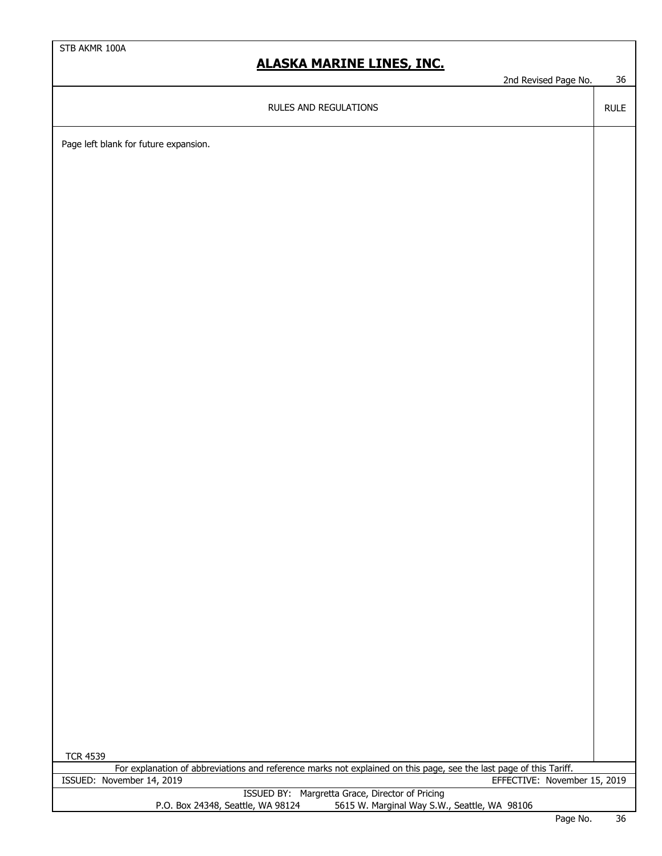# **ALASKA MARINE LINES, INC.**

2nd Revised Page No. 36

RULE

RULES AND REGULATIONS

Page left blank for future expansion.

| <b>TCR 4539</b>                                                                                                    |         |    |
|--------------------------------------------------------------------------------------------------------------------|---------|----|
| For explanation of abbreviations and reference marks not explained on this page, see the last page of this Tariff. |         |    |
| ISSUED: November 14, 2019<br>EFFECTIVE: November 15, 2019                                                          |         |    |
| ISSUED BY: Margretta Grace, Director of Pricing                                                                    |         |    |
| 5615 W. Marginal Way S.W., Seattle, WA 98106<br>P.O. Box 24348, Seattle, WA 98124                                  |         |    |
|                                                                                                                    | Dogo No | ጋር |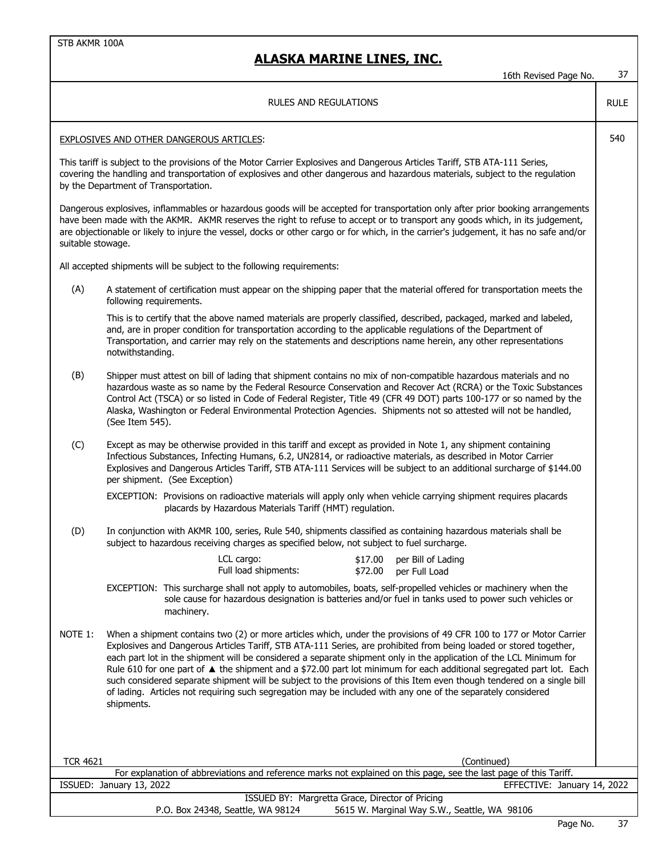## **ALASKA MARINE LINES, INC.**

16th Revised Page No. 37

RULE

### RULES AND REGULATIONS

### EXPLOSIVES AND OTHER DANGEROUS ARTICLES: 540

This tariff is subject to the provisions of the Motor Carrier Explosives and Dangerous Articles Tariff, STB ATA-111 Series, covering the handling and transportation of explosives and other dangerous and hazardous materials, subject to the regulation by the Department of Transportation.

Dangerous explosives, inflammables or hazardous goods will be accepted for transportation only after prior booking arrangements have been made with the AKMR. AKMR reserves the right to refuse to accept or to transport any goods which, in its judgement, are objectionable or likely to injure the vessel, docks or other cargo or for which, in the carrier's judgement, it has no safe and/or suitable stowage.

All accepted shipments will be subject to the following requirements:

(A) A statement of certification must appear on the shipping paper that the material offered for transportation meets the following requirements.

This is to certify that the above named materials are properly classified, described, packaged, marked and labeled, and, are in proper condition for transportation according to the applicable regulations of the Department of Transportation, and carrier may rely on the statements and descriptions name herein, any other representations notwithstanding.

- (B) Shipper must attest on bill of lading that shipment contains no mix of non-compatible hazardous materials and no hazardous waste as so name by the Federal Resource Conservation and Recover Act (RCRA) or the Toxic Substances Control Act (TSCA) or so listed in Code of Federal Register, Title 49 (CFR 49 DOT) parts 100-177 or so named by the Alaska, Washington or Federal Environmental Protection Agencies. Shipments not so attested will not be handled, (See Item 545).
- (C) Except as may be otherwise provided in this tariff and except as provided in Note 1, any shipment containing Infectious Substances, Infecting Humans, 6.2, UN2814, or radioactive materials, as described in Motor Carrier Explosives and Dangerous Articles Tariff, STB ATA-111 Services will be subject to an additional surcharge of \$144.00 per shipment. (See Exception)

EXCEPTION: Provisions on radioactive materials will apply only when vehicle carrying shipment requires placards placards by Hazardous Materials Tariff (HMT) regulation.

(D) In conjunction with AKMR 100, series, Rule 540, shipments classified as containing hazardous materials shall be subject to hazardous receiving charges as specified below, not subject to fuel surcharge.

| LCL cargo:           | \$17.00 per Bill of Lading |
|----------------------|----------------------------|
| Full load shipments: | \$72.00 per Full Load      |

EXCEPTION: This surcharge shall not apply to automobiles, boats, self-propelled vehicles or machinery when the sole cause for hazardous designation is batteries and/or fuel in tanks used to power such vehicles or machinery.

NOTE 1: When a shipment contains two (2) or more articles which, under the provisions of 49 CFR 100 to 177 or Motor Carrier Explosives and Dangerous Articles Tariff, STB ATA-111 Series, are prohibited from being loaded or stored together, each part lot in the shipment will be considered a separate shipment only in the application of the LCL Minimum for Rule 610 for one part of  $\blacktriangle$  the shipment and a \$72.00 part lot minimum for each additional segregated part lot. Each such considered separate shipment will be subject to the provisions of this Item even though tendered on a single bill of lading. Articles not requiring such segregation may be included with any one of the separately considered shipments.

| (Continued)<br><b>TCR 4621</b>                                                                                     |     |        |
|--------------------------------------------------------------------------------------------------------------------|-----|--------|
| For explanation of abbreviations and reference marks not explained on this page, see the last page of this Tariff. |     |        |
| ISSUED: January 13, 2022<br>EFFECTIVE: January 14, 2022                                                            |     |        |
| ISSUED BY: Margretta Grace, Director of Pricing                                                                    |     |        |
| 5615 W. Marginal Way S.W., Seattle, WA 98106<br>P.O. Box 24348, Seattle, WA 98124                                  |     |        |
| $\sim$                                                                                                             | . . | $\sim$ |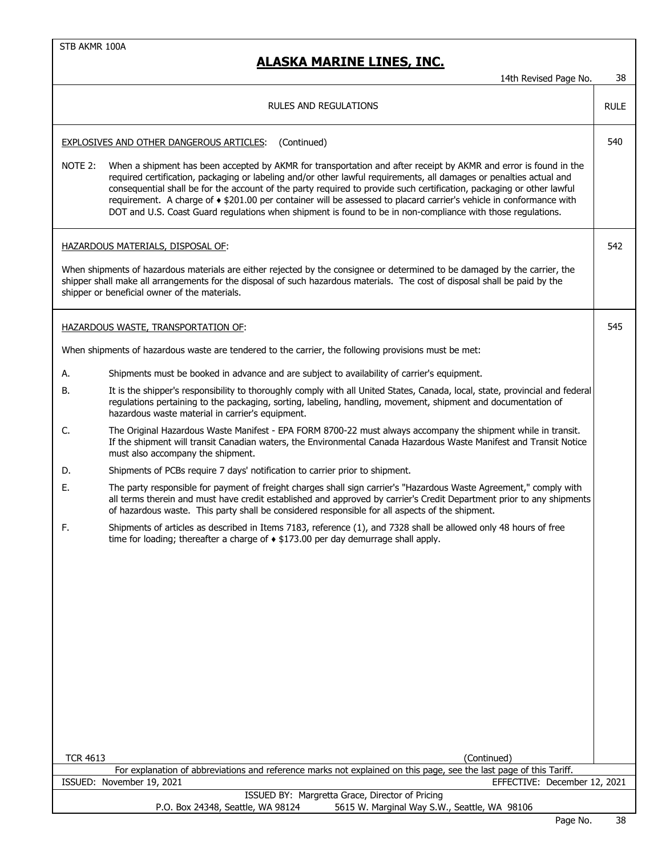|                 | 14th Revised Page No.                                                                                                                                                                                                                                                                                                                                                                                                                                                                                                                                                                                            | 38          |
|-----------------|------------------------------------------------------------------------------------------------------------------------------------------------------------------------------------------------------------------------------------------------------------------------------------------------------------------------------------------------------------------------------------------------------------------------------------------------------------------------------------------------------------------------------------------------------------------------------------------------------------------|-------------|
|                 | RULES AND REGULATIONS                                                                                                                                                                                                                                                                                                                                                                                                                                                                                                                                                                                            | <b>RULE</b> |
|                 | EXPLOSIVES AND OTHER DANGEROUS ARTICLES:<br>(Continued)                                                                                                                                                                                                                                                                                                                                                                                                                                                                                                                                                          | 540         |
| NOTE 2:         | When a shipment has been accepted by AKMR for transportation and after receipt by AKMR and error is found in the<br>required certification, packaging or labeling and/or other lawful requirements, all damages or penalties actual and<br>consequential shall be for the account of the party required to provide such certification, packaging or other lawful<br>requirement. A charge of $\triangle$ \$201.00 per container will be assessed to placard carrier's vehicle in conformance with<br>DOT and U.S. Coast Guard regulations when shipment is found to be in non-compliance with those regulations. |             |
|                 | HAZARDOUS MATERIALS, DISPOSAL OF:                                                                                                                                                                                                                                                                                                                                                                                                                                                                                                                                                                                | 542         |
|                 | When shipments of hazardous materials are either rejected by the consignee or determined to be damaged by the carrier, the<br>shipper shall make all arrangements for the disposal of such hazardous materials. The cost of disposal shall be paid by the<br>shipper or beneficial owner of the materials.                                                                                                                                                                                                                                                                                                       |             |
|                 | <b>HAZARDOUS WASTE, TRANSPORTATION OF:</b>                                                                                                                                                                                                                                                                                                                                                                                                                                                                                                                                                                       | 545         |
|                 | When shipments of hazardous waste are tendered to the carrier, the following provisions must be met:                                                                                                                                                                                                                                                                                                                                                                                                                                                                                                             |             |
| А.              | Shipments must be booked in advance and are subject to availability of carrier's equipment.                                                                                                                                                                                                                                                                                                                                                                                                                                                                                                                      |             |
| В.              | It is the shipper's responsibility to thoroughly comply with all United States, Canada, local, state, provincial and federal<br>regulations pertaining to the packaging, sorting, labeling, handling, movement, shipment and documentation of<br>hazardous waste material in carrier's equipment.                                                                                                                                                                                                                                                                                                                |             |
| C.              | The Original Hazardous Waste Manifest - EPA FORM 8700-22 must always accompany the shipment while in transit.<br>If the shipment will transit Canadian waters, the Environmental Canada Hazardous Waste Manifest and Transit Notice<br>must also accompany the shipment.                                                                                                                                                                                                                                                                                                                                         |             |
| D.              | Shipments of PCBs require 7 days' notification to carrier prior to shipment.                                                                                                                                                                                                                                                                                                                                                                                                                                                                                                                                     |             |
| Ε.              | The party responsible for payment of freight charges shall sign carrier's "Hazardous Waste Agreement," comply with<br>all terms therein and must have credit established and approved by carrier's Credit Department prior to any shipments<br>of hazardous waste. This party shall be considered responsible for all aspects of the shipment.                                                                                                                                                                                                                                                                   |             |
| E.              | Shipments of articles as described in Items 7183, reference (1), and 7328 shall be allowed only 48 hours of free<br>time for loading; thereafter a charge of $\triangle$ \$173.00 per day demurrage shall apply.                                                                                                                                                                                                                                                                                                                                                                                                 |             |
|                 |                                                                                                                                                                                                                                                                                                                                                                                                                                                                                                                                                                                                                  |             |
|                 |                                                                                                                                                                                                                                                                                                                                                                                                                                                                                                                                                                                                                  |             |
|                 |                                                                                                                                                                                                                                                                                                                                                                                                                                                                                                                                                                                                                  |             |
|                 |                                                                                                                                                                                                                                                                                                                                                                                                                                                                                                                                                                                                                  |             |
|                 |                                                                                                                                                                                                                                                                                                                                                                                                                                                                                                                                                                                                                  |             |
| <b>TCR 4613</b> | (Continued)                                                                                                                                                                                                                                                                                                                                                                                                                                                                                                                                                                                                      |             |
|                 | For explanation of abbreviations and reference marks not explained on this page, see the last page of this Tariff.<br>ISSUED: November 19, 2021<br>EFFECTIVE: December 12, 2021                                                                                                                                                                                                                                                                                                                                                                                                                                  |             |
|                 | ISSUED BY: Margretta Grace, Director of Pricing                                                                                                                                                                                                                                                                                                                                                                                                                                                                                                                                                                  |             |
|                 | P.O. Box 24348, Seattle, WA 98124<br>5615 W. Marginal Way S.W., Seattle, WA 98106                                                                                                                                                                                                                                                                                                                                                                                                                                                                                                                                |             |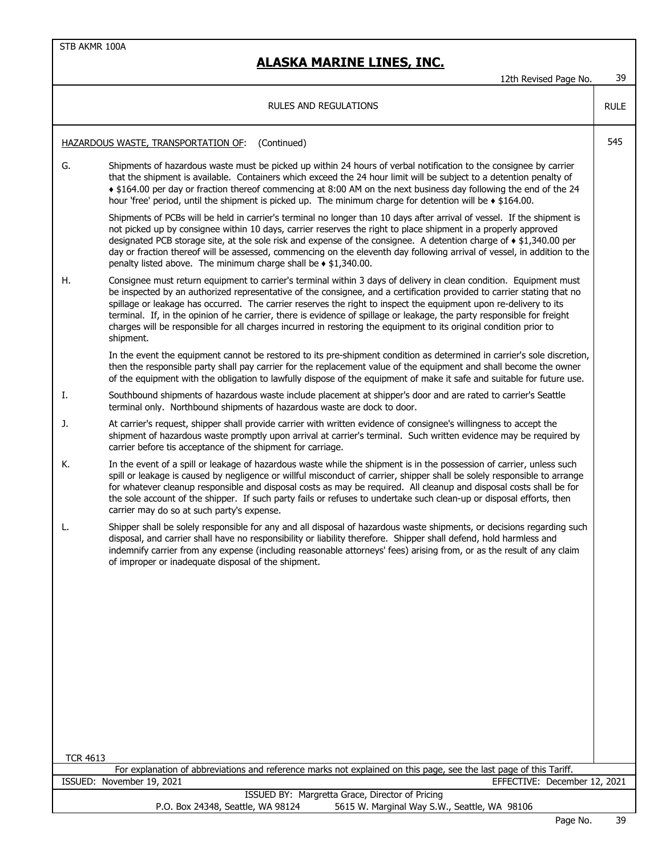# **ALASKA MARINE LINES, INC.**

12th Revised Page No. 39

|                                                                                                                                       | <b>ILUI INCYIJCU I UYC INU.</b>                                                                                                                                                                                                                                                                                                                                                                                                                                                                                                                                                                                                 |             |
|---------------------------------------------------------------------------------------------------------------------------------------|---------------------------------------------------------------------------------------------------------------------------------------------------------------------------------------------------------------------------------------------------------------------------------------------------------------------------------------------------------------------------------------------------------------------------------------------------------------------------------------------------------------------------------------------------------------------------------------------------------------------------------|-------------|
|                                                                                                                                       | <b>RULES AND REGULATIONS</b>                                                                                                                                                                                                                                                                                                                                                                                                                                                                                                                                                                                                    | <b>RULE</b> |
|                                                                                                                                       | HAZARDOUS WASTE, TRANSPORTATION OF:<br>(Continued)                                                                                                                                                                                                                                                                                                                                                                                                                                                                                                                                                                              | 545         |
| G.                                                                                                                                    | Shipments of hazardous waste must be picked up within 24 hours of verbal notification to the consignee by carrier<br>that the shipment is available. Containers which exceed the 24 hour limit will be subject to a detention penalty of<br>+ \$164.00 per day or fraction thereof commencing at 8:00 AM on the next business day following the end of the 24<br>hour 'free' period, until the shipment is picked up. The minimum charge for detention will be $\triangleleft$ \$164.00.                                                                                                                                        |             |
|                                                                                                                                       | Shipments of PCBs will be held in carrier's terminal no longer than 10 days after arrival of vessel. If the shipment is<br>not picked up by consignee within 10 days, carrier reserves the right to place shipment in a properly approved<br>designated PCB storage site, at the sole risk and expense of the consignee. A detention charge of • \$1,340.00 per<br>day or fraction thereof will be assessed, commencing on the eleventh day following arrival of vessel, in addition to the<br>penalty listed above. The minimum charge shall be $\ast$ \$1,340.00.                                                             |             |
| Η.                                                                                                                                    | Consignee must return equipment to carrier's terminal within 3 days of delivery in clean condition. Equipment must<br>be inspected by an authorized representative of the consignee, and a certification provided to carrier stating that no<br>spillage or leakage has occurred. The carrier reserves the right to inspect the equipment upon re-delivery to its<br>terminal. If, in the opinion of he carrier, there is evidence of spillage or leakage, the party responsible for freight<br>charges will be responsible for all charges incurred in restoring the equipment to its original condition prior to<br>shipment. |             |
|                                                                                                                                       | In the event the equipment cannot be restored to its pre-shipment condition as determined in carrier's sole discretion,<br>then the responsible party shall pay carrier for the replacement value of the equipment and shall become the owner<br>of the equipment with the obligation to lawfully dispose of the equipment of make it safe and suitable for future use.                                                                                                                                                                                                                                                         |             |
| Ι.                                                                                                                                    | Southbound shipments of hazardous waste include placement at shipper's door and are rated to carrier's Seattle<br>terminal only. Northbound shipments of hazardous waste are dock to door.                                                                                                                                                                                                                                                                                                                                                                                                                                      |             |
| J.                                                                                                                                    | At carrier's request, shipper shall provide carrier with written evidence of consignee's willingness to accept the<br>shipment of hazardous waste promptly upon arrival at carrier's terminal. Such written evidence may be required by<br>carrier before tis acceptance of the shipment for carriage.                                                                                                                                                                                                                                                                                                                          |             |
| К.                                                                                                                                    | In the event of a spill or leakage of hazardous waste while the shipment is in the possession of carrier, unless such<br>spill or leakage is caused by negligence or willful misconduct of carrier, shipper shall be solely responsible to arrange<br>for whatever cleanup responsible and disposal costs as may be required. All cleanup and disposal costs shall be for<br>the sole account of the shipper. If such party fails or refuses to undertake such clean-up or disposal efforts, then<br>carrier may do so at such party's expense.                                                                                 |             |
| L.                                                                                                                                    | Shipper shall be solely responsible for any and all disposal of hazardous waste shipments, or decisions regarding such<br>disposal, and carrier shall have no responsibility or liability therefore. Shipper shall defend, hold harmless and<br>indemnify carrier from any expense (including reasonable attorneys' fees) arising from, or as the result of any claim<br>of improper or inadequate disposal of the shipment.                                                                                                                                                                                                    |             |
|                                                                                                                                       |                                                                                                                                                                                                                                                                                                                                                                                                                                                                                                                                                                                                                                 |             |
|                                                                                                                                       |                                                                                                                                                                                                                                                                                                                                                                                                                                                                                                                                                                                                                                 |             |
|                                                                                                                                       |                                                                                                                                                                                                                                                                                                                                                                                                                                                                                                                                                                                                                                 |             |
|                                                                                                                                       |                                                                                                                                                                                                                                                                                                                                                                                                                                                                                                                                                                                                                                 |             |
|                                                                                                                                       |                                                                                                                                                                                                                                                                                                                                                                                                                                                                                                                                                                                                                                 |             |
|                                                                                                                                       |                                                                                                                                                                                                                                                                                                                                                                                                                                                                                                                                                                                                                                 |             |
| <b>TCR 4613</b><br>For explanation of abbreviations and reference marks not explained on this page, see the last page of this Tariff. |                                                                                                                                                                                                                                                                                                                                                                                                                                                                                                                                                                                                                                 |             |
| ISSUED: November 19, 2021<br>EFFECTIVE: December 12, 2021                                                                             |                                                                                                                                                                                                                                                                                                                                                                                                                                                                                                                                                                                                                                 |             |
| ISSUED BY: Margretta Grace, Director of Pricing                                                                                       |                                                                                                                                                                                                                                                                                                                                                                                                                                                                                                                                                                                                                                 |             |
| P.O. Box 24348, Seattle, WA 98124<br>5615 W. Marginal Way S.W., Seattle, WA 98106                                                     |                                                                                                                                                                                                                                                                                                                                                                                                                                                                                                                                                                                                                                 |             |
|                                                                                                                                       |                                                                                                                                                                                                                                                                                                                                                                                                                                                                                                                                                                                                                                 |             |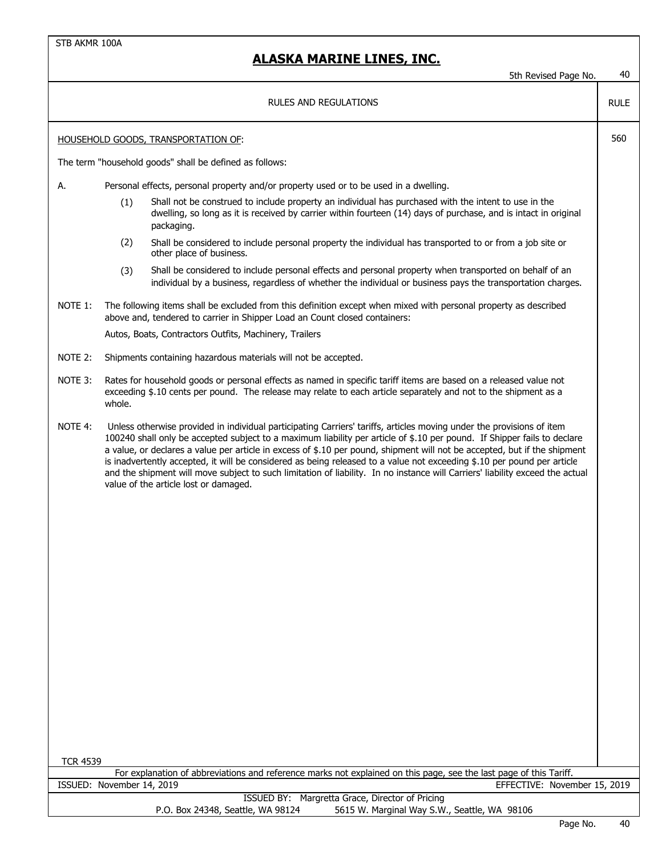|                 | ALASKA MARINE LINES, INC.                                                                                                                                                                                                                                                                                                                                                                                                                                                                                                                                                                                                                                                           | 40          |
|-----------------|-------------------------------------------------------------------------------------------------------------------------------------------------------------------------------------------------------------------------------------------------------------------------------------------------------------------------------------------------------------------------------------------------------------------------------------------------------------------------------------------------------------------------------------------------------------------------------------------------------------------------------------------------------------------------------------|-------------|
|                 | 5th Revised Page No.                                                                                                                                                                                                                                                                                                                                                                                                                                                                                                                                                                                                                                                                |             |
|                 | RULES AND REGULATIONS                                                                                                                                                                                                                                                                                                                                                                                                                                                                                                                                                                                                                                                               | <b>RULE</b> |
|                 | <b>HOUSEHOLD GOODS, TRANSPORTATION OF:</b>                                                                                                                                                                                                                                                                                                                                                                                                                                                                                                                                                                                                                                          | 560         |
|                 | The term "household goods" shall be defined as follows:                                                                                                                                                                                                                                                                                                                                                                                                                                                                                                                                                                                                                             |             |
| А.              | Personal effects, personal property and/or property used or to be used in a dwelling.                                                                                                                                                                                                                                                                                                                                                                                                                                                                                                                                                                                               |             |
|                 | Shall not be construed to include property an individual has purchased with the intent to use in the<br>(1)<br>dwelling, so long as it is received by carrier within fourteen (14) days of purchase, and is intact in original<br>packaging.                                                                                                                                                                                                                                                                                                                                                                                                                                        |             |
|                 | (2)<br>Shall be considered to include personal property the individual has transported to or from a job site or<br>other place of business.                                                                                                                                                                                                                                                                                                                                                                                                                                                                                                                                         |             |
|                 | Shall be considered to include personal effects and personal property when transported on behalf of an<br>(3)<br>individual by a business, regardless of whether the individual or business pays the transportation charges.                                                                                                                                                                                                                                                                                                                                                                                                                                                        |             |
| NOTE 1:         | The following items shall be excluded from this definition except when mixed with personal property as described<br>above and, tendered to carrier in Shipper Load an Count closed containers:                                                                                                                                                                                                                                                                                                                                                                                                                                                                                      |             |
|                 | Autos, Boats, Contractors Outfits, Machinery, Trailers                                                                                                                                                                                                                                                                                                                                                                                                                                                                                                                                                                                                                              |             |
| NOTE 2:         | Shipments containing hazardous materials will not be accepted.                                                                                                                                                                                                                                                                                                                                                                                                                                                                                                                                                                                                                      |             |
| NOTE 3:         | Rates for household goods or personal effects as named in specific tariff items are based on a released value not<br>exceeding \$.10 cents per pound. The release may relate to each article separately and not to the shipment as a<br>whole.                                                                                                                                                                                                                                                                                                                                                                                                                                      |             |
| NOTE 4:         | Unless otherwise provided in individual participating Carriers' tariffs, articles moving under the provisions of item<br>100240 shall only be accepted subject to a maximum liability per article of \$.10 per pound. If Shipper fails to declare<br>a value, or declares a value per article in excess of \$.10 per pound, shipment will not be accepted, but if the shipment<br>is inadvertently accepted, it will be considered as being released to a value not exceeding \$.10 per pound per article<br>and the shipment will move subject to such limitation of liability. In no instance will Carriers' liability exceed the actual<br>value of the article lost or damaged. |             |
|                 |                                                                                                                                                                                                                                                                                                                                                                                                                                                                                                                                                                                                                                                                                     |             |
|                 |                                                                                                                                                                                                                                                                                                                                                                                                                                                                                                                                                                                                                                                                                     |             |
|                 |                                                                                                                                                                                                                                                                                                                                                                                                                                                                                                                                                                                                                                                                                     |             |
|                 |                                                                                                                                                                                                                                                                                                                                                                                                                                                                                                                                                                                                                                                                                     |             |
|                 |                                                                                                                                                                                                                                                                                                                                                                                                                                                                                                                                                                                                                                                                                     |             |
|                 |                                                                                                                                                                                                                                                                                                                                                                                                                                                                                                                                                                                                                                                                                     |             |
|                 |                                                                                                                                                                                                                                                                                                                                                                                                                                                                                                                                                                                                                                                                                     |             |
| <b>TCR 4539</b> |                                                                                                                                                                                                                                                                                                                                                                                                                                                                                                                                                                                                                                                                                     |             |
|                 | For explanation of abbreviations and reference marks not explained on this page, see the last page of this Tariff.                                                                                                                                                                                                                                                                                                                                                                                                                                                                                                                                                                  |             |
|                 | ISSUED: November 14, 2019<br>EFFECTIVE: November 15, 2019<br>ISSUED BY: Margretta Grace, Director of Pricing                                                                                                                                                                                                                                                                                                                                                                                                                                                                                                                                                                        |             |
|                 | 5615 W. Marginal Way S.W., Seattle, WA 98106<br>P.O. Box 24348, Seattle, WA 98124                                                                                                                                                                                                                                                                                                                                                                                                                                                                                                                                                                                                   |             |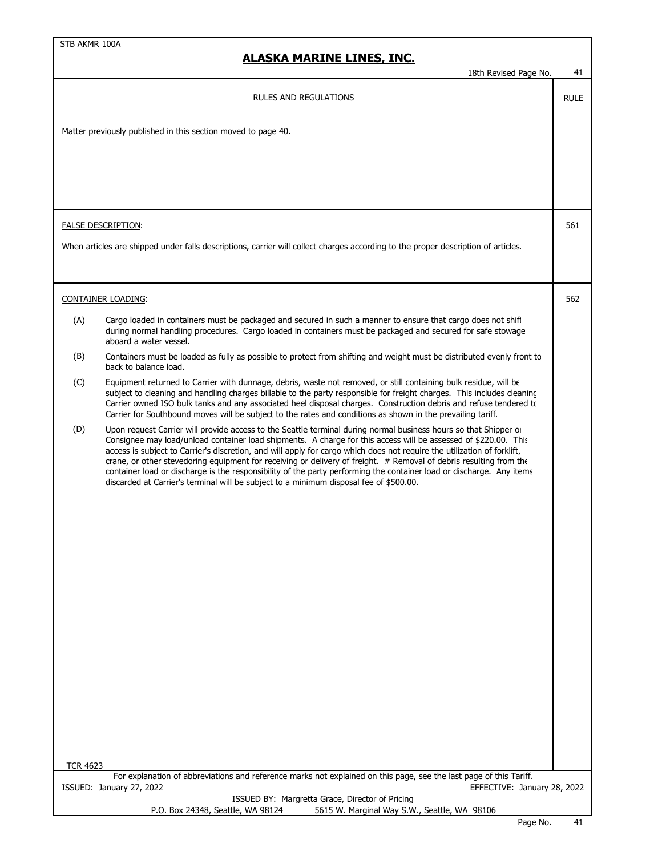|                 | <u>AJNA MAKINE LINEJ, INU.</u>                                                                                                                                                                                                                                                                                                                                                                                                                                                                                                                                                                                                                                                                         |             |
|-----------------|--------------------------------------------------------------------------------------------------------------------------------------------------------------------------------------------------------------------------------------------------------------------------------------------------------------------------------------------------------------------------------------------------------------------------------------------------------------------------------------------------------------------------------------------------------------------------------------------------------------------------------------------------------------------------------------------------------|-------------|
|                 | 18th Revised Page No.                                                                                                                                                                                                                                                                                                                                                                                                                                                                                                                                                                                                                                                                                  | 41          |
|                 | <b>RULES AND REGULATIONS</b>                                                                                                                                                                                                                                                                                                                                                                                                                                                                                                                                                                                                                                                                           | <b>RULE</b> |
|                 | Matter previously published in this section moved to page 40.                                                                                                                                                                                                                                                                                                                                                                                                                                                                                                                                                                                                                                          |             |
|                 |                                                                                                                                                                                                                                                                                                                                                                                                                                                                                                                                                                                                                                                                                                        |             |
|                 |                                                                                                                                                                                                                                                                                                                                                                                                                                                                                                                                                                                                                                                                                                        |             |
|                 |                                                                                                                                                                                                                                                                                                                                                                                                                                                                                                                                                                                                                                                                                                        |             |
|                 |                                                                                                                                                                                                                                                                                                                                                                                                                                                                                                                                                                                                                                                                                                        |             |
|                 | <b>FALSE DESCRIPTION:</b>                                                                                                                                                                                                                                                                                                                                                                                                                                                                                                                                                                                                                                                                              | 561         |
|                 | When articles are shipped under falls descriptions, carrier will collect charges according to the proper description of articles.                                                                                                                                                                                                                                                                                                                                                                                                                                                                                                                                                                      |             |
|                 |                                                                                                                                                                                                                                                                                                                                                                                                                                                                                                                                                                                                                                                                                                        |             |
|                 |                                                                                                                                                                                                                                                                                                                                                                                                                                                                                                                                                                                                                                                                                                        |             |
|                 | <b>CONTAINER LOADING:</b>                                                                                                                                                                                                                                                                                                                                                                                                                                                                                                                                                                                                                                                                              | 562         |
| (A)             | Cargo loaded in containers must be packaged and secured in such a manner to ensure that cargo does not shift<br>during normal handling procedures. Cargo loaded in containers must be packaged and secured for safe stowage<br>aboard a water vessel.                                                                                                                                                                                                                                                                                                                                                                                                                                                  |             |
| (B)             | Containers must be loaded as fully as possible to protect from shifting and weight must be distributed evenly front to<br>back to balance load.                                                                                                                                                                                                                                                                                                                                                                                                                                                                                                                                                        |             |
| (C)             | Equipment returned to Carrier with dunnage, debris, waste not removed, or still containing bulk residue, will be<br>subject to cleaning and handling charges billable to the party responsible for freight charges. This includes cleaning<br>Carrier owned ISO bulk tanks and any associated heel disposal charges. Construction debris and refuse tendered to<br>Carrier for Southbound moves will be subject to the rates and conditions as shown in the prevailing tariff.                                                                                                                                                                                                                         |             |
| (D)             | Upon request Carrier will provide access to the Seattle terminal during normal business hours so that Shipper or<br>Consignee may load/unload container load shipments. A charge for this access will be assessed of \$220.00. This<br>access is subject to Carrier's discretion, and will apply for cargo which does not require the utilization of forklift,<br>crane, or other stevedoring equipment for receiving or delivery of freight. # Removal of debris resulting from the<br>container load or discharge is the responsibility of the party performing the container load or discharge. Any items<br>discarded at Carrier's terminal will be subject to a minimum disposal fee of \$500.00. |             |
|                 |                                                                                                                                                                                                                                                                                                                                                                                                                                                                                                                                                                                                                                                                                                        |             |
|                 |                                                                                                                                                                                                                                                                                                                                                                                                                                                                                                                                                                                                                                                                                                        |             |
|                 |                                                                                                                                                                                                                                                                                                                                                                                                                                                                                                                                                                                                                                                                                                        |             |
|                 |                                                                                                                                                                                                                                                                                                                                                                                                                                                                                                                                                                                                                                                                                                        |             |
|                 |                                                                                                                                                                                                                                                                                                                                                                                                                                                                                                                                                                                                                                                                                                        |             |
|                 |                                                                                                                                                                                                                                                                                                                                                                                                                                                                                                                                                                                                                                                                                                        |             |
|                 |                                                                                                                                                                                                                                                                                                                                                                                                                                                                                                                                                                                                                                                                                                        |             |
|                 |                                                                                                                                                                                                                                                                                                                                                                                                                                                                                                                                                                                                                                                                                                        |             |
|                 |                                                                                                                                                                                                                                                                                                                                                                                                                                                                                                                                                                                                                                                                                                        |             |
|                 |                                                                                                                                                                                                                                                                                                                                                                                                                                                                                                                                                                                                                                                                                                        |             |
|                 |                                                                                                                                                                                                                                                                                                                                                                                                                                                                                                                                                                                                                                                                                                        |             |
|                 |                                                                                                                                                                                                                                                                                                                                                                                                                                                                                                                                                                                                                                                                                                        |             |
|                 |                                                                                                                                                                                                                                                                                                                                                                                                                                                                                                                                                                                                                                                                                                        |             |
| <b>TCR 4623</b> |                                                                                                                                                                                                                                                                                                                                                                                                                                                                                                                                                                                                                                                                                                        |             |
|                 | For explanation of abbreviations and reference marks not explained on this page, see the last page of this Tariff.                                                                                                                                                                                                                                                                                                                                                                                                                                                                                                                                                                                     |             |
|                 | ISSUED: January 27, 2022<br>EFFECTIVE: January 28, 2022<br>ISSUED BY: Margretta Grace, Director of Pricing                                                                                                                                                                                                                                                                                                                                                                                                                                                                                                                                                                                             |             |
|                 | 5615 W. Marginal Way S.W., Seattle, WA 98106<br>P.O. Box 24348, Seattle, WA 98124                                                                                                                                                                                                                                                                                                                                                                                                                                                                                                                                                                                                                      |             |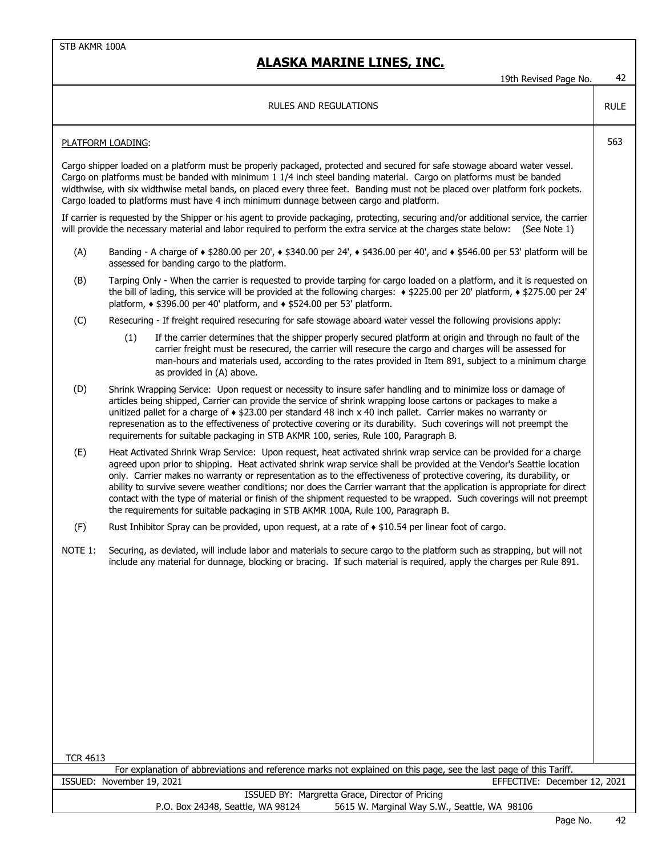|                 | IYUI KEVISEU PAYE IVU.                                                                                                                                                                                                                                                                                                                                                                                                                                                                                                                                                                                                                                                                                     | ℸ∠          |
|-----------------|------------------------------------------------------------------------------------------------------------------------------------------------------------------------------------------------------------------------------------------------------------------------------------------------------------------------------------------------------------------------------------------------------------------------------------------------------------------------------------------------------------------------------------------------------------------------------------------------------------------------------------------------------------------------------------------------------------|-------------|
|                 | <b>RULES AND REGULATIONS</b>                                                                                                                                                                                                                                                                                                                                                                                                                                                                                                                                                                                                                                                                               | <b>RULE</b> |
|                 | PLATFORM LOADING:                                                                                                                                                                                                                                                                                                                                                                                                                                                                                                                                                                                                                                                                                          | 563         |
|                 | Cargo shipper loaded on a platform must be properly packaged, protected and secured for safe stowage aboard water vessel.<br>Cargo on platforms must be banded with minimum 1 1/4 inch steel banding material. Cargo on platforms must be banded<br>widthwise, with six widthwise metal bands, on placed every three feet. Banding must not be placed over platform fork pockets.<br>Cargo loaded to platforms must have 4 inch minimum dunnage between cargo and platform.                                                                                                                                                                                                                                |             |
|                 | If carrier is requested by the Shipper or his agent to provide packaging, protecting, securing and/or additional service, the carrier<br>will provide the necessary material and labor required to perform the extra service at the charges state below: (See Note 1)                                                                                                                                                                                                                                                                                                                                                                                                                                      |             |
| (A)             | Banding - A charge of $\star$ \$280.00 per 20', $\star$ \$340.00 per 24', $\star$ \$436.00 per 40', and $\star$ \$546.00 per 53' platform will be<br>assessed for banding cargo to the platform.                                                                                                                                                                                                                                                                                                                                                                                                                                                                                                           |             |
| (B)             | Tarping Only - When the carrier is requested to provide tarping for cargo loaded on a platform, and it is requested on<br>the bill of lading, this service will be provided at the following charges: • \$225.00 per 20' platform, • \$275.00 per 24'<br>platform, $\triangle$ \$396.00 per 40' platform, and $\triangle$ \$524.00 per 53' platform.                                                                                                                                                                                                                                                                                                                                                       |             |
| (C)             | Resecuring - If freight required resecuring for safe stowage aboard water vessel the following provisions apply:                                                                                                                                                                                                                                                                                                                                                                                                                                                                                                                                                                                           |             |
|                 | (1)<br>If the carrier determines that the shipper properly secured platform at origin and through no fault of the<br>carrier freight must be resecured, the carrier will resecure the cargo and charges will be assessed for<br>man-hours and materials used, according to the rates provided in Item 891, subject to a minimum charge<br>as provided in (A) above.                                                                                                                                                                                                                                                                                                                                        |             |
| (D)             | Shrink Wrapping Service: Upon request or necessity to insure safer handling and to minimize loss or damage of<br>articles being shipped, Carrier can provide the service of shrink wrapping loose cartons or packages to make a<br>unitized pallet for a charge of $\triangle$ \$23.00 per standard 48 inch x 40 inch pallet. Carrier makes no warranty or<br>represenation as to the effectiveness of protective covering or its durability. Such coverings will not preempt the<br>requirements for suitable packaging in STB AKMR 100, series, Rule 100, Paragraph B.                                                                                                                                   |             |
| (E)             | Heat Activated Shrink Wrap Service: Upon request, heat activated shrink wrap service can be provided for a charge<br>agreed upon prior to shipping. Heat activated shrink wrap service shall be provided at the Vendor's Seattle location<br>only. Carrier makes no warranty or representation as to the effectiveness of protective covering, its durability, or<br>ability to survive severe weather conditions; nor does the Carrier warrant that the application is appropriate for direct<br>contact with the type of material or finish of the shipment requested to be wrapped. Such coverings will not preempt<br>the requirements for suitable packaging in STB AKMR 100A, Rule 100, Paragraph B. |             |
| (F)             | Rust Inhibitor Spray can be provided, upon request, at a rate of $\triangle$ \$10.54 per linear foot of cargo.                                                                                                                                                                                                                                                                                                                                                                                                                                                                                                                                                                                             |             |
| NOTE 1:         | Securing, as deviated, will include labor and materials to secure cargo to the platform such as strapping, but will not<br>include any material for dunnage, blocking or bracing. If such material is required, apply the charges per Rule 891.                                                                                                                                                                                                                                                                                                                                                                                                                                                            |             |
|                 |                                                                                                                                                                                                                                                                                                                                                                                                                                                                                                                                                                                                                                                                                                            |             |
|                 |                                                                                                                                                                                                                                                                                                                                                                                                                                                                                                                                                                                                                                                                                                            |             |
|                 |                                                                                                                                                                                                                                                                                                                                                                                                                                                                                                                                                                                                                                                                                                            |             |
|                 |                                                                                                                                                                                                                                                                                                                                                                                                                                                                                                                                                                                                                                                                                                            |             |
|                 |                                                                                                                                                                                                                                                                                                                                                                                                                                                                                                                                                                                                                                                                                                            |             |
| <b>TCR 4613</b> |                                                                                                                                                                                                                                                                                                                                                                                                                                                                                                                                                                                                                                                                                                            |             |
|                 | For explanation of abbreviations and reference marks not explained on this page, see the last page of this Tariff.                                                                                                                                                                                                                                                                                                                                                                                                                                                                                                                                                                                         |             |
|                 | EFFECTIVE: December 12, 2021<br>ISSUED: November 19, 2021<br>ISSUED BY: Margretta Grace, Director of Pricing                                                                                                                                                                                                                                                                                                                                                                                                                                                                                                                                                                                               |             |
|                 | 5615 W. Marginal Way S.W., Seattle, WA 98106<br>P.O. Box 24348, Seattle, WA 98124                                                                                                                                                                                                                                                                                                                                                                                                                                                                                                                                                                                                                          |             |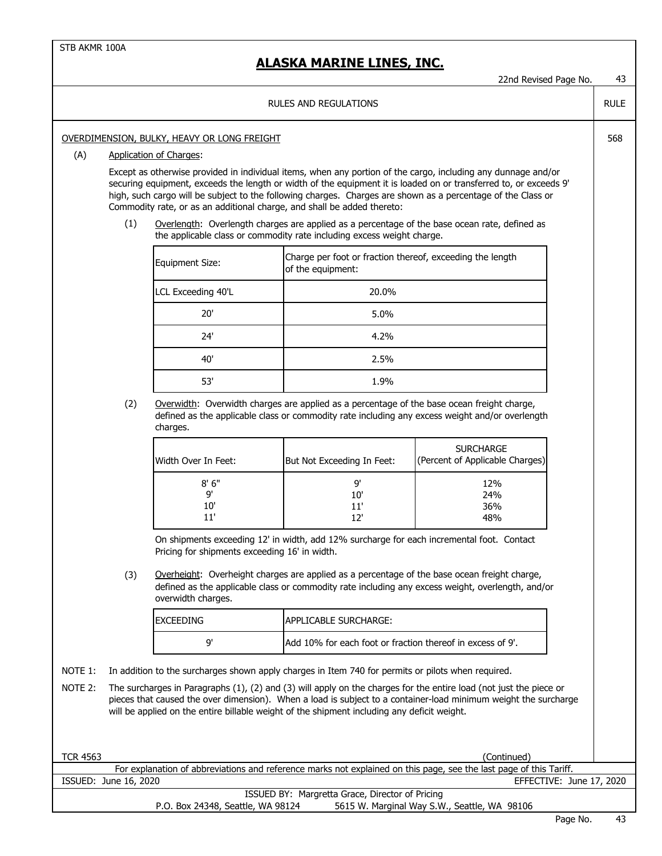RULE

568

#### RULES AND REGULATIONS

#### OVERDIMENSION, BULKY, HEAVY OR LONG FREIGHT

#### (A) Application of Charges:

Except as otherwise provided in individual items, when any portion of the cargo, including any dunnage and/or securing equipment, exceeds the length or width of the equipment it is loaded on or transferred to, or exceeds 9' high, such cargo will be subject to the following charges. Charges are shown as a percentage of the Class or Commodity rate, or as an additional charge, and shall be added thereto:

(1) Overlength: Overlength charges are applied as a percentage of the base ocean rate, defined as the applicable class or commodity rate including excess weight charge.

| Equipment Size:    | Charge per foot or fraction thereof, exceeding the length<br>of the equipment: |
|--------------------|--------------------------------------------------------------------------------|
| LCL Exceeding 40'L | 20.0%                                                                          |
| 20'                | 5.0%                                                                           |
| 24'                | 4.2%                                                                           |
| 40'                | 2.5%                                                                           |
| 53'                | 1.9%                                                                           |

(2) Overwidth: Overwidth charges are applied as a percentage of the base ocean freight charge, defined as the applicable class or commodity rate including any excess weight and/or overlength charges.

| Width Over In Feet: | But Not Exceeding In Feet: | <b>SURCHARGE</b><br>(Percent of Applicable Charges) |
|---------------------|----------------------------|-----------------------------------------------------|
| 8'6''               | ים                         | 12%                                                 |
| q'                  | 10'                        | 24%                                                 |
| 10'                 | 11'                        | 36%                                                 |
| 11'                 | 1 2 '                      | 48%                                                 |

On shipments exceeding 12' in width, add 12% surcharge for each incremental foot. Contact Pricing for shipments exceeding 16' in width.

(3) Overheight: Overheight charges are applied as a percentage of the base ocean freight charge, defined as the applicable class or commodity rate including any excess weight, overlength, and/or overwidth charges.

| <b>EXCEEDING</b> | <b>APPLICABLE SURCHARGE:</b>                               |
|------------------|------------------------------------------------------------|
| ۵                | Add 10% for each foot or fraction thereof in excess of 9'. |

- NOTE 1: In addition to the surcharges shown apply charges in Item 740 for permits or pilots when required.
- NOTE 2: The surcharges in Paragraphs (1), (2) and (3) will apply on the charges for the entire load (not just the piece or pieces that caused the over dimension). When a load is subject to a container-load minimum weight the surcharge will be applied on the entire billable weight of the shipment including any deficit weight.

| <b>TCR 4563</b>                   | (Continued)                                                                                                        |
|-----------------------------------|--------------------------------------------------------------------------------------------------------------------|
|                                   | For explanation of abbreviations and reference marks not explained on this page, see the last page of this Tariff. |
| ISSUED: June 16, 2020             | EFFECTIVE: June 17, 2020                                                                                           |
|                                   | ISSUED BY: Margretta Grace, Director of Pricing                                                                    |
| P.O. Box 24348, Seattle, WA 98124 | 5615 W. Marginal Way S.W., Seattle, WA 98106                                                                       |
|                                   |                                                                                                                    |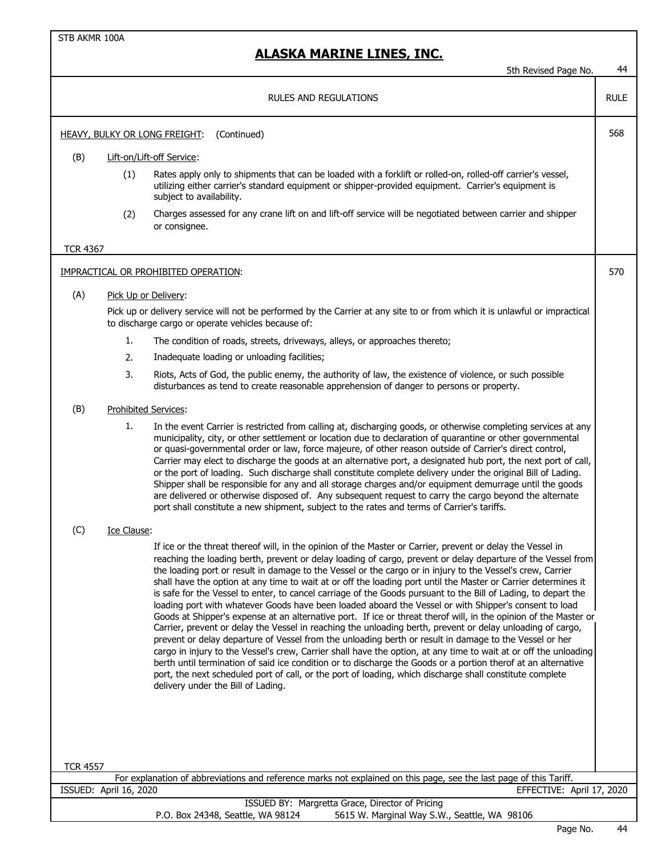|                 |                        | 5th Revised Page No.                                                                                                                                                                                                                                                                                                                                                                                                                                                                                                                                                                                                                                                                                                                                                                                                                                                                                                                                                                                                                                                                                                                                                                                                                                                                                                                                                                                                     | 44          |
|-----------------|------------------------|--------------------------------------------------------------------------------------------------------------------------------------------------------------------------------------------------------------------------------------------------------------------------------------------------------------------------------------------------------------------------------------------------------------------------------------------------------------------------------------------------------------------------------------------------------------------------------------------------------------------------------------------------------------------------------------------------------------------------------------------------------------------------------------------------------------------------------------------------------------------------------------------------------------------------------------------------------------------------------------------------------------------------------------------------------------------------------------------------------------------------------------------------------------------------------------------------------------------------------------------------------------------------------------------------------------------------------------------------------------------------------------------------------------------------|-------------|
|                 |                        | RULES AND REGULATIONS                                                                                                                                                                                                                                                                                                                                                                                                                                                                                                                                                                                                                                                                                                                                                                                                                                                                                                                                                                                                                                                                                                                                                                                                                                                                                                                                                                                                    | <b>RULE</b> |
|                 |                        | (Continued)<br>HEAVY, BULKY OR LONG FREIGHT:                                                                                                                                                                                                                                                                                                                                                                                                                                                                                                                                                                                                                                                                                                                                                                                                                                                                                                                                                                                                                                                                                                                                                                                                                                                                                                                                                                             | 568         |
| (B)             |                        | Lift-on/Lift-off Service:                                                                                                                                                                                                                                                                                                                                                                                                                                                                                                                                                                                                                                                                                                                                                                                                                                                                                                                                                                                                                                                                                                                                                                                                                                                                                                                                                                                                |             |
|                 | (1)                    | Rates apply only to shipments that can be loaded with a forklift or rolled-on, rolled-off carrier's vessel,<br>utilizing either carrier's standard equipment or shipper-provided equipment. Carrier's equipment is<br>subject to availability.                                                                                                                                                                                                                                                                                                                                                                                                                                                                                                                                                                                                                                                                                                                                                                                                                                                                                                                                                                                                                                                                                                                                                                           |             |
|                 | (2)                    | Charges assessed for any crane lift on and lift-off service will be negotiated between carrier and shipper<br>or consignee.                                                                                                                                                                                                                                                                                                                                                                                                                                                                                                                                                                                                                                                                                                                                                                                                                                                                                                                                                                                                                                                                                                                                                                                                                                                                                              |             |
| <b>TCR 4367</b> |                        |                                                                                                                                                                                                                                                                                                                                                                                                                                                                                                                                                                                                                                                                                                                                                                                                                                                                                                                                                                                                                                                                                                                                                                                                                                                                                                                                                                                                                          |             |
|                 |                        | <b>IMPRACTICAL OR PROHIBITED OPERATION:</b>                                                                                                                                                                                                                                                                                                                                                                                                                                                                                                                                                                                                                                                                                                                                                                                                                                                                                                                                                                                                                                                                                                                                                                                                                                                                                                                                                                              | 570         |
| (A)             |                        | Pick Up or Delivery:                                                                                                                                                                                                                                                                                                                                                                                                                                                                                                                                                                                                                                                                                                                                                                                                                                                                                                                                                                                                                                                                                                                                                                                                                                                                                                                                                                                                     |             |
|                 |                        | Pick up or delivery service will not be performed by the Carrier at any site to or from which it is unlawful or impractical<br>to discharge cargo or operate vehicles because of:                                                                                                                                                                                                                                                                                                                                                                                                                                                                                                                                                                                                                                                                                                                                                                                                                                                                                                                                                                                                                                                                                                                                                                                                                                        |             |
|                 | 1.                     | The condition of roads, streets, driveways, alleys, or approaches thereto;                                                                                                                                                                                                                                                                                                                                                                                                                                                                                                                                                                                                                                                                                                                                                                                                                                                                                                                                                                                                                                                                                                                                                                                                                                                                                                                                               |             |
|                 | 2.                     | Inadequate loading or unloading facilities;                                                                                                                                                                                                                                                                                                                                                                                                                                                                                                                                                                                                                                                                                                                                                                                                                                                                                                                                                                                                                                                                                                                                                                                                                                                                                                                                                                              |             |
|                 | 3.                     | Riots, Acts of God, the public enemy, the authority of law, the existence of violence, or such possible<br>disturbances as tend to create reasonable apprehension of danger to persons or property.                                                                                                                                                                                                                                                                                                                                                                                                                                                                                                                                                                                                                                                                                                                                                                                                                                                                                                                                                                                                                                                                                                                                                                                                                      |             |
| (B)             |                        | Prohibited Services:                                                                                                                                                                                                                                                                                                                                                                                                                                                                                                                                                                                                                                                                                                                                                                                                                                                                                                                                                                                                                                                                                                                                                                                                                                                                                                                                                                                                     |             |
|                 | 1.                     | In the event Carrier is restricted from calling at, discharging goods, or otherwise completing services at any<br>municipality, city, or other settlement or location due to declaration of quarantine or other governmental<br>or quasi-governmental order or law, force majeure, of other reason outside of Carrier's direct control,<br>Carrier may elect to discharge the goods at an alternative port, a designated hub port, the next port of call,<br>or the port of loading. Such discharge shall constitute complete delivery under the original Bill of Lading.<br>Shipper shall be responsible for any and all storage charges and/or equipment demurrage until the goods<br>are delivered or otherwise disposed of. Any subsequent request to carry the cargo beyond the alternate<br>port shall constitute a new shipment, subject to the rates and terms of Carrier's tariffs.                                                                                                                                                                                                                                                                                                                                                                                                                                                                                                                             |             |
| (C)             | Ice Clause:            |                                                                                                                                                                                                                                                                                                                                                                                                                                                                                                                                                                                                                                                                                                                                                                                                                                                                                                                                                                                                                                                                                                                                                                                                                                                                                                                                                                                                                          |             |
|                 |                        | If ice or the threat thereof will, in the opinion of the Master or Carrier, prevent or delay the Vessel in<br>reaching the loading berth, prevent or delay loading of cargo, prevent or delay departure of the Vessel from<br>the loading port or result in damage to the Vessel or the cargo or in injury to the Vessel's crew, Carrier<br>shall have the option at any time to wait at or off the loading port until the Master or Carrier determines it<br>is safe for the Vessel to enter, to cancel carriage of the Goods pursuant to the Bill of Lading, to depart the<br>loading port with whatever Goods have been loaded aboard the Vessel or with Shipper's consent to load<br>Goods at Shipper's expense at an alternative port. If ice or threat therof will, in the opinion of the Master or<br>Carrier, prevent or delay the Vessel in reaching the unloading berth, prevent or delay unloading of cargo,<br>prevent or delay departure of Vessel from the unloading berth or result in damage to the Vessel or her<br>cargo in injury to the Vessel's crew, Carrier shall have the option, at any time to wait at or off the unloading<br>berth until termination of said ice condition or to discharge the Goods or a portion therof at an alternative<br>port, the next scheduled port of call, or the port of loading, which discharge shall constitute complete<br>delivery under the Bill of Lading. |             |
| <b>TCR 4557</b> | ISSUED: April 16, 2020 | For explanation of abbreviations and reference marks not explained on this page, see the last page of this Tariff.<br>EFFECTIVE: April 17, 2020<br>ISSUED BY: Margretta Grace, Director of Pricing                                                                                                                                                                                                                                                                                                                                                                                                                                                                                                                                                                                                                                                                                                                                                                                                                                                                                                                                                                                                                                                                                                                                                                                                                       |             |
|                 |                        | P.O. Box 24348, Seattle, WA 98124<br>5615 W. Marginal Way S.W., Seattle, WA 98106                                                                                                                                                                                                                                                                                                                                                                                                                                                                                                                                                                                                                                                                                                                                                                                                                                                                                                                                                                                                                                                                                                                                                                                                                                                                                                                                        |             |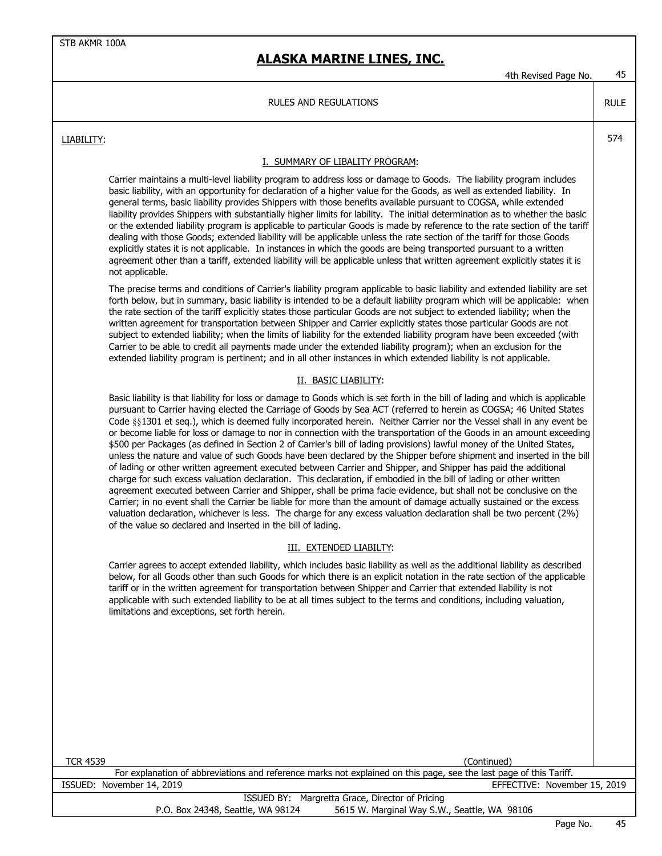4th Revised Page No. 45

RULE

#### RULES AND REGULATIONS

LIABILITY: 574

#### I. SUMMARY OF LIBALITY PROGRAM:

Carrier maintains a multi-level liability program to address loss or damage to Goods. The liability program includes basic liability, with an opportunity for declaration of a higher value for the Goods, as well as extended liability. In general terms, basic liability provides Shippers with those benefits available pursuant to COGSA, while extended liability provides Shippers with substantially higher limits for lability. The initial determination as to whether the basic or the extended liability program is applicable to particular Goods is made by reference to the rate section of the tariff dealing with those Goods; extended liability will be applicable unless the rate section of the tariff for those Goods explicitly states it is not applicable. In instances in which the goods are being transported pursuant to a written agreement other than a tariff, extended liability will be applicable unless that written agreement explicitly states it is not applicable.

The precise terms and conditions of Carrier's liability program applicable to basic liability and extended liability are set forth below, but in summary, basic liability is intended to be a default liability program which will be applicable: when the rate section of the tariff explicitly states those particular Goods are not subject to extended liability; when the written agreement for transportation between Shipper and Carrier explicitly states those particular Goods are not subject to extended liability; when the limits of liability for the extended liability program have been exceeded (with Carrier to be able to credit all payments made under the extended liability program); when an exclusion for the extended liability program is pertinent; and in all other instances in which extended liability is not applicable.

#### II. BASIC LIABILITY:

Basic liability is that liability for loss or damage to Goods which is set forth in the bill of lading and which is applicable pursuant to Carrier having elected the Carriage of Goods by Sea ACT (referred to herein as COGSA; 46 United States Code §§1301 et seq.), which is deemed fully incorporated herein. Neither Carrier nor the Vessel shall in any event be or become liable for loss or damage to nor in connection with the transportation of the Goods in an amount exceeding \$500 per Packages (as defined in Section 2 of Carrier's bill of lading provisions) lawful money of the United States, unless the nature and value of such Goods have been declared by the Shipper before shipment and inserted in the bill of lading or other written agreement executed between Carrier and Shipper, and Shipper has paid the additional charge for such excess valuation declaration. This declaration, if embodied in the bill of lading or other written agreement executed between Carrier and Shipper, shall be prima facie evidence, but shall not be conclusive on the Carrier; in no event shall the Carrier be liable for more than the amount of damage actually sustained or the excess valuation declaration, whichever is less. The charge for any excess valuation declaration shall be two percent (2%) of the value so declared and inserted in the bill of lading.

#### III. EXTENDED LIABILTY:

Carrier agrees to accept extended liability, which includes basic liability as well as the additional liability as described below, for all Goods other than such Goods for which there is an explicit notation in the rate section of the applicable tariff or in the written agreement for transportation between Shipper and Carrier that extended liability is not applicable with such extended liability to be at all times subject to the terms and conditions, including valuation, limitations and exceptions, set forth herein.

| <b>TCR 4539</b><br>(Continued)                                                                                     |                |
|--------------------------------------------------------------------------------------------------------------------|----------------|
| For explanation of abbreviations and reference marks not explained on this page, see the last page of this Tariff. |                |
| EFFECTIVE: November 15, 2019<br>ISSUED: November 14, 2019                                                          |                |
| ISSUED BY: Margretta Grace, Director of Pricing                                                                    |                |
| 5615 W. Marginal Way S.W., Seattle, WA 98106<br>P.O. Box 24348, Seattle, WA 98124                                  |                |
| $\sim$ $\sim$                                                                                                      | $\overline{ }$ |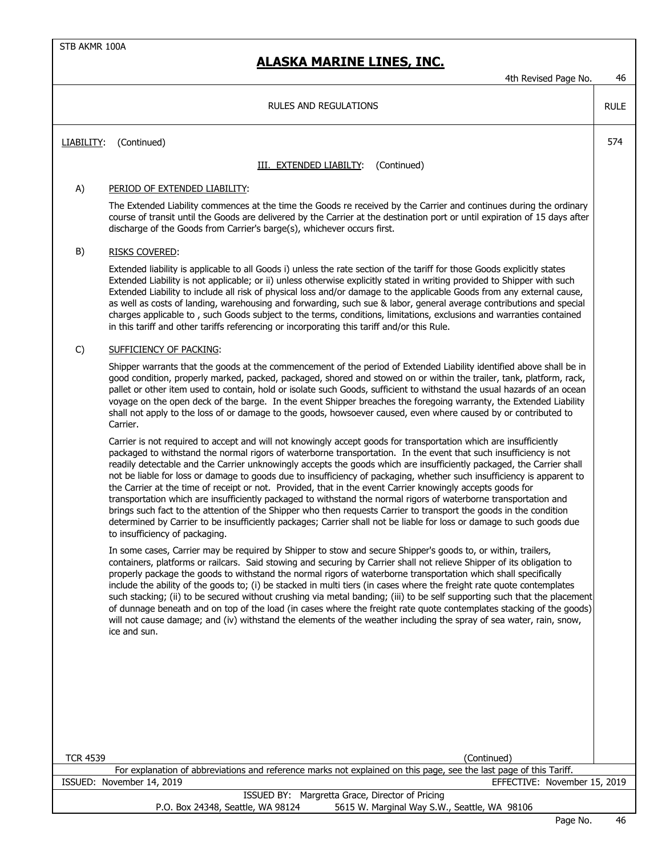|                 | 4th Revised Page No.                                                                                                                                                                                                                                                                                                                                                                                                                                                                                                                                                                                                                                                                                                                                                                                                                                                                                                                                                                                         | 46          |
|-----------------|--------------------------------------------------------------------------------------------------------------------------------------------------------------------------------------------------------------------------------------------------------------------------------------------------------------------------------------------------------------------------------------------------------------------------------------------------------------------------------------------------------------------------------------------------------------------------------------------------------------------------------------------------------------------------------------------------------------------------------------------------------------------------------------------------------------------------------------------------------------------------------------------------------------------------------------------------------------------------------------------------------------|-------------|
|                 | <b>RULES AND REGULATIONS</b>                                                                                                                                                                                                                                                                                                                                                                                                                                                                                                                                                                                                                                                                                                                                                                                                                                                                                                                                                                                 | <b>RULE</b> |
| LIABILITY:      | (Continued)                                                                                                                                                                                                                                                                                                                                                                                                                                                                                                                                                                                                                                                                                                                                                                                                                                                                                                                                                                                                  | 574         |
|                 | III. EXTENDED LIABILTY:<br>(Continued)                                                                                                                                                                                                                                                                                                                                                                                                                                                                                                                                                                                                                                                                                                                                                                                                                                                                                                                                                                       |             |
| A)              | PERIOD OF EXTENDED LIABILITY:                                                                                                                                                                                                                                                                                                                                                                                                                                                                                                                                                                                                                                                                                                                                                                                                                                                                                                                                                                                |             |
|                 | The Extended Liability commences at the time the Goods re received by the Carrier and continues during the ordinary<br>course of transit until the Goods are delivered by the Carrier at the destination port or until expiration of 15 days after<br>discharge of the Goods from Carrier's barge(s), whichever occurs first.                                                                                                                                                                                                                                                                                                                                                                                                                                                                                                                                                                                                                                                                                |             |
| B)              | <b>RISKS COVERED:</b>                                                                                                                                                                                                                                                                                                                                                                                                                                                                                                                                                                                                                                                                                                                                                                                                                                                                                                                                                                                        |             |
|                 | Extended liability is applicable to all Goods i) unless the rate section of the tariff for those Goods explicitly states<br>Extended Liability is not applicable; or ii) unless otherwise explicitly stated in writing provided to Shipper with such<br>Extended Liability to include all risk of physical loss and/or damage to the applicable Goods from any external cause,<br>as well as costs of landing, warehousing and forwarding, such sue & labor, general average contributions and special<br>charges applicable to, such Goods subject to the terms, conditions, limitations, exclusions and warranties contained<br>in this tariff and other tariffs referencing or incorporating this tariff and/or this Rule.                                                                                                                                                                                                                                                                                |             |
| $\mathsf{C}$    | SUFFICIENCY OF PACKING:                                                                                                                                                                                                                                                                                                                                                                                                                                                                                                                                                                                                                                                                                                                                                                                                                                                                                                                                                                                      |             |
|                 | Shipper warrants that the goods at the commencement of the period of Extended Liability identified above shall be in<br>good condition, properly marked, packed, packaged, shored and stowed on or within the trailer, tank, platform, rack,<br>pallet or other item used to contain, hold or isolate such Goods, sufficient to withstand the usual hazards of an ocean<br>voyage on the open deck of the barge. In the event Shipper breaches the foregoing warranty, the Extended Liability<br>shall not apply to the loss of or damage to the goods, howsoever caused, even where caused by or contributed to<br>Carrier.                                                                                                                                                                                                                                                                                                                                                                                 |             |
|                 | Carrier is not required to accept and will not knowingly accept goods for transportation which are insufficiently<br>packaged to withstand the normal rigors of waterborne transportation. In the event that such insufficiency is not<br>readily detectable and the Carrier unknowingly accepts the goods which are insufficiently packaged, the Carrier shall<br>not be liable for loss or damage to goods due to insufficiency of packaging, whether such insufficiency is apparent to<br>the Carrier at the time of receipt or not. Provided, that in the event Carrier knowingly accepts goods for<br>transportation which are insufficiently packaged to withstand the normal rigors of waterborne transportation and<br>brings such fact to the attention of the Shipper who then requests Carrier to transport the goods in the condition<br>determined by Carrier to be insufficiently packages; Carrier shall not be liable for loss or damage to such goods due<br>to insufficiency of packaging. |             |
|                 | In some cases, Carrier may be required by Shipper to stow and secure Shipper's goods to, or within, trailers,<br>containers, platforms or railcars. Said stowing and securing by Carrier shall not relieve Shipper of its obligation to<br>properly package the goods to withstand the normal rigors of waterborne transportation which shall specifically<br>include the ability of the goods to; (i) be stacked in multi tiers (in cases where the freight rate quote contemplates<br>such stacking; (ii) to be secured without crushing via metal banding; (iii) to be self supporting such that the placement<br>of dunnage beneath and on top of the load (in cases where the freight rate quote contemplates stacking of the goods)<br>will not cause damage; and (iv) withstand the elements of the weather including the spray of sea water, rain, snow,<br>ice and sun.                                                                                                                             |             |
|                 |                                                                                                                                                                                                                                                                                                                                                                                                                                                                                                                                                                                                                                                                                                                                                                                                                                                                                                                                                                                                              |             |
| <b>TCR 4539</b> | (Continued)                                                                                                                                                                                                                                                                                                                                                                                                                                                                                                                                                                                                                                                                                                                                                                                                                                                                                                                                                                                                  |             |
|                 | For explanation of abbreviations and reference marks not explained on this page, see the last page of this Tariff.<br>ISSUED: November 14, 2019<br>EFFECTIVE: November 15, 2019                                                                                                                                                                                                                                                                                                                                                                                                                                                                                                                                                                                                                                                                                                                                                                                                                              |             |
|                 | ISSUED BY: Margretta Grace, Director of Pricing                                                                                                                                                                                                                                                                                                                                                                                                                                                                                                                                                                                                                                                                                                                                                                                                                                                                                                                                                              |             |
|                 | P.O. Box 24348, Seattle, WA 98124<br>5615 W. Marginal Way S.W., Seattle, WA 98106                                                                                                                                                                                                                                                                                                                                                                                                                                                                                                                                                                                                                                                                                                                                                                                                                                                                                                                            |             |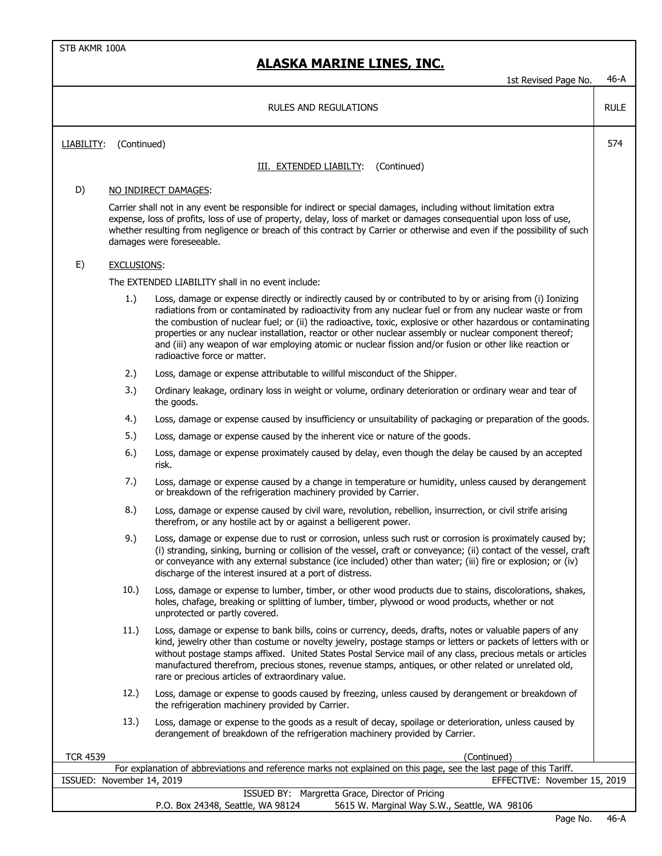|                           |                    | 1st Revised Page No.                                                                                                                                                                                                                                                                                                                                                                                                                                                                                                                                                                          | $46-A$      |
|---------------------------|--------------------|-----------------------------------------------------------------------------------------------------------------------------------------------------------------------------------------------------------------------------------------------------------------------------------------------------------------------------------------------------------------------------------------------------------------------------------------------------------------------------------------------------------------------------------------------------------------------------------------------|-------------|
|                           |                    | <b>RULES AND REGULATIONS</b>                                                                                                                                                                                                                                                                                                                                                                                                                                                                                                                                                                  | <b>RULE</b> |
| LIABILITY:                | (Continued)        |                                                                                                                                                                                                                                                                                                                                                                                                                                                                                                                                                                                               | 574         |
|                           |                    | <b>III. EXTENDED LIABILTY:</b><br>(Continued)                                                                                                                                                                                                                                                                                                                                                                                                                                                                                                                                                 |             |
|                           |                    |                                                                                                                                                                                                                                                                                                                                                                                                                                                                                                                                                                                               |             |
| D)                        |                    | NO INDIRECT DAMAGES:                                                                                                                                                                                                                                                                                                                                                                                                                                                                                                                                                                          |             |
|                           |                    | Carrier shall not in any event be responsible for indirect or special damages, including without limitation extra<br>expense, loss of profits, loss of use of property, delay, loss of market or damages consequential upon loss of use,<br>whether resulting from negligence or breach of this contract by Carrier or otherwise and even if the possibility of such<br>damages were foreseeable.                                                                                                                                                                                             |             |
| E)                        | <b>EXCLUSIONS:</b> |                                                                                                                                                                                                                                                                                                                                                                                                                                                                                                                                                                                               |             |
|                           |                    | The EXTENDED LIABILITY shall in no event include:                                                                                                                                                                                                                                                                                                                                                                                                                                                                                                                                             |             |
|                           | 1.)                | Loss, damage or expense directly or indirectly caused by or contributed to by or arising from (i) Ionizing<br>radiations from or contaminated by radioactivity from any nuclear fuel or from any nuclear waste or from<br>the combustion of nuclear fuel; or (ii) the radioactive, toxic, explosive or other hazardous or contaminating<br>properties or any nuclear installation, reactor or other nuclear assembly or nuclear component thereof;<br>and (iii) any weapon of war employing atomic or nuclear fission and/or fusion or other like reaction or<br>radioactive force or matter. |             |
|                           | 2.)                | Loss, damage or expense attributable to willful misconduct of the Shipper.                                                                                                                                                                                                                                                                                                                                                                                                                                                                                                                    |             |
|                           | 3.)                | Ordinary leakage, ordinary loss in weight or volume, ordinary deterioration or ordinary wear and tear of<br>the goods.                                                                                                                                                                                                                                                                                                                                                                                                                                                                        |             |
|                           | 4.)                | Loss, damage or expense caused by insufficiency or unsuitability of packaging or preparation of the goods.                                                                                                                                                                                                                                                                                                                                                                                                                                                                                    |             |
|                           | 5.)                | Loss, damage or expense caused by the inherent vice or nature of the goods.                                                                                                                                                                                                                                                                                                                                                                                                                                                                                                                   |             |
|                           | 6.)                | Loss, damage or expense proximately caused by delay, even though the delay be caused by an accepted<br>risk.                                                                                                                                                                                                                                                                                                                                                                                                                                                                                  |             |
|                           | 7.)                | Loss, damage or expense caused by a change in temperature or humidity, unless caused by derangement<br>or breakdown of the refrigeration machinery provided by Carrier.                                                                                                                                                                                                                                                                                                                                                                                                                       |             |
|                           | 8.)                | Loss, damage or expense caused by civil ware, revolution, rebellion, insurrection, or civil strife arising<br>therefrom, or any hostile act by or against a belligerent power.                                                                                                                                                                                                                                                                                                                                                                                                                |             |
|                           | 9.)                | Loss, damage or expense due to rust or corrosion, unless such rust or corrosion is proximately caused by;<br>(i) stranding, sinking, burning or collision of the vessel, craft or conveyance; (ii) contact of the vessel, craft<br>or conveyance with any external substance (ice included) other than water; (iii) fire or explosion; or (iv)<br>discharge of the interest insured at a port of distress.                                                                                                                                                                                    |             |
|                           | 10.)               | Loss, damage or expense to lumber, timber, or other wood products due to stains, discolorations, shakes,<br>holes, chafage, breaking or splitting of lumber, timber, plywood or wood products, whether or not<br>unprotected or partly covered.                                                                                                                                                                                                                                                                                                                                               |             |
|                           | 11.)               | Loss, damage or expense to bank bills, coins or currency, deeds, drafts, notes or valuable papers of any<br>kind, jewelry other than costume or novelty jewelry, postage stamps or letters or packets of letters with or<br>without postage stamps affixed. United States Postal Service mail of any class, precious metals or articles<br>manufactured therefrom, precious stones, revenue stamps, antiques, or other related or unrelated old,<br>rare or precious articles of extraordinary value.                                                                                         |             |
|                           | 12.)               | Loss, damage or expense to goods caused by freezing, unless caused by derangement or breakdown of<br>the refrigeration machinery provided by Carrier.                                                                                                                                                                                                                                                                                                                                                                                                                                         |             |
|                           | 13.)               | Loss, damage or expense to the goods as a result of decay, spoilage or deterioration, unless caused by<br>derangement of breakdown of the refrigeration machinery provided by Carrier.                                                                                                                                                                                                                                                                                                                                                                                                        |             |
| <b>TCR 4539</b>           |                    | (Continued)                                                                                                                                                                                                                                                                                                                                                                                                                                                                                                                                                                                   |             |
|                           |                    | For explanation of abbreviations and reference marks not explained on this page, see the last page of this Tariff.                                                                                                                                                                                                                                                                                                                                                                                                                                                                            |             |
| ISSUED: November 14, 2019 |                    | EFFECTIVE: November 15, 2019<br>ISSUED BY: Margretta Grace, Director of Pricing                                                                                                                                                                                                                                                                                                                                                                                                                                                                                                               |             |
|                           |                    |                                                                                                                                                                                                                                                                                                                                                                                                                                                                                                                                                                                               |             |

P.O. Box 24348, Seattle, WA 98124 5615 W. Marginal Way S.W., Seattle, WA 98106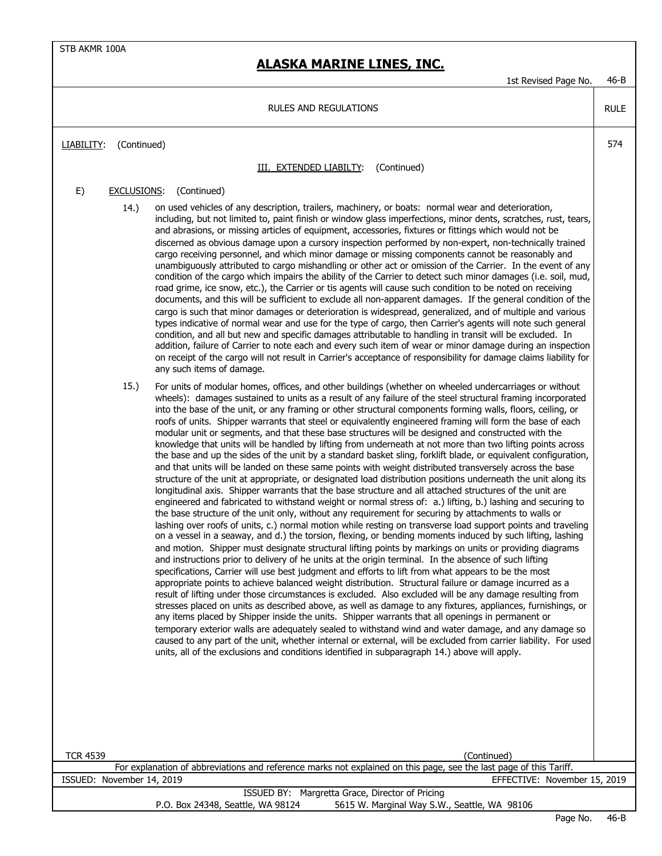## **ALASKA MARINE LINES, INC.**

1st Revised Page No. 46-B

RULE

RULES AND REGULATIONS

LIABILITY: (Continued) 574

#### **III. EXTENDED LIABILTY:** (Continued)

### E) EXCLUSIONS: (Continued)

- 14.) on used vehicles of any description, trailers, machinery, or boats: normal wear and deterioration, including, but not limited to, paint finish or window glass imperfections, minor dents, scratches, rust, tears, and abrasions, or missing articles of equipment, accessories, fixtures or fittings which would not be discerned as obvious damage upon a cursory inspection performed by non-expert, non-technically trained cargo receiving personnel, and which minor damage or missing components cannot be reasonably and unambiguously attributed to cargo mishandling or other act or omission of the Carrier. In the event of any condition of the cargo which impairs the ability of the Carrier to detect such minor damages (i.e. soil, mud, road grime, ice snow, etc.), the Carrier or tis agents will cause such condition to be noted on receiving documents, and this will be sufficient to exclude all non-apparent damages. If the general condition of the cargo is such that minor damages or deterioration is widespread, generalized, and of multiple and various types indicative of normal wear and use for the type of cargo, then Carrier's agents will note such general condition, and all but new and specific damages attributable to handling in transit will be excluded. In addition, failure of Carrier to note each and every such item of wear or minor damage during an inspection on receipt of the cargo will not result in Carrier's acceptance of responsibility for damage claims liability for any such items of damage.
- 15.) For units of modular homes, offices, and other buildings (whether on wheeled undercarriages or without wheels): damages sustained to units as a result of any failure of the steel structural framing incorporated into the base of the unit, or any framing or other structural components forming walls, floors, ceiling, or roofs of units. Shipper warrants that steel or equivalently engineered framing will form the base of each modular unit or segments, and that these base structures will be designed and constructed with the knowledge that units will be handled by lifting from underneath at not more than two lifting points across the base and up the sides of the unit by a standard basket sling, forklift blade, or equivalent configuration, and that units will be landed on these same points with weight distributed transversely across the base structure of the unit at appropriate, or designated load distribution positions underneath the unit along its longitudinal axis. Shipper warrants that the base structure and all attached structures of the unit are engineered and fabricated to withstand weight or normal stress of: a.) lifting, b.) lashing and securing to the base structure of the unit only, without any requirement for securing by attachments to walls or lashing over roofs of units, c.) normal motion while resting on transverse load support points and traveling on a vessel in a seaway, and d.) the torsion, flexing, or bending moments induced by such lifting, lashing and motion. Shipper must designate structural lifting points by markings on units or providing diagrams and instructions prior to delivery of he units at the origin terminal. In the absence of such lifting specifications, Carrier will use best judgment and efforts to lift from what appears to be the most appropriate points to achieve balanced weight distribution. Structural failure or damage incurred as a result of lifting under those circumstances is excluded. Also excluded will be any damage resulting from stresses placed on units as described above, as well as damage to any fixtures, appliances, furnishings, or any items placed by Shipper inside the units. Shipper warrants that all openings in permanent or temporary exterior walls are adequately sealed to withstand wind and water damage, and any damage so caused to any part of the unit, whether internal or external, will be excluded from carrier liability. For used units, all of the exclusions and conditions identified in subparagraph 14.) above will apply.

| TCR 4539<br>(Continued)                                                                                            |  |  |  |  |
|--------------------------------------------------------------------------------------------------------------------|--|--|--|--|
| For explanation of abbreviations and reference marks not explained on this page, see the last page of this Tariff. |  |  |  |  |
| EFFECTIVE: November 15, 2019<br>ISSUED: November 14, 2019                                                          |  |  |  |  |
| ISSUED BY: Margretta Grace, Director of Pricing                                                                    |  |  |  |  |
| 5615 W. Marginal Way S.W., Seattle, WA 98106<br>P.O. Box 24348, Seattle, WA 98124                                  |  |  |  |  |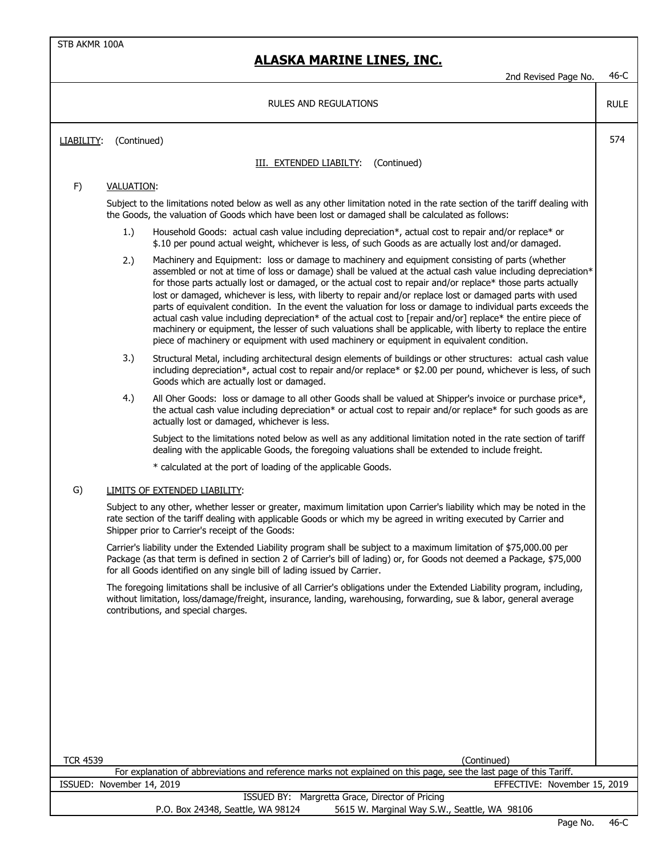|                                                                                                                                                                                                                                                                                                                                                                                                                                                                                                                                                                                                                                                                                                                                                                                                                                                                                                                                                                                                                                                                                                                                                                                                                                         |                                                                                                                             | 2nd Revised Page No.                                                                                                                                                                                                                                                                                                                                                                                                                                                                                                                                                                                                                                                                                                                                                                         | $46-C$      |
|-----------------------------------------------------------------------------------------------------------------------------------------------------------------------------------------------------------------------------------------------------------------------------------------------------------------------------------------------------------------------------------------------------------------------------------------------------------------------------------------------------------------------------------------------------------------------------------------------------------------------------------------------------------------------------------------------------------------------------------------------------------------------------------------------------------------------------------------------------------------------------------------------------------------------------------------------------------------------------------------------------------------------------------------------------------------------------------------------------------------------------------------------------------------------------------------------------------------------------------------|-----------------------------------------------------------------------------------------------------------------------------|----------------------------------------------------------------------------------------------------------------------------------------------------------------------------------------------------------------------------------------------------------------------------------------------------------------------------------------------------------------------------------------------------------------------------------------------------------------------------------------------------------------------------------------------------------------------------------------------------------------------------------------------------------------------------------------------------------------------------------------------------------------------------------------------|-------------|
|                                                                                                                                                                                                                                                                                                                                                                                                                                                                                                                                                                                                                                                                                                                                                                                                                                                                                                                                                                                                                                                                                                                                                                                                                                         |                                                                                                                             | RULES AND REGULATIONS                                                                                                                                                                                                                                                                                                                                                                                                                                                                                                                                                                                                                                                                                                                                                                        | <b>RULE</b> |
| LIABILITY:                                                                                                                                                                                                                                                                                                                                                                                                                                                                                                                                                                                                                                                                                                                                                                                                                                                                                                                                                                                                                                                                                                                                                                                                                              |                                                                                                                             |                                                                                                                                                                                                                                                                                                                                                                                                                                                                                                                                                                                                                                                                                                                                                                                              | 574         |
|                                                                                                                                                                                                                                                                                                                                                                                                                                                                                                                                                                                                                                                                                                                                                                                                                                                                                                                                                                                                                                                                                                                                                                                                                                         |                                                                                                                             | (Continued)<br>III. EXTENDED LIABILTY:                                                                                                                                                                                                                                                                                                                                                                                                                                                                                                                                                                                                                                                                                                                                                       |             |
|                                                                                                                                                                                                                                                                                                                                                                                                                                                                                                                                                                                                                                                                                                                                                                                                                                                                                                                                                                                                                                                                                                                                                                                                                                         |                                                                                                                             |                                                                                                                                                                                                                                                                                                                                                                                                                                                                                                                                                                                                                                                                                                                                                                                              |             |
| (Continued)<br>F)<br><b>VALUATION:</b><br>the Goods, the valuation of Goods which have been lost or damaged shall be calculated as follows:<br>1.)<br>2.)<br>piece of machinery or equipment with used machinery or equipment in equivalent condition.<br>3.)<br>Goods which are actually lost or damaged.<br>4.)<br>actually lost or damaged, whichever is less.<br>dealing with the applicable Goods, the foregoing valuations shall be extended to include freight.<br>* calculated at the port of loading of the applicable Goods.<br>G)<br>LIMITS OF EXTENDED LIABILITY:<br>rate section of the tariff dealing with applicable Goods or which my be agreed in writing executed by Carrier and<br>Shipper prior to Carrier's receipt of the Goods:<br>for all Goods identified on any single bill of lading issued by Carrier.<br>without limitation, loss/damage/freight, insurance, landing, warehousing, forwarding, sue & labor, general average<br>contributions, and special charges.<br><b>TCR 4539</b><br>(Continued)<br>For explanation of abbreviations and reference marks not explained on this page, see the last page of this Tariff.<br>ISSUED: November 14, 2019<br>ISSUED BY: Margretta Grace, Director of Pricing | Subject to the limitations noted below as well as any other limitation noted in the rate section of the tariff dealing with |                                                                                                                                                                                                                                                                                                                                                                                                                                                                                                                                                                                                                                                                                                                                                                                              |             |
|                                                                                                                                                                                                                                                                                                                                                                                                                                                                                                                                                                                                                                                                                                                                                                                                                                                                                                                                                                                                                                                                                                                                                                                                                                         |                                                                                                                             | Household Goods: actual cash value including depreciation*, actual cost to repair and/or replace* or<br>\$.10 per pound actual weight, whichever is less, of such Goods as are actually lost and/or damaged.                                                                                                                                                                                                                                                                                                                                                                                                                                                                                                                                                                                 |             |
|                                                                                                                                                                                                                                                                                                                                                                                                                                                                                                                                                                                                                                                                                                                                                                                                                                                                                                                                                                                                                                                                                                                                                                                                                                         |                                                                                                                             | Machinery and Equipment: loss or damage to machinery and equipment consisting of parts (whether<br>assembled or not at time of loss or damage) shall be valued at the actual cash value including depreciation*<br>for those parts actually lost or damaged, or the actual cost to repair and/or replace* those parts actually<br>lost or damaged, whichever is less, with liberty to repair and/or replace lost or damaged parts with used<br>parts of equivalent condition. In the event the valuation for loss or damage to individual parts exceeds the<br>actual cash value including depreciation* of the actual cost to [repair and/or] replace* the entire piece of<br>machinery or equipment, the lesser of such valuations shall be applicable, with liberty to replace the entire |             |
|                                                                                                                                                                                                                                                                                                                                                                                                                                                                                                                                                                                                                                                                                                                                                                                                                                                                                                                                                                                                                                                                                                                                                                                                                                         |                                                                                                                             | Structural Metal, including architectural design elements of buildings or other structures: actual cash value<br>including depreciation*, actual cost to repair and/or replace* or \$2.00 per pound, whichever is less, of such                                                                                                                                                                                                                                                                                                                                                                                                                                                                                                                                                              |             |
|                                                                                                                                                                                                                                                                                                                                                                                                                                                                                                                                                                                                                                                                                                                                                                                                                                                                                                                                                                                                                                                                                                                                                                                                                                         |                                                                                                                             | All Oher Goods: loss or damage to all other Goods shall be valued at Shipper's invoice or purchase price*,<br>the actual cash value including depreciation* or actual cost to repair and/or replace* for such goods as are                                                                                                                                                                                                                                                                                                                                                                                                                                                                                                                                                                   |             |
|                                                                                                                                                                                                                                                                                                                                                                                                                                                                                                                                                                                                                                                                                                                                                                                                                                                                                                                                                                                                                                                                                                                                                                                                                                         |                                                                                                                             | Subject to the limitations noted below as well as any additional limitation noted in the rate section of tariff                                                                                                                                                                                                                                                                                                                                                                                                                                                                                                                                                                                                                                                                              |             |
|                                                                                                                                                                                                                                                                                                                                                                                                                                                                                                                                                                                                                                                                                                                                                                                                                                                                                                                                                                                                                                                                                                                                                                                                                                         |                                                                                                                             |                                                                                                                                                                                                                                                                                                                                                                                                                                                                                                                                                                                                                                                                                                                                                                                              |             |
|                                                                                                                                                                                                                                                                                                                                                                                                                                                                                                                                                                                                                                                                                                                                                                                                                                                                                                                                                                                                                                                                                                                                                                                                                                         |                                                                                                                             |                                                                                                                                                                                                                                                                                                                                                                                                                                                                                                                                                                                                                                                                                                                                                                                              |             |
|                                                                                                                                                                                                                                                                                                                                                                                                                                                                                                                                                                                                                                                                                                                                                                                                                                                                                                                                                                                                                                                                                                                                                                                                                                         |                                                                                                                             | Subject to any other, whether lesser or greater, maximum limitation upon Carrier's liability which may be noted in the                                                                                                                                                                                                                                                                                                                                                                                                                                                                                                                                                                                                                                                                       |             |
| Carrier's liability under the Extended Liability program shall be subject to a maximum limitation of \$75,000.00 per<br>Package (as that term is defined in section 2 of Carrier's bill of lading) or, for Goods not deemed a Package, \$75,000                                                                                                                                                                                                                                                                                                                                                                                                                                                                                                                                                                                                                                                                                                                                                                                                                                                                                                                                                                                         |                                                                                                                             |                                                                                                                                                                                                                                                                                                                                                                                                                                                                                                                                                                                                                                                                                                                                                                                              |             |
|                                                                                                                                                                                                                                                                                                                                                                                                                                                                                                                                                                                                                                                                                                                                                                                                                                                                                                                                                                                                                                                                                                                                                                                                                                         |                                                                                                                             | The foregoing limitations shall be inclusive of all Carrier's obligations under the Extended Liability program, including,                                                                                                                                                                                                                                                                                                                                                                                                                                                                                                                                                                                                                                                                   |             |
|                                                                                                                                                                                                                                                                                                                                                                                                                                                                                                                                                                                                                                                                                                                                                                                                                                                                                                                                                                                                                                                                                                                                                                                                                                         |                                                                                                                             |                                                                                                                                                                                                                                                                                                                                                                                                                                                                                                                                                                                                                                                                                                                                                                                              |             |
|                                                                                                                                                                                                                                                                                                                                                                                                                                                                                                                                                                                                                                                                                                                                                                                                                                                                                                                                                                                                                                                                                                                                                                                                                                         |                                                                                                                             |                                                                                                                                                                                                                                                                                                                                                                                                                                                                                                                                                                                                                                                                                                                                                                                              |             |
|                                                                                                                                                                                                                                                                                                                                                                                                                                                                                                                                                                                                                                                                                                                                                                                                                                                                                                                                                                                                                                                                                                                                                                                                                                         |                                                                                                                             |                                                                                                                                                                                                                                                                                                                                                                                                                                                                                                                                                                                                                                                                                                                                                                                              |             |
|                                                                                                                                                                                                                                                                                                                                                                                                                                                                                                                                                                                                                                                                                                                                                                                                                                                                                                                                                                                                                                                                                                                                                                                                                                         |                                                                                                                             |                                                                                                                                                                                                                                                                                                                                                                                                                                                                                                                                                                                                                                                                                                                                                                                              |             |
|                                                                                                                                                                                                                                                                                                                                                                                                                                                                                                                                                                                                                                                                                                                                                                                                                                                                                                                                                                                                                                                                                                                                                                                                                                         |                                                                                                                             |                                                                                                                                                                                                                                                                                                                                                                                                                                                                                                                                                                                                                                                                                                                                                                                              |             |
|                                                                                                                                                                                                                                                                                                                                                                                                                                                                                                                                                                                                                                                                                                                                                                                                                                                                                                                                                                                                                                                                                                                                                                                                                                         |                                                                                                                             | EFFECTIVE: November 15, 2019                                                                                                                                                                                                                                                                                                                                                                                                                                                                                                                                                                                                                                                                                                                                                                 |             |
|                                                                                                                                                                                                                                                                                                                                                                                                                                                                                                                                                                                                                                                                                                                                                                                                                                                                                                                                                                                                                                                                                                                                                                                                                                         |                                                                                                                             | P.O. Box 24348, Seattle, WA 98124<br>5615 W. Marginal Way S.W., Seattle, WA 98106                                                                                                                                                                                                                                                                                                                                                                                                                                                                                                                                                                                                                                                                                                            |             |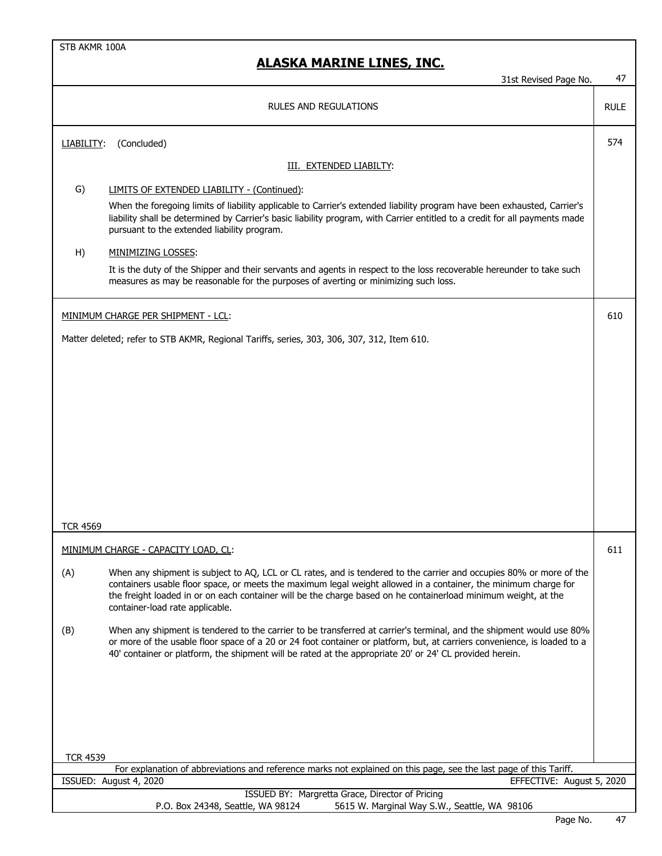|                 | 31st Revised Page No.                                                                                                                                                                                                                                                                                                                                                                       | 47          |
|-----------------|---------------------------------------------------------------------------------------------------------------------------------------------------------------------------------------------------------------------------------------------------------------------------------------------------------------------------------------------------------------------------------------------|-------------|
|                 |                                                                                                                                                                                                                                                                                                                                                                                             |             |
|                 | <b>RULES AND REGULATIONS</b>                                                                                                                                                                                                                                                                                                                                                                | <b>RULE</b> |
| LIABILITY:      | (Concluded)                                                                                                                                                                                                                                                                                                                                                                                 | 574         |
|                 | III. EXTENDED LIABILTY:                                                                                                                                                                                                                                                                                                                                                                     |             |
| G)              | LIMITS OF EXTENDED LIABILITY - (Continued):                                                                                                                                                                                                                                                                                                                                                 |             |
|                 | When the foregoing limits of liability applicable to Carrier's extended liability program have been exhausted, Carrier's<br>liability shall be determined by Carrier's basic liability program, with Carrier entitled to a credit for all payments made<br>pursuant to the extended liability program.                                                                                      |             |
| H)              | MINIMIZING LOSSES:                                                                                                                                                                                                                                                                                                                                                                          |             |
|                 | It is the duty of the Shipper and their servants and agents in respect to the loss recoverable hereunder to take such<br>measures as may be reasonable for the purposes of averting or minimizing such loss.                                                                                                                                                                                |             |
|                 | MINIMUM CHARGE PER SHIPMENT - LCL:                                                                                                                                                                                                                                                                                                                                                          | 610         |
|                 | Matter deleted; refer to STB AKMR, Regional Tariffs, series, 303, 306, 307, 312, Item 610.                                                                                                                                                                                                                                                                                                  |             |
|                 |                                                                                                                                                                                                                                                                                                                                                                                             |             |
|                 |                                                                                                                                                                                                                                                                                                                                                                                             |             |
|                 |                                                                                                                                                                                                                                                                                                                                                                                             |             |
|                 |                                                                                                                                                                                                                                                                                                                                                                                             |             |
|                 |                                                                                                                                                                                                                                                                                                                                                                                             |             |
|                 |                                                                                                                                                                                                                                                                                                                                                                                             |             |
|                 |                                                                                                                                                                                                                                                                                                                                                                                             |             |
|                 |                                                                                                                                                                                                                                                                                                                                                                                             |             |
|                 |                                                                                                                                                                                                                                                                                                                                                                                             |             |
|                 |                                                                                                                                                                                                                                                                                                                                                                                             |             |
| <b>TCR 4569</b> |                                                                                                                                                                                                                                                                                                                                                                                             |             |
|                 | MINIMUM CHARGE - CAPACITY LOAD, CL:                                                                                                                                                                                                                                                                                                                                                         | 611         |
| (A)             | When any shipment is subject to AQ, LCL or CL rates, and is tendered to the carrier and occupies 80% or more of the<br>containers usable floor space, or meets the maximum legal weight allowed in a container, the minimum charge for<br>the freight loaded in or on each container will be the charge based on he containerload minimum weight, at the<br>container-load rate applicable. |             |
| (B)             | When any shipment is tendered to the carrier to be transferred at carrier's terminal, and the shipment would use 80%<br>or more of the usable floor space of a 20 or 24 foot container or platform, but, at carriers convenience, is loaded to a<br>40' container or platform, the shipment will be rated at the appropriate 20' or 24' CL provided herein.                                 |             |
|                 |                                                                                                                                                                                                                                                                                                                                                                                             |             |
| <b>TCR 4539</b> |                                                                                                                                                                                                                                                                                                                                                                                             |             |
|                 | For explanation of abbreviations and reference marks not explained on this page, see the last page of this Tariff.                                                                                                                                                                                                                                                                          |             |
|                 | ISSUED: August 4, 2020<br>EFFECTIVE: August 5, 2020<br>ISSUED BY: Margretta Grace, Director of Pricing                                                                                                                                                                                                                                                                                      |             |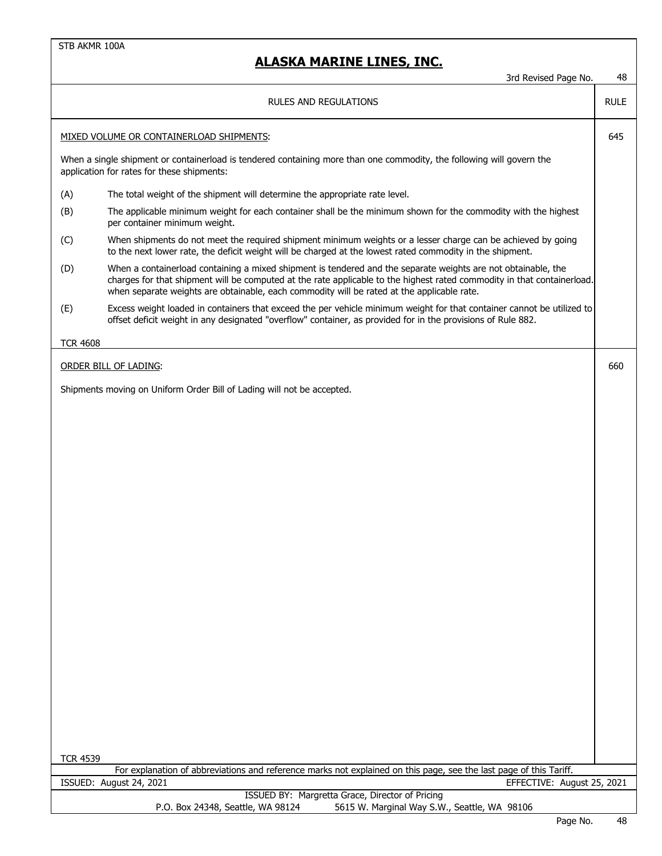|                 | 3rd Revised Page No.                                                                                                                                                                                                                                                                                                                   | 48          |
|-----------------|----------------------------------------------------------------------------------------------------------------------------------------------------------------------------------------------------------------------------------------------------------------------------------------------------------------------------------------|-------------|
|                 | <b>RULES AND REGULATIONS</b>                                                                                                                                                                                                                                                                                                           | <b>RULE</b> |
|                 | MIXED VOLUME OR CONTAINERLOAD SHIPMENTS:                                                                                                                                                                                                                                                                                               | 645         |
|                 | When a single shipment or containerload is tendered containing more than one commodity, the following will govern the<br>application for rates for these shipments:                                                                                                                                                                    |             |
| (A)             | The total weight of the shipment will determine the appropriate rate level.                                                                                                                                                                                                                                                            |             |
| (B)             | The applicable minimum weight for each container shall be the minimum shown for the commodity with the highest<br>per container minimum weight.                                                                                                                                                                                        |             |
| (C)             | When shipments do not meet the required shipment minimum weights or a lesser charge can be achieved by going<br>to the next lower rate, the deficit weight will be charged at the lowest rated commodity in the shipment.                                                                                                              |             |
| (D)             | When a containerload containing a mixed shipment is tendered and the separate weights are not obtainable, the<br>charges for that shipment will be computed at the rate applicable to the highest rated commodity in that containerload.<br>when separate weights are obtainable, each commodity will be rated at the applicable rate. |             |
| (E)             | Excess weight loaded in containers that exceed the per vehicle minimum weight for that container cannot be utilized to<br>offset deficit weight in any designated "overflow" container, as provided for in the provisions of Rule 882.                                                                                                 |             |
| <b>TCR 4608</b> |                                                                                                                                                                                                                                                                                                                                        |             |
|                 | <b>ORDER BILL OF LADING:</b>                                                                                                                                                                                                                                                                                                           | 660         |
|                 | Shipments moving on Uniform Order Bill of Lading will not be accepted.                                                                                                                                                                                                                                                                 |             |
|                 |                                                                                                                                                                                                                                                                                                                                        |             |
|                 |                                                                                                                                                                                                                                                                                                                                        |             |
|                 |                                                                                                                                                                                                                                                                                                                                        |             |
|                 |                                                                                                                                                                                                                                                                                                                                        |             |
|                 |                                                                                                                                                                                                                                                                                                                                        |             |
|                 |                                                                                                                                                                                                                                                                                                                                        |             |
|                 |                                                                                                                                                                                                                                                                                                                                        |             |
|                 |                                                                                                                                                                                                                                                                                                                                        |             |
|                 |                                                                                                                                                                                                                                                                                                                                        |             |
|                 |                                                                                                                                                                                                                                                                                                                                        |             |
|                 |                                                                                                                                                                                                                                                                                                                                        |             |
|                 |                                                                                                                                                                                                                                                                                                                                        |             |
|                 |                                                                                                                                                                                                                                                                                                                                        |             |
|                 |                                                                                                                                                                                                                                                                                                                                        |             |
|                 |                                                                                                                                                                                                                                                                                                                                        |             |
|                 |                                                                                                                                                                                                                                                                                                                                        |             |
|                 |                                                                                                                                                                                                                                                                                                                                        |             |
|                 |                                                                                                                                                                                                                                                                                                                                        |             |
|                 |                                                                                                                                                                                                                                                                                                                                        |             |
| <b>TCR 4539</b> |                                                                                                                                                                                                                                                                                                                                        |             |
|                 | For explanation of abbreviations and reference marks not explained on this page, see the last page of this Tariff.<br>ISSUED: August 24, 2021<br>EFFECTIVE: August 25, 2021                                                                                                                                                            |             |
|                 | ISSUED BY: Margretta Grace, Director of Pricing                                                                                                                                                                                                                                                                                        |             |
|                 | P.O. Box 24348, Seattle, WA 98124<br>5615 W. Marginal Way S.W., Seattle, WA 98106                                                                                                                                                                                                                                                      |             |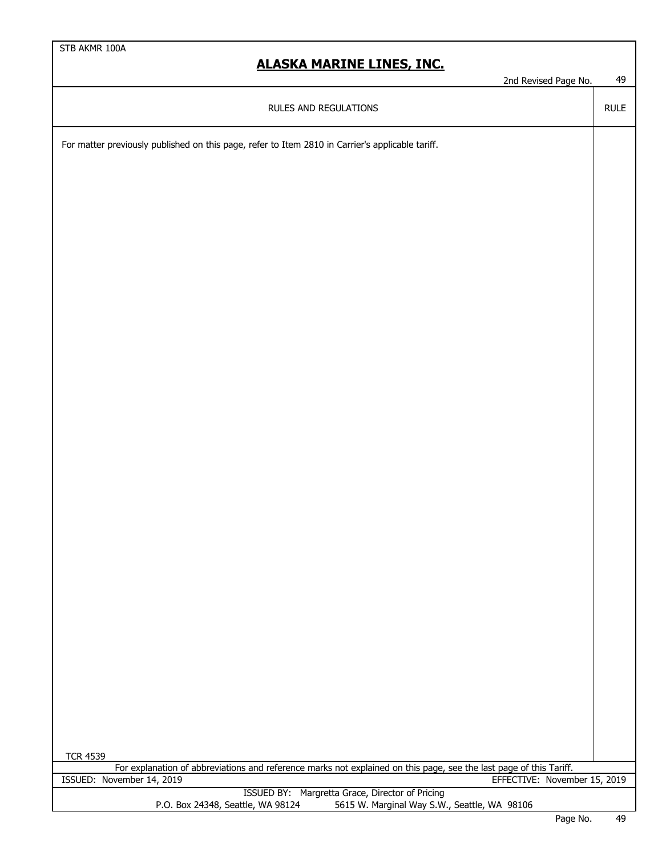| -<br>' Page No.<br>l Revised<br>≀nd | 40 |
|-------------------------------------|----|
|-------------------------------------|----|

RULE

| RULES AND REGULATIONS |
|-----------------------|
|                       |

For matter previously published on this page, refer to Item 2810 in Carrier's applicable tariff.

| <b>TCR 4539</b>                                                                                                    |  |  |  |
|--------------------------------------------------------------------------------------------------------------------|--|--|--|
| For explanation of abbreviations and reference marks not explained on this page, see the last page of this Tariff. |  |  |  |
| ISSUED: November 14, 2019<br>EFFECTIVE: November 15, 2019                                                          |  |  |  |
| ISSUED BY: Margretta Grace, Director of Pricing                                                                    |  |  |  |
| 5615 W. Marginal Way S.W., Seattle, WA 98106<br>P.O. Box 24348, Seattle, WA 98124                                  |  |  |  |
|                                                                                                                    |  |  |  |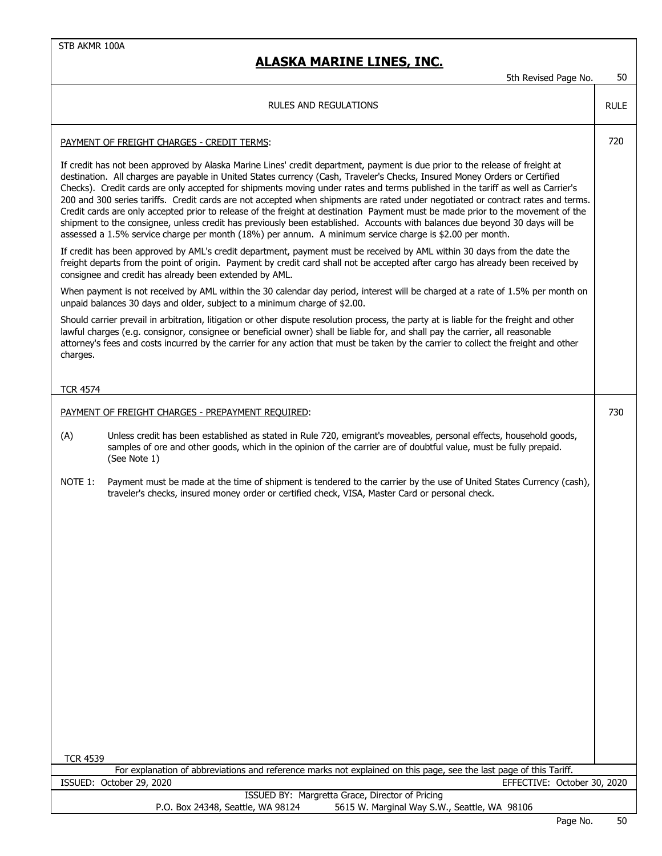| 50<br>5th Revised Page No. |  |  |
|----------------------------|--|--|
|----------------------------|--|--|

|                 | 5th Revised Page No.                                                                                                                                                                                                                                                                                                                                                                                                                                                                                                                                                                                                                                                                                                                                                                                                                                                                                           | 50          |
|-----------------|----------------------------------------------------------------------------------------------------------------------------------------------------------------------------------------------------------------------------------------------------------------------------------------------------------------------------------------------------------------------------------------------------------------------------------------------------------------------------------------------------------------------------------------------------------------------------------------------------------------------------------------------------------------------------------------------------------------------------------------------------------------------------------------------------------------------------------------------------------------------------------------------------------------|-------------|
|                 | RULES AND REGULATIONS                                                                                                                                                                                                                                                                                                                                                                                                                                                                                                                                                                                                                                                                                                                                                                                                                                                                                          | <b>RULE</b> |
|                 | PAYMENT OF FREIGHT CHARGES - CREDIT TERMS:                                                                                                                                                                                                                                                                                                                                                                                                                                                                                                                                                                                                                                                                                                                                                                                                                                                                     | 720         |
|                 | If credit has not been approved by Alaska Marine Lines' credit department, payment is due prior to the release of freight at<br>destination. All charges are payable in United States currency (Cash, Traveler's Checks, Insured Money Orders or Certified<br>Checks). Credit cards are only accepted for shipments moving under rates and terms published in the tariff as well as Carrier's<br>200 and 300 series tariffs. Credit cards are not accepted when shipments are rated under negotiated or contract rates and terms.<br>Credit cards are only accepted prior to release of the freight at destination Payment must be made prior to the movement of the<br>shipment to the consignee, unless credit has previously been established. Accounts with balances due beyond 30 days will be<br>assessed a 1.5% service charge per month (18%) per annum. A minimum service charge is \$2.00 per month. |             |
|                 | If credit has been approved by AML's credit department, payment must be received by AML within 30 days from the date the<br>freight departs from the point of origin. Payment by credit card shall not be accepted after cargo has already been received by<br>consignee and credit has already been extended by AML.                                                                                                                                                                                                                                                                                                                                                                                                                                                                                                                                                                                          |             |
|                 | When payment is not received by AML within the 30 calendar day period, interest will be charged at a rate of 1.5% per month on<br>unpaid balances 30 days and older, subject to a minimum charge of \$2.00.                                                                                                                                                                                                                                                                                                                                                                                                                                                                                                                                                                                                                                                                                                    |             |
| charges.        | Should carrier prevail in arbitration, litigation or other dispute resolution process, the party at is liable for the freight and other<br>lawful charges (e.g. consignor, consignee or beneficial owner) shall be liable for, and shall pay the carrier, all reasonable<br>attorney's fees and costs incurred by the carrier for any action that must be taken by the carrier to collect the freight and other                                                                                                                                                                                                                                                                                                                                                                                                                                                                                                |             |
|                 |                                                                                                                                                                                                                                                                                                                                                                                                                                                                                                                                                                                                                                                                                                                                                                                                                                                                                                                |             |
| <b>TCR 4574</b> |                                                                                                                                                                                                                                                                                                                                                                                                                                                                                                                                                                                                                                                                                                                                                                                                                                                                                                                |             |
|                 | PAYMENT OF FREIGHT CHARGES - PREPAYMENT REQUIRED:                                                                                                                                                                                                                                                                                                                                                                                                                                                                                                                                                                                                                                                                                                                                                                                                                                                              | 730         |
| (A)             | Unless credit has been established as stated in Rule 720, emigrant's moveables, personal effects, household goods,<br>samples of ore and other goods, which in the opinion of the carrier are of doubtful value, must be fully prepaid.<br>(See Note 1)                                                                                                                                                                                                                                                                                                                                                                                                                                                                                                                                                                                                                                                        |             |
| NOTE 1:         | Payment must be made at the time of shipment is tendered to the carrier by the use of United States Currency (cash),<br>traveler's checks, insured money order or certified check, VISA, Master Card or personal check.                                                                                                                                                                                                                                                                                                                                                                                                                                                                                                                                                                                                                                                                                        |             |
| <b>TCR 4539</b> | For explanation of abbreviations and reference marks not explained on this page, see the last page of this Tariff.                                                                                                                                                                                                                                                                                                                                                                                                                                                                                                                                                                                                                                                                                                                                                                                             |             |
|                 | ISSUED: October 29, 2020<br>EFFECTIVE: October 30, 2020                                                                                                                                                                                                                                                                                                                                                                                                                                                                                                                                                                                                                                                                                                                                                                                                                                                        |             |
|                 | ISSUED BY: Margretta Grace, Director of Pricing<br>P.O. Box 24348, Seattle, WA 98124<br>5615 W. Marginal Way S.W., Seattle, WA 98106                                                                                                                                                                                                                                                                                                                                                                                                                                                                                                                                                                                                                                                                                                                                                                           |             |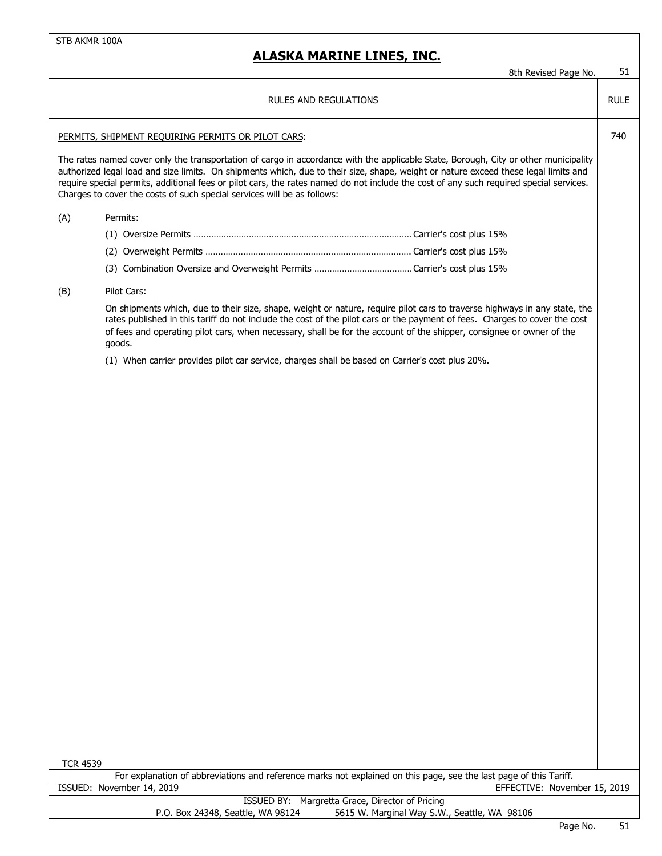## **ALASKA MARINE LINES, INC.**

8th Revised Page No. 51

RULE

| RULES AND REGULATIONS |  |  |  |  |
|-----------------------|--|--|--|--|
|-----------------------|--|--|--|--|

### PERMITS, SHIPMENT REQUIRING PERMITS OR PILOT CARS:  $\begin{bmatrix} 740 \\ 740 \end{bmatrix}$

The rates named cover only the transportation of cargo in accordance with the applicable State, Borough, City or other municipality authorized legal load and size limits. On shipments which, due to their size, shape, weight or nature exceed these legal limits and require special permits, additional fees or pilot cars, the rates named do not include the cost of any such required special services. Charges to cover the costs of such special services will be as follows:

### (A) Permits:

### (B) Pilot Cars:

On shipments which, due to their size, shape, weight or nature, require pilot cars to traverse highways in any state, the rates published in this tariff do not include the cost of the pilot cars or the payment of fees. Charges to cover the cost of fees and operating pilot cars, when necessary, shall be for the account of the shipper, consignee or owner of the goods.

(1) When carrier provides pilot car service, charges shall be based on Carrier's cost plus 20%.

| <b>TCR 4539</b> |                           |  |
|-----------------|---------------------------|--|
|                 | For explanation of abbrey |  |

viations and reference marks not explained on this page, see the last page of this Tariff. ISSUED: November 14, 2019 EFFECTIVE: November 15, 2019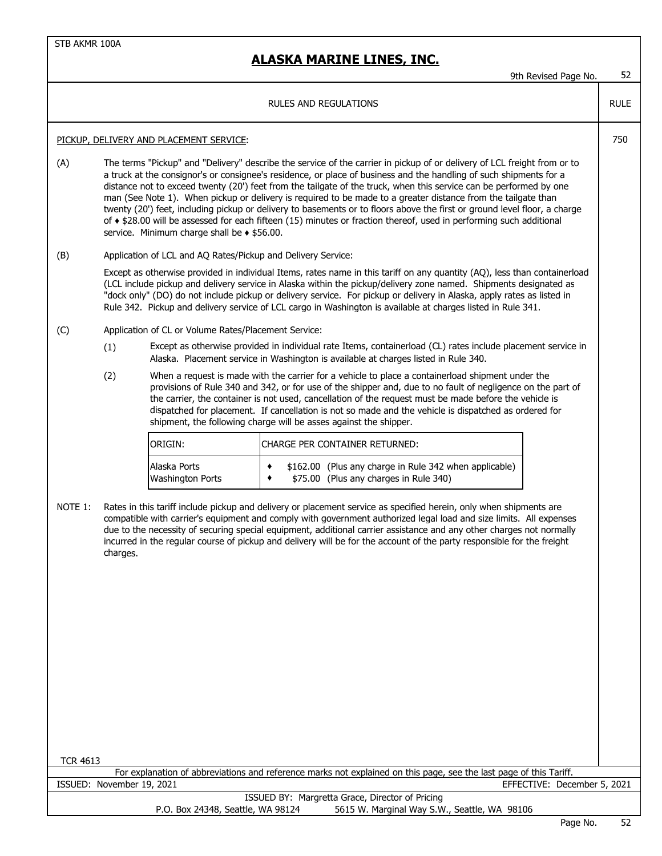## **ALASKA MARINE LINES, INC.**

| 9th Revised Page No. | 52 |
|----------------------|----|
|                      |    |

RULE

#### RULES AND REGULATIONS

#### PICKUP, DELIVERY AND PLACEMENT SERVICE: 750

(A) The terms "Pickup" and "Delivery" describe the service of the carrier in pickup of or delivery of LCL freight from or to a truck at the consignor's or consignee's residence, or place of business and the handling of such shipments for a distance not to exceed twenty (20') feet from the tailgate of the truck, when this service can be performed by one man (See Note 1). When pickup or delivery is required to be made to a greater distance from the tailgate than twenty (20') feet, including pickup or delivery to basements or to floors above the first or ground level floor, a charge of ♦ \$28.00 will be assessed for each fifteen (15) minutes or fraction thereof, used in performing such additional service. Minimum charge shall be  $\triangle$  \$56.00.

### (B) Application of LCL and AQ Rates/Pickup and Delivery Service:

Except as otherwise provided in individual Items, rates name in this tariff on any quantity (AQ), less than containerload (LCL include pickup and delivery service in Alaska within the pickup/delivery zone named. Shipments designated as "dock only" (DO) do not include pickup or delivery service. For pickup or delivery in Alaska, apply rates as listed in Rule 342. Pickup and delivery service of LCL cargo in Washington is available at charges listed in Rule 341.

- (C) Application of CL or Volume Rates/Placement Service:
	- (1) Except as otherwise provided in individual rate Items, containerload (CL) rates include placement service in Alaska. Placement service in Washington is available at charges listed in Rule 340.
	- (2) When a request is made with the carrier for a vehicle to place a containerload shipment under the provisions of Rule 340 and 342, or for use of the shipper and, due to no fault of negligence on the part of the carrier, the container is not used, cancellation of the request must be made before the vehicle is dispatched for placement. If cancellation is not so made and the vehicle is dispatched as ordered for shipment, the following charge will be asses against the shipper.

| <b>IORIGIN:</b>         | ICHARGE PER CONTAINER RETURNED:                        |  |  |  |  |
|-------------------------|--------------------------------------------------------|--|--|--|--|
| Alaska Ports            | \$162.00 (Plus any charge in Rule 342 when applicable) |  |  |  |  |
| <b>Washington Ports</b> | \$75.00 (Plus any charges in Rule 340)                 |  |  |  |  |

NOTE 1: Rates in this tariff include pickup and delivery or placement service as specified herein, only when shipments are compatible with carrier's equipment and comply with government authorized legal load and size limits. All expenses due to the necessity of securing special equipment, additional carrier assistance and any other charges not normally incurred in the regular course of pickup and delivery will be for the account of the party responsible for the freight charges.

| TCR 4613                                                                                                           |               |     |      |
|--------------------------------------------------------------------------------------------------------------------|---------------|-----|------|
| For explanation of abbreviations and reference marks not explained on this page, see the last page of this Tariff. |               |     |      |
| EFFECTIVE: December 5, 2021<br>ISSUED: November 19, 2021                                                           |               |     |      |
| ISSUED BY: Margretta Grace, Director of Pricing                                                                    |               |     |      |
| 5615 W. Marginal Way S.W., Seattle, WA 98106<br>P.O. Box 24348, Seattle, WA 98124                                  |               |     |      |
|                                                                                                                    | $\sim$ $\sim$ | . . | $-1$ |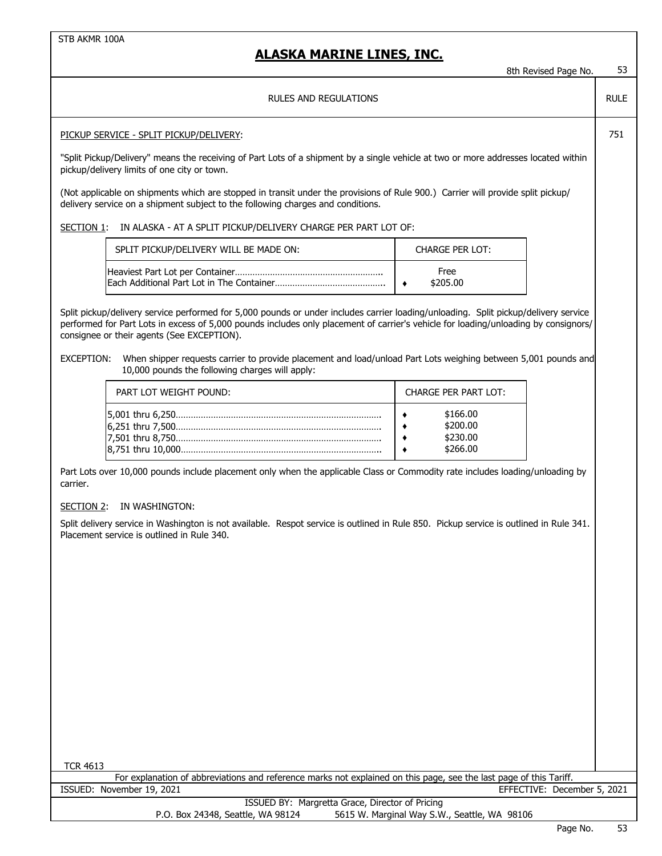### **ALASKA MARINE LINES, INC.**

| ALASKA MARINE LINES, INC.                                                                                                                                                                                                                                                                                                                                                                                                                                | 8th Revised Page No.                         | 53          |
|----------------------------------------------------------------------------------------------------------------------------------------------------------------------------------------------------------------------------------------------------------------------------------------------------------------------------------------------------------------------------------------------------------------------------------------------------------|----------------------------------------------|-------------|
| RULES AND REGULATIONS                                                                                                                                                                                                                                                                                                                                                                                                                                    |                                              | <b>RULE</b> |
| PICKUP SERVICE - SPLIT PICKUP/DELIVERY:                                                                                                                                                                                                                                                                                                                                                                                                                  |                                              | 751         |
| "Split Pickup/Delivery" means the receiving of Part Lots of a shipment by a single vehicle at two or more addresses located within<br>pickup/delivery limits of one city or town.                                                                                                                                                                                                                                                                        |                                              |             |
| (Not applicable on shipments which are stopped in transit under the provisions of Rule 900.) Carrier will provide split pickup/<br>delivery service on a shipment subject to the following charges and conditions.                                                                                                                                                                                                                                       |                                              |             |
| IN ALASKA - AT A SPLIT PICKUP/DELIVERY CHARGE PER PART LOT OF:<br>SECTION 1:                                                                                                                                                                                                                                                                                                                                                                             |                                              |             |
| SPLIT PICKUP/DELIVERY WILL BE MADE ON:                                                                                                                                                                                                                                                                                                                                                                                                                   | <b>CHARGE PER LOT:</b>                       |             |
|                                                                                                                                                                                                                                                                                                                                                                                                                                                          | Free<br>\$205.00<br>٠                        |             |
| Split pickup/delivery service performed for 5,000 pounds or under includes carrier loading/unloading. Split pickup/delivery service<br>performed for Part Lots in excess of 5,000 pounds includes only placement of carrier's vehicle for loading/unloading by consignors/<br>consignee or their agents (See EXCEPTION).<br>When shipper requests carrier to provide placement and load/unload Part Lots weighing between 5,001 pounds and<br>EXCEPTION: |                                              |             |
| 10,000 pounds the following charges will apply:                                                                                                                                                                                                                                                                                                                                                                                                          |                                              |             |
| PART LOT WEIGHT POUND:                                                                                                                                                                                                                                                                                                                                                                                                                                   | <b>CHARGE PER PART LOT:</b>                  |             |
|                                                                                                                                                                                                                                                                                                                                                                                                                                                          | \$166.00<br>\$200.00<br>\$230.00<br>\$266.00 |             |
| Part Lots over 10,000 pounds include placement only when the applicable Class or Commodity rate includes loading/unloading by<br>carrier.                                                                                                                                                                                                                                                                                                                |                                              |             |
| IN WASHINGTON:<br>SECTION 2:                                                                                                                                                                                                                                                                                                                                                                                                                             |                                              |             |
| Split delivery service in Washington is not available. Respot service is outlined in Rule 850. Pickup service is outlined in Rule 341.<br>Placement service is outlined in Rule 340.                                                                                                                                                                                                                                                                     |                                              |             |
|                                                                                                                                                                                                                                                                                                                                                                                                                                                          |                                              |             |
|                                                                                                                                                                                                                                                                                                                                                                                                                                                          |                                              |             |
|                                                                                                                                                                                                                                                                                                                                                                                                                                                          |                                              |             |
|                                                                                                                                                                                                                                                                                                                                                                                                                                                          |                                              |             |
|                                                                                                                                                                                                                                                                                                                                                                                                                                                          |                                              |             |
|                                                                                                                                                                                                                                                                                                                                                                                                                                                          |                                              |             |
|                                                                                                                                                                                                                                                                                                                                                                                                                                                          |                                              |             |
|                                                                                                                                                                                                                                                                                                                                                                                                                                                          |                                              |             |
|                                                                                                                                                                                                                                                                                                                                                                                                                                                          |                                              |             |

TCR 4613

For explanation of abbreviations and reference marks not explained on this page, see the last page of this Tariff. EFFECTIVE: December 5, 2021 ISSUED: November 19, 2021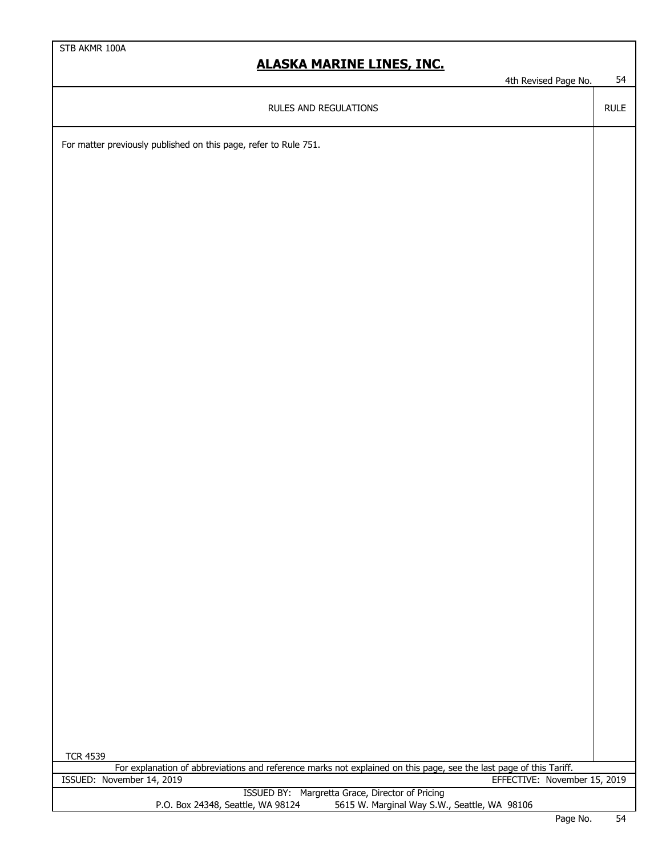4th Revised Page No. 54

RULE

RULES AND REGULATIONS

For matter previously published on this page, refer to Rule 751.

| <b>TCR 4539</b>                                                                                                    |          |      |
|--------------------------------------------------------------------------------------------------------------------|----------|------|
| For explanation of abbreviations and reference marks not explained on this page, see the last page of this Tariff. |          |      |
| ISSUED: November 14, 2019<br>EFFECTIVE: November 15, 2019                                                          |          |      |
| ISSUED BY: Margretta Grace, Director of Pricing                                                                    |          |      |
| 5615 W. Marginal Way S.W., Seattle, WA 98106<br>P.O. Box 24348, Seattle, WA 98124                                  |          |      |
|                                                                                                                    | $D = -1$ | $-4$ |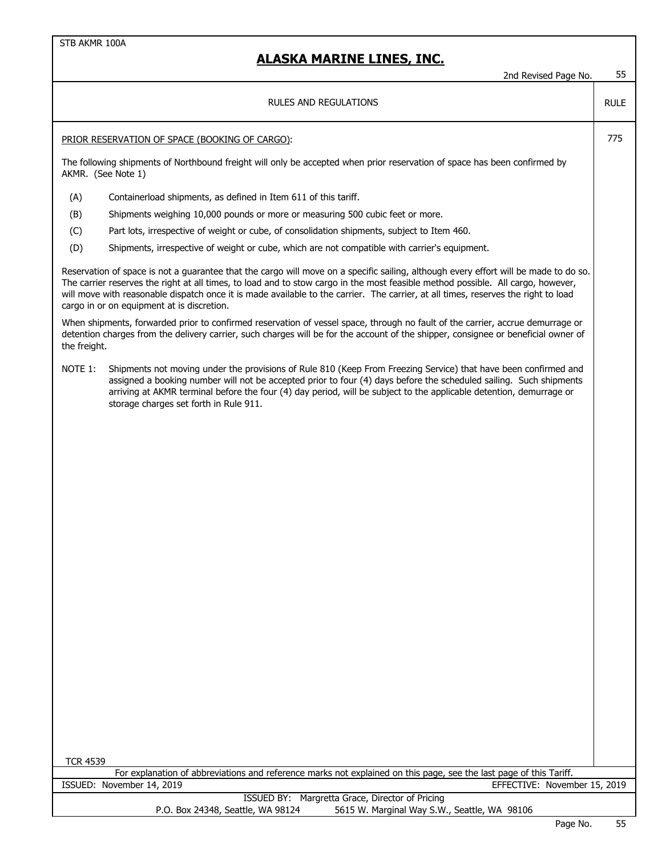|                    | 2nd Revised Page No.                                                                                                                                                                                                                                                                                                                                                                                                                                         | 55          |
|--------------------|--------------------------------------------------------------------------------------------------------------------------------------------------------------------------------------------------------------------------------------------------------------------------------------------------------------------------------------------------------------------------------------------------------------------------------------------------------------|-------------|
|                    | <b>RULES AND REGULATIONS</b>                                                                                                                                                                                                                                                                                                                                                                                                                                 | <b>RULE</b> |
|                    | PRIOR RESERVATION OF SPACE (BOOKING OF CARGO):                                                                                                                                                                                                                                                                                                                                                                                                               | 775         |
| AKMR. (See Note 1) | The following shipments of Northbound freight will only be accepted when prior reservation of space has been confirmed by                                                                                                                                                                                                                                                                                                                                    |             |
| (A)                | Containerload shipments, as defined in Item 611 of this tariff.                                                                                                                                                                                                                                                                                                                                                                                              |             |
| (B)                | Shipments weighing 10,000 pounds or more or measuring 500 cubic feet or more.                                                                                                                                                                                                                                                                                                                                                                                |             |
| (C)                | Part lots, irrespective of weight or cube, of consolidation shipments, subject to Item 460.                                                                                                                                                                                                                                                                                                                                                                  |             |
| (D)                | Shipments, irrespective of weight or cube, which are not compatible with carrier's equipment.                                                                                                                                                                                                                                                                                                                                                                |             |
|                    | Reservation of space is not a guarantee that the cargo will move on a specific sailing, although every effort will be made to do so.<br>The carrier reserves the right at all times, to load and to stow cargo in the most feasible method possible. All cargo, however,<br>will move with reasonable dispatch once it is made available to the carrier. The carrier, at all times, reserves the right to load<br>cargo in or on equipment at is discretion. |             |
| the freight.       | When shipments, forwarded prior to confirmed reservation of vessel space, through no fault of the carrier, accrue demurrage or<br>detention charges from the delivery carrier, such charges will be for the account of the shipper, consignee or beneficial owner of                                                                                                                                                                                         |             |
| NOTE 1:            | Shipments not moving under the provisions of Rule 810 (Keep From Freezing Service) that have been confirmed and<br>assigned a booking number will not be accepted prior to four (4) days before the scheduled sailing. Such shipments<br>arriving at AKMR terminal before the four (4) day period, will be subject to the applicable detention, demurrage or<br>storage charges set forth in Rule 911.                                                       |             |
| <b>TCR 4539</b>    |                                                                                                                                                                                                                                                                                                                                                                                                                                                              |             |
|                    | For explanation of abbreviations and reference marks not explained on this page, see the last page of this Tariff.<br>ISSUED: November 14, 2019<br>EFFECTIVE: November 15, 2019                                                                                                                                                                                                                                                                              |             |
|                    | ISSUED BY: Margretta Grace, Director of Pricing                                                                                                                                                                                                                                                                                                                                                                                                              |             |
|                    | P.O. Box 24348, Seattle, WA 98124<br>5615 W. Marginal Way S.W., Seattle, WA 98106                                                                                                                                                                                                                                                                                                                                                                            |             |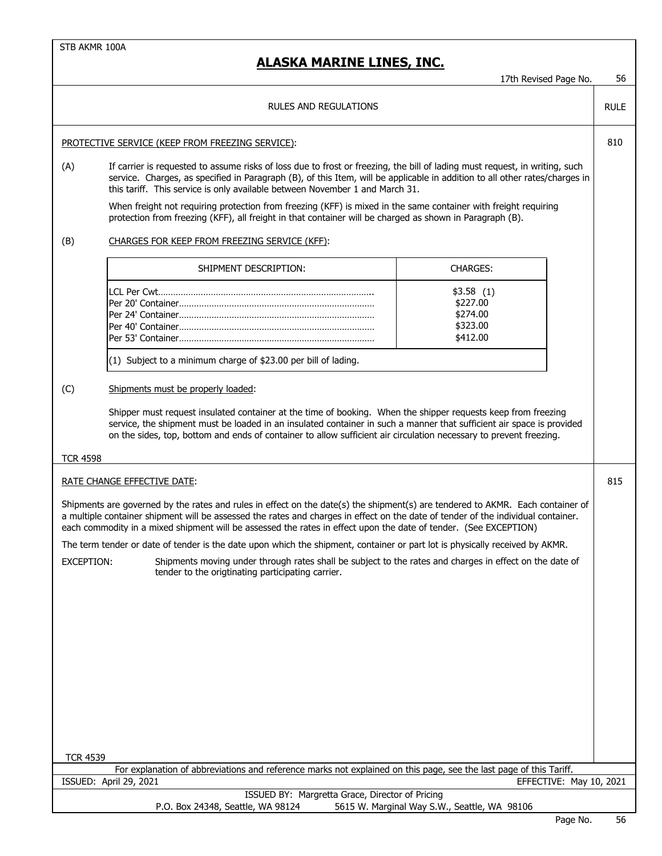$\overline{\phantom{a}}$ 

|                        |                                                                                                                                                                                                                                                                                                                                                                                                                                                                                                                                                                                                                                                                                         | 17th Revised Page No.                                     | 56          |
|------------------------|-----------------------------------------------------------------------------------------------------------------------------------------------------------------------------------------------------------------------------------------------------------------------------------------------------------------------------------------------------------------------------------------------------------------------------------------------------------------------------------------------------------------------------------------------------------------------------------------------------------------------------------------------------------------------------------------|-----------------------------------------------------------|-------------|
|                        | RULES AND REGULATIONS                                                                                                                                                                                                                                                                                                                                                                                                                                                                                                                                                                                                                                                                   |                                                           | <b>RULE</b> |
|                        | PROTECTIVE SERVICE (KEEP FROM FREEZING SERVICE):                                                                                                                                                                                                                                                                                                                                                                                                                                                                                                                                                                                                                                        |                                                           | 810         |
| (A)                    | If carrier is requested to assume risks of loss due to frost or freezing, the bill of lading must request, in writing, such<br>service. Charges, as specified in Paragraph (B), of this Item, will be applicable in addition to all other rates/charges in<br>this tariff. This service is only available between November 1 and March 31.<br>When freight not requiring protection from freezing (KFF) is mixed in the same container with freight requiring<br>protection from freezing (KFF), all freight in that container will be charged as shown in Paragraph (B).                                                                                                               |                                                           |             |
| (B)                    | CHARGES FOR KEEP FROM FREEZING SERVICE (KFF):                                                                                                                                                                                                                                                                                                                                                                                                                                                                                                                                                                                                                                           |                                                           |             |
|                        | SHIPMENT DESCRIPTION:                                                                                                                                                                                                                                                                                                                                                                                                                                                                                                                                                                                                                                                                   | <b>CHARGES:</b>                                           |             |
|                        |                                                                                                                                                                                                                                                                                                                                                                                                                                                                                                                                                                                                                                                                                         | \$3.58(1)<br>\$227.00<br>\$274.00<br>\$323.00<br>\$412.00 |             |
|                        | (1) Subject to a minimum charge of \$23.00 per bill of lading.                                                                                                                                                                                                                                                                                                                                                                                                                                                                                                                                                                                                                          |                                                           |             |
| (C)<br><b>TCR 4598</b> | Shipments must be properly loaded:<br>Shipper must request insulated container at the time of booking. When the shipper requests keep from freezing<br>service, the shipment must be loaded in an insulated container in such a manner that sufficient air space is provided<br>on the sides, top, bottom and ends of container to allow sufficient air circulation necessary to prevent freezing.                                                                                                                                                                                                                                                                                      |                                                           |             |
|                        | RATE CHANGE EFFECTIVE DATE:                                                                                                                                                                                                                                                                                                                                                                                                                                                                                                                                                                                                                                                             |                                                           | 815         |
| EXCEPTION:             | Shipments are governed by the rates and rules in effect on the date(s) the shipment(s) are tendered to AKMR. Each container of<br>a multiple container shipment will be assessed the rates and charges in effect on the date of tender of the individual container.<br>each commodity in a mixed shipment will be assessed the rates in effect upon the date of tender. (See EXCEPTION)<br>The term tender or date of tender is the date upon which the shipment, container or part lot is physically received by AKMR.<br>Shipments moving under through rates shall be subject to the rates and charges in effect on the date of<br>tender to the origtinating participating carrier. |                                                           |             |
| <b>TCR 4539</b>        | For explanation of abbreviations and reference marks not explained on this page, see the last page of this Tariff.                                                                                                                                                                                                                                                                                                                                                                                                                                                                                                                                                                      |                                                           |             |
|                        | ISSUED: April 29, 2021                                                                                                                                                                                                                                                                                                                                                                                                                                                                                                                                                                                                                                                                  | EFFECTIVE: May 10, 2021                                   |             |
|                        | ISSUED BY: Margretta Grace, Director of Pricing<br>P.O. Box 24348, Seattle, WA 98124                                                                                                                                                                                                                                                                                                                                                                                                                                                                                                                                                                                                    | 5615 W. Marginal Way S.W., Seattle, WA 98106              |             |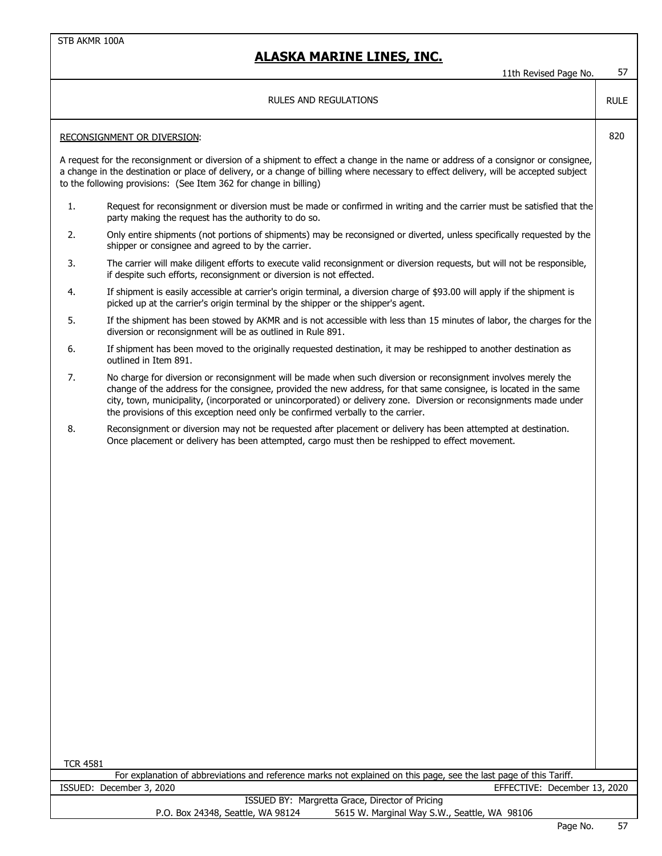11th Revised Page No. 57

### RULES AND REGULATIONS

### RECONSIGNMENT OR DIVERSION: 820

A request for the reconsignment or diversion of a shipment to effect a change in the name or address of a consignor or consignee, a change in the destination or place of delivery, or a change of billing where necessary to effect delivery, will be accepted subject to the following provisions: (See Item 362 for change in billing)

- 1. Request for reconsignment or diversion must be made or confirmed in writing and the carrier must be satisfied that the party making the request has the authority to do so.
- 2. Only entire shipments (not portions of shipments) may be reconsigned or diverted, unless specifically requested by the shipper or consignee and agreed to by the carrier.
- 3. The carrier will make diligent efforts to execute valid reconsignment or diversion requests, but will not be responsible, if despite such efforts, reconsignment or diversion is not effected.
- 4. If shipment is easily accessible at carrier's origin terminal, a diversion charge of \$93.00 will apply if the shipment is picked up at the carrier's origin terminal by the shipper or the shipper's agent.
- 5. If the shipment has been stowed by AKMR and is not accessible with less than 15 minutes of labor, the charges for the diversion or reconsignment will be as outlined in Rule 891.
- 6. If shipment has been moved to the originally requested destination, it may be reshipped to another destination as outlined in Item 891.
- 7. No charge for diversion or reconsignment will be made when such diversion or reconsignment involves merely the change of the address for the consignee, provided the new address, for that same consignee, is located in the same city, town, municipality, (incorporated or unincorporated) or delivery zone. Diversion or reconsignments made under the provisions of this exception need only be confirmed verbally to the carrier.
- 8. Reconsignment or diversion may not be requested after placement or delivery has been attempted at destination. Once placement or delivery has been attempted, cargo must then be reshipped to effect movement.

TCR 4581

For explanation of abbreviations and reference marks not explained on this page, see the last page of this Tariff. ISSUED: December 3, 2020 EFFECTIVE: December 13, 2020

RULE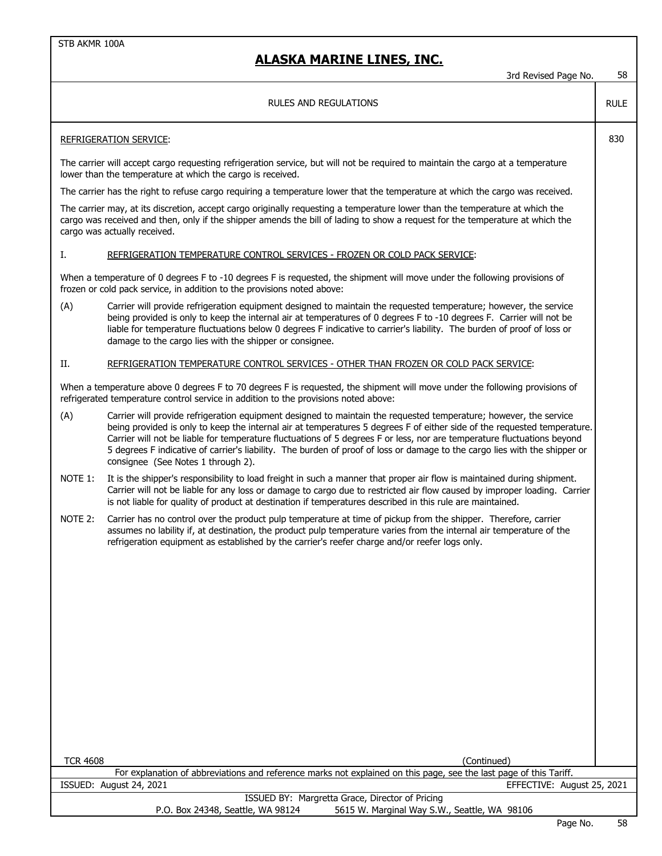| RULES AND REGULATIONS                                                                                                                                                                                                                                                                                                                                                                                                                                                                                                                               |             |
|-----------------------------------------------------------------------------------------------------------------------------------------------------------------------------------------------------------------------------------------------------------------------------------------------------------------------------------------------------------------------------------------------------------------------------------------------------------------------------------------------------------------------------------------------------|-------------|
|                                                                                                                                                                                                                                                                                                                                                                                                                                                                                                                                                     | <b>RULE</b> |
| <b>REFRIGERATION SERVICE:</b>                                                                                                                                                                                                                                                                                                                                                                                                                                                                                                                       | 830         |
| The carrier will accept cargo requesting refrigeration service, but will not be required to maintain the cargo at a temperature<br>lower than the temperature at which the cargo is received.                                                                                                                                                                                                                                                                                                                                                       |             |
| The carrier has the right to refuse cargo requiring a temperature lower that the temperature at which the cargo was received.                                                                                                                                                                                                                                                                                                                                                                                                                       |             |
| The carrier may, at its discretion, accept cargo originally requesting a temperature lower than the temperature at which the<br>cargo was received and then, only if the shipper amends the bill of lading to show a request for the temperature at which the<br>cargo was actually received.                                                                                                                                                                                                                                                       |             |
| Ι.<br>REFRIGERATION TEMPERATURE CONTROL SERVICES - FROZEN OR COLD PACK SERVICE:                                                                                                                                                                                                                                                                                                                                                                                                                                                                     |             |
| When a temperature of 0 degrees F to -10 degrees F is requested, the shipment will move under the following provisions of<br>frozen or cold pack service, in addition to the provisions noted above:                                                                                                                                                                                                                                                                                                                                                |             |
| (A)<br>Carrier will provide refrigeration equipment designed to maintain the requested temperature; however, the service<br>being provided is only to keep the internal air at temperatures of 0 degrees F to -10 degrees F. Carrier will not be<br>liable for temperature fluctuations below 0 degrees F indicative to carrier's liability. The burden of proof of loss or<br>damage to the cargo lies with the shipper or consignee.                                                                                                              |             |
| REFRIGERATION TEMPERATURE CONTROL SERVICES - OTHER THAN FROZEN OR COLD PACK SERVICE:<br>П.                                                                                                                                                                                                                                                                                                                                                                                                                                                          |             |
| When a temperature above 0 degrees F to 70 degrees F is requested, the shipment will move under the following provisions of<br>refrigerated temperature control service in addition to the provisions noted above:                                                                                                                                                                                                                                                                                                                                  |             |
| (A)<br>Carrier will provide refrigeration equipment designed to maintain the requested temperature; however, the service<br>being provided is only to keep the internal air at temperatures 5 degrees F of either side of the requested temperature.<br>Carrier will not be liable for temperature fluctuations of 5 degrees F or less, nor are temperature fluctuations beyond<br>5 degrees F indicative of carrier's liability. The burden of proof of loss or damage to the cargo lies with the shipper or<br>consignee (See Notes 1 through 2). |             |
| NOTE 1:<br>It is the shipper's responsibility to load freight in such a manner that proper air flow is maintained during shipment.<br>Carrier will not be liable for any loss or damage to cargo due to restricted air flow caused by improper loading. Carrier<br>is not liable for quality of product at destination if temperatures described in this rule are maintained.                                                                                                                                                                       |             |
| NOTE 2:<br>Carrier has no control over the product pulp temperature at time of pickup from the shipper. Therefore, carrier<br>assumes no lability if, at destination, the product pulp temperature varies from the internal air temperature of the<br>refrigeration equipment as established by the carrier's reefer charge and/or reefer logs only.                                                                                                                                                                                                |             |
|                                                                                                                                                                                                                                                                                                                                                                                                                                                                                                                                                     |             |
|                                                                                                                                                                                                                                                                                                                                                                                                                                                                                                                                                     |             |
|                                                                                                                                                                                                                                                                                                                                                                                                                                                                                                                                                     |             |
|                                                                                                                                                                                                                                                                                                                                                                                                                                                                                                                                                     |             |
|                                                                                                                                                                                                                                                                                                                                                                                                                                                                                                                                                     |             |
|                                                                                                                                                                                                                                                                                                                                                                                                                                                                                                                                                     |             |
| <b>TCR 4608</b><br>(Continued)                                                                                                                                                                                                                                                                                                                                                                                                                                                                                                                      |             |
| For explanation of abbreviations and reference marks not explained on this page, see the last page of this Tariff.                                                                                                                                                                                                                                                                                                                                                                                                                                  |             |
| ISSUED: August 24, 2021<br>EFFECTIVE: August 25, 2021<br>ISSUED BY: Margretta Grace, Director of Pricing                                                                                                                                                                                                                                                                                                                                                                                                                                            |             |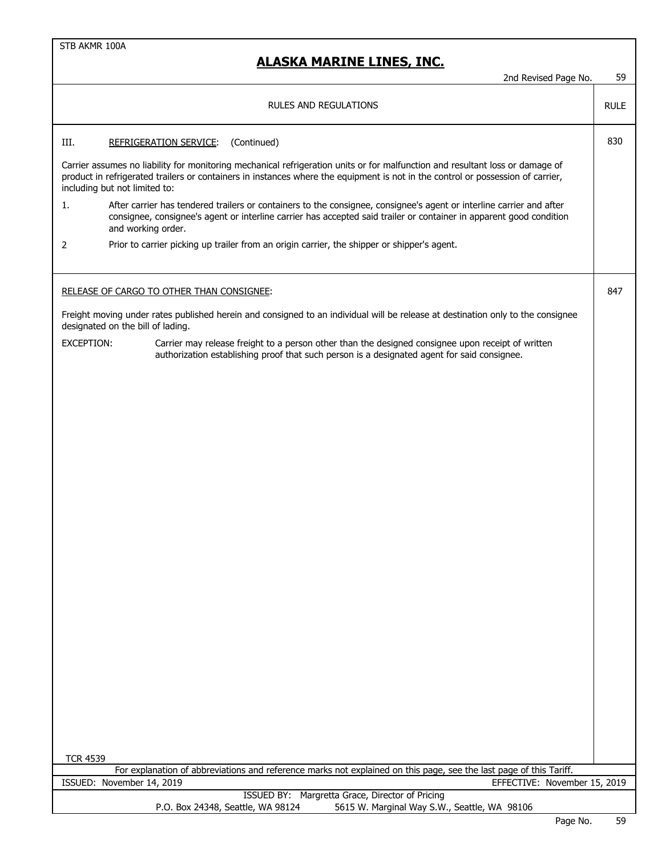# **ALASKA MARINE LINES, INC.**

|                                                                                                                                                                                                                                                                                                   | <b>RULES AND REGULATIONS</b>                                                                                                                                                                                                                                      | <b>RULE</b> |  |  |  |  |
|---------------------------------------------------------------------------------------------------------------------------------------------------------------------------------------------------------------------------------------------------------------------------------------------------|-------------------------------------------------------------------------------------------------------------------------------------------------------------------------------------------------------------------------------------------------------------------|-------------|--|--|--|--|
| III.                                                                                                                                                                                                                                                                                              | (Continued)<br><b>REFRIGERATION SERVICE:</b>                                                                                                                                                                                                                      | 830         |  |  |  |  |
| Carrier assumes no liability for monitoring mechanical refrigeration units or for malfunction and resultant loss or damage of<br>product in refrigerated trailers or containers in instances where the equipment is not in the control or possession of carrier,<br>including but not limited to: |                                                                                                                                                                                                                                                                   |             |  |  |  |  |
| 1.                                                                                                                                                                                                                                                                                                | After carrier has tendered trailers or containers to the consignee, consignee's agent or interline carrier and after<br>consignee, consignee's agent or interline carrier has accepted said trailer or container in apparent good condition<br>and working order. |             |  |  |  |  |
| 2                                                                                                                                                                                                                                                                                                 | Prior to carrier picking up trailer from an origin carrier, the shipper or shipper's agent.                                                                                                                                                                       |             |  |  |  |  |
|                                                                                                                                                                                                                                                                                                   | RELEASE OF CARGO TO OTHER THAN CONSIGNEE:                                                                                                                                                                                                                         | 847         |  |  |  |  |
| Freight moving under rates published herein and consigned to an individual will be release at destination only to the consignee<br>designated on the bill of lading.                                                                                                                              |                                                                                                                                                                                                                                                                   |             |  |  |  |  |
| <b>EXCEPTION:</b>                                                                                                                                                                                                                                                                                 | Carrier may release freight to a person other than the designed consignee upon receipt of written<br>authorization establishing proof that such person is a designated agent for said consignee.                                                                  |             |  |  |  |  |
|                                                                                                                                                                                                                                                                                                   |                                                                                                                                                                                                                                                                   |             |  |  |  |  |
|                                                                                                                                                                                                                                                                                                   |                                                                                                                                                                                                                                                                   |             |  |  |  |  |
|                                                                                                                                                                                                                                                                                                   |                                                                                                                                                                                                                                                                   |             |  |  |  |  |
|                                                                                                                                                                                                                                                                                                   |                                                                                                                                                                                                                                                                   |             |  |  |  |  |
|                                                                                                                                                                                                                                                                                                   |                                                                                                                                                                                                                                                                   |             |  |  |  |  |
|                                                                                                                                                                                                                                                                                                   |                                                                                                                                                                                                                                                                   |             |  |  |  |  |
|                                                                                                                                                                                                                                                                                                   |                                                                                                                                                                                                                                                                   |             |  |  |  |  |
|                                                                                                                                                                                                                                                                                                   |                                                                                                                                                                                                                                                                   |             |  |  |  |  |
|                                                                                                                                                                                                                                                                                                   |                                                                                                                                                                                                                                                                   |             |  |  |  |  |
|                                                                                                                                                                                                                                                                                                   |                                                                                                                                                                                                                                                                   |             |  |  |  |  |
|                                                                                                                                                                                                                                                                                                   |                                                                                                                                                                                                                                                                   |             |  |  |  |  |
|                                                                                                                                                                                                                                                                                                   |                                                                                                                                                                                                                                                                   |             |  |  |  |  |
| <b>TCR 4539</b>                                                                                                                                                                                                                                                                                   |                                                                                                                                                                                                                                                                   |             |  |  |  |  |

|                                   | For explanation of abbreviations and reference marks not explained on this page, see the last page of this Tariff. |
|-----------------------------------|--------------------------------------------------------------------------------------------------------------------|
| ISSUED: November 14, 2019         | EFFECTIVE: November 15, 2019                                                                                       |
|                                   | ISSUED BY: Margretta Grace, Director of Pricing                                                                    |
| P.O. Box 24348, Seattle, WA 98124 | 5615 W. Marginal Way S.W., Seattle, WA 98106                                                                       |

2nd Revised Page No. 59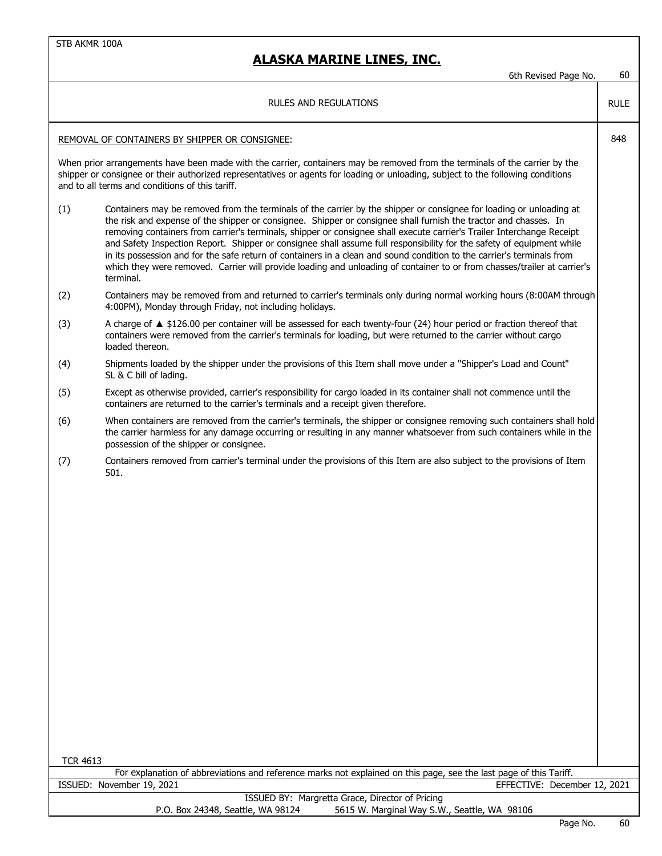## **ALASKA MARINE LINES, INC.**

6th Revised Page No. 60

RULE

#### RULES AND REGULATIONS

#### REMOVAL OF CONTAINERS BY SHIPPER OR CONSIGNEE: 848

When prior arrangements have been made with the carrier, containers may be removed from the terminals of the carrier by the shipper or consignee or their authorized representatives or agents for loading or unloading, subject to the following conditions and to all terms and conditions of this tariff.

- (1) Containers may be removed from the terminals of the carrier by the shipper or consignee for loading or unloading at the risk and expense of the shipper or consignee. Shipper or consignee shall furnish the tractor and chasses. In removing containers from carrier's terminals, shipper or consignee shall execute carrier's Trailer Interchange Receipt and Safety Inspection Report. Shipper or consignee shall assume full responsibility for the safety of equipment while in its possession and for the safe return of containers in a clean and sound condition to the carrier's terminals from which they were removed. Carrier will provide loading and unloading of container to or from chasses/trailer at carrier's terminal.
- (2) Containers may be removed from and returned to carrier's terminals only during normal working hours (8:00AM through 4:00PM), Monday through Friday, not including holidays.
- (3) A charge of ▲ \$126.00 per container will be assessed for each twenty-four (24) hour period or fraction thereof that containers were removed from the carrier's terminals for loading, but were returned to the carrier without cargo loaded thereon.
- (4) Shipments loaded by the shipper under the provisions of this Item shall move under a "Shipper's Load and Count" SL & C bill of lading.
- (5) Except as otherwise provided, carrier's responsibility for cargo loaded in its container shall not commence until the containers are returned to the carrier's terminals and a receipt given therefore.
- (6) When containers are removed from the carrier's terminals, the shipper or consignee removing such containers shall hold the carrier harmless for any damage occurring or resulting in any manner whatsoever from such containers while in the possession of the shipper or consignee.
- (7) Containers removed from carrier's terminal under the provisions of this Item are also subject to the provisions of Item 501.

TCR 4613

For explanation of abbreviations and reference marks not explained on this page, see the last page of this Tariff. ISSUED: November 19, 2021 EFFECTIVE: December 12, 2021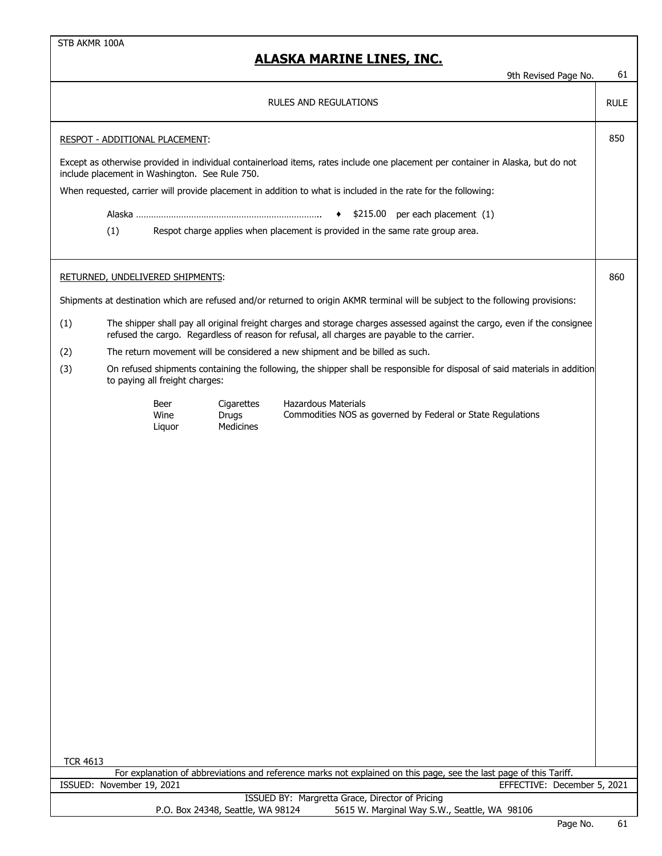|                                                                                                                                                                                   |                                                                                                                                                                                                                          |                                |                                  | 9th Revised Page No.                                                                                                       | 61 |  |  |
|-----------------------------------------------------------------------------------------------------------------------------------------------------------------------------------|--------------------------------------------------------------------------------------------------------------------------------------------------------------------------------------------------------------------------|--------------------------------|----------------------------------|----------------------------------------------------------------------------------------------------------------------------|----|--|--|
| <b>RULES AND REGULATIONS</b>                                                                                                                                                      |                                                                                                                                                                                                                          |                                |                                  |                                                                                                                            |    |  |  |
| RESPOT - ADDITIONAL PLACEMENT:                                                                                                                                                    |                                                                                                                                                                                                                          |                                |                                  |                                                                                                                            |    |  |  |
| Except as otherwise provided in individual containerload items, rates include one placement per container in Alaska, but do not<br>include placement in Washington. See Rule 750. |                                                                                                                                                                                                                          |                                |                                  |                                                                                                                            |    |  |  |
| When requested, carrier will provide placement in addition to what is included in the rate for the following:                                                                     |                                                                                                                                                                                                                          |                                |                                  |                                                                                                                            |    |  |  |
| $\bullet$ \$215.00 per each placement (1)                                                                                                                                         |                                                                                                                                                                                                                          |                                |                                  |                                                                                                                            |    |  |  |
|                                                                                                                                                                                   | (1)<br>Respot charge applies when placement is provided in the same rate group area.                                                                                                                                     |                                |                                  |                                                                                                                            |    |  |  |
|                                                                                                                                                                                   |                                                                                                                                                                                                                          |                                |                                  |                                                                                                                            |    |  |  |
| RETURNED, UNDELIVERED SHIPMENTS:                                                                                                                                                  |                                                                                                                                                                                                                          |                                |                                  |                                                                                                                            |    |  |  |
| Shipments at destination which are refused and/or returned to origin AKMR terminal will be subject to the following provisions:                                                   |                                                                                                                                                                                                                          |                                |                                  |                                                                                                                            |    |  |  |
| (1)                                                                                                                                                                               | The shipper shall pay all original freight charges and storage charges assessed against the cargo, even if the consignee<br>refused the cargo. Regardless of reason for refusal, all charges are payable to the carrier. |                                |                                  |                                                                                                                            |    |  |  |
| (2)                                                                                                                                                                               |                                                                                                                                                                                                                          |                                |                                  | The return movement will be considered a new shipment and be billed as such.                                               |    |  |  |
| (3)                                                                                                                                                                               |                                                                                                                                                                                                                          | to paying all freight charges: |                                  | On refused shipments containing the following, the shipper shall be responsible for disposal of said materials in addition |    |  |  |
|                                                                                                                                                                                   |                                                                                                                                                                                                                          | Beer<br>Wine<br>Liquor         | Cigarettes<br>Drugs<br>Medicines | <b>Hazardous Materials</b><br>Commodities NOS as governed by Federal or State Regulations                                  |    |  |  |
|                                                                                                                                                                                   |                                                                                                                                                                                                                          |                                |                                  |                                                                                                                            |    |  |  |
|                                                                                                                                                                                   |                                                                                                                                                                                                                          |                                |                                  |                                                                                                                            |    |  |  |
|                                                                                                                                                                                   |                                                                                                                                                                                                                          |                                |                                  |                                                                                                                            |    |  |  |
|                                                                                                                                                                                   |                                                                                                                                                                                                                          |                                |                                  |                                                                                                                            |    |  |  |
|                                                                                                                                                                                   |                                                                                                                                                                                                                          |                                |                                  |                                                                                                                            |    |  |  |
|                                                                                                                                                                                   |                                                                                                                                                                                                                          |                                |                                  |                                                                                                                            |    |  |  |
|                                                                                                                                                                                   |                                                                                                                                                                                                                          |                                |                                  |                                                                                                                            |    |  |  |
|                                                                                                                                                                                   |                                                                                                                                                                                                                          |                                |                                  |                                                                                                                            |    |  |  |
|                                                                                                                                                                                   |                                                                                                                                                                                                                          |                                |                                  |                                                                                                                            |    |  |  |
|                                                                                                                                                                                   |                                                                                                                                                                                                                          |                                |                                  |                                                                                                                            |    |  |  |
|                                                                                                                                                                                   |                                                                                                                                                                                                                          |                                |                                  |                                                                                                                            |    |  |  |
|                                                                                                                                                                                   |                                                                                                                                                                                                                          |                                |                                  |                                                                                                                            |    |  |  |
|                                                                                                                                                                                   |                                                                                                                                                                                                                          |                                |                                  |                                                                                                                            |    |  |  |
| <b>TCR 4613</b>                                                                                                                                                                   |                                                                                                                                                                                                                          |                                |                                  | For explanation of abbreviations and reference marks not explained on this page, see the last page of this Tariff.         |    |  |  |
| ISSUED: November 19, 2021<br>EFFECTIVE: December 5, 2021                                                                                                                          |                                                                                                                                                                                                                          |                                |                                  |                                                                                                                            |    |  |  |
| ISSUED BY: Margretta Grace, Director of Pricing<br>P.O. Box 24348, Seattle, WA 98124<br>5615 W. Marginal Way S.W., Seattle, WA 98106                                              |                                                                                                                                                                                                                          |                                |                                  |                                                                                                                            |    |  |  |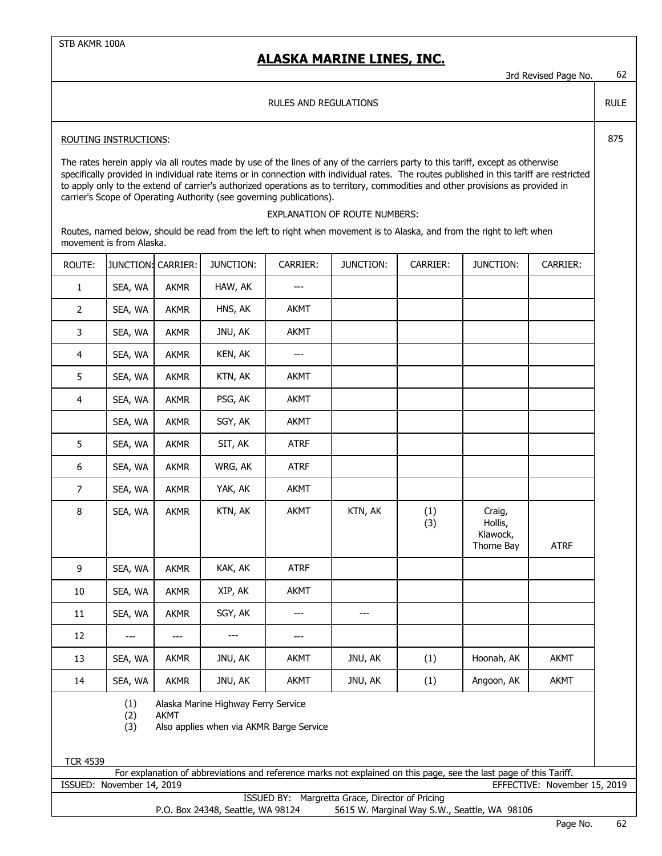3rd Revised Page No. 62

RULE

#### RULES AND REGULATIONS

#### ROUTING INSTRUCTIONS: 275

The rates herein apply via all routes made by use of the lines of any of the carriers party to this tariff, except as otherwise specifically provided in individual rate items or in connection with individual rates. The routes published in this tariff are restricted to apply only to the extend of carrier's authorized operations as to territory, commodities and other provisions as provided in carrier's Scope of Operating Authority (see governing publications).

#### EXPLANATION OF ROUTE NUMBERS:

Routes, named below, should be read from the left to right when movement is to Alaska, and from the right to left when movement is from Alaska.

| ROUTE:         | JUNCTION:         | CARRIER:    | JUNCTION:                                                                       | CARRIER:       | JUNCTION: | CARRIER:   | JUNCTION:                                   | CARRIER:    |
|----------------|-------------------|-------------|---------------------------------------------------------------------------------|----------------|-----------|------------|---------------------------------------------|-------------|
| $\mathbf{1}$   | SEA, WA           | AKMR        | HAW, AK                                                                         | $---$          |           |            |                                             |             |
| $\overline{2}$ | SEA, WA           | <b>AKMR</b> | HNS, AK                                                                         | <b>AKMT</b>    |           |            |                                             |             |
| 3              | SEA, WA           | <b>AKMR</b> | JNU, AK                                                                         | <b>AKMT</b>    |           |            |                                             |             |
| 4              | SEA, WA           | <b>AKMR</b> | KEN, AK                                                                         | $\overline{a}$ |           |            |                                             |             |
| 5              | SEA, WA           | <b>AKMR</b> | KTN, AK                                                                         | <b>AKMT</b>    |           |            |                                             |             |
| $\overline{4}$ | SEA, WA           | <b>AKMR</b> | PSG, AK                                                                         | <b>AKMT</b>    |           |            |                                             |             |
|                | SEA, WA           | <b>AKMR</b> | SGY, AK                                                                         | <b>AKMT</b>    |           |            |                                             |             |
| 5              | SEA, WA           | <b>AKMR</b> | SIT, AK                                                                         | <b>ATRF</b>    |           |            |                                             |             |
| 6              | SEA, WA           | <b>AKMR</b> | WRG, AK                                                                         | <b>ATRF</b>    |           |            |                                             |             |
| $\overline{7}$ | SEA, WA           | <b>AKMR</b> | YAK, AK                                                                         | <b>AKMT</b>    |           |            |                                             |             |
| 8              | SEA, WA           | <b>AKMR</b> | KTN, AK                                                                         | <b>AKMT</b>    | KTN, AK   | (1)<br>(3) | Craig,<br>Hollis,<br>Klawock,<br>Thorne Bay | <b>ATRF</b> |
| 9              | SEA, WA           | <b>AKMR</b> | KAK, AK                                                                         | <b>ATRF</b>    |           |            |                                             |             |
| $10\,$         | SEA, WA           | <b>AKMR</b> | XIP, AK                                                                         | <b>AKMT</b>    |           |            |                                             |             |
| $11\,$         | SEA, WA           | <b>AKMR</b> | SGY, AK                                                                         | ---            | ---       |            |                                             |             |
| 12             | $---$             | ---         | $---$                                                                           | ---            |           |            |                                             |             |
| 13             | SEA, WA           | <b>AKMR</b> | JNU, AK                                                                         | <b>AKMT</b>    | JNU, AK   | (1)        | Hoonah, AK                                  | <b>AKMT</b> |
| 14             | SEA, WA           | AKMR        | JNU, AK                                                                         | <b>AKMT</b>    | JNU, AK   | (1)        | Angoon, AK                                  | <b>AKMT</b> |
|                | (1)<br>(2)<br>(3) | <b>AKMT</b> | Alaska Marine Highway Ferry Service<br>Also applies when via AKMR Barge Service |                |           |            |                                             |             |

TCR 4539

ISSUED: November 14, 2019 EFFECTIVE: November 15, 2019 For explanation of abbreviations and reference marks not explained on this page, see the last page of this Tariff.

ISSUED BY: Margretta Grace, Director of Pricing

P.O. Box 24348, Seattle, WA 98124 5615 W. Marginal Way S.W., Seattle, WA 98106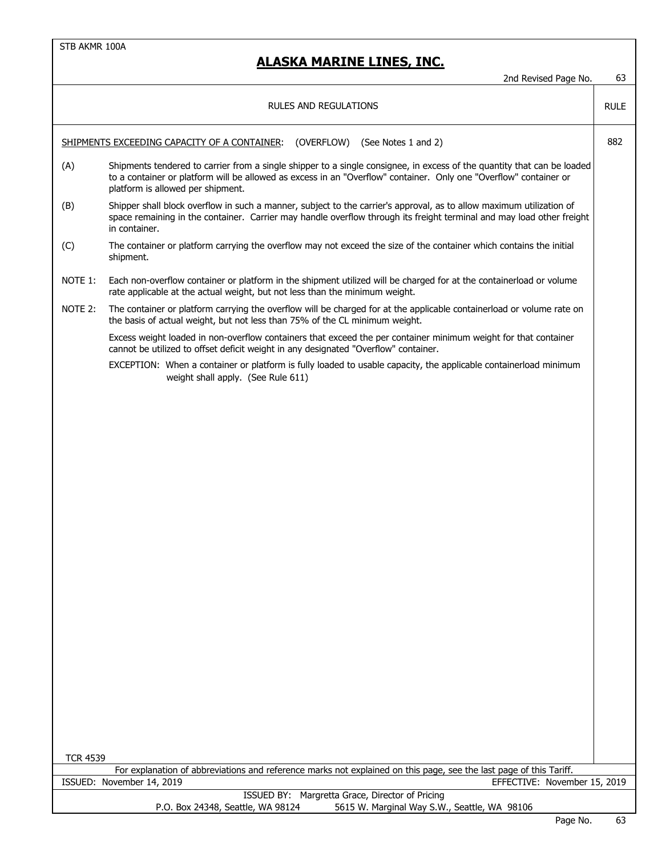|                 | 2nd Revised Page No.                                                                                                                                                                                                                                                              | 63          |
|-----------------|-----------------------------------------------------------------------------------------------------------------------------------------------------------------------------------------------------------------------------------------------------------------------------------|-------------|
|                 | <b>RULES AND REGULATIONS</b>                                                                                                                                                                                                                                                      | <b>RULE</b> |
|                 | SHIPMENTS EXCEEDING CAPACITY OF A CONTAINER:<br>(OVERFLOW)<br>(See Notes 1 and 2)                                                                                                                                                                                                 | 882         |
| (A)             | Shipments tendered to carrier from a single shipper to a single consignee, in excess of the quantity that can be loaded<br>to a container or platform will be allowed as excess in an "Overflow" container. Only one "Overflow" container or<br>platform is allowed per shipment. |             |
| (B)             | Shipper shall block overflow in such a manner, subject to the carrier's approval, as to allow maximum utilization of<br>space remaining in the container. Carrier may handle overflow through its freight terminal and may load other freight<br>in container.                    |             |
| (C)             | The container or platform carrying the overflow may not exceed the size of the container which contains the initial<br>shipment.                                                                                                                                                  |             |
| NOTE 1:         | Each non-overflow container or platform in the shipment utilized will be charged for at the containerload or volume<br>rate applicable at the actual weight, but not less than the minimum weight.                                                                                |             |
| NOTE 2:         | The container or platform carrying the overflow will be charged for at the applicable containerload or volume rate on<br>the basis of actual weight, but not less than 75% of the CL minimum weight.                                                                              |             |
|                 | Excess weight loaded in non-overflow containers that exceed the per container minimum weight for that container<br>cannot be utilized to offset deficit weight in any designated "Overflow" container.                                                                            |             |
|                 | EXCEPTION: When a container or platform is fully loaded to usable capacity, the applicable containerload minimum<br>weight shall apply. (See Rule 611)                                                                                                                            |             |
|                 |                                                                                                                                                                                                                                                                                   |             |
|                 |                                                                                                                                                                                                                                                                                   |             |
|                 |                                                                                                                                                                                                                                                                                   |             |
|                 |                                                                                                                                                                                                                                                                                   |             |
|                 |                                                                                                                                                                                                                                                                                   |             |
|                 |                                                                                                                                                                                                                                                                                   |             |
|                 |                                                                                                                                                                                                                                                                                   |             |
|                 |                                                                                                                                                                                                                                                                                   |             |
|                 |                                                                                                                                                                                                                                                                                   |             |
|                 |                                                                                                                                                                                                                                                                                   |             |
|                 |                                                                                                                                                                                                                                                                                   |             |
|                 |                                                                                                                                                                                                                                                                                   |             |
|                 |                                                                                                                                                                                                                                                                                   |             |
| <b>TCR 4539</b> |                                                                                                                                                                                                                                                                                   |             |
|                 | For explanation of abbreviations and reference marks not explained on this page, see the last page of this Tariff.                                                                                                                                                                |             |
|                 | ISSUED: November 14, 2019<br>EFFECTIVE: November 15, 2019                                                                                                                                                                                                                         |             |
|                 | ISSUED BY: Margretta Grace, Director of Pricing<br>P.O. Box 24348, Seattle, WA 98124<br>5615 W. Marginal Way S.W., Seattle, WA 98106                                                                                                                                              |             |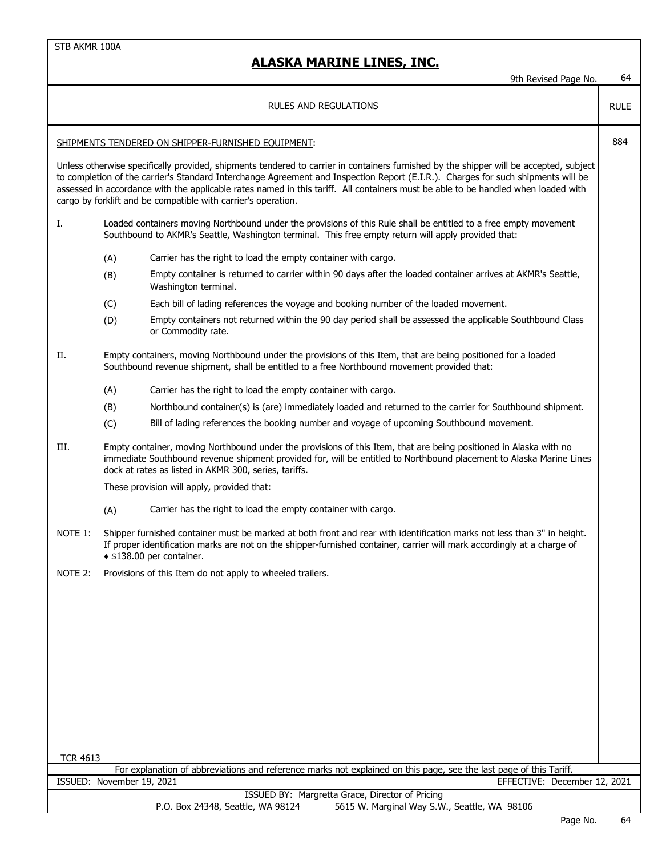|                           |                                                                                                                                                                                                                         | 9th Revised Page No.                                                                                                                                                                                                                                                                                                                                                                                                                                                             | 64          |  |  |  |
|---------------------------|-------------------------------------------------------------------------------------------------------------------------------------------------------------------------------------------------------------------------|----------------------------------------------------------------------------------------------------------------------------------------------------------------------------------------------------------------------------------------------------------------------------------------------------------------------------------------------------------------------------------------------------------------------------------------------------------------------------------|-------------|--|--|--|
|                           |                                                                                                                                                                                                                         | RULES AND REGULATIONS                                                                                                                                                                                                                                                                                                                                                                                                                                                            | <b>RULE</b> |  |  |  |
|                           |                                                                                                                                                                                                                         | SHIPMENTS TENDERED ON SHIPPER-FURNISHED EQUIPMENT:                                                                                                                                                                                                                                                                                                                                                                                                                               | 884         |  |  |  |
|                           |                                                                                                                                                                                                                         | Unless otherwise specifically provided, shipments tendered to carrier in containers furnished by the shipper will be accepted, subject<br>to completion of the carrier's Standard Interchange Agreement and Inspection Report (E.I.R.). Charges for such shipments will be<br>assessed in accordance with the applicable rates named in this tariff. All containers must be able to be handled when loaded with<br>cargo by forklift and be compatible with carrier's operation. |             |  |  |  |
| Ι.                        | Loaded containers moving Northbound under the provisions of this Rule shall be entitled to a free empty movement<br>Southbound to AKMR's Seattle, Washington terminal. This free empty return will apply provided that: |                                                                                                                                                                                                                                                                                                                                                                                                                                                                                  |             |  |  |  |
|                           | (A)                                                                                                                                                                                                                     | Carrier has the right to load the empty container with cargo.                                                                                                                                                                                                                                                                                                                                                                                                                    |             |  |  |  |
|                           | (B)                                                                                                                                                                                                                     | Empty container is returned to carrier within 90 days after the loaded container arrives at AKMR's Seattle,<br>Washington terminal.                                                                                                                                                                                                                                                                                                                                              |             |  |  |  |
|                           | (C)                                                                                                                                                                                                                     | Each bill of lading references the voyage and booking number of the loaded movement.                                                                                                                                                                                                                                                                                                                                                                                             |             |  |  |  |
|                           | (D)                                                                                                                                                                                                                     | Empty containers not returned within the 90 day period shall be assessed the applicable Southbound Class<br>or Commodity rate.                                                                                                                                                                                                                                                                                                                                                   |             |  |  |  |
| Π.                        |                                                                                                                                                                                                                         | Empty containers, moving Northbound under the provisions of this Item, that are being positioned for a loaded<br>Southbound revenue shipment, shall be entitled to a free Northbound movement provided that:                                                                                                                                                                                                                                                                     |             |  |  |  |
|                           | (A)                                                                                                                                                                                                                     | Carrier has the right to load the empty container with cargo.                                                                                                                                                                                                                                                                                                                                                                                                                    |             |  |  |  |
|                           | (B)                                                                                                                                                                                                                     | Northbound container(s) is (are) immediately loaded and returned to the carrier for Southbound shipment.                                                                                                                                                                                                                                                                                                                                                                         |             |  |  |  |
|                           | (C)                                                                                                                                                                                                                     | Bill of lading references the booking number and voyage of upcoming Southbound movement.                                                                                                                                                                                                                                                                                                                                                                                         |             |  |  |  |
| III.                      |                                                                                                                                                                                                                         | Empty container, moving Northbound under the provisions of this Item, that are being positioned in Alaska with no<br>immediate Southbound revenue shipment provided for, will be entitled to Northbound placement to Alaska Marine Lines<br>dock at rates as listed in AKMR 300, series, tariffs.                                                                                                                                                                                |             |  |  |  |
|                           |                                                                                                                                                                                                                         | These provision will apply, provided that:                                                                                                                                                                                                                                                                                                                                                                                                                                       |             |  |  |  |
|                           | (A)                                                                                                                                                                                                                     | Carrier has the right to load the empty container with cargo.                                                                                                                                                                                                                                                                                                                                                                                                                    |             |  |  |  |
| NOTE 1:                   |                                                                                                                                                                                                                         | Shipper furnished container must be marked at both front and rear with identification marks not less than 3" in height.<br>If proper identification marks are not on the shipper-furnished container, carrier will mark accordingly at a charge of<br>◆ \$138.00 per container.                                                                                                                                                                                                  |             |  |  |  |
| NOTE 2:                   |                                                                                                                                                                                                                         | Provisions of this Item do not apply to wheeled trailers.                                                                                                                                                                                                                                                                                                                                                                                                                        |             |  |  |  |
|                           |                                                                                                                                                                                                                         |                                                                                                                                                                                                                                                                                                                                                                                                                                                                                  |             |  |  |  |
|                           |                                                                                                                                                                                                                         |                                                                                                                                                                                                                                                                                                                                                                                                                                                                                  |             |  |  |  |
|                           |                                                                                                                                                                                                                         |                                                                                                                                                                                                                                                                                                                                                                                                                                                                                  |             |  |  |  |
|                           |                                                                                                                                                                                                                         |                                                                                                                                                                                                                                                                                                                                                                                                                                                                                  |             |  |  |  |
|                           |                                                                                                                                                                                                                         |                                                                                                                                                                                                                                                                                                                                                                                                                                                                                  |             |  |  |  |
|                           |                                                                                                                                                                                                                         |                                                                                                                                                                                                                                                                                                                                                                                                                                                                                  |             |  |  |  |
|                           |                                                                                                                                                                                                                         |                                                                                                                                                                                                                                                                                                                                                                                                                                                                                  |             |  |  |  |
|                           |                                                                                                                                                                                                                         |                                                                                                                                                                                                                                                                                                                                                                                                                                                                                  |             |  |  |  |
| <b>TCR 4613</b>           |                                                                                                                                                                                                                         |                                                                                                                                                                                                                                                                                                                                                                                                                                                                                  |             |  |  |  |
| ISSUED: November 19, 2021 |                                                                                                                                                                                                                         | For explanation of abbreviations and reference marks not explained on this page, see the last page of this Tariff.<br>EFFECTIVE: December 12, 2021                                                                                                                                                                                                                                                                                                                               |             |  |  |  |
|                           |                                                                                                                                                                                                                         | ISSUED BY: Margretta Grace, Director of Pricing                                                                                                                                                                                                                                                                                                                                                                                                                                  |             |  |  |  |
|                           |                                                                                                                                                                                                                         | P.O. Box 24348, Seattle, WA 98124<br>5615 W. Marginal Way S.W., Seattle, WA 98106                                                                                                                                                                                                                                                                                                                                                                                                |             |  |  |  |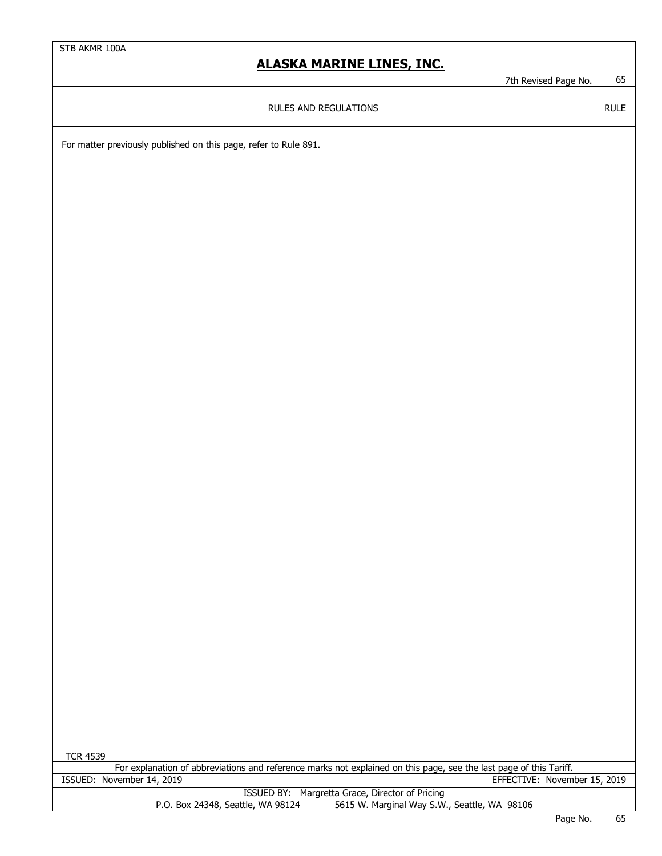7th Revised Page No. 65

RULE

RULES AND REGULATIONS

For matter previously published on this page, refer to Rule 891.

| <b>TCR 4539</b>                                                                                                    |             |               |
|--------------------------------------------------------------------------------------------------------------------|-------------|---------------|
| For explanation of abbreviations and reference marks not explained on this page, see the last page of this Tariff. |             |               |
| ISSUED: November 14, 2019<br>EFFECTIVE: November 15, 2019                                                          |             |               |
| ISSUED BY: Margretta Grace, Director of Pricing                                                                    |             |               |
| 5615 W. Marginal Way S.W., Seattle, WA 98106<br>P.O. Box 24348, Seattle, WA 98124                                  |             |               |
|                                                                                                                    | $D - - - N$ | $\sim$ $\sim$ |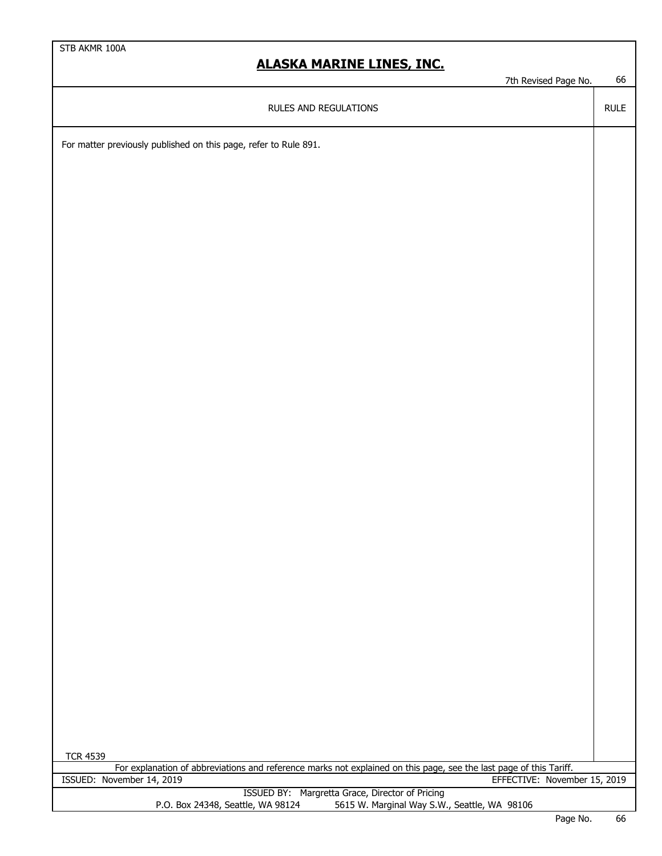7th Revised Page No. 66

RULE

RULES AND REGULATIONS

For matter previously published on this page, refer to Rule 891.

| <b>TCR 4539</b>                                                                                                    |               |                          |
|--------------------------------------------------------------------------------------------------------------------|---------------|--------------------------|
| For explanation of abbreviations and reference marks not explained on this page, see the last page of this Tariff. |               |                          |
| ISSUED: November 14, 2019<br>EFFECTIVE: November 15, 2019                                                          |               |                          |
| ISSUED BY: Margretta Grace, Director of Pricing                                                                    |               |                          |
| 5615 W. Marginal Way S.W., Seattle, WA 98106<br>P.O. Box 24348, Seattle, WA 98124                                  |               |                          |
|                                                                                                                    | $\sim$ $\sim$ | $\overline{\phantom{a}}$ |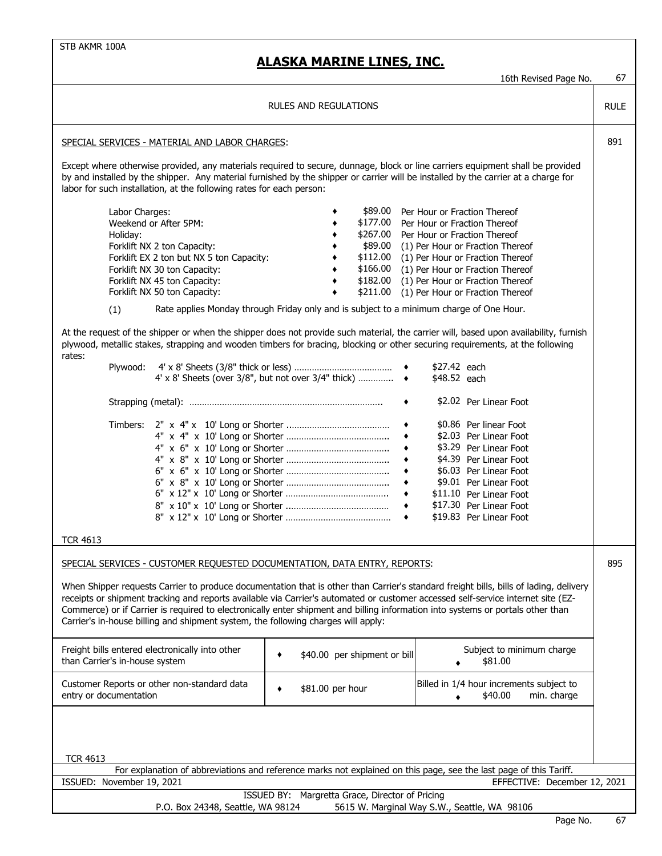| 16th Revised Page No.                                                                                                                                                                                                                                                                                                                                                                                                                                                                                                                                                                                                                                                                                           | 67          |  |  |  |  |
|-----------------------------------------------------------------------------------------------------------------------------------------------------------------------------------------------------------------------------------------------------------------------------------------------------------------------------------------------------------------------------------------------------------------------------------------------------------------------------------------------------------------------------------------------------------------------------------------------------------------------------------------------------------------------------------------------------------------|-------------|--|--|--|--|
| <b>RULES AND REGULATIONS</b>                                                                                                                                                                                                                                                                                                                                                                                                                                                                                                                                                                                                                                                                                    | <b>RULE</b> |  |  |  |  |
| SPECIAL SERVICES - MATERIAL AND LABOR CHARGES:                                                                                                                                                                                                                                                                                                                                                                                                                                                                                                                                                                                                                                                                  | 891         |  |  |  |  |
| Except where otherwise provided, any materials required to secure, dunnage, block or line carriers equipment shall be provided<br>by and installed by the shipper. Any material furnished by the shipper or carrier will be installed by the carrier at a charge for<br>labor for such installation, at the following rates for each person:                                                                                                                                                                                                                                                                                                                                                                    |             |  |  |  |  |
| \$89.00<br>Labor Charges:<br>Per Hour or Fraction Thereof<br>\$177.00<br>Weekend or After 5PM:<br>Per Hour or Fraction Thereof<br>\$267.00<br>Per Hour or Fraction Thereof<br>Holiday:<br>\$89.00<br>Forklift NX 2 ton Capacity:<br>(1) Per Hour or Fraction Thereof<br>\$112.00<br>Forklift EX 2 ton but NX 5 ton Capacity:<br>(1) Per Hour or Fraction Thereof<br>\$166.00 (1) Per Hour or Fraction Thereof<br>Forklift NX 30 ton Capacity:<br>\$182.00<br>Forklift NX 45 ton Capacity:<br>(1) Per Hour or Fraction Thereof<br>Forklift NX 50 ton Capacity:<br>\$211.00<br>(1) Per Hour or Fraction Thereof<br>Rate applies Monday through Friday only and is subject to a minimum charge of One Hour.<br>(1) |             |  |  |  |  |
| At the request of the shipper or when the shipper does not provide such material, the carrier will, based upon availability, furnish<br>plywood, metallic stakes, strapping and wooden timbers for bracing, blocking or other securing requirements, at the following<br>rates:                                                                                                                                                                                                                                                                                                                                                                                                                                 |             |  |  |  |  |
| \$27.42 each<br>Plywood:<br>4' x 8' Sheets (over 3/8", but not over 3/4" thick) $\rightarrow$<br>\$48.52 each                                                                                                                                                                                                                                                                                                                                                                                                                                                                                                                                                                                                   |             |  |  |  |  |
| \$2.02 Per Linear Foot<br>٠                                                                                                                                                                                                                                                                                                                                                                                                                                                                                                                                                                                                                                                                                     |             |  |  |  |  |
| \$0.86 Per linear Foot<br>\$2.03 Per Linear Foot<br>\$3.29 Per Linear Foot<br>٠<br>\$4.39 Per Linear Foot<br>\$6.03 Per Linear Foot<br>\$9.01 Per Linear Foot<br>$\bullet$<br>\$11.10 Per Linear Foot<br>\$17.30 Per Linear Foot<br>$\bullet$<br>\$19.83 Per Linear Foot<br><b>TCR 4613</b>                                                                                                                                                                                                                                                                                                                                                                                                                     |             |  |  |  |  |
| SPECIAL SERVICES - CUSTOMER REQUESTED DOCUMENTATION, DATA ENTRY, REPORTS:                                                                                                                                                                                                                                                                                                                                                                                                                                                                                                                                                                                                                                       | 895         |  |  |  |  |
| When Shipper requests Carrier to produce documentation that is other than Carrier's standard freight bills, bills of lading, delivery<br>receipts or shipment tracking and reports available via Carrier's automated or customer accessed self-service internet site (EZ-<br>Commerce) or if Carrier is required to electronically enter shipment and billing information into systems or portals other than<br>Carrier's in-house billing and shipment system, the following charges will apply:                                                                                                                                                                                                               |             |  |  |  |  |
| Freight bills entered electronically into other<br>Subject to minimum charge<br>\$40.00 per shipment or bill<br>than Carrier's in-house system<br>\$81.00                                                                                                                                                                                                                                                                                                                                                                                                                                                                                                                                                       |             |  |  |  |  |
| Customer Reports or other non-standard data<br>Billed in 1/4 hour increments subject to<br>\$81.00 per hour<br>٠<br>entry or documentation<br>\$40.00<br>min. charge                                                                                                                                                                                                                                                                                                                                                                                                                                                                                                                                            |             |  |  |  |  |
| <b>TCR 4613</b>                                                                                                                                                                                                                                                                                                                                                                                                                                                                                                                                                                                                                                                                                                 |             |  |  |  |  |
| For explanation of abbreviations and reference marks not explained on this page, see the last page of this Tariff.                                                                                                                                                                                                                                                                                                                                                                                                                                                                                                                                                                                              |             |  |  |  |  |
| ISSUED: November 19, 2021<br>EFFECTIVE: December 12, 2021<br>ISSUED BY: Margretta Grace, Director of Pricing                                                                                                                                                                                                                                                                                                                                                                                                                                                                                                                                                                                                    |             |  |  |  |  |
| P.O. Box 24348, Seattle, WA 98124<br>5615 W. Marginal Way S.W., Seattle, WA 98106<br>Dogo No                                                                                                                                                                                                                                                                                                                                                                                                                                                                                                                                                                                                                    | 57          |  |  |  |  |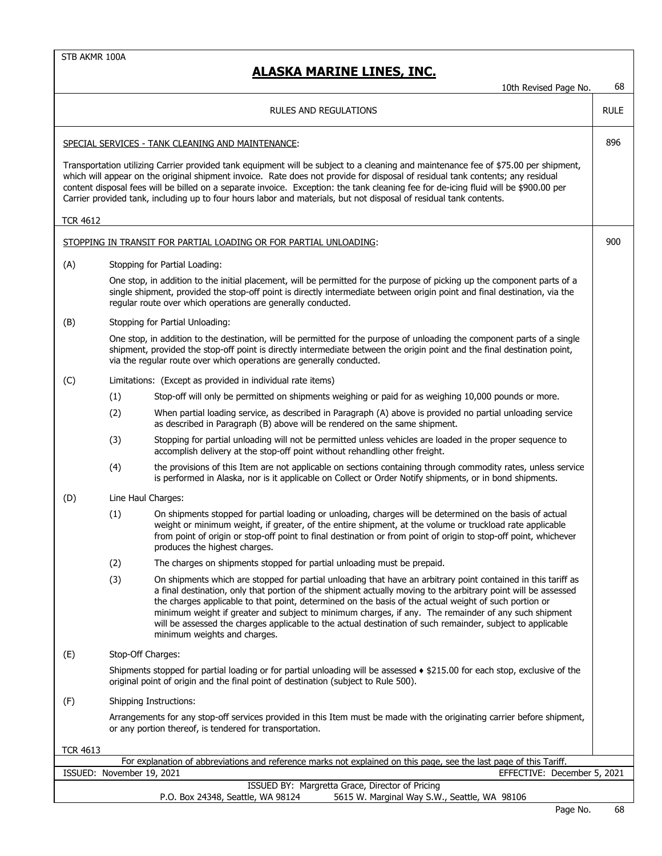|                 |                           | 10th Revised Page No.                                                                                                                                                                                                                                                                                                                                                                                                                                                                                                                                                                          | 68          |
|-----------------|---------------------------|------------------------------------------------------------------------------------------------------------------------------------------------------------------------------------------------------------------------------------------------------------------------------------------------------------------------------------------------------------------------------------------------------------------------------------------------------------------------------------------------------------------------------------------------------------------------------------------------|-------------|
|                 |                           | RULES AND REGULATIONS                                                                                                                                                                                                                                                                                                                                                                                                                                                                                                                                                                          | <b>RULE</b> |
|                 |                           | SPECIAL SERVICES - TANK CLEANING AND MAINTENANCE:                                                                                                                                                                                                                                                                                                                                                                                                                                                                                                                                              | 896         |
|                 |                           | Transportation utilizing Carrier provided tank equipment will be subject to a cleaning and maintenance fee of \$75.00 per shipment,<br>which will appear on the original shipment invoice. Rate does not provide for disposal of residual tank contents; any residual<br>content disposal fees will be billed on a separate invoice. Exception: the tank cleaning fee for de-icing fluid will be \$900.00 per<br>Carrier provided tank, including up to four hours labor and materials, but not disposal of residual tank contents.                                                            |             |
| <b>TCR 4612</b> |                           |                                                                                                                                                                                                                                                                                                                                                                                                                                                                                                                                                                                                |             |
|                 |                           | STOPPING IN TRANSIT FOR PARTIAL LOADING OR FOR PARTIAL UNLOADING:                                                                                                                                                                                                                                                                                                                                                                                                                                                                                                                              | 900         |
| (A)             |                           | Stopping for Partial Loading:                                                                                                                                                                                                                                                                                                                                                                                                                                                                                                                                                                  |             |
|                 |                           | One stop, in addition to the initial placement, will be permitted for the purpose of picking up the component parts of a<br>single shipment, provided the stop-off point is directly intermediate between origin point and final destination, via the<br>regular route over which operations are generally conducted.                                                                                                                                                                                                                                                                          |             |
| (B)             |                           | Stopping for Partial Unloading:                                                                                                                                                                                                                                                                                                                                                                                                                                                                                                                                                                |             |
|                 |                           | One stop, in addition to the destination, will be permitted for the purpose of unloading the component parts of a single<br>shipment, provided the stop-off point is directly intermediate between the origin point and the final destination point,<br>via the regular route over which operations are generally conducted.                                                                                                                                                                                                                                                                   |             |
| (C)             |                           | Limitations: (Except as provided in individual rate items)                                                                                                                                                                                                                                                                                                                                                                                                                                                                                                                                     |             |
|                 | (1)                       | Stop-off will only be permitted on shipments weighing or paid for as weighing 10,000 pounds or more.                                                                                                                                                                                                                                                                                                                                                                                                                                                                                           |             |
|                 | (2)                       | When partial loading service, as described in Paragraph (A) above is provided no partial unloading service<br>as described in Paragraph (B) above will be rendered on the same shipment.                                                                                                                                                                                                                                                                                                                                                                                                       |             |
|                 | (3)                       | Stopping for partial unloading will not be permitted unless vehicles are loaded in the proper sequence to<br>accomplish delivery at the stop-off point without rehandling other freight.                                                                                                                                                                                                                                                                                                                                                                                                       |             |
|                 | (4)                       | the provisions of this Item are not applicable on sections containing through commodity rates, unless service<br>is performed in Alaska, nor is it applicable on Collect or Order Notify shipments, or in bond shipments.                                                                                                                                                                                                                                                                                                                                                                      |             |
| (D)             |                           | Line Haul Charges:                                                                                                                                                                                                                                                                                                                                                                                                                                                                                                                                                                             |             |
|                 | (1)                       | On shipments stopped for partial loading or unloading, charges will be determined on the basis of actual<br>weight or minimum weight, if greater, of the entire shipment, at the volume or truckload rate applicable<br>from point of origin or stop-off point to final destination or from point of origin to stop-off point, whichever<br>produces the highest charges.                                                                                                                                                                                                                      |             |
|                 | (2)                       | The charges on shipments stopped for partial unloading must be prepaid.                                                                                                                                                                                                                                                                                                                                                                                                                                                                                                                        |             |
|                 | (3)                       | On shipments which are stopped for partial unloading that have an arbitrary point contained in this tariff as<br>a final destination, only that portion of the shipment actually moving to the arbitrary point will be assessed<br>the charges applicable to that point, determined on the basis of the actual weight of such portion or<br>minimum weight if greater and subject to minimum charges, if any. The remainder of any such shipment<br>will be assessed the charges applicable to the actual destination of such remainder, subject to applicable<br>minimum weights and charges. |             |
| (E)             |                           | Stop-Off Charges:                                                                                                                                                                                                                                                                                                                                                                                                                                                                                                                                                                              |             |
|                 |                           | Shipments stopped for partial loading or for partial unloading will be assessed $\bullet$ \$215.00 for each stop, exclusive of the<br>original point of origin and the final point of destination (subject to Rule 500).                                                                                                                                                                                                                                                                                                                                                                       |             |
| (F)             |                           | <b>Shipping Instructions:</b>                                                                                                                                                                                                                                                                                                                                                                                                                                                                                                                                                                  |             |
|                 |                           | Arrangements for any stop-off services provided in this Item must be made with the originating carrier before shipment,<br>or any portion thereof, is tendered for transportation.                                                                                                                                                                                                                                                                                                                                                                                                             |             |
| <b>TCR 4613</b> |                           |                                                                                                                                                                                                                                                                                                                                                                                                                                                                                                                                                                                                |             |
|                 |                           | For explanation of abbreviations and reference marks not explained on this page, see the last page of this Tariff.                                                                                                                                                                                                                                                                                                                                                                                                                                                                             |             |
|                 | ISSUED: November 19, 2021 | EFFECTIVE: December 5, 2021<br>ISSUED BY: Margretta Grace, Director of Pricing                                                                                                                                                                                                                                                                                                                                                                                                                                                                                                                 |             |
|                 |                           | 5615 W. Marginal Way S.W., Seattle, WA 98106<br>P.O. Box 24348, Seattle, WA 98124                                                                                                                                                                                                                                                                                                                                                                                                                                                                                                              |             |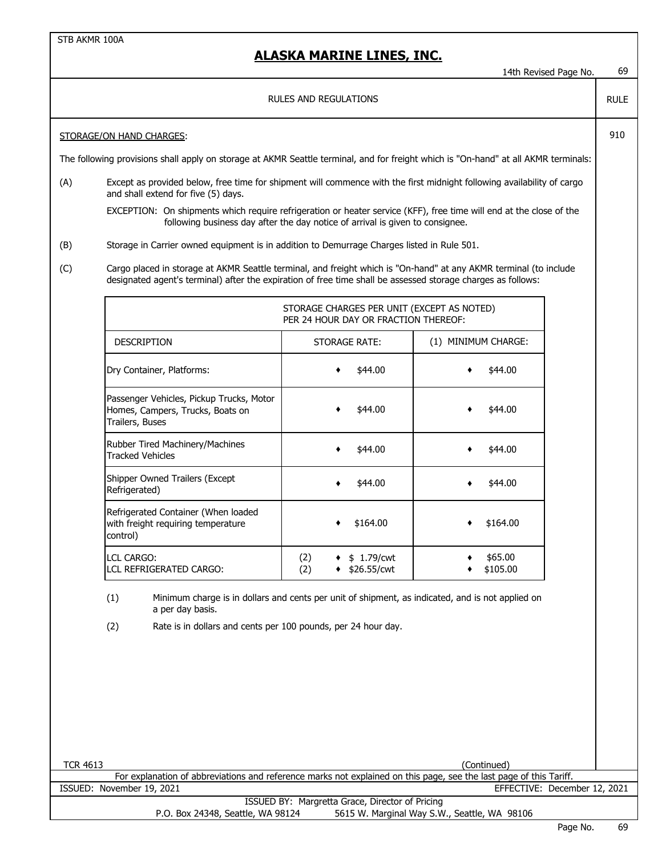|                                                                                                                                      |                                                                                                                                                                                                                                   |                                                                                                  | 14th Revised Page No.        | 69 |  |  |  |
|--------------------------------------------------------------------------------------------------------------------------------------|-----------------------------------------------------------------------------------------------------------------------------------------------------------------------------------------------------------------------------------|--------------------------------------------------------------------------------------------------|------------------------------|----|--|--|--|
| RULES AND REGULATIONS                                                                                                                |                                                                                                                                                                                                                                   |                                                                                                  |                              |    |  |  |  |
| STORAGE/ON HAND CHARGES:                                                                                                             |                                                                                                                                                                                                                                   |                                                                                                  |                              |    |  |  |  |
| The following provisions shall apply on storage at AKMR Seattle terminal, and for freight which is "On-hand" at all AKMR terminals:  |                                                                                                                                                                                                                                   |                                                                                                  |                              |    |  |  |  |
| (A)                                                                                                                                  | Except as provided below, free time for shipment will commence with the first midnight following availability of cargo<br>and shall extend for five (5) days.                                                                     |                                                                                                  |                              |    |  |  |  |
|                                                                                                                                      | EXCEPTION: On shipments which require refrigeration or heater service (KFF), free time will end at the close of the                                                                                                               | following business day after the day notice of arrival is given to consignee.                    |                              |    |  |  |  |
| (B)                                                                                                                                  | Storage in Carrier owned equipment is in addition to Demurrage Charges listed in Rule 501.                                                                                                                                        |                                                                                                  |                              |    |  |  |  |
| (C)                                                                                                                                  | Cargo placed in storage at AKMR Seattle terminal, and freight which is "On-hand" at any AKMR terminal (to include<br>designated agent's terminal) after the expiration of free time shall be assessed storage charges as follows: |                                                                                                  |                              |    |  |  |  |
|                                                                                                                                      |                                                                                                                                                                                                                                   | STORAGE CHARGES PER UNIT (EXCEPT AS NOTED)<br>PER 24 HOUR DAY OR FRACTION THEREOF:               |                              |    |  |  |  |
|                                                                                                                                      | <b>DESCRIPTION</b>                                                                                                                                                                                                                | STORAGE RATE:                                                                                    | (1) MINIMUM CHARGE:          |    |  |  |  |
|                                                                                                                                      | Dry Container, Platforms:                                                                                                                                                                                                         | \$44.00                                                                                          | \$44.00                      |    |  |  |  |
|                                                                                                                                      | Passenger Vehicles, Pickup Trucks, Motor<br>\$44.00<br>\$44.00<br>Homes, Campers, Trucks, Boats on<br>Trailers, Buses                                                                                                             |                                                                                                  |                              |    |  |  |  |
|                                                                                                                                      | Rubber Tired Machinery/Machines<br>\$44.00<br>\$44.00<br><b>Tracked Vehicles</b>                                                                                                                                                  |                                                                                                  |                              |    |  |  |  |
|                                                                                                                                      | Shipper Owned Trailers (Except<br>Refrigerated)                                                                                                                                                                                   | \$44.00                                                                                          | \$44.00                      |    |  |  |  |
|                                                                                                                                      | Refrigerated Container (When loaded<br>with freight requiring temperature<br>control)                                                                                                                                             | \$164.00                                                                                         | \$164.00                     |    |  |  |  |
|                                                                                                                                      | <b>LCL CARGO:</b><br>LCL REFRIGERATED CARGO:                                                                                                                                                                                      | (2)<br>\$1.79/cwt<br>(2)<br>\$26.55/cwt                                                          | \$65.00<br>\$105.00          |    |  |  |  |
|                                                                                                                                      | (1)<br>a per day basis.                                                                                                                                                                                                           | Minimum charge is in dollars and cents per unit of shipment, as indicated, and is not applied on |                              |    |  |  |  |
|                                                                                                                                      | (2)<br>Rate is in dollars and cents per 100 pounds, per 24 hour day.                                                                                                                                                              |                                                                                                  |                              |    |  |  |  |
|                                                                                                                                      |                                                                                                                                                                                                                                   |                                                                                                  |                              |    |  |  |  |
|                                                                                                                                      |                                                                                                                                                                                                                                   |                                                                                                  |                              |    |  |  |  |
|                                                                                                                                      |                                                                                                                                                                                                                                   |                                                                                                  |                              |    |  |  |  |
|                                                                                                                                      |                                                                                                                                                                                                                                   |                                                                                                  |                              |    |  |  |  |
| <b>TCR 4613</b>                                                                                                                      |                                                                                                                                                                                                                                   |                                                                                                  | (Continued)                  |    |  |  |  |
|                                                                                                                                      | For explanation of abbreviations and reference marks not explained on this page, see the last page of this Tariff.                                                                                                                |                                                                                                  |                              |    |  |  |  |
|                                                                                                                                      | ISSUED: November 19, 2021                                                                                                                                                                                                         |                                                                                                  | EFFECTIVE: December 12, 2021 |    |  |  |  |
| ISSUED BY: Margretta Grace, Director of Pricing<br>5615 W. Marginal Way S.W., Seattle, WA 98106<br>P.O. Box 24348, Seattle, WA 98124 |                                                                                                                                                                                                                                   |                                                                                                  |                              |    |  |  |  |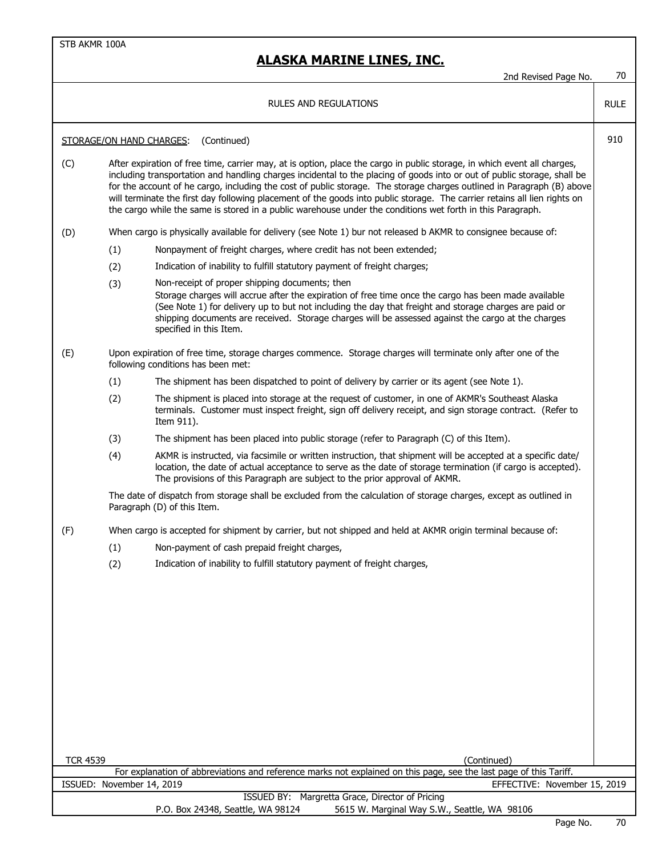|                 |                           | <b>RULES AND REGULATIONS</b>                                                                                                                                                                                                                                                                                                                                                                                                                                                                                                                                                                                              | <b>RULE</b> |
|-----------------|---------------------------|---------------------------------------------------------------------------------------------------------------------------------------------------------------------------------------------------------------------------------------------------------------------------------------------------------------------------------------------------------------------------------------------------------------------------------------------------------------------------------------------------------------------------------------------------------------------------------------------------------------------------|-------------|
|                 |                           | (Continued)<br>STORAGE/ON HAND CHARGES:                                                                                                                                                                                                                                                                                                                                                                                                                                                                                                                                                                                   | 910         |
| (C)             |                           | After expiration of free time, carrier may, at is option, place the cargo in public storage, in which event all charges,<br>including transportation and handling charges incidental to the placing of goods into or out of public storage, shall be<br>for the account of he cargo, including the cost of public storage. The storage charges outlined in Paragraph (B) above<br>will terminate the first day following placement of the goods into public storage. The carrier retains all lien rights on<br>the cargo while the same is stored in a public warehouse under the conditions wet forth in this Paragraph. |             |
| (D)             |                           | When cargo is physically available for delivery (see Note 1) bur not released b AKMR to consignee because of:                                                                                                                                                                                                                                                                                                                                                                                                                                                                                                             |             |
|                 | (1)                       | Nonpayment of freight charges, where credit has not been extended;                                                                                                                                                                                                                                                                                                                                                                                                                                                                                                                                                        |             |
|                 | (2)                       | Indication of inability to fulfill statutory payment of freight charges;                                                                                                                                                                                                                                                                                                                                                                                                                                                                                                                                                  |             |
|                 | (3)                       | Non-receipt of proper shipping documents; then<br>Storage charges will accrue after the expiration of free time once the cargo has been made available<br>(See Note 1) for delivery up to but not including the day that freight and storage charges are paid or<br>shipping documents are received. Storage charges will be assessed against the cargo at the charges<br>specified in this Item.                                                                                                                                                                                                                         |             |
| (E)             |                           | Upon expiration of free time, storage charges commence. Storage charges will terminate only after one of the<br>following conditions has been met:                                                                                                                                                                                                                                                                                                                                                                                                                                                                        |             |
|                 | (1)                       | The shipment has been dispatched to point of delivery by carrier or its agent (see Note 1).                                                                                                                                                                                                                                                                                                                                                                                                                                                                                                                               |             |
|                 | (2)                       | The shipment is placed into storage at the request of customer, in one of AKMR's Southeast Alaska<br>terminals. Customer must inspect freight, sign off delivery receipt, and sign storage contract. (Refer to<br>Item 911).                                                                                                                                                                                                                                                                                                                                                                                              |             |
|                 | (3)                       | The shipment has been placed into public storage (refer to Paragraph (C) of this Item).                                                                                                                                                                                                                                                                                                                                                                                                                                                                                                                                   |             |
|                 | (4)                       | AKMR is instructed, via facsimile or written instruction, that shipment will be accepted at a specific date/<br>location, the date of actual acceptance to serve as the date of storage termination (if cargo is accepted).<br>The provisions of this Paragraph are subject to the prior approval of AKMR.                                                                                                                                                                                                                                                                                                                |             |
|                 |                           | The date of dispatch from storage shall be excluded from the calculation of storage charges, except as outlined in<br>Paragraph (D) of this Item.                                                                                                                                                                                                                                                                                                                                                                                                                                                                         |             |
| (F)             |                           | When cargo is accepted for shipment by carrier, but not shipped and held at AKMR origin terminal because of:                                                                                                                                                                                                                                                                                                                                                                                                                                                                                                              |             |
|                 | (1)                       | Non-payment of cash prepaid freight charges,                                                                                                                                                                                                                                                                                                                                                                                                                                                                                                                                                                              |             |
|                 | (2)                       | Indication of inability to fulfill statutory payment of freight charges,                                                                                                                                                                                                                                                                                                                                                                                                                                                                                                                                                  |             |
|                 |                           |                                                                                                                                                                                                                                                                                                                                                                                                                                                                                                                                                                                                                           |             |
|                 |                           |                                                                                                                                                                                                                                                                                                                                                                                                                                                                                                                                                                                                                           |             |
| <b>TCR 4539</b> |                           | (Continued)                                                                                                                                                                                                                                                                                                                                                                                                                                                                                                                                                                                                               |             |
|                 |                           | For explanation of abbreviations and reference marks not explained on this page, see the last page of this Tariff.                                                                                                                                                                                                                                                                                                                                                                                                                                                                                                        |             |
|                 | ISSUED: November 14, 2019 | EFFECTIVE: November 15, 2019                                                                                                                                                                                                                                                                                                                                                                                                                                                                                                                                                                                              |             |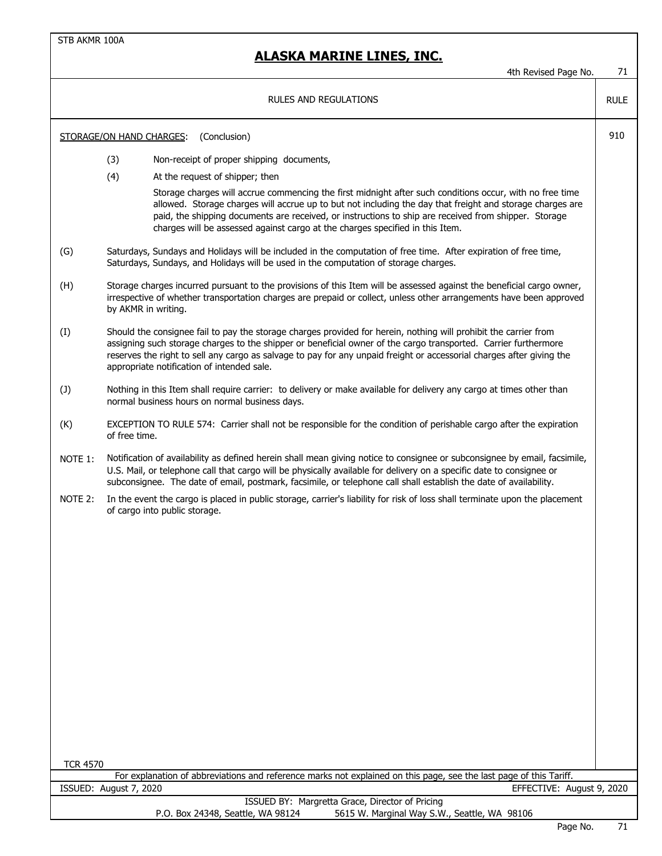#### **ALASKA MARINE LINES, INC.**

4th Revised Page No. 71

RULE

#### RULES AND REGULATIONS

STORAGE/ON HAND CHARGES: (Conclusion) 910

- (3) Non-receipt of proper shipping documents,
- (4) At the request of shipper; then

Storage charges will accrue commencing the first midnight after such conditions occur, with no free time allowed. Storage charges will accrue up to but not including the day that freight and storage charges are paid, the shipping documents are received, or instructions to ship are received from shipper. Storage charges will be assessed against cargo at the charges specified in this Item.

- (G) Saturdays, Sundays and Holidays will be included in the computation of free time. After expiration of free time, Saturdays, Sundays, and Holidays will be used in the computation of storage charges.
- (H) Storage charges incurred pursuant to the provisions of this Item will be assessed against the beneficial cargo owner, irrespective of whether transportation charges are prepaid or collect, unless other arrangements have been approved by AKMR in writing.
- (I) Should the consignee fail to pay the storage charges provided for herein, nothing will prohibit the carrier from assigning such storage charges to the shipper or beneficial owner of the cargo transported. Carrier furthermore reserves the right to sell any cargo as salvage to pay for any unpaid freight or accessorial charges after giving the appropriate notification of intended sale.
- (J) Nothing in this Item shall require carrier: to delivery or make available for delivery any cargo at times other than normal business hours on normal business days.
- (K) EXCEPTION TO RULE 574: Carrier shall not be responsible for the condition of perishable cargo after the expiration of free time.
- NOTE 1: Notification of availability as defined herein shall mean giving notice to consignee or subconsignee by email, facsimile, U.S. Mail, or telephone call that cargo will be physically available for delivery on a specific date to consignee or subconsignee. The date of email, postmark, facsimile, or telephone call shall establish the date of availability.
- NOTE 2: In the event the cargo is placed in public storage, carrier's liability for risk of loss shall terminate upon the placement of cargo into public storage.

TCR 4570

|                        | For explanation of abbreviations and reference marks not explained on this page, see the last page of this Tariff. |                           |
|------------------------|--------------------------------------------------------------------------------------------------------------------|---------------------------|
| ISSUED: August 7, 2020 |                                                                                                                    | EFFECTIVE: August 9, 2020 |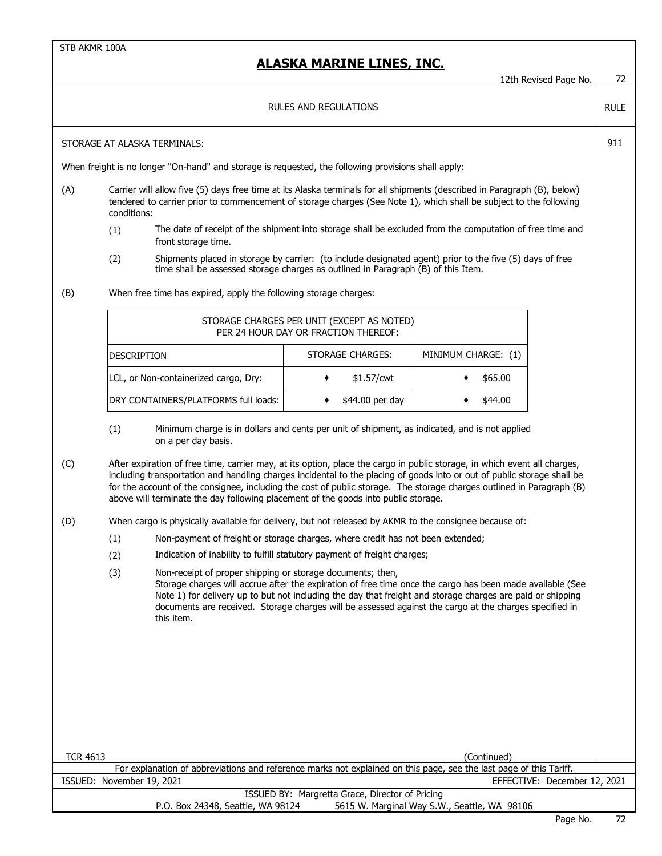|                 |                                                                                                                                                                                                                                                                                                                                                                                                                                                                     |                                                                                                                                                                                               |                       |                                                                                                 |                     |             | 12th Revised Page No.        | 72          |  |
|-----------------|---------------------------------------------------------------------------------------------------------------------------------------------------------------------------------------------------------------------------------------------------------------------------------------------------------------------------------------------------------------------------------------------------------------------------------------------------------------------|-----------------------------------------------------------------------------------------------------------------------------------------------------------------------------------------------|-----------------------|-------------------------------------------------------------------------------------------------|---------------------|-------------|------------------------------|-------------|--|
|                 |                                                                                                                                                                                                                                                                                                                                                                                                                                                                     |                                                                                                                                                                                               | RULES AND REGULATIONS |                                                                                                 |                     |             |                              | <b>RULE</b> |  |
|                 |                                                                                                                                                                                                                                                                                                                                                                                                                                                                     | <b>STORAGE AT ALASKA TERMINALS:</b>                                                                                                                                                           |                       |                                                                                                 |                     |             |                              | 911         |  |
|                 |                                                                                                                                                                                                                                                                                                                                                                                                                                                                     | When freight is no longer "On-hand" and storage is requested, the following provisions shall apply:                                                                                           |                       |                                                                                                 |                     |             |                              |             |  |
| (A)             | Carrier will allow five (5) days free time at its Alaska terminals for all shipments (described in Paragraph (B), below)<br>tendered to carrier prior to commencement of storage charges (See Note 1), which shall be subject to the following<br>conditions:                                                                                                                                                                                                       |                                                                                                                                                                                               |                       |                                                                                                 |                     |             |                              |             |  |
|                 | The date of receipt of the shipment into storage shall be excluded from the computation of free time and<br>(1)<br>front storage time.                                                                                                                                                                                                                                                                                                                              |                                                                                                                                                                                               |                       |                                                                                                 |                     |             |                              |             |  |
|                 | (2)                                                                                                                                                                                                                                                                                                                                                                                                                                                                 | Shipments placed in storage by carrier: (to include designated agent) prior to the five (5) days of free<br>time shall be assessed storage charges as outlined in Paragraph (B) of this Item. |                       |                                                                                                 |                     |             |                              |             |  |
| (B)             |                                                                                                                                                                                                                                                                                                                                                                                                                                                                     | When free time has expired, apply the following storage charges:                                                                                                                              |                       |                                                                                                 |                     |             |                              |             |  |
|                 |                                                                                                                                                                                                                                                                                                                                                                                                                                                                     | STORAGE CHARGES PER UNIT (EXCEPT AS NOTED)<br>PER 24 HOUR DAY OR FRACTION THEREOF:                                                                                                            |                       |                                                                                                 |                     |             |                              |             |  |
|                 | <b>DESCRIPTION</b>                                                                                                                                                                                                                                                                                                                                                                                                                                                  |                                                                                                                                                                                               |                       | STORAGE CHARGES:                                                                                | MINIMUM CHARGE: (1) |             |                              |             |  |
|                 |                                                                                                                                                                                                                                                                                                                                                                                                                                                                     | LCL, or Non-containerized cargo, Dry:                                                                                                                                                         | ٠                     | \$1.57/cwt                                                                                      | ٠                   | \$65.00     |                              |             |  |
|                 |                                                                                                                                                                                                                                                                                                                                                                                                                                                                     | DRY CONTAINERS/PLATFORMS full loads:                                                                                                                                                          | ٠                     | \$44.00 per day                                                                                 |                     | \$44.00     |                              |             |  |
|                 | (1)                                                                                                                                                                                                                                                                                                                                                                                                                                                                 | Minimum charge is in dollars and cents per unit of shipment, as indicated, and is not applied<br>on a per day basis.                                                                          |                       |                                                                                                 |                     |             |                              |             |  |
| (C)             | After expiration of free time, carrier may, at its option, place the cargo in public storage, in which event all charges,<br>including transportation and handling charges incidental to the placing of goods into or out of public storage shall be<br>for the account of the consignee, including the cost of public storage. The storage charges outlined in Paragraph (B)<br>above will terminate the day following placement of the goods into public storage. |                                                                                                                                                                                               |                       |                                                                                                 |                     |             |                              |             |  |
| (D)             |                                                                                                                                                                                                                                                                                                                                                                                                                                                                     | When cargo is physically available for delivery, but not released by AKMR to the consignee because of:                                                                                        |                       |                                                                                                 |                     |             |                              |             |  |
|                 | (1)                                                                                                                                                                                                                                                                                                                                                                                                                                                                 | Non-payment of freight or storage charges, where credit has not been extended;                                                                                                                |                       |                                                                                                 |                     |             |                              |             |  |
|                 | (2)                                                                                                                                                                                                                                                                                                                                                                                                                                                                 | Indication of inability to fulfill statutory payment of freight charges;                                                                                                                      |                       |                                                                                                 |                     |             |                              |             |  |
|                 | (3)<br>Non-receipt of proper shipping or storage documents; then,<br>Storage charges will accrue after the expiration of free time once the cargo has been made available (See<br>Note 1) for delivery up to but not including the day that freight and storage charges are paid or shipping<br>documents are received. Storage charges will be assessed against the cargo at the charges specified in<br>this item.                                                |                                                                                                                                                                                               |                       |                                                                                                 |                     |             |                              |             |  |
|                 |                                                                                                                                                                                                                                                                                                                                                                                                                                                                     |                                                                                                                                                                                               |                       |                                                                                                 |                     |             |                              |             |  |
|                 |                                                                                                                                                                                                                                                                                                                                                                                                                                                                     |                                                                                                                                                                                               |                       |                                                                                                 |                     |             |                              |             |  |
|                 |                                                                                                                                                                                                                                                                                                                                                                                                                                                                     |                                                                                                                                                                                               |                       |                                                                                                 |                     |             |                              |             |  |
|                 |                                                                                                                                                                                                                                                                                                                                                                                                                                                                     |                                                                                                                                                                                               |                       |                                                                                                 |                     |             |                              |             |  |
|                 |                                                                                                                                                                                                                                                                                                                                                                                                                                                                     |                                                                                                                                                                                               |                       |                                                                                                 |                     |             |                              |             |  |
| <b>TCR 4613</b> |                                                                                                                                                                                                                                                                                                                                                                                                                                                                     | For explanation of abbreviations and reference marks not explained on this page, see the last page of this Tariff.                                                                            |                       |                                                                                                 |                     | (Continued) |                              |             |  |
|                 | ISSUED: November 19, 2021                                                                                                                                                                                                                                                                                                                                                                                                                                           |                                                                                                                                                                                               |                       |                                                                                                 |                     |             | EFFECTIVE: December 12, 2021 |             |  |
|                 |                                                                                                                                                                                                                                                                                                                                                                                                                                                                     | P.O. Box 24348, Seattle, WA 98124                                                                                                                                                             |                       | ISSUED BY: Margretta Grace, Director of Pricing<br>5615 W. Marginal Way S.W., Seattle, WA 98106 |                     |             |                              |             |  |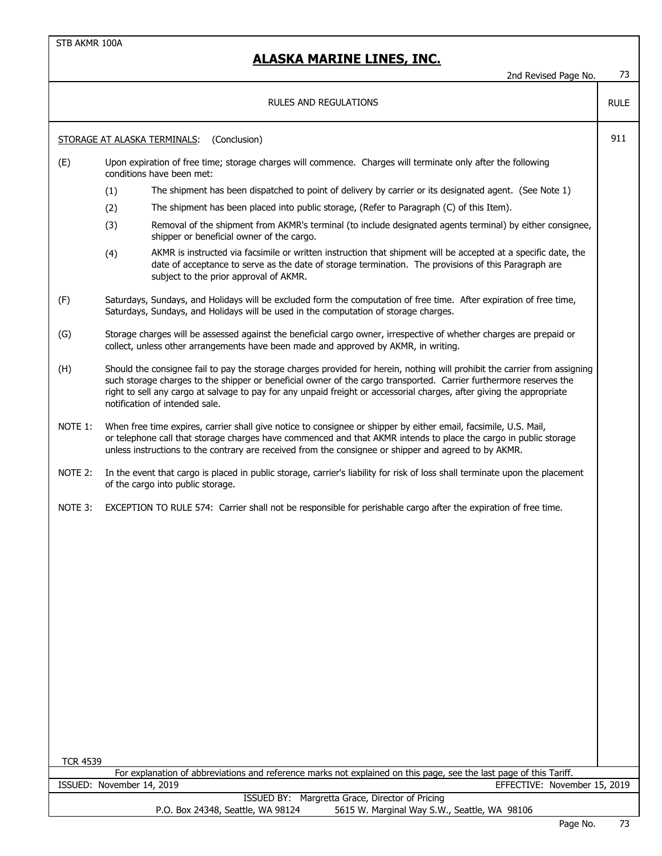#### **ALASKA MARINE LINES, INC.**

# 2nd Revised Page No. 73 RULE STORAGE AT ALASKA TERMINALS: (Conclusion) 911 (E) Upon expiration of free time; storage charges will commence. Charges will terminate only after the following conditions have been met: (1) The shipment has been dispatched to point of delivery by carrier or its designated agent. (See Note 1) (2) The shipment has been placed into public storage, (Refer to Paragraph (C) of this Item). (3) Removal of the shipment from AKMR's terminal (to include designated agents terminal) by either consignee, shipper or beneficial owner of the cargo. (4) AKMR is instructed via facsimile or written instruction that shipment will be accepted at a specific date, the date of acceptance to serve as the date of storage termination. The provisions of this Paragraph are subject to the prior approval of AKMR. (F) Saturdays, Sundays, and Holidays will be excluded form the computation of free time. After expiration of free time, Saturdays, Sundays, and Holidays will be used in the computation of storage charges. (G) Storage charges will be assessed against the beneficial cargo owner, irrespective of whether charges are prepaid or collect, unless other arrangements have been made and approved by AKMR, in writing. (H) Should the consignee fail to pay the storage charges provided for herein, nothing will prohibit the carrier from assigning such storage charges to the shipper or beneficial owner of the cargo transported. Carrier furthermore reserves the right to sell any cargo at salvage to pay for any unpaid freight or accessorial charges, after giving the appropriate notification of intended sale. NOTE 1: When free time expires, carrier shall give notice to consignee or shipper by either email, facsimile, U.S. Mail, or telephone call that storage charges have commenced and that AKMR intends to place the cargo in public storage unless instructions to the contrary are received from the consignee or shipper and agreed to by AKMR. NOTE 2: In the event that cargo is placed in public storage, carrier's liability for risk of loss shall terminate upon the placement of the cargo into public storage. NOTE 3: EXCEPTION TO RULE 574: Carrier shall not be responsible for perishable cargo after the expiration of free time. TCR 4539 ISSUED: November 14, 2019 EFFECTIVE: November 15, 2019 ISSUED BY: Margretta Grace, Director of Pricing P.O. Box 24348, Seattle, WA 98124 5615 W. Marginal Way S.W., Seattle, WA 98106 For explanation of abbreviations and reference marks not explained on this page, see the last page of this Tariff. RULES AND REGULATIONS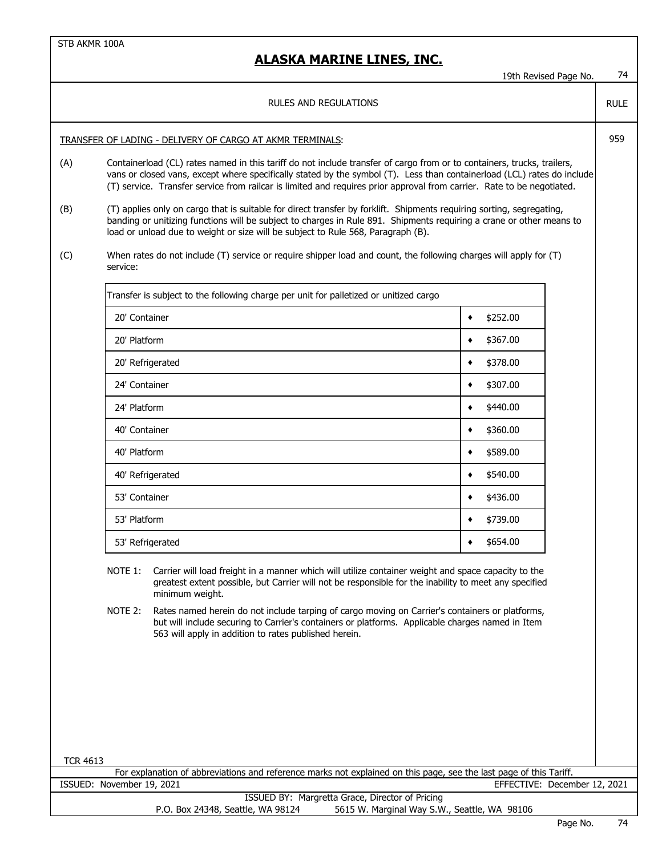## 19th Revised Page No. 74 RULE TRANSFER OF LADING - DELIVERY OF CARGO AT AKMR TERMINALS: 959 (A) Containerload (CL) rates named in this tariff do not include transfer of cargo from or to containers, trucks, trailers, vans or closed vans, except where specifically stated by the symbol (T). Less than containerload (LCL) rates do include (T) service. Transfer service from railcar is limited and requires prior approval from carrier. Rate to be negotiated. (B) (T) applies only on cargo that is suitable for direct transfer by forklift. Shipments requiring sorting, segregating, banding or unitizing functions will be subject to charges in Rule 891. Shipments requiring a crane or other means to load or unload due to weight or size will be subject to Rule 568, Paragraph (B). (C) When rates do not include (T) service or require shipper load and count, the following charges will apply for (T) service: Transfer is subject to the following charge per unit for palletized or unitized cargo 20' Container ♦ \$252.00  $20'$  Platform  $\downarrow \bullet$  \$367.00 20' Refrigerated  $\overrightarrow{ }$  \$378.00  $24'$  Container  $\overrightarrow{ }$  \$307.00  $24'$  Platform  $\longrightarrow$  \$440.00 40' Container ♦ \$360.00 40' Platform ♦ \$589.00  $40'$  Refrigerated  $\overline{\phantom{0}}$   $\overline{\phantom{0}}$   $\overline{\phantom{0}}$   $\overline{\phantom{0}}$   $\overline{\phantom{0}}$   $\overline{\phantom{0}}$   $\overline{\phantom{0}}$   $\overline{\phantom{0}}$   $\overline{\phantom{0}}$   $\overline{\phantom{0}}$   $\overline{\phantom{0}}$   $\overline{\phantom{0}}$   $\overline{\phantom{0}}$   $\overline{\phantom{0}}$   $\overline{\phantom{0}}$   $\overline{\phantom{0}}$   $\overline{\phantom{0}}$  $53'$  Container  $\qquad \qquad \bullet$  \$436.00  $53'$  Platform  $\qquad \qquad \bullet$  \$739.00  $53'$  Refrigerated  $\overline{\phantom{0}}$   $\overline{\phantom{0}}$   $\overline{\phantom{0}}$   $\overline{\phantom{0}}$   $\overline{\phantom{0}}$   $\overline{\phantom{0}}$   $\overline{\phantom{0}}$   $\overline{\phantom{0}}$   $\overline{\phantom{0}}$   $\overline{\phantom{0}}$   $\overline{\phantom{0}}$   $\overline{\phantom{0}}$   $\overline{\phantom{0}}$   $\overline{\phantom{0}}$   $\overline{\phantom{0}}$   $\overline{\phantom{0}}$   $\overline{\phantom{0}}$ NOTE 1: Carrier will load freight in a manner which will utilize container weight and space capacity to the greatest extent possible, but Carrier will not be responsible for the inability to meet any specified minimum weight. NOTE 2: Rates named herein do not include tarping of cargo moving on Carrier's containers or platforms, but will include securing to Carrier's containers or platforms. Applicable charges named in Item **ALASKA MARINE LINES, INC.** RULES AND REGULATIONS

TCR 4613

ISSUED: November 19, 2021 EFFECTIVE: December 12, 2021 For explanation of abbreviations and reference marks not explained on this page, see the last page of this Tariff.

563 will apply in addition to rates published herein.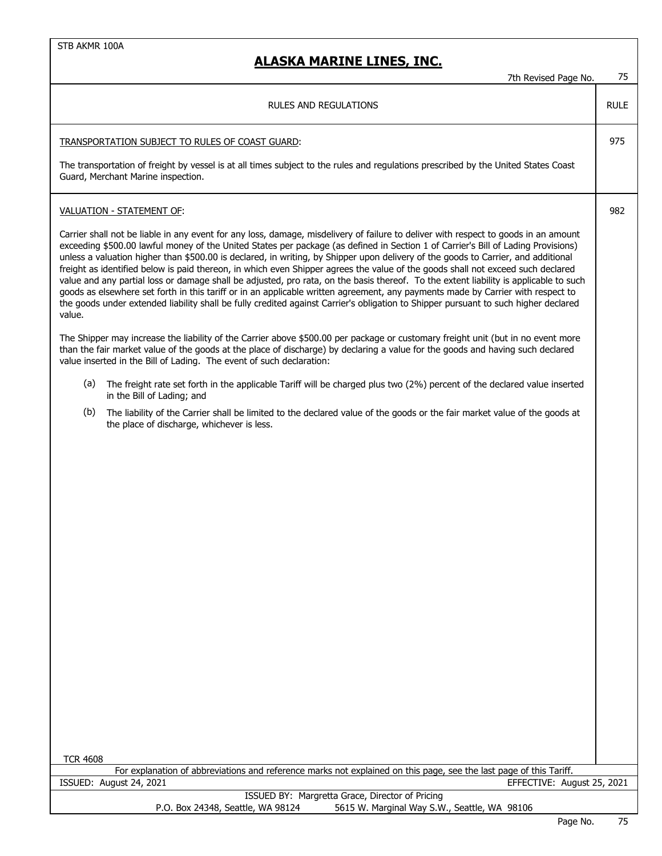| 7th Revised Page No.                                                                                                                                                                                                                                                                                                                                                                                                                                                                                                                                                                                                                                                                                                                                                                                                                                                                                                                                                          | 75          |  |  |  |
|-------------------------------------------------------------------------------------------------------------------------------------------------------------------------------------------------------------------------------------------------------------------------------------------------------------------------------------------------------------------------------------------------------------------------------------------------------------------------------------------------------------------------------------------------------------------------------------------------------------------------------------------------------------------------------------------------------------------------------------------------------------------------------------------------------------------------------------------------------------------------------------------------------------------------------------------------------------------------------|-------------|--|--|--|
| <b>RULES AND REGULATIONS</b>                                                                                                                                                                                                                                                                                                                                                                                                                                                                                                                                                                                                                                                                                                                                                                                                                                                                                                                                                  | <b>RULE</b> |  |  |  |
| TRANSPORTATION SUBJECT TO RULES OF COAST GUARD:                                                                                                                                                                                                                                                                                                                                                                                                                                                                                                                                                                                                                                                                                                                                                                                                                                                                                                                               | 975         |  |  |  |
| The transportation of freight by vessel is at all times subject to the rules and regulations prescribed by the United States Coast<br>Guard, Merchant Marine inspection.                                                                                                                                                                                                                                                                                                                                                                                                                                                                                                                                                                                                                                                                                                                                                                                                      |             |  |  |  |
| VALUATION - STATEMENT OF:                                                                                                                                                                                                                                                                                                                                                                                                                                                                                                                                                                                                                                                                                                                                                                                                                                                                                                                                                     | 982         |  |  |  |
| Carrier shall not be liable in any event for any loss, damage, misdelivery of failure to deliver with respect to goods in an amount<br>exceeding \$500.00 lawful money of the United States per package (as defined in Section 1 of Carrier's Bill of Lading Provisions)<br>unless a valuation higher than \$500.00 is declared, in writing, by Shipper upon delivery of the goods to Carrier, and additional<br>freight as identified below is paid thereon, in which even Shipper agrees the value of the goods shall not exceed such declared<br>value and any partial loss or damage shall be adjusted, pro rata, on the basis thereof. To the extent liability is applicable to such<br>goods as elsewhere set forth in this tariff or in an applicable written agreement, any payments made by Carrier with respect to<br>the goods under extended liability shall be fully credited against Carrier's obligation to Shipper pursuant to such higher declared<br>value. |             |  |  |  |
| The Shipper may increase the liability of the Carrier above \$500.00 per package or customary freight unit (but in no event more<br>than the fair market value of the goods at the place of discharge) by declaring a value for the goods and having such declared<br>value inserted in the Bill of Lading. The event of such declaration:                                                                                                                                                                                                                                                                                                                                                                                                                                                                                                                                                                                                                                    |             |  |  |  |
| The freight rate set forth in the applicable Tariff will be charged plus two (2%) percent of the declared value inserted<br>(a)<br>in the Bill of Lading; and                                                                                                                                                                                                                                                                                                                                                                                                                                                                                                                                                                                                                                                                                                                                                                                                                 |             |  |  |  |
| (b)<br>The liability of the Carrier shall be limited to the declared value of the goods or the fair market value of the goods at<br>the place of discharge, whichever is less.                                                                                                                                                                                                                                                                                                                                                                                                                                                                                                                                                                                                                                                                                                                                                                                                |             |  |  |  |
|                                                                                                                                                                                                                                                                                                                                                                                                                                                                                                                                                                                                                                                                                                                                                                                                                                                                                                                                                                               |             |  |  |  |
| <b>TCR 4608</b><br>For explanation of abbreviations and reference marks not explained on this page, see the last page of this Tariff.                                                                                                                                                                                                                                                                                                                                                                                                                                                                                                                                                                                                                                                                                                                                                                                                                                         |             |  |  |  |
| ISSUED: August 24, 2021<br>EFFECTIVE: August 25, 2021                                                                                                                                                                                                                                                                                                                                                                                                                                                                                                                                                                                                                                                                                                                                                                                                                                                                                                                         |             |  |  |  |
| ISSUED BY: Margretta Grace, Director of Pricing<br>5615 W. Marginal Way S.W., Seattle, WA 98106<br>P.O. Box 24348, Seattle, WA 98124                                                                                                                                                                                                                                                                                                                                                                                                                                                                                                                                                                                                                                                                                                                                                                                                                                          |             |  |  |  |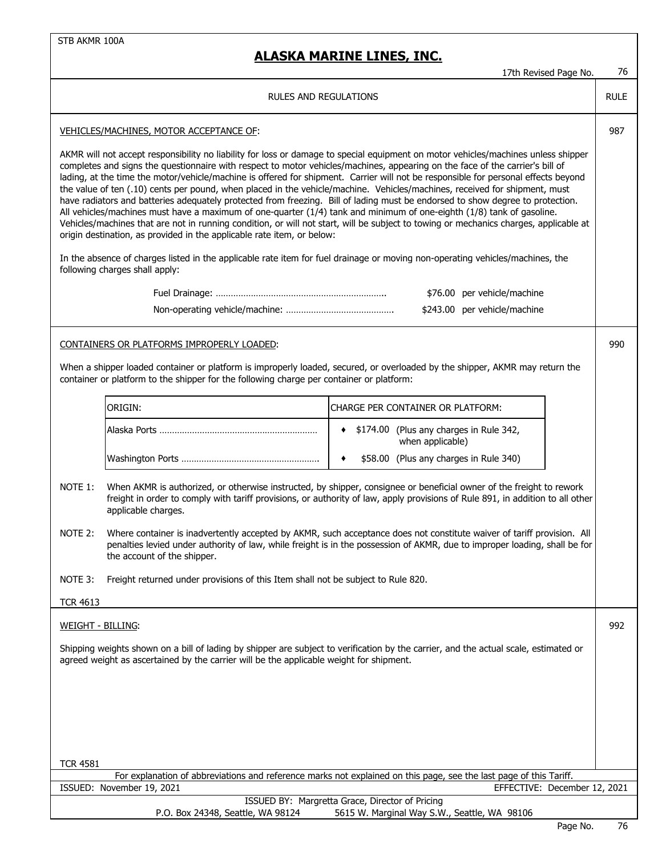|                                                                                                                               |                                                                                                                                                                                                                                                                                                                                                                                                                                                                                                                                                                                                                                                                                                                                                                                                                                                                                                                                                                                                                       | 17th Revised Page No.                                                                                                                                                                                                                                  | 76          |
|-------------------------------------------------------------------------------------------------------------------------------|-----------------------------------------------------------------------------------------------------------------------------------------------------------------------------------------------------------------------------------------------------------------------------------------------------------------------------------------------------------------------------------------------------------------------------------------------------------------------------------------------------------------------------------------------------------------------------------------------------------------------------------------------------------------------------------------------------------------------------------------------------------------------------------------------------------------------------------------------------------------------------------------------------------------------------------------------------------------------------------------------------------------------|--------------------------------------------------------------------------------------------------------------------------------------------------------------------------------------------------------------------------------------------------------|-------------|
|                                                                                                                               | <b>RULES AND REGULATIONS</b>                                                                                                                                                                                                                                                                                                                                                                                                                                                                                                                                                                                                                                                                                                                                                                                                                                                                                                                                                                                          |                                                                                                                                                                                                                                                        | <b>RULE</b> |
|                                                                                                                               | VEHICLES/MACHINES, MOTOR ACCEPTANCE OF:                                                                                                                                                                                                                                                                                                                                                                                                                                                                                                                                                                                                                                                                                                                                                                                                                                                                                                                                                                               |                                                                                                                                                                                                                                                        | 987         |
| In the absence of charges listed in the applicable rate item for fuel drainage or moving non-operating vehicles/machines, the | AKMR will not accept responsibility no liability for loss or damage to special equipment on motor vehicles/machines unless shipper<br>completes and signs the questionnaire with respect to motor vehicles/machines, appearing on the face of the carrier's bill of<br>lading, at the time the motor/vehicle/machine is offered for shipment. Carrier will not be responsible for personal effects beyond<br>the value of ten (.10) cents per pound, when placed in the vehicle/machine. Vehicles/machines, received for shipment, must<br>have radiators and batteries adequately protected from freezing. Bill of lading must be endorsed to show degree to protection.<br>All vehicles/machines must have a maximum of one-quarter (1/4) tank and minimum of one-eighth (1/8) tank of gasoline.<br>Vehicles/machines that are not in running condition, or will not start, will be subject to towing or mechanics charges, applicable at<br>origin destination, as provided in the applicable rate item, or below: |                                                                                                                                                                                                                                                        |             |
|                                                                                                                               | following charges shall apply:                                                                                                                                                                                                                                                                                                                                                                                                                                                                                                                                                                                                                                                                                                                                                                                                                                                                                                                                                                                        |                                                                                                                                                                                                                                                        |             |
|                                                                                                                               |                                                                                                                                                                                                                                                                                                                                                                                                                                                                                                                                                                                                                                                                                                                                                                                                                                                                                                                                                                                                                       | \$76.00 per vehicle/machine                                                                                                                                                                                                                            |             |
|                                                                                                                               |                                                                                                                                                                                                                                                                                                                                                                                                                                                                                                                                                                                                                                                                                                                                                                                                                                                                                                                                                                                                                       | \$243.00 per vehicle/machine                                                                                                                                                                                                                           |             |
|                                                                                                                               | CONTAINERS OR PLATFORMS IMPROPERLY LOADED:                                                                                                                                                                                                                                                                                                                                                                                                                                                                                                                                                                                                                                                                                                                                                                                                                                                                                                                                                                            |                                                                                                                                                                                                                                                        | 990         |
|                                                                                                                               | container or platform to the shipper for the following charge per container or platform:                                                                                                                                                                                                                                                                                                                                                                                                                                                                                                                                                                                                                                                                                                                                                                                                                                                                                                                              | When a shipper loaded container or platform is improperly loaded, secured, or overloaded by the shipper, AKMR may return the                                                                                                                           |             |
|                                                                                                                               | ORIGIN:                                                                                                                                                                                                                                                                                                                                                                                                                                                                                                                                                                                                                                                                                                                                                                                                                                                                                                                                                                                                               | CHARGE PER CONTAINER OR PLATFORM:                                                                                                                                                                                                                      |             |
|                                                                                                                               |                                                                                                                                                                                                                                                                                                                                                                                                                                                                                                                                                                                                                                                                                                                                                                                                                                                                                                                                                                                                                       |                                                                                                                                                                                                                                                        |             |
|                                                                                                                               |                                                                                                                                                                                                                                                                                                                                                                                                                                                                                                                                                                                                                                                                                                                                                                                                                                                                                                                                                                                                                       | \$174.00 (Plus any charges in Rule 342,<br>when applicable)                                                                                                                                                                                            |             |
|                                                                                                                               |                                                                                                                                                                                                                                                                                                                                                                                                                                                                                                                                                                                                                                                                                                                                                                                                                                                                                                                                                                                                                       | \$58.00 (Plus any charges in Rule 340)<br>٠                                                                                                                                                                                                            |             |
| NOTE 1:                                                                                                                       | applicable charges.                                                                                                                                                                                                                                                                                                                                                                                                                                                                                                                                                                                                                                                                                                                                                                                                                                                                                                                                                                                                   | When AKMR is authorized, or otherwise instructed, by shipper, consignee or beneficial owner of the freight to rework<br>freight in order to comply with tariff provisions, or authority of law, apply provisions of Rule 891, in addition to all other |             |
| NOTE 2:                                                                                                                       | the account of the shipper.                                                                                                                                                                                                                                                                                                                                                                                                                                                                                                                                                                                                                                                                                                                                                                                                                                                                                                                                                                                           | Where container is inadvertently accepted by AKMR, such acceptance does not constitute waiver of tariff provision. All<br>penalties levied under authority of law, while freight is in the possession of AKMR, due to improper loading, shall be for   |             |
| NOTE 3:                                                                                                                       | Freight returned under provisions of this Item shall not be subject to Rule 820.                                                                                                                                                                                                                                                                                                                                                                                                                                                                                                                                                                                                                                                                                                                                                                                                                                                                                                                                      |                                                                                                                                                                                                                                                        |             |
| <b>TCR 4613</b>                                                                                                               |                                                                                                                                                                                                                                                                                                                                                                                                                                                                                                                                                                                                                                                                                                                                                                                                                                                                                                                                                                                                                       |                                                                                                                                                                                                                                                        |             |
| <b>WEIGHT - BILLING:</b>                                                                                                      |                                                                                                                                                                                                                                                                                                                                                                                                                                                                                                                                                                                                                                                                                                                                                                                                                                                                                                                                                                                                                       |                                                                                                                                                                                                                                                        | 992         |
|                                                                                                                               | agreed weight as ascertained by the carrier will be the applicable weight for shipment.                                                                                                                                                                                                                                                                                                                                                                                                                                                                                                                                                                                                                                                                                                                                                                                                                                                                                                                               | Shipping weights shown on a bill of lading by shipper are subject to verification by the carrier, and the actual scale, estimated or                                                                                                                   |             |
|                                                                                                                               |                                                                                                                                                                                                                                                                                                                                                                                                                                                                                                                                                                                                                                                                                                                                                                                                                                                                                                                                                                                                                       |                                                                                                                                                                                                                                                        |             |
|                                                                                                                               |                                                                                                                                                                                                                                                                                                                                                                                                                                                                                                                                                                                                                                                                                                                                                                                                                                                                                                                                                                                                                       |                                                                                                                                                                                                                                                        |             |
| <b>TCR 4581</b>                                                                                                               |                                                                                                                                                                                                                                                                                                                                                                                                                                                                                                                                                                                                                                                                                                                                                                                                                                                                                                                                                                                                                       |                                                                                                                                                                                                                                                        |             |
|                                                                                                                               |                                                                                                                                                                                                                                                                                                                                                                                                                                                                                                                                                                                                                                                                                                                                                                                                                                                                                                                                                                                                                       | For explanation of abbreviations and reference marks not explained on this page, see the last page of this Tariff.                                                                                                                                     |             |
|                                                                                                                               | ISSUED: November 19, 2021                                                                                                                                                                                                                                                                                                                                                                                                                                                                                                                                                                                                                                                                                                                                                                                                                                                                                                                                                                                             | EFFECTIVE: December 12, 2021<br>ISSUED BY: Margretta Grace, Director of Pricing                                                                                                                                                                        |             |
| P.O. Box 24348, Seattle, WA 98124<br>5615 W. Marginal Way S.W., Seattle, WA 98106                                             |                                                                                                                                                                                                                                                                                                                                                                                                                                                                                                                                                                                                                                                                                                                                                                                                                                                                                                                                                                                                                       |                                                                                                                                                                                                                                                        |             |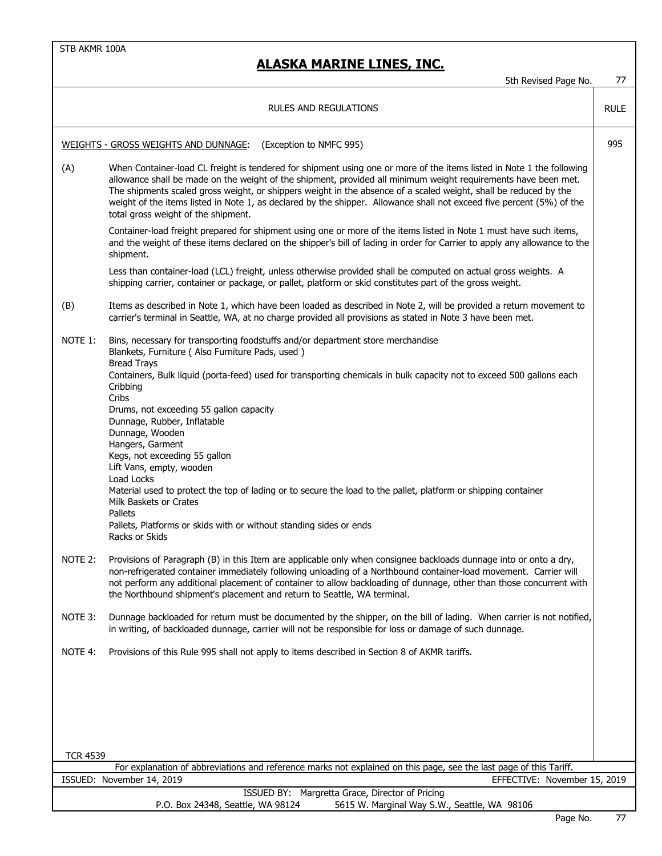|                                                           | 5th Revised Page No.                                                                                                                                                                                                                                                                                                                                                                                                                                                                                                        | 77          |
|-----------------------------------------------------------|-----------------------------------------------------------------------------------------------------------------------------------------------------------------------------------------------------------------------------------------------------------------------------------------------------------------------------------------------------------------------------------------------------------------------------------------------------------------------------------------------------------------------------|-------------|
|                                                           | RULES AND REGULATIONS                                                                                                                                                                                                                                                                                                                                                                                                                                                                                                       | <b>RULE</b> |
|                                                           | <b>WEIGHTS - GROSS WEIGHTS AND DUNNAGE:</b><br>(Exception to NMFC 995)                                                                                                                                                                                                                                                                                                                                                                                                                                                      | 995         |
| (A)                                                       | When Container-load CL freight is tendered for shipment using one or more of the items listed in Note 1 the following<br>allowance shall be made on the weight of the shipment, provided all minimum weight requirements have been met.<br>The shipments scaled gross weight, or shippers weight in the absence of a scaled weight, shall be reduced by the<br>weight of the items listed in Note 1, as declared by the shipper. Allowance shall not exceed five percent (5%) of the<br>total gross weight of the shipment. |             |
|                                                           | Container-load freight prepared for shipment using one or more of the items listed in Note 1 must have such items,<br>and the weight of these items declared on the shipper's bill of lading in order for Carrier to apply any allowance to the<br>shipment.                                                                                                                                                                                                                                                                |             |
|                                                           | Less than container-load (LCL) freight, unless otherwise provided shall be computed on actual gross weights. A<br>shipping carrier, container or package, or pallet, platform or skid constitutes part of the gross weight.                                                                                                                                                                                                                                                                                                 |             |
| (B)                                                       | Items as described in Note 1, which have been loaded as described in Note 2, will be provided a return movement to<br>carrier's terminal in Seattle, WA, at no charge provided all provisions as stated in Note 3 have been met.                                                                                                                                                                                                                                                                                            |             |
| NOTE 1:                                                   | Bins, necessary for transporting foodstuffs and/or department store merchandise<br>Blankets, Furniture ( Also Furniture Pads, used )<br><b>Bread Trays</b>                                                                                                                                                                                                                                                                                                                                                                  |             |
|                                                           | Containers, Bulk liquid (porta-feed) used for transporting chemicals in bulk capacity not to exceed 500 gallons each<br>Cribbing<br>Cribs                                                                                                                                                                                                                                                                                                                                                                                   |             |
|                                                           | Drums, not exceeding 55 gallon capacity<br>Dunnage, Rubber, Inflatable<br>Dunnage, Wooden<br>Hangers, Garment                                                                                                                                                                                                                                                                                                                                                                                                               |             |
|                                                           | Kegs, not exceeding 55 gallon<br>Lift Vans, empty, wooden<br>Load Locks<br>Material used to protect the top of lading or to secure the load to the pallet, platform or shipping container                                                                                                                                                                                                                                                                                                                                   |             |
|                                                           | Milk Baskets or Crates<br>Pallets<br>Pallets, Platforms or skids with or without standing sides or ends<br>Racks or Skids                                                                                                                                                                                                                                                                                                                                                                                                   |             |
| NOTE 2:                                                   | Provisions of Paragraph (B) in this Item are applicable only when consignee backloads dunnage into or onto a dry,<br>non-refrigerated container immediately following unloading of a Northbound container-load movement. Carrier will<br>not perform any additional placement of container to allow backloading of dunnage, other than those concurrent with<br>the Northbound shipment's placement and return to Seattle, WA terminal.                                                                                     |             |
| NOTE 3:                                                   | Dunnage backloaded for return must be documented by the shipper, on the bill of lading. When carrier is not notified,<br>in writing, of backloaded dunnage, carrier will not be responsible for loss or damage of such dunnage.                                                                                                                                                                                                                                                                                             |             |
| NOTE 4:                                                   | Provisions of this Rule 995 shall not apply to items described in Section 8 of AKMR tariffs.                                                                                                                                                                                                                                                                                                                                                                                                                                |             |
|                                                           |                                                                                                                                                                                                                                                                                                                                                                                                                                                                                                                             |             |
|                                                           |                                                                                                                                                                                                                                                                                                                                                                                                                                                                                                                             |             |
|                                                           |                                                                                                                                                                                                                                                                                                                                                                                                                                                                                                                             |             |
| <b>TCR 4539</b>                                           | For explanation of abbreviations and reference marks not explained on this page, see the last page of this Tariff.                                                                                                                                                                                                                                                                                                                                                                                                          |             |
| ISSUED: November 14, 2019<br>EFFECTIVE: November 15, 2019 |                                                                                                                                                                                                                                                                                                                                                                                                                                                                                                                             |             |
|                                                           | ISSUED BY: Margretta Grace, Director of Pricing                                                                                                                                                                                                                                                                                                                                                                                                                                                                             |             |
|                                                           | 5615 W. Marginal Way S.W., Seattle, WA 98106<br>P.O. Box 24348, Seattle, WA 98124                                                                                                                                                                                                                                                                                                                                                                                                                                           |             |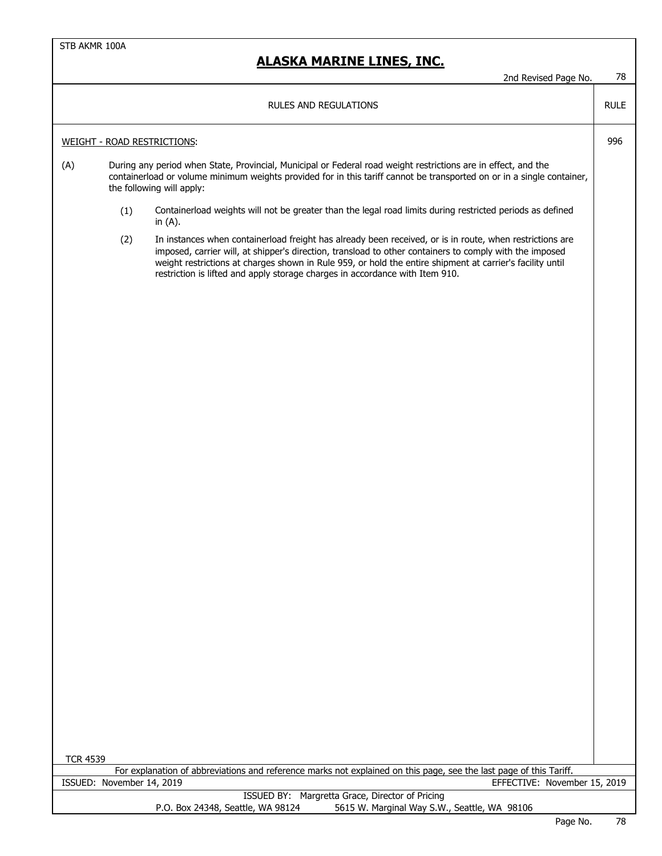|                 |                           | 2nd Revised Page No.                                                                                                                                                                                                                                                                                                                                                                                             | 78          |
|-----------------|---------------------------|------------------------------------------------------------------------------------------------------------------------------------------------------------------------------------------------------------------------------------------------------------------------------------------------------------------------------------------------------------------------------------------------------------------|-------------|
|                 |                           | <b>RULES AND REGULATIONS</b>                                                                                                                                                                                                                                                                                                                                                                                     | <b>RULE</b> |
|                 |                           | <b>WEIGHT - ROAD RESTRICTIONS:</b>                                                                                                                                                                                                                                                                                                                                                                               | 996         |
| (A)             |                           | During any period when State, Provincial, Municipal or Federal road weight restrictions are in effect, and the<br>containerload or volume minimum weights provided for in this tariff cannot be transported on or in a single container,<br>the following will apply:                                                                                                                                            |             |
|                 | (1)                       | Containerload weights will not be greater than the legal road limits during restricted periods as defined<br>in $(A)$ .                                                                                                                                                                                                                                                                                          |             |
|                 | (2)                       | In instances when containerload freight has already been received, or is in route, when restrictions are<br>imposed, carrier will, at shipper's direction, transload to other containers to comply with the imposed<br>weight restrictions at charges shown in Rule 959, or hold the entire shipment at carrier's facility until<br>restriction is lifted and apply storage charges in accordance with Item 910. |             |
|                 |                           |                                                                                                                                                                                                                                                                                                                                                                                                                  |             |
|                 |                           |                                                                                                                                                                                                                                                                                                                                                                                                                  |             |
|                 |                           |                                                                                                                                                                                                                                                                                                                                                                                                                  |             |
|                 |                           |                                                                                                                                                                                                                                                                                                                                                                                                                  |             |
|                 |                           |                                                                                                                                                                                                                                                                                                                                                                                                                  |             |
|                 |                           |                                                                                                                                                                                                                                                                                                                                                                                                                  |             |
|                 |                           |                                                                                                                                                                                                                                                                                                                                                                                                                  |             |
|                 |                           |                                                                                                                                                                                                                                                                                                                                                                                                                  |             |
| <b>TCR 4539</b> |                           |                                                                                                                                                                                                                                                                                                                                                                                                                  |             |
|                 | ISSUED: November 14, 2019 | For explanation of abbreviations and reference marks not explained on this page, see the last page of this Tariff.<br>EFFECTIVE: November 15, 2019                                                                                                                                                                                                                                                               |             |
|                 |                           | ISSUED BY: Margretta Grace, Director of Pricing<br>P.O. Box 24348, Seattle, WA 98124<br>5615 W. Marginal Way S.W., Seattle, WA 98106                                                                                                                                                                                                                                                                             |             |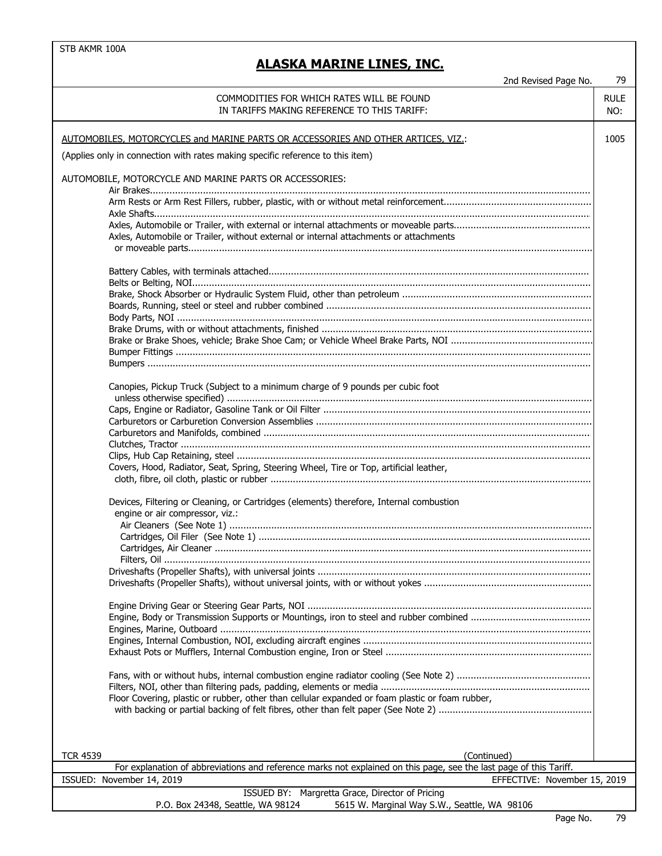| 2nd Revised Page No.                                                                                               | 79          |
|--------------------------------------------------------------------------------------------------------------------|-------------|
| COMMODITIES FOR WHICH RATES WILL BE FOUND                                                                          | <b>RULE</b> |
| IN TARIFFS MAKING REFERENCE TO THIS TARIFF:                                                                        | NO:         |
|                                                                                                                    |             |
|                                                                                                                    |             |
| AUTOMOBILES, MOTORCYCLES and MARINE PARTS OR ACCESSORIES AND OTHER ARTICES, VIZ.:                                  | 1005        |
| (Applies only in connection with rates making specific reference to this item)                                     |             |
|                                                                                                                    |             |
| AUTOMOBILE, MOTORCYCLE AND MARINE PARTS OR ACCESSORIES:                                                            |             |
|                                                                                                                    |             |
|                                                                                                                    |             |
|                                                                                                                    |             |
|                                                                                                                    |             |
| Axles, Automobile or Trailer, without external or internal attachments or attachments                              |             |
|                                                                                                                    |             |
|                                                                                                                    |             |
|                                                                                                                    |             |
|                                                                                                                    |             |
|                                                                                                                    |             |
|                                                                                                                    |             |
|                                                                                                                    |             |
|                                                                                                                    |             |
|                                                                                                                    |             |
|                                                                                                                    |             |
|                                                                                                                    |             |
| Canopies, Pickup Truck (Subject to a minimum charge of 9 pounds per cubic foot                                     |             |
|                                                                                                                    |             |
|                                                                                                                    |             |
|                                                                                                                    |             |
|                                                                                                                    |             |
|                                                                                                                    |             |
|                                                                                                                    |             |
| Covers, Hood, Radiator, Seat, Spring, Steering Wheel, Tire or Top, artificial leather,                             |             |
|                                                                                                                    |             |
|                                                                                                                    |             |
| Devices, Filtering or Cleaning, or Cartridges (elements) therefore, Internal combustion                            |             |
| engine or air compressor, viz.:                                                                                    |             |
|                                                                                                                    |             |
|                                                                                                                    |             |
|                                                                                                                    |             |
|                                                                                                                    |             |
|                                                                                                                    |             |
|                                                                                                                    |             |
|                                                                                                                    |             |
|                                                                                                                    |             |
|                                                                                                                    |             |
|                                                                                                                    |             |
|                                                                                                                    |             |
|                                                                                                                    |             |
|                                                                                                                    |             |
|                                                                                                                    |             |
| Floor Covering, plastic or rubber, other than cellular expanded or foam plastic or foam rubber,                    |             |
|                                                                                                                    |             |
|                                                                                                                    |             |
|                                                                                                                    |             |
|                                                                                                                    |             |
| <b>TCR 4539</b><br>(Continued)                                                                                     |             |
| For explanation of abbreviations and reference marks not explained on this page, see the last page of this Tariff. |             |
| ISSUED: November 14, 2019<br>EFFECTIVE: November 15, 2019                                                          |             |
| ISSUED BY: Margretta Grace, Director of Pricing                                                                    |             |
| P.O. Box 24348, Seattle, WA 98124<br>5615 W. Marginal Way S.W., Seattle, WA 98106                                  |             |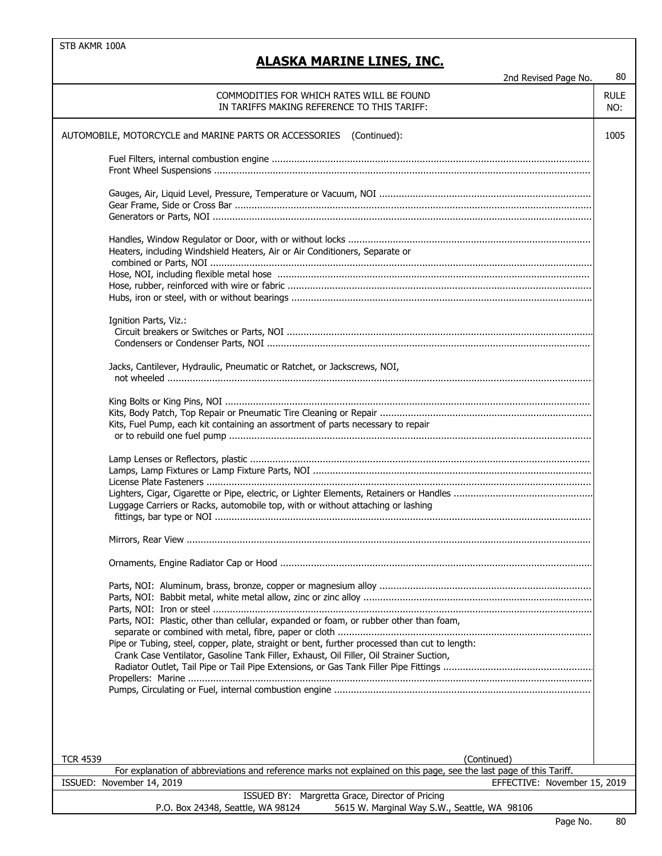| 2nd Revised Page No.                                                                                                                                                                    | 80                 |
|-----------------------------------------------------------------------------------------------------------------------------------------------------------------------------------------|--------------------|
| COMMODITIES FOR WHICH RATES WILL BE FOUND<br>IN TARIFFS MAKING REFERENCE TO THIS TARIFF:                                                                                                | <b>RULE</b><br>NO: |
| AUTOMOBILE, MOTORCYCLE and MARINE PARTS OR ACCESSORIES (Continued):                                                                                                                     | 1005               |
|                                                                                                                                                                                         |                    |
|                                                                                                                                                                                         |                    |
|                                                                                                                                                                                         |                    |
| Heaters, including Windshield Heaters, Air or Air Conditioners, Separate or                                                                                                             |                    |
|                                                                                                                                                                                         |                    |
|                                                                                                                                                                                         |                    |
| Ignition Parts, Viz.:                                                                                                                                                                   |                    |
|                                                                                                                                                                                         |                    |
| Jacks, Cantilever, Hydraulic, Pneumatic or Ratchet, or Jackscrews, NOI,                                                                                                                 |                    |
| Kits, Fuel Pump, each kit containing an assortment of parts necessary to repair                                                                                                         |                    |
| Luggage Carriers or Racks, automobile top, with or without attaching or lashing                                                                                                         |                    |
|                                                                                                                                                                                         |                    |
|                                                                                                                                                                                         |                    |
|                                                                                                                                                                                         |                    |
| Parts, NOI: Plastic, other than cellular, expanded or foam, or rubber other than foam,<br>Pipe or Tubing, steel, copper, plate, straight or bent, further processed than cut to length: |                    |
| Crank Case Ventilator, Gasoline Tank Filler, Exhaust, Oil Filler, Oil Strainer Suction,                                                                                                 |                    |
|                                                                                                                                                                                         |                    |
| <b>TCR 4539</b><br>(Continued)                                                                                                                                                          |                    |
| For explanation of abbreviations and reference marks not explained on this page, see the last page of this Tariff.                                                                      |                    |
| ISSUED: November 14, 2019<br>EFFECTIVE: November 15, 2019<br>ISSUED BY: Margretta Grace, Director of Pricing                                                                            |                    |
| P.O. Box 24348, Seattle, WA 98124<br>5615 W. Marginal Way S.W., Seattle, WA 98106                                                                                                       |                    |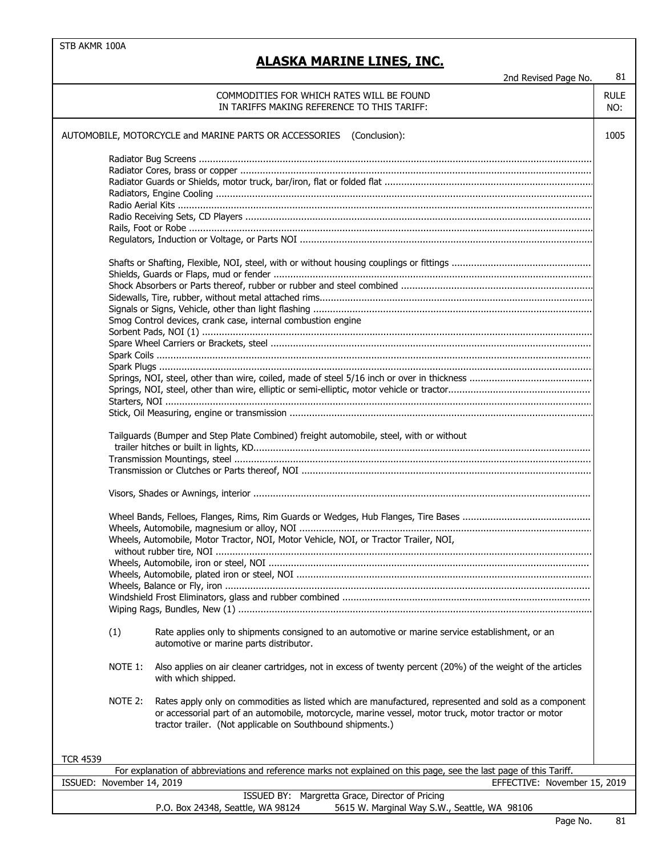## **ALASKA MARINE LINES, INC.**

|                 |                           | 2nd Revised Page No.                                                                                                                                                                                                                                                        | 81          |
|-----------------|---------------------------|-----------------------------------------------------------------------------------------------------------------------------------------------------------------------------------------------------------------------------------------------------------------------------|-------------|
|                 |                           | COMMODITIES FOR WHICH RATES WILL BE FOUND                                                                                                                                                                                                                                   | <b>RULE</b> |
|                 |                           | IN TARIFFS MAKING REFERENCE TO THIS TARIFF:                                                                                                                                                                                                                                 | NO:         |
|                 |                           | AUTOMOBILE, MOTORCYCLE and MARINE PARTS OR ACCESSORIES (Conclusion):                                                                                                                                                                                                        | 1005        |
|                 |                           |                                                                                                                                                                                                                                                                             |             |
|                 |                           |                                                                                                                                                                                                                                                                             |             |
|                 |                           |                                                                                                                                                                                                                                                                             |             |
|                 |                           |                                                                                                                                                                                                                                                                             |             |
|                 |                           |                                                                                                                                                                                                                                                                             |             |
|                 |                           |                                                                                                                                                                                                                                                                             |             |
|                 |                           |                                                                                                                                                                                                                                                                             |             |
|                 |                           |                                                                                                                                                                                                                                                                             |             |
|                 |                           |                                                                                                                                                                                                                                                                             |             |
|                 |                           |                                                                                                                                                                                                                                                                             |             |
|                 |                           |                                                                                                                                                                                                                                                                             |             |
|                 |                           |                                                                                                                                                                                                                                                                             |             |
|                 |                           |                                                                                                                                                                                                                                                                             |             |
|                 |                           |                                                                                                                                                                                                                                                                             |             |
|                 |                           | Smog Control devices, crank case, internal combustion engine                                                                                                                                                                                                                |             |
|                 |                           |                                                                                                                                                                                                                                                                             |             |
|                 |                           |                                                                                                                                                                                                                                                                             |             |
|                 |                           |                                                                                                                                                                                                                                                                             |             |
|                 |                           |                                                                                                                                                                                                                                                                             |             |
|                 |                           |                                                                                                                                                                                                                                                                             |             |
|                 |                           |                                                                                                                                                                                                                                                                             |             |
|                 |                           |                                                                                                                                                                                                                                                                             |             |
|                 |                           |                                                                                                                                                                                                                                                                             |             |
|                 |                           |                                                                                                                                                                                                                                                                             |             |
|                 |                           | Tailguards (Bumper and Step Plate Combined) freight automobile, steel, with or without                                                                                                                                                                                      |             |
|                 |                           |                                                                                                                                                                                                                                                                             |             |
|                 |                           |                                                                                                                                                                                                                                                                             |             |
|                 |                           |                                                                                                                                                                                                                                                                             |             |
|                 |                           |                                                                                                                                                                                                                                                                             |             |
|                 |                           |                                                                                                                                                                                                                                                                             |             |
|                 |                           |                                                                                                                                                                                                                                                                             |             |
|                 |                           | Wheels, Automobile, Motor Tractor, NOI, Motor Vehicle, NOI, or Tractor Trailer, NOI,                                                                                                                                                                                        |             |
|                 |                           |                                                                                                                                                                                                                                                                             |             |
|                 |                           |                                                                                                                                                                                                                                                                             |             |
|                 |                           |                                                                                                                                                                                                                                                                             |             |
|                 |                           |                                                                                                                                                                                                                                                                             |             |
|                 |                           |                                                                                                                                                                                                                                                                             |             |
|                 |                           |                                                                                                                                                                                                                                                                             |             |
|                 | (1)                       | Rate applies only to shipments consigned to an automotive or marine service establishment, or an<br>automotive or marine parts distributor.                                                                                                                                 |             |
|                 | NOTE 1:                   | Also applies on air cleaner cartridges, not in excess of twenty percent (20%) of the weight of the articles<br>with which shipped.                                                                                                                                          |             |
|                 | NOTE 2:                   | Rates apply only on commodities as listed which are manufactured, represented and sold as a component<br>or accessorial part of an automobile, motorcycle, marine vessel, motor truck, motor tractor or motor<br>tractor trailer. (Not applicable on Southbound shipments.) |             |
|                 |                           |                                                                                                                                                                                                                                                                             |             |
|                 |                           |                                                                                                                                                                                                                                                                             |             |
| <b>TCR 4539</b> | ISSUED: November 14, 2019 | For explanation of abbreviations and reference marks not explained on this page, see the last page of this Tariff.                                                                                                                                                          |             |

P.O. Box 24348, Seattle, WA 98124 5615 W. Marginal Way S.W., Seattle, WA 98106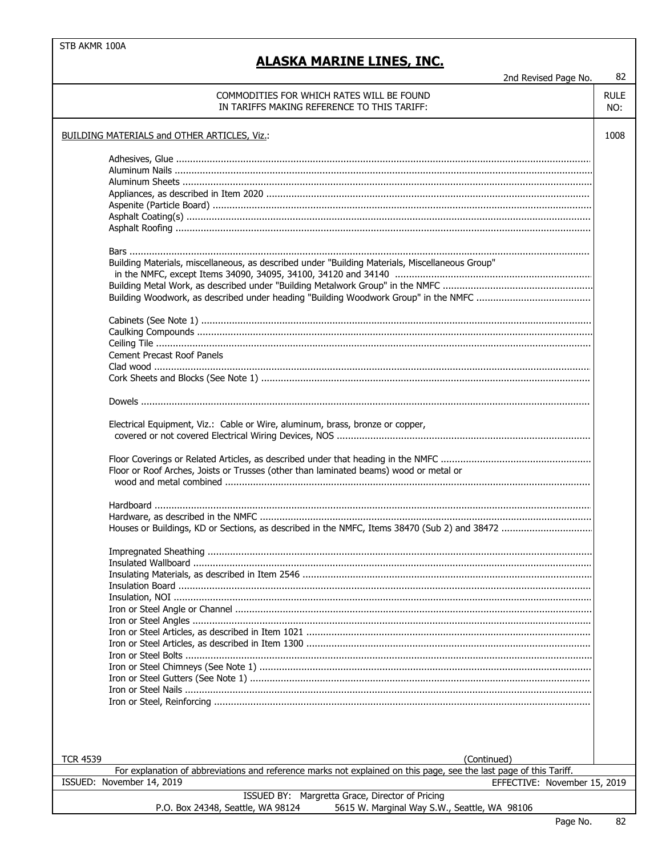## **ALASKA MARINE LINES, INC.**

2nd Revised Page No.

|                 | COMMODITIES FOR WHICH RATES WILL BE FOUND                                                                                                                              | <b>RULE</b> |
|-----------------|------------------------------------------------------------------------------------------------------------------------------------------------------------------------|-------------|
|                 | IN TARIFFS MAKING REFERENCE TO THIS TARIFF:                                                                                                                            | NO:         |
|                 | BUILDING MATERIALS and OTHER ARTICLES, Viz.:                                                                                                                           | 1008        |
|                 |                                                                                                                                                                        |             |
|                 |                                                                                                                                                                        |             |
|                 |                                                                                                                                                                        |             |
|                 |                                                                                                                                                                        |             |
|                 |                                                                                                                                                                        |             |
|                 |                                                                                                                                                                        |             |
|                 |                                                                                                                                                                        |             |
|                 |                                                                                                                                                                        |             |
|                 |                                                                                                                                                                        |             |
|                 | Building Materials, miscellaneous, as described under "Building Materials, Miscellaneous Group"                                                                        |             |
|                 |                                                                                                                                                                        |             |
|                 |                                                                                                                                                                        |             |
|                 |                                                                                                                                                                        |             |
|                 |                                                                                                                                                                        |             |
|                 |                                                                                                                                                                        |             |
|                 |                                                                                                                                                                        |             |
|                 | <b>Cement Precast Roof Panels</b>                                                                                                                                      |             |
|                 |                                                                                                                                                                        |             |
|                 |                                                                                                                                                                        |             |
|                 |                                                                                                                                                                        |             |
|                 | Electrical Equipment, Viz.: Cable or Wire, aluminum, brass, bronze or copper,<br>Floor or Roof Arches, Joists or Trusses (other than laminated beams) wood or metal or |             |
|                 |                                                                                                                                                                        |             |
|                 |                                                                                                                                                                        |             |
|                 |                                                                                                                                                                        |             |
|                 |                                                                                                                                                                        |             |
|                 |                                                                                                                                                                        |             |
|                 |                                                                                                                                                                        |             |
|                 |                                                                                                                                                                        |             |
|                 |                                                                                                                                                                        |             |
|                 |                                                                                                                                                                        |             |
|                 |                                                                                                                                                                        |             |
|                 |                                                                                                                                                                        |             |
|                 |                                                                                                                                                                        |             |
|                 |                                                                                                                                                                        |             |
|                 |                                                                                                                                                                        |             |
|                 |                                                                                                                                                                        |             |
|                 |                                                                                                                                                                        |             |
|                 |                                                                                                                                                                        |             |
|                 |                                                                                                                                                                        |             |
|                 |                                                                                                                                                                        |             |
|                 |                                                                                                                                                                        |             |
| <b>TCR 4539</b> | (Continued)                                                                                                                                                            |             |
|                 | For explanation of abbreviations and reference marks not explained on this page, see the last page of this Tariff.<br>ISSUED: November 14, 2019                        |             |
|                 | EFFECTIVE: November 15, 2019                                                                                                                                           |             |
|                 | ISSUED BY: Margretta Grace, Director of Pricing<br>P.O. Box 24348, Seattle, WA 98124<br>5615 W. Marginal Way S.W., Seattle, WA 98106                                   |             |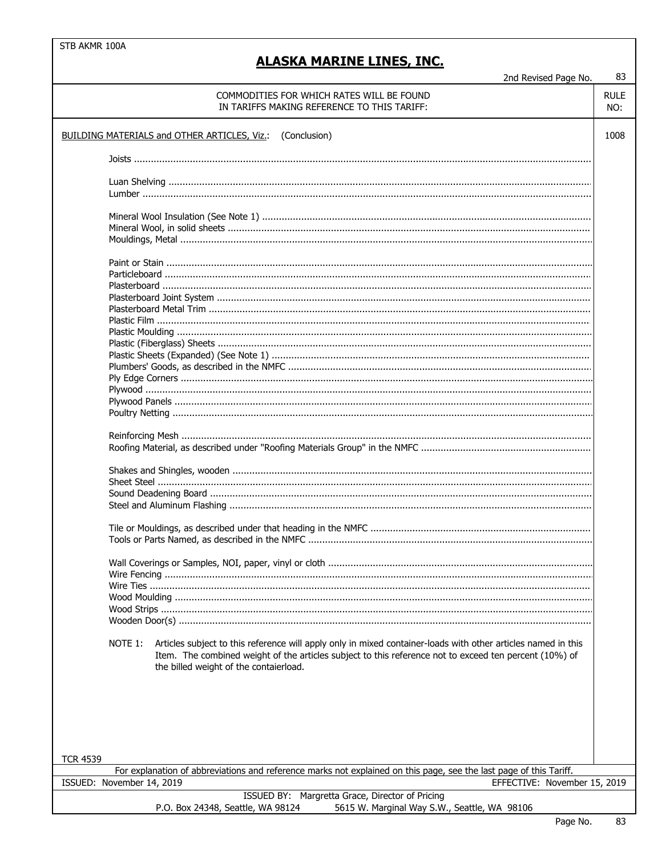| COMMODITIES FOR WHICH RATES WILL BE FOUND<br>IN TARIFFS MAKING REFERENCE TO THIS TARIFF:                                                                                                                                                                                     | <b>RULE</b><br>NO: |
|------------------------------------------------------------------------------------------------------------------------------------------------------------------------------------------------------------------------------------------------------------------------------|--------------------|
| <b>BUILDING MATERIALS and OTHER ARTICLES, Viz.: (Conclusion)</b>                                                                                                                                                                                                             | 1008               |
|                                                                                                                                                                                                                                                                              |                    |
|                                                                                                                                                                                                                                                                              |                    |
|                                                                                                                                                                                                                                                                              |                    |
|                                                                                                                                                                                                                                                                              |                    |
|                                                                                                                                                                                                                                                                              |                    |
|                                                                                                                                                                                                                                                                              |                    |
|                                                                                                                                                                                                                                                                              |                    |
|                                                                                                                                                                                                                                                                              |                    |
|                                                                                                                                                                                                                                                                              |                    |
|                                                                                                                                                                                                                                                                              |                    |
|                                                                                                                                                                                                                                                                              |                    |
|                                                                                                                                                                                                                                                                              |                    |
|                                                                                                                                                                                                                                                                              |                    |
|                                                                                                                                                                                                                                                                              |                    |
| Articles subject to this reference will apply only in mixed container-loads with other articles named in this<br>NOTE 1:<br>Item. The combined weight of the articles subject to this reference not to exceed ten percent (10%) of<br>the billed weight of the contaierload. |                    |
|                                                                                                                                                                                                                                                                              |                    |
| <b>TCR 4539</b>                                                                                                                                                                                                                                                              |                    |
| For explanation of abbreviations and reference marks not explained on this page, see the last page of this Tariff.<br>EFFECTIVE: November 15, 2019<br>ISSUED: November 14, 2019                                                                                              |                    |
| ISSUED BY: Margretta Grace, Director of Pricing<br>P.O. Box 24348, Seattle, WA 98124<br>5615 W. Marginal Way S.W., Seattle, WA 98106                                                                                                                                         |                    |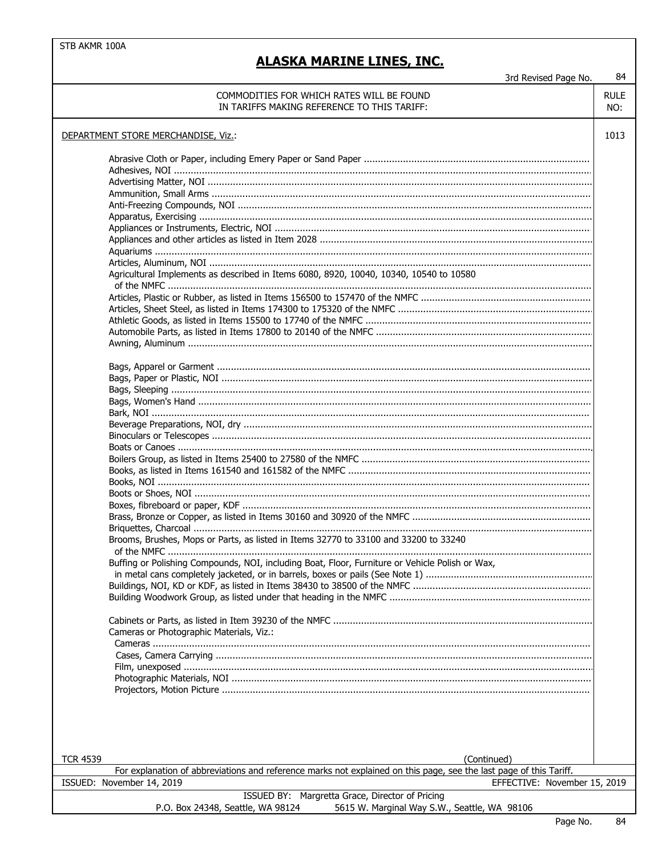## **ALASKA MARINE LINES, INC.**

d Doviced Doge Ne

 $\overline{84}$ 

|                 | 3rd Revised Page No.                                                                                                              |             |
|-----------------|-----------------------------------------------------------------------------------------------------------------------------------|-------------|
|                 | COMMODITIES FOR WHICH RATES WILL BE FOUND                                                                                         | <b>RULE</b> |
|                 | IN TARIFFS MAKING REFERENCE TO THIS TARIFF:                                                                                       | NO:         |
|                 |                                                                                                                                   |             |
|                 | DEPARTMENT STORE MERCHANDISE, Viz.:                                                                                               | 1013        |
|                 |                                                                                                                                   |             |
|                 |                                                                                                                                   |             |
|                 |                                                                                                                                   |             |
|                 |                                                                                                                                   |             |
|                 |                                                                                                                                   |             |
|                 |                                                                                                                                   |             |
|                 |                                                                                                                                   |             |
|                 |                                                                                                                                   |             |
|                 |                                                                                                                                   |             |
|                 |                                                                                                                                   |             |
|                 | Agricultural Implements as described in Items 6080, 8920, 10040, 10340, 10540 to 10580                                            |             |
|                 |                                                                                                                                   |             |
|                 |                                                                                                                                   |             |
|                 |                                                                                                                                   |             |
|                 |                                                                                                                                   |             |
|                 |                                                                                                                                   |             |
|                 |                                                                                                                                   |             |
|                 |                                                                                                                                   |             |
|                 |                                                                                                                                   |             |
|                 |                                                                                                                                   |             |
|                 |                                                                                                                                   |             |
|                 |                                                                                                                                   |             |
|                 |                                                                                                                                   |             |
|                 |                                                                                                                                   |             |
|                 |                                                                                                                                   |             |
|                 |                                                                                                                                   |             |
|                 |                                                                                                                                   |             |
|                 |                                                                                                                                   |             |
|                 |                                                                                                                                   |             |
|                 |                                                                                                                                   |             |
|                 |                                                                                                                                   |             |
|                 |                                                                                                                                   |             |
|                 |                                                                                                                                   |             |
|                 | Brooms, Brushes, Mops or Parts, as listed in Items 32770 to 33100 and 33200 to 33240                                              |             |
|                 |                                                                                                                                   |             |
|                 | Buffing or Polishing Compounds, NOI, including Boat, Floor, Furniture or Vehicle Polish or Wax,                                   |             |
|                 |                                                                                                                                   |             |
|                 |                                                                                                                                   |             |
|                 |                                                                                                                                   |             |
|                 |                                                                                                                                   |             |
|                 |                                                                                                                                   |             |
|                 |                                                                                                                                   |             |
|                 | Cameras or Photographic Materials, Viz.:                                                                                          |             |
|                 |                                                                                                                                   |             |
|                 |                                                                                                                                   |             |
|                 |                                                                                                                                   |             |
|                 |                                                                                                                                   |             |
|                 |                                                                                                                                   |             |
|                 |                                                                                                                                   |             |
|                 |                                                                                                                                   |             |
|                 |                                                                                                                                   |             |
|                 |                                                                                                                                   |             |
|                 |                                                                                                                                   |             |
| <b>TCR 4539</b> | (Continued)<br>For explanation of abbreviations and reference marks not explained on this page, see the last page of this Tariff. |             |
|                 | ISSUED: November 14, 2019<br>EFFECTIVE: November 15, 2019                                                                         |             |
|                 |                                                                                                                                   |             |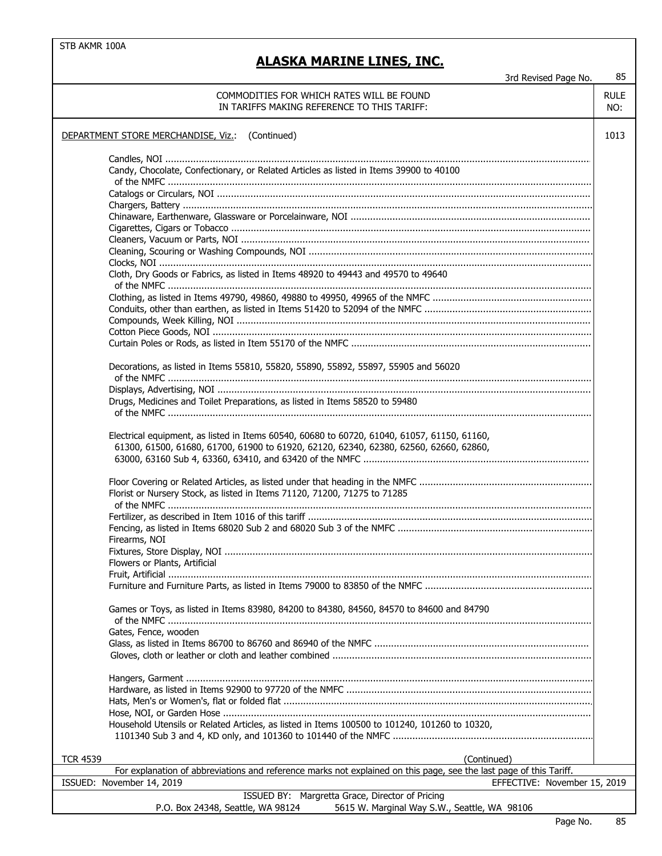| 3rd Revised Page No.                                                                                                                                                                 | 85                 |  |  |
|--------------------------------------------------------------------------------------------------------------------------------------------------------------------------------------|--------------------|--|--|
| COMMODITIES FOR WHICH RATES WILL BE FOUND<br>IN TARIFFS MAKING REFERENCE TO THIS TARIFF:                                                                                             | <b>RULE</b><br>NO: |  |  |
| DEPARTMENT STORE MERCHANDISE, Viz.: (Continued)                                                                                                                                      | 1013               |  |  |
| Candy, Chocolate, Confectionary, or Related Articles as listed in Items 39900 to 40100                                                                                               |                    |  |  |
|                                                                                                                                                                                      |                    |  |  |
|                                                                                                                                                                                      |                    |  |  |
|                                                                                                                                                                                      |                    |  |  |
| Cloth, Dry Goods or Fabrics, as listed in Items 48920 to 49443 and 49570 to 49640                                                                                                    |                    |  |  |
|                                                                                                                                                                                      |                    |  |  |
|                                                                                                                                                                                      |                    |  |  |
|                                                                                                                                                                                      |                    |  |  |
| Decorations, as listed in Items 55810, 55820, 55890, 55892, 55897, 55905 and 56020                                                                                                   |                    |  |  |
| Drugs, Medicines and Toilet Preparations, as listed in Items 58520 to 59480                                                                                                          |                    |  |  |
| Electrical equipment, as listed in Items 60540, 60680 to 60720, 61040, 61057, 61150, 61160,<br>61300, 61500, 61680, 61700, 61900 to 61920, 62120, 62340, 62380, 62560, 62660, 62860, |                    |  |  |
| Florist or Nursery Stock, as listed in Items 71120, 71200, 71275 to 71285                                                                                                            |                    |  |  |
| Firearms, NOI                                                                                                                                                                        |                    |  |  |
| Flowers or Plants, Artificial                                                                                                                                                        |                    |  |  |
|                                                                                                                                                                                      |                    |  |  |
| Games or Toys, as listed in Items 83980, 84200 to 84380, 84560, 84570 to 84600 and 84790                                                                                             |                    |  |  |
| Gates, Fence, wooden                                                                                                                                                                 |                    |  |  |
|                                                                                                                                                                                      |                    |  |  |
|                                                                                                                                                                                      |                    |  |  |
| Household Utensils or Related Articles, as listed in Items 100500 to 101240, 101260 to 10320,                                                                                        |                    |  |  |
| <b>TCR 4539</b><br>(Continued)                                                                                                                                                       |                    |  |  |
| For explanation of abbreviations and reference marks not explained on this page, see the last page of this Tariff.                                                                   |                    |  |  |
| ISSUED: November 14, 2019<br>EFFECTIVE: November 15, 2019<br>ISSUED BY: Margretta Grace, Director of Pricing                                                                         |                    |  |  |
| P.O. Box 24348, Seattle, WA 98124<br>5615 W. Marginal Way S.W., Seattle, WA 98106                                                                                                    |                    |  |  |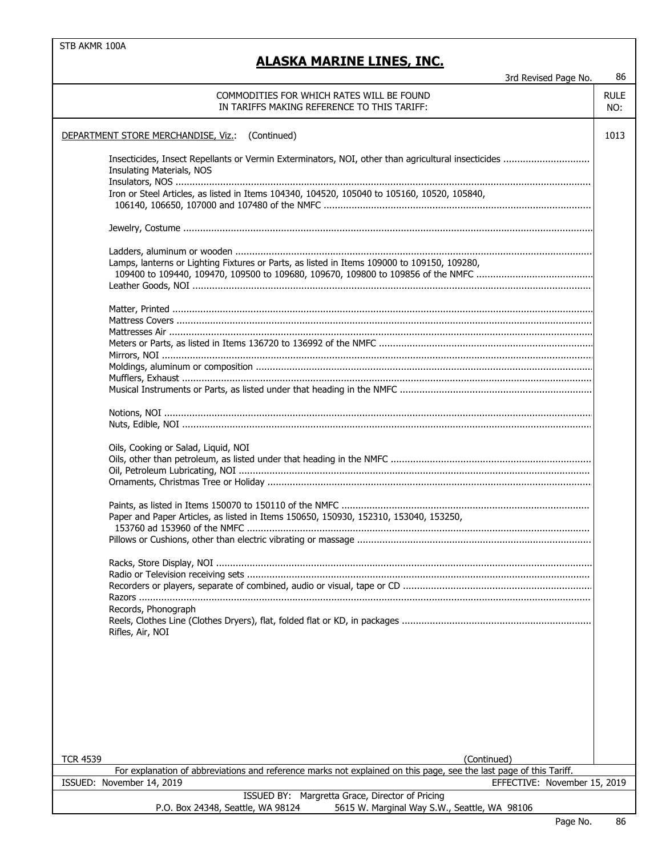## **ALASKA MARINE LINES, INC.**

3rd Revised Page No. 86

 $\mathcal{L}_{\mathcal{A}}$ 

| JIU NEVISEU FAYE IVU.                                                                                              | vv          |
|--------------------------------------------------------------------------------------------------------------------|-------------|
| COMMODITIES FOR WHICH RATES WILL BE FOUND                                                                          | <b>RULE</b> |
| IN TARIFFS MAKING REFERENCE TO THIS TARIFF:                                                                        | NO:         |
|                                                                                                                    |             |
|                                                                                                                    |             |
| (Continued)<br>DEPARTMENT STORE MERCHANDISE, Viz.:                                                                 | 1013        |
|                                                                                                                    |             |
| Insecticides, Insect Repellants or Vermin Exterminators, NOI, other than agricultural insecticides                 |             |
| Insulating Materials, NOS                                                                                          |             |
|                                                                                                                    |             |
| Iron or Steel Articles, as listed in Items 104340, 104520, 105040 to 105160, 10520, 105840,                        |             |
|                                                                                                                    |             |
|                                                                                                                    |             |
|                                                                                                                    |             |
|                                                                                                                    |             |
|                                                                                                                    |             |
|                                                                                                                    |             |
| Lamps, lanterns or Lighting Fixtures or Parts, as listed in Items 109000 to 109150, 109280,                        |             |
|                                                                                                                    |             |
|                                                                                                                    |             |
|                                                                                                                    |             |
|                                                                                                                    |             |
|                                                                                                                    |             |
|                                                                                                                    |             |
|                                                                                                                    |             |
|                                                                                                                    |             |
|                                                                                                                    |             |
|                                                                                                                    |             |
|                                                                                                                    |             |
|                                                                                                                    |             |
|                                                                                                                    |             |
|                                                                                                                    |             |
|                                                                                                                    |             |
|                                                                                                                    |             |
| Oils, Cooking or Salad, Liquid, NOI                                                                                |             |
|                                                                                                                    |             |
|                                                                                                                    |             |
|                                                                                                                    |             |
|                                                                                                                    |             |
|                                                                                                                    |             |
|                                                                                                                    |             |
| Paper and Paper Articles, as listed in Items 150650, 150930, 152310, 153040, 153250,                               |             |
|                                                                                                                    |             |
|                                                                                                                    |             |
|                                                                                                                    |             |
| Racks, Store Display, NOI                                                                                          |             |
|                                                                                                                    |             |
|                                                                                                                    |             |
|                                                                                                                    |             |
|                                                                                                                    |             |
| Records, Phonograph                                                                                                |             |
|                                                                                                                    |             |
| Rifles, Air, NOI                                                                                                   |             |
|                                                                                                                    |             |
|                                                                                                                    |             |
|                                                                                                                    |             |
|                                                                                                                    |             |
|                                                                                                                    |             |
|                                                                                                                    |             |
|                                                                                                                    |             |
|                                                                                                                    |             |
|                                                                                                                    |             |
|                                                                                                                    |             |
|                                                                                                                    |             |
| (Continued)<br><b>TCR 4539</b>                                                                                     |             |
| For explanation of abbreviations and reference marks not explained on this page, see the last page of this Tariff. |             |
| ISSUED: November 14, 2019<br>EFFECTIVE: November 15, 2019                                                          |             |
| ISSUED BY: Margretta Grace, Director of Pricing                                                                    |             |
| 5615 W. Marginal Way S.W., Seattle, WA 98106<br>P.O. Box 24348, Seattle, WA 98124                                  |             |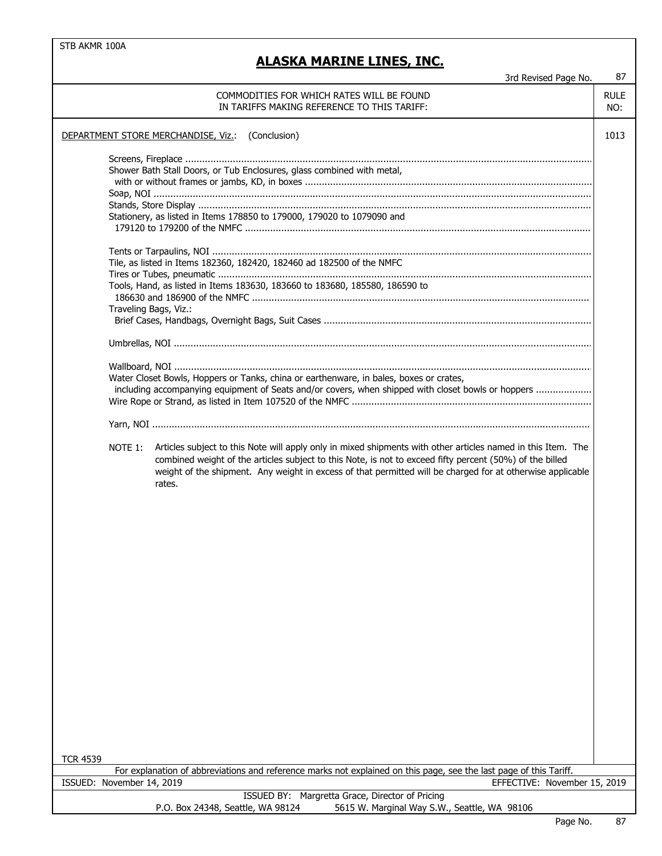| 3rd Revised Page No.                                                                                                                                                                                                                                                                                                                                                                                                                                                                                                                                                                                                                                         | 87                 |
|--------------------------------------------------------------------------------------------------------------------------------------------------------------------------------------------------------------------------------------------------------------------------------------------------------------------------------------------------------------------------------------------------------------------------------------------------------------------------------------------------------------------------------------------------------------------------------------------------------------------------------------------------------------|--------------------|
| COMMODITIES FOR WHICH RATES WILL BE FOUND<br>IN TARIFFS MAKING REFERENCE TO THIS TARIFF:                                                                                                                                                                                                                                                                                                                                                                                                                                                                                                                                                                     | <b>RULE</b><br>NO: |
| DEPARTMENT STORE MERCHANDISE, Viz.: (Conclusion)                                                                                                                                                                                                                                                                                                                                                                                                                                                                                                                                                                                                             | 1013               |
| Shower Bath Stall Doors, or Tub Enclosures, glass combined with metal,<br>Stationery, as listed in Items 178850 to 179000, 179020 to 1079090 and<br>Tile, as listed in Items 182360, 182420, 182460 ad 182500 of the NMFC<br>Tools, Hand, as listed in Items 183630, 183660 to 183680, 185580, 186590 to<br>Traveling Bags, Viz.:<br>Water Closet Bowls, Hoppers or Tanks, china or earthenware, in bales, boxes or crates,<br>including accompanying equipment of Seats and/or covers, when shipped with closet bowls or hoppers<br>NOTE 1:<br>Articles subject to this Note will apply only in mixed shipments with other articles named in this Item. The |                    |
| combined weight of the articles subject to this Note, is not to exceed fifty percent (50%) of the billed<br>weight of the shipment. Any weight in excess of that permitted will be charged for at otherwise applicable<br>rates.<br><b>TCR 4539</b>                                                                                                                                                                                                                                                                                                                                                                                                          |                    |
| For explanation of abbreviations and reference marks not explained on this page, see the last page of this Tariff.                                                                                                                                                                                                                                                                                                                                                                                                                                                                                                                                           |                    |
| ISSUED: November 14, 2019<br>EFFECTIVE: November 15, 2019<br>Margretta Grace, Director of Pricing<br>ISSUED BY:                                                                                                                                                                                                                                                                                                                                                                                                                                                                                                                                              |                    |
| P.O. Box 24348, Seattle, WA 98124<br>5615 W. Marginal Way S.W., Seattle, WA 98106                                                                                                                                                                                                                                                                                                                                                                                                                                                                                                                                                                            |                    |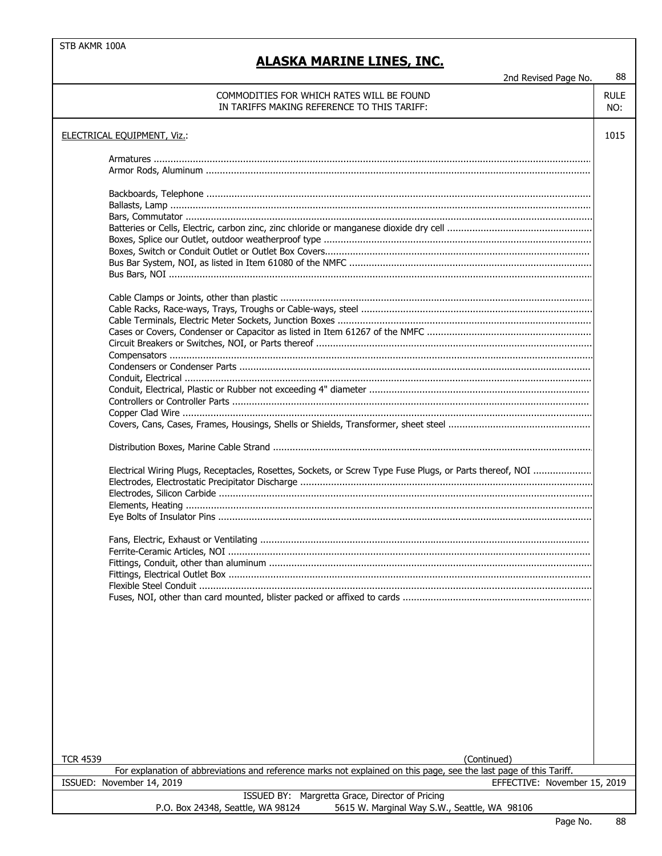## **ALASKA MARINE LINES, INC.**

2nd Revised Page No.

| w<br>۰.<br>۰,<br>× |
|--------------------|
|                    |
|                    |

| בווט ולכיוטכט ו טקט וייט.                                                                                          |                    |
|--------------------------------------------------------------------------------------------------------------------|--------------------|
| COMMODITIES FOR WHICH RATES WILL BE FOUND<br>IN TARIFFS MAKING REFERENCE TO THIS TARIFF:                           | <b>RULE</b><br>NO: |
| <b>ELECTRICAL EQUIPMENT, Viz.:</b>                                                                                 | 1015               |
|                                                                                                                    |                    |
|                                                                                                                    |                    |
|                                                                                                                    |                    |
|                                                                                                                    |                    |
|                                                                                                                    |                    |
|                                                                                                                    |                    |
|                                                                                                                    |                    |
|                                                                                                                    |                    |
|                                                                                                                    |                    |
|                                                                                                                    |                    |
|                                                                                                                    |                    |
|                                                                                                                    |                    |
|                                                                                                                    |                    |
|                                                                                                                    |                    |
|                                                                                                                    |                    |
|                                                                                                                    |                    |
|                                                                                                                    |                    |
|                                                                                                                    |                    |
| Electrical Wiring Plugs, Receptacles, Rosettes, Sockets, or Screw Type Fuse Plugs, or Parts thereof, NOI           |                    |
|                                                                                                                    |                    |
|                                                                                                                    |                    |
|                                                                                                                    |                    |
|                                                                                                                    |                    |
|                                                                                                                    |                    |
|                                                                                                                    |                    |
|                                                                                                                    |                    |
|                                                                                                                    |                    |
|                                                                                                                    |                    |
|                                                                                                                    |                    |
|                                                                                                                    |                    |
|                                                                                                                    |                    |
|                                                                                                                    |                    |
|                                                                                                                    |                    |
|                                                                                                                    |                    |
|                                                                                                                    |                    |
|                                                                                                                    |                    |
| <b>TCR 4539</b><br>(Continued)                                                                                     |                    |
| For explanation of abbreviations and reference marks not explained on this page, see the last page of this Tariff. |                    |
| EFFECTIVE: November 15, 2019<br>ISSUED: November 14, 2019                                                          |                    |
| ISSUED BY: Margretta Grace, Director of Pricing                                                                    |                    |
| P.O. Box 24348, Seattle, WA 98124<br>5615 W. Marginal Way S.W., Seattle, WA 98106                                  |                    |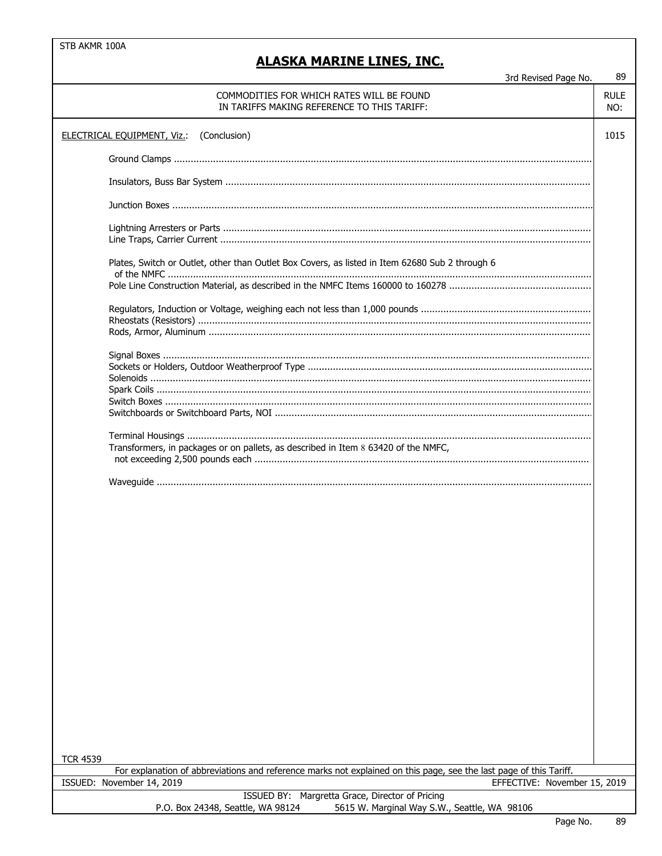| 3rd Revised Page No.                                                                                                                  | 89                 |  |
|---------------------------------------------------------------------------------------------------------------------------------------|--------------------|--|
| COMMODITIES FOR WHICH RATES WILL BE FOUND<br>IN TARIFFS MAKING REFERENCE TO THIS TARIFF:                                              | <b>RULE</b><br>NO: |  |
| (Conclusion)<br><b>ELECTRICAL EQUIPMENT, Viz.:</b>                                                                                    | 1015               |  |
|                                                                                                                                       |                    |  |
|                                                                                                                                       |                    |  |
|                                                                                                                                       |                    |  |
|                                                                                                                                       |                    |  |
| Plates, Switch or Outlet, other than Outlet Box Covers, as listed in Item 62680 Sub 2 through 6                                       |                    |  |
|                                                                                                                                       |                    |  |
|                                                                                                                                       |                    |  |
|                                                                                                                                       |                    |  |
|                                                                                                                                       |                    |  |
|                                                                                                                                       |                    |  |
|                                                                                                                                       |                    |  |
|                                                                                                                                       |                    |  |
|                                                                                                                                       |                    |  |
|                                                                                                                                       |                    |  |
|                                                                                                                                       |                    |  |
| Transformers, in packages or on pallets, as described in Item 8 63420 of the NMFC,                                                    |                    |  |
|                                                                                                                                       |                    |  |
|                                                                                                                                       |                    |  |
|                                                                                                                                       |                    |  |
|                                                                                                                                       |                    |  |
|                                                                                                                                       |                    |  |
|                                                                                                                                       |                    |  |
|                                                                                                                                       |                    |  |
|                                                                                                                                       |                    |  |
|                                                                                                                                       |                    |  |
|                                                                                                                                       |                    |  |
|                                                                                                                                       |                    |  |
|                                                                                                                                       |                    |  |
|                                                                                                                                       |                    |  |
|                                                                                                                                       |                    |  |
|                                                                                                                                       |                    |  |
|                                                                                                                                       |                    |  |
|                                                                                                                                       |                    |  |
|                                                                                                                                       |                    |  |
|                                                                                                                                       |                    |  |
|                                                                                                                                       |                    |  |
|                                                                                                                                       |                    |  |
| <b>TCR 4539</b><br>For explanation of abbreviations and reference marks not explained on this page, see the last page of this Tariff. |                    |  |
| ISSUED: November 14, 2019<br>EFFECTIVE: November 15, 2019                                                                             |                    |  |
| ISSUED BY: Margretta Grace, Director of Pricing                                                                                       |                    |  |
| P.O. Box 24348, Seattle, WA 98124<br>5615 W. Marginal Way S.W., Seattle, WA 98106                                                     |                    |  |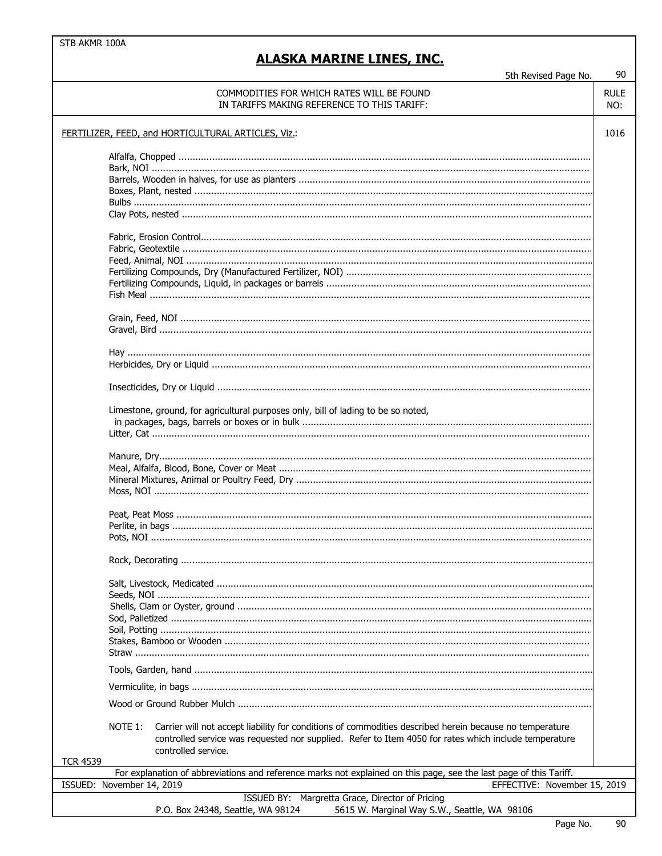#### **ALASKA MARINE LINES, INC.**

5th Revised Page No.

#### 90 **RULE** COMMODITIES FOR WHICH RATES WILL BE FOUND IN TARIFFS MAKING REFERENCE TO THIS TARIFF: NO: FERTILIZER, FEED, and HORTICULTURAL ARTICLES, Viz.: 1016 Limestone, ground, for agricultural purposes only, bill of lading to be so noted, NOTE 1: Carrier will not accept liability for conditions of commodities described herein because no temperature controlled service was requested nor supplied. Refer to Item 4050 for rates which include temperature controlled service. **TCR 4539** For explanation of abbreviations and reference marks not explained on this page, see the last page of this Tariff. ISSUED: November 14, 2019 EFFECTIVE: November 15, 2019 ISSUED BY: Margretta Grace, Director of Pricing P.O. Box 24348, Seattle, WA 98124 5615 W. Marginal Way S.W., Seattle, WA 98106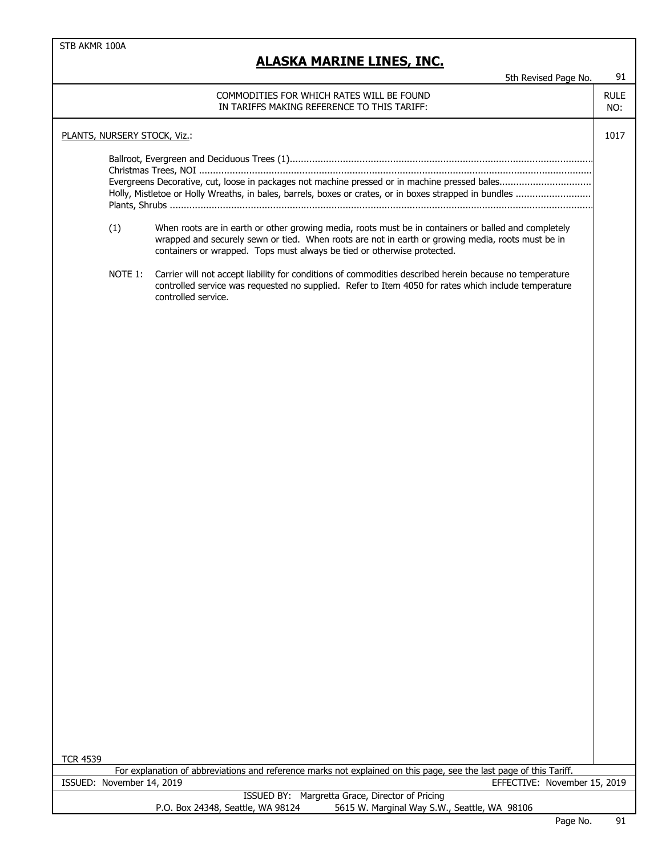|                              |         | 5th Revised Page No.                                                                                                                                                                                                                                                                 | 91                 |
|------------------------------|---------|--------------------------------------------------------------------------------------------------------------------------------------------------------------------------------------------------------------------------------------------------------------------------------------|--------------------|
|                              |         | COMMODITIES FOR WHICH RATES WILL BE FOUND<br>IN TARIFFS MAKING REFERENCE TO THIS TARIFF:                                                                                                                                                                                             | <b>RULE</b><br>NO: |
| PLANTS, NURSERY STOCK, Viz.: |         |                                                                                                                                                                                                                                                                                      | 1017               |
|                              |         | Evergreens Decorative, cut, loose in packages not machine pressed or in machine pressed bales                                                                                                                                                                                        |                    |
|                              | (1)     | When roots are in earth or other growing media, roots must be in containers or balled and completely<br>wrapped and securely sewn or tied. When roots are not in earth or growing media, roots must be in<br>containers or wrapped. Tops must always be tied or otherwise protected. |                    |
|                              | NOTE 1: | Carrier will not accept liability for conditions of commodities described herein because no temperature<br>controlled service was requested no supplied. Refer to Item 4050 for rates which include temperature<br>controlled service.                                               |                    |
|                              |         |                                                                                                                                                                                                                                                                                      |                    |
|                              |         |                                                                                                                                                                                                                                                                                      |                    |
|                              |         |                                                                                                                                                                                                                                                                                      |                    |
|                              |         |                                                                                                                                                                                                                                                                                      |                    |
|                              |         |                                                                                                                                                                                                                                                                                      |                    |
|                              |         |                                                                                                                                                                                                                                                                                      |                    |
|                              |         |                                                                                                                                                                                                                                                                                      |                    |
|                              |         |                                                                                                                                                                                                                                                                                      |                    |
|                              |         |                                                                                                                                                                                                                                                                                      |                    |
|                              |         |                                                                                                                                                                                                                                                                                      |                    |
|                              |         |                                                                                                                                                                                                                                                                                      |                    |
| <b>TCR 4539</b>              |         |                                                                                                                                                                                                                                                                                      |                    |
| ISSUED: November 14, 2019    |         | For explanation of abbreviations and reference marks not explained on this page, see the last page of this Tariff.<br>EFFECTIVE: November 15, 2019                                                                                                                                   |                    |
|                              |         | ISSUED BY: Margretta Grace, Director of Pricing                                                                                                                                                                                                                                      |                    |
|                              |         | P.O. Box 24348, Seattle, WA 98124<br>5615 W. Marginal Way S.W., Seattle, WA 98106                                                                                                                                                                                                    |                    |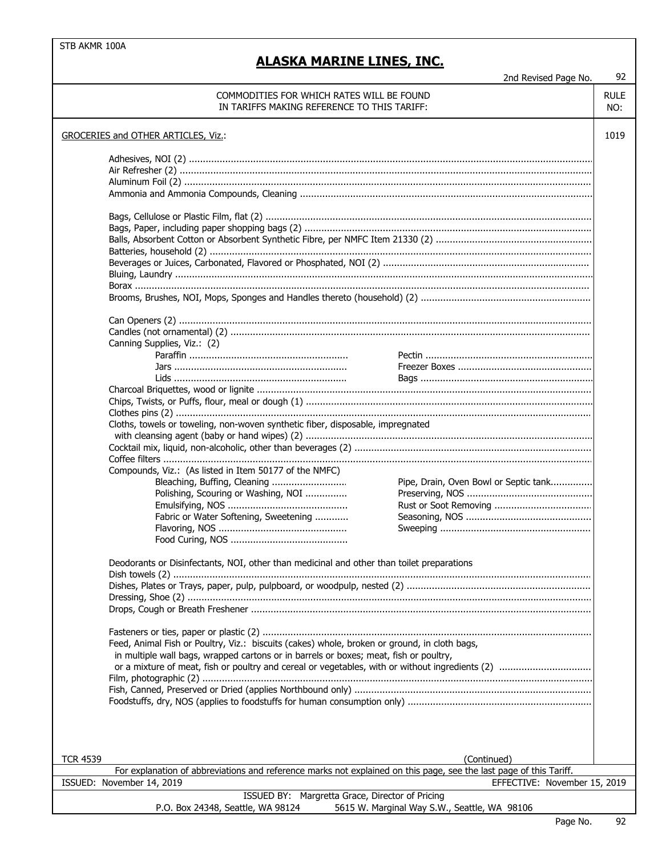#### **ALASKA MARINE LINES, INC.**

2nd Revised Page No. 92

#### 1019 TCR 4539 (Continued) COMMODITIES FOR WHICH RATES WILL BE FOUND RULE RULE IN TARIFFS MAKING REFERENCE TO THIS TARIFF: NO: Batteries, household (2) ......................................................................................................................................... GROCERIES and OTHER ARTICLES, Viz.: Adhesives, NOI (2) ................................................................................................................................................. Air Refresher (2) .................................................................................................................................................... Aluminum Foil (2) .................................................................................................................................................. Ammonia and Ammonia Compounds, Cleaning ......................................................................................................... Bags, Cellulose or Plastic Film, flat (2) ..................................................................................................................... Bags, Paper, including paper shopping bags (2) ....................................................................................................... Balls, Absorbent Cotton or Absorbent Synthetic Fibre, per NMFC Item 21330 (2) ........................................................ Coffee filters .......................................................................................................................................................... Candles (not ornamental) (2) ................................................................................................................................. Canning Supplies, Viz.: (2) Charcoal Briquettes, wood or lignite ........................................................................................................................ Beverages or Juices, Carbonated, Flavored or Phosphated, NOI (2) .......................................................................... Bluing, Laundry ...................................................................................................................................................... Borax ................................................................................................................................................................... Brooms, Brushes, NOI, Mops, Sponges and Handles thereto (household) (2) ............................................................. Can Openers (2) .................................................................................................................................................... Chips, Twists, or Puffs, flour, meal or dough (1) ....................................................................................................... Clothes pins (2) ..................................................................................................................................................... Cloths, towels or toweling, non-woven synthetic fiber, disposable, impregnated with cleansing agent (baby or hand wipes) (2) ....................................................................................................... Cocktail mix, liquid, non-alcoholic, other than beverages (2) ..................................................................................... Compounds, Viz.: (As listed in Item 50177 of the NMFC) Bleaching, Buffing, Cleaning ........................... Polishing, Scouring or Washing, NOI ............... Emulsifying, NOS ........................................... Fabric or Water Softening, Sweetening ............ Deodorants or Disinfectants, NOI, other than medicinal and other than toilet preparations Dish towels (2) ...................................................................................................................................................... Dishes, Plates or Trays, paper, pulp, pulpboard, or woodpulp, nested (2) .................................................................. Dressing, Shoe (2) ................................................................................................................................................. EFFECTIVE: November 15, 2019 Drops, Cough or Breath Freshener .......................................................................................................................... Fasteners or ties, paper or plastic (2) ...................................................................................................................... Feed, Animal Fish or Poultry, Viz.: biscuits (cakes) whole, broken or ground, in cloth bags, in multiple wall bags, wrapped cartons or in barrels or boxes; meat, fish or poultry, or a mixture of meat, fish or poultry and cereal or vegetables, with or without ingredients (2) ................................. ISSUED BY: Margretta Grace, Director of Pricing P.O. Box 24348, Seattle, WA 98124 5615 W. Marginal Way S.W., Seattle, WA 98106 Paraffin ......................................................... Pectin ............................................................ Jars .............................................................. Freezer Boxes ................................................ Lids .............................................................. Bags .............................................................. Film, photographic (2) ............................................................................................................................................ Fish, Canned, Preserved or Dried (applies Northbound only) ..................................................................................... Foodstuffs, dry, NOS (applies to foodstuffs for human consumption only) .................................................................. For explanation of abbreviations and reference marks not explained on this page, see the last page of this Tariff. ISSUED: November 14, 2019 Flavoring, NOS .............................................. Food Curing, NOS .......................................... Pipe, Drain, Oven Bowl or Septic tank............... Preserving, NOS ............................................. Rust or Soot Removing ................................... Seasoning, NOS ............................................. Sweeping ......................................................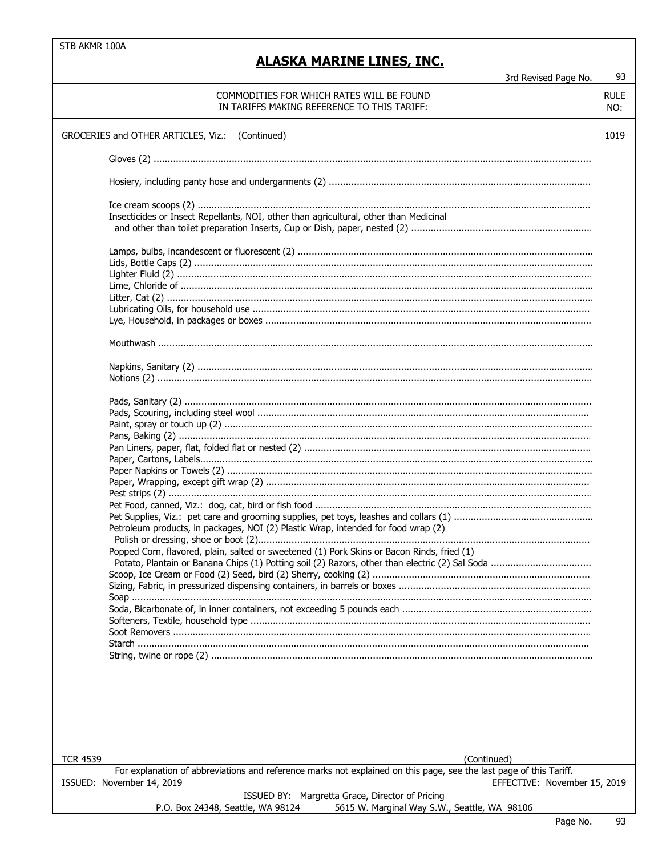| 3rd Revised Page No. |  |
|----------------------|--|
|                      |  |

| 3rd Revised Page No.                                                                                               | 93                 |
|--------------------------------------------------------------------------------------------------------------------|--------------------|
| COMMODITIES FOR WHICH RATES WILL BE FOUND<br>IN TARIFFS MAKING REFERENCE TO THIS TARIFF:                           | <b>RULE</b><br>NO: |
| GROCERIES and OTHER ARTICLES, Viz.: (Continued)                                                                    | 1019               |
|                                                                                                                    |                    |
|                                                                                                                    |                    |
|                                                                                                                    |                    |
| Insecticides or Insect Repellants, NOI, other than agricultural, other than Medicinal                              |                    |
|                                                                                                                    |                    |
|                                                                                                                    |                    |
|                                                                                                                    |                    |
|                                                                                                                    |                    |
|                                                                                                                    |                    |
|                                                                                                                    |                    |
|                                                                                                                    |                    |
|                                                                                                                    |                    |
|                                                                                                                    |                    |
|                                                                                                                    |                    |
|                                                                                                                    |                    |
|                                                                                                                    |                    |
|                                                                                                                    |                    |
|                                                                                                                    |                    |
|                                                                                                                    |                    |
|                                                                                                                    |                    |
|                                                                                                                    |                    |
|                                                                                                                    |                    |
| Petroleum products, in packages, NOI (2) Plastic Wrap, intended for food wrap (2)                                  |                    |
| Popped Corn, flavored, plain, salted or sweetened (1) Pork Skins or Bacon Rinds, fried (1)                         |                    |
|                                                                                                                    |                    |
|                                                                                                                    |                    |
|                                                                                                                    |                    |
|                                                                                                                    |                    |
|                                                                                                                    |                    |
|                                                                                                                    |                    |
|                                                                                                                    |                    |
|                                                                                                                    |                    |
|                                                                                                                    |                    |
|                                                                                                                    |                    |
|                                                                                                                    |                    |
|                                                                                                                    |                    |
| <b>TCR 4539</b><br>(Continued)                                                                                     |                    |
| For explanation of abbreviations and reference marks not explained on this page, see the last page of this Tariff. |                    |
| ISSUED: November 14, 2019<br>EFFECTIVE: November 15, 2019                                                          |                    |
| ISSUED BY: Margretta Grace, Director of Pricing                                                                    |                    |
| P.O. Box 24348, Seattle, WA 98124<br>5615 W. Marginal Way S.W., Seattle, WA 98106                                  |                    |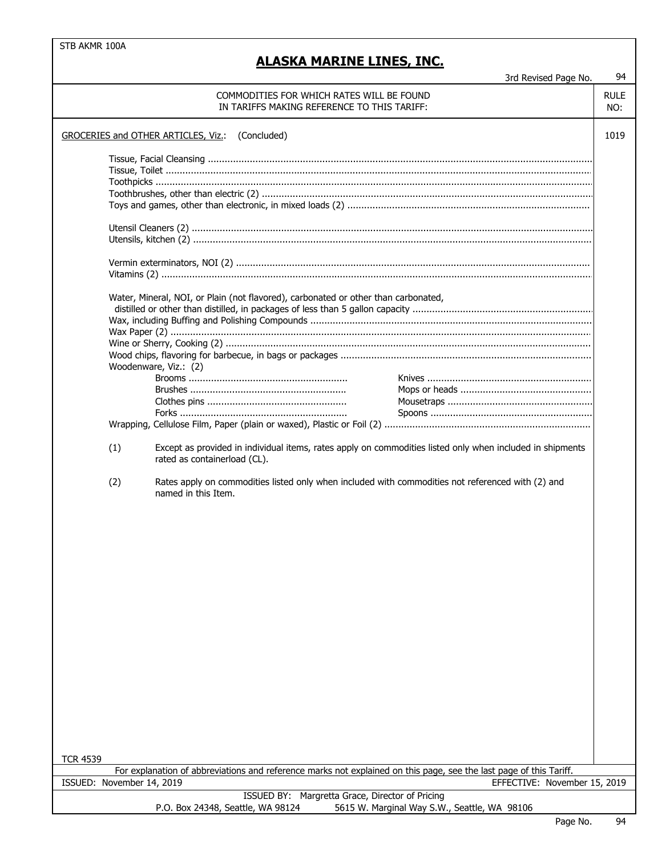## **MARINE LINES, INC.**

|                           | <u>ALASKA MARINE LINES, INC.</u>                                                                                                          |                              | 94                 |
|---------------------------|-------------------------------------------------------------------------------------------------------------------------------------------|------------------------------|--------------------|
|                           |                                                                                                                                           | 3rd Revised Page No.         |                    |
|                           | COMMODITIES FOR WHICH RATES WILL BE FOUND<br>IN TARIFFS MAKING REFERENCE TO THIS TARIFF:                                                  |                              | <b>RULE</b><br>NO: |
|                           | GROCERIES and OTHER ARTICLES, Viz.: (Concluded)                                                                                           |                              | 1019               |
|                           |                                                                                                                                           |                              |                    |
|                           |                                                                                                                                           |                              |                    |
|                           |                                                                                                                                           |                              |                    |
|                           |                                                                                                                                           |                              |                    |
|                           |                                                                                                                                           |                              |                    |
|                           |                                                                                                                                           |                              |                    |
|                           |                                                                                                                                           |                              |                    |
|                           |                                                                                                                                           |                              |                    |
|                           | Water, Mineral, NOI, or Plain (not flavored), carbonated or other than carbonated,                                                        |                              |                    |
|                           |                                                                                                                                           |                              |                    |
|                           |                                                                                                                                           |                              |                    |
|                           |                                                                                                                                           |                              |                    |
|                           |                                                                                                                                           |                              |                    |
|                           | Woodenware, Viz.: (2)                                                                                                                     |                              |                    |
|                           |                                                                                                                                           |                              |                    |
|                           |                                                                                                                                           |                              |                    |
|                           |                                                                                                                                           |                              |                    |
|                           |                                                                                                                                           |                              |                    |
|                           |                                                                                                                                           |                              |                    |
| (1)                       | Except as provided in individual items, rates apply on commodities listed only when included in shipments<br>rated as containerload (CL). |                              |                    |
| (2)                       | Rates apply on commodities listed only when included with commodities not referenced with (2) and<br>named in this Item.                  |                              |                    |
|                           |                                                                                                                                           |                              |                    |
|                           |                                                                                                                                           |                              |                    |
|                           |                                                                                                                                           |                              |                    |
|                           |                                                                                                                                           |                              |                    |
|                           |                                                                                                                                           |                              |                    |
|                           |                                                                                                                                           |                              |                    |
|                           |                                                                                                                                           |                              |                    |
|                           |                                                                                                                                           |                              |                    |
|                           |                                                                                                                                           |                              |                    |
|                           |                                                                                                                                           |                              |                    |
|                           |                                                                                                                                           |                              |                    |
|                           |                                                                                                                                           |                              |                    |
| <b>TCR 4539</b>           | For explanation of abbreviations and reference marks not explained on this page, see the last page of this Tariff.                        |                              |                    |
| ISSUED: November 14, 2019 |                                                                                                                                           | EFFECTIVE: November 15, 2019 |                    |
|                           | ISSUED BY: Margretta Grace, Director of Pricing                                                                                           |                              |                    |

P.O. Box 24348, Seattle, WA 98124 5615 W. Marginal Way S.W., Seattle, WA 98106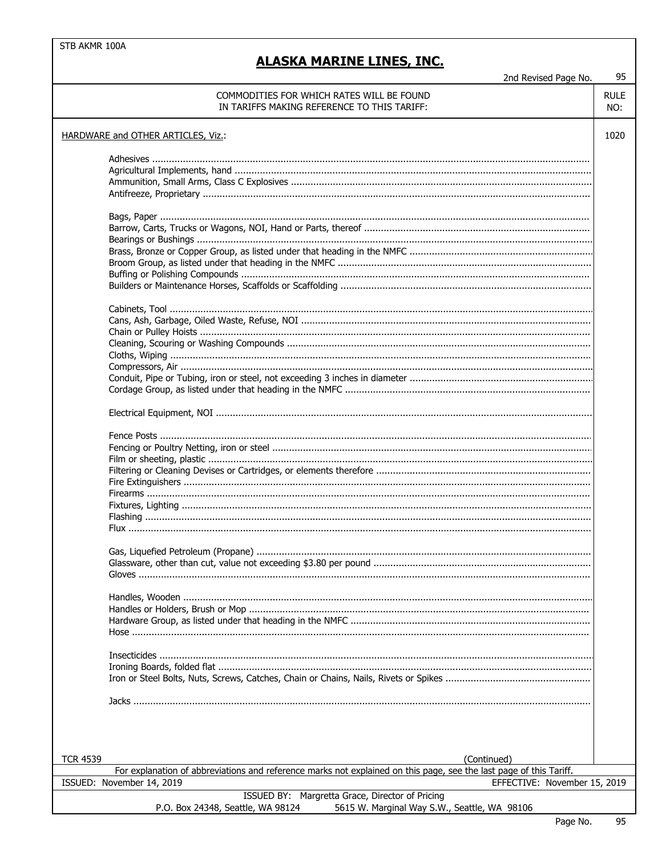#### **ALASKA MARINE LINES, INC.**

2nd Revised Page No.

#### **RUIF** COMMODITIES FOR WHICH RATES WILL BE FOUND IN TARIFFS MAKING REFERENCE TO THIS TARIFF: NO: 1020 HARDWARE and OTHER ARTICLES, Viz.: **TCR 4539** (Continued) For explanation of abbreviations and reference marks not explained on this page, see the last page of this Tariff. ISSUED: November 14, 2019 EFFECTIVE: November 15, 2019 ISSUED BY: Margretta Grace, Director of Pricing P.O. Box 24348, Seattle, WA 98124 5615 W. Marginal Way S.W., Seattle, WA 98106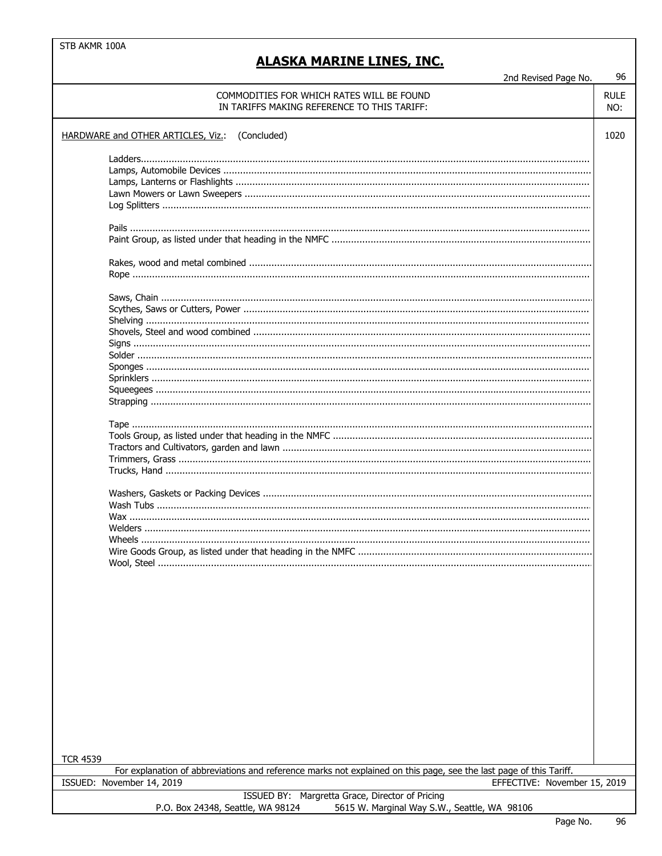### **ALASKA MARINE LINES, INC.**

2nd Revised Page No.

| ZHU NEVISEU FAYE IVU.                                                                                              |             |
|--------------------------------------------------------------------------------------------------------------------|-------------|
| COMMODITIES FOR WHICH RATES WILL BE FOUND                                                                          | <b>RULE</b> |
| IN TARIFFS MAKING REFERENCE TO THIS TARIFF:                                                                        | NO:         |
|                                                                                                                    |             |
| HARDWARE and OTHER ARTICLES, Viz.: (Concluded)                                                                     | 1020        |
|                                                                                                                    |             |
|                                                                                                                    |             |
|                                                                                                                    |             |
|                                                                                                                    |             |
|                                                                                                                    |             |
|                                                                                                                    |             |
|                                                                                                                    |             |
|                                                                                                                    |             |
|                                                                                                                    |             |
|                                                                                                                    |             |
|                                                                                                                    |             |
|                                                                                                                    |             |
|                                                                                                                    |             |
|                                                                                                                    |             |
|                                                                                                                    |             |
|                                                                                                                    |             |
|                                                                                                                    |             |
|                                                                                                                    |             |
|                                                                                                                    |             |
|                                                                                                                    |             |
|                                                                                                                    |             |
|                                                                                                                    |             |
|                                                                                                                    |             |
|                                                                                                                    |             |
|                                                                                                                    |             |
|                                                                                                                    |             |
|                                                                                                                    |             |
|                                                                                                                    |             |
|                                                                                                                    |             |
|                                                                                                                    |             |
|                                                                                                                    |             |
|                                                                                                                    |             |
|                                                                                                                    |             |
|                                                                                                                    |             |
|                                                                                                                    |             |
|                                                                                                                    |             |
| Wool, Steel                                                                                                        |             |
|                                                                                                                    |             |
|                                                                                                                    |             |
|                                                                                                                    |             |
|                                                                                                                    |             |
|                                                                                                                    |             |
|                                                                                                                    |             |
|                                                                                                                    |             |
|                                                                                                                    |             |
|                                                                                                                    |             |
|                                                                                                                    |             |
|                                                                                                                    |             |
|                                                                                                                    |             |
|                                                                                                                    |             |
|                                                                                                                    |             |
|                                                                                                                    |             |
|                                                                                                                    |             |
|                                                                                                                    |             |
| <b>TCR 4539</b>                                                                                                    |             |
| For explanation of abbreviations and reference marks not explained on this page, see the last page of this Tariff. |             |
| EFFECTIVE: November 15, 2019<br>ISSUED: November 14, 2019                                                          |             |
| Margretta Grace, Director of Pricing<br>ISSUED BY:                                                                 |             |
| 5615 W. Marginal Way S.W., Seattle, WA 98106<br>P.O. Box 24348, Seattle, WA 98124                                  |             |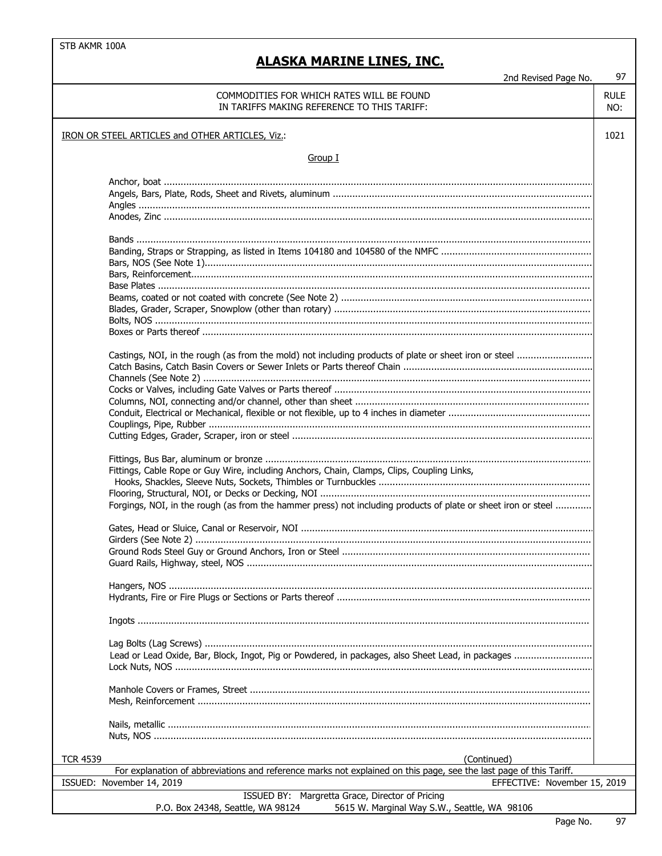L

## **ALASKA MARINE LINES, INC.**

2nd Revised Page No.

## 97

| COMMODITIES FOR WHICH RATES WILL BE FOUND<br>IN TARIFFS MAKING REFERENCE TO THIS TARIFF:                           | <b>RULE</b><br>NO: |  |
|--------------------------------------------------------------------------------------------------------------------|--------------------|--|
| IRON OR STEEL ARTICLES and OTHER ARTICLES, Viz.:                                                                   |                    |  |
| Group I                                                                                                            |                    |  |
|                                                                                                                    |                    |  |
|                                                                                                                    |                    |  |
|                                                                                                                    |                    |  |
|                                                                                                                    |                    |  |
|                                                                                                                    |                    |  |
|                                                                                                                    |                    |  |
|                                                                                                                    |                    |  |
|                                                                                                                    |                    |  |
|                                                                                                                    |                    |  |
|                                                                                                                    |                    |  |
|                                                                                                                    |                    |  |
|                                                                                                                    |                    |  |
|                                                                                                                    |                    |  |
|                                                                                                                    |                    |  |
|                                                                                                                    |                    |  |
| Castings, NOI, in the rough (as from the mold) not including products of plate or sheet iron or steel              |                    |  |
|                                                                                                                    |                    |  |
|                                                                                                                    |                    |  |
|                                                                                                                    |                    |  |
|                                                                                                                    |                    |  |
|                                                                                                                    |                    |  |
|                                                                                                                    |                    |  |
|                                                                                                                    |                    |  |
|                                                                                                                    |                    |  |
| Fittings, Cable Rope or Guy Wire, including Anchors, Chain, Clamps, Clips, Coupling Links,                         |                    |  |
|                                                                                                                    |                    |  |
| Forgings, NOI, in the rough (as from the hammer press) not including products of plate or sheet iron or steel      |                    |  |
|                                                                                                                    |                    |  |
|                                                                                                                    |                    |  |
|                                                                                                                    |                    |  |
|                                                                                                                    |                    |  |
|                                                                                                                    |                    |  |
|                                                                                                                    |                    |  |
|                                                                                                                    |                    |  |
|                                                                                                                    |                    |  |
|                                                                                                                    |                    |  |
|                                                                                                                    |                    |  |
| Lead or Lead Oxide, Bar, Block, Ingot, Pig or Powdered, in packages, also Sheet Lead, in packages                  |                    |  |
|                                                                                                                    |                    |  |
|                                                                                                                    |                    |  |
|                                                                                                                    |                    |  |
|                                                                                                                    |                    |  |
|                                                                                                                    |                    |  |
|                                                                                                                    |                    |  |
|                                                                                                                    |                    |  |
|                                                                                                                    |                    |  |
| <b>TCR 4539</b><br>(Continued)                                                                                     |                    |  |
| For explanation of abbreviations and reference marks not explained on this page, see the last page of this Tariff. |                    |  |
| ISSUED: November 14, 2019<br>EFFECTIVE: November 15, 2019                                                          |                    |  |
| ISSUED BY: Margretta Grace, Director of Pricing                                                                    |                    |  |
| P.O. Box 24348, Seattle, WA 98124<br>5615 W. Marginal Way S.W., Seattle, WA 98106                                  |                    |  |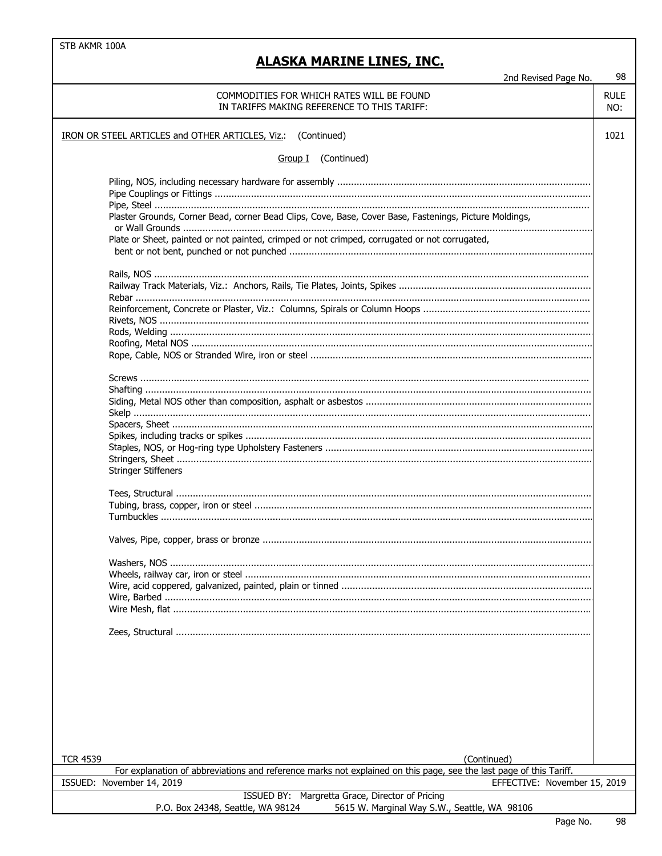| 2nd Revised Page No.                                                                                                                | 98                 |
|-------------------------------------------------------------------------------------------------------------------------------------|--------------------|
| COMMODITIES FOR WHICH RATES WILL BE FOUND<br>IN TARIFFS MAKING REFERENCE TO THIS TARIFF:                                            | <b>RULE</b><br>NO: |
| IRON OR STEEL ARTICLES and OTHER ARTICLES, Viz.: (Continued)                                                                        | 1021               |
| Group I (Continued)                                                                                                                 |                    |
| Plaster Grounds, Corner Bead, corner Bead Clips, Cove, Base, Cover Base, Fastenings, Picture Moldings,                              |                    |
| Plate or Sheet, painted or not painted, crimped or not crimped, corrugated or not corrugated,                                       |                    |
|                                                                                                                                     |                    |
|                                                                                                                                     |                    |
|                                                                                                                                     |                    |
|                                                                                                                                     |                    |
|                                                                                                                                     |                    |
|                                                                                                                                     |                    |
| <b>Stringer Stiffeners</b>                                                                                                          |                    |
|                                                                                                                                     |                    |
|                                                                                                                                     |                    |
|                                                                                                                                     |                    |
|                                                                                                                                     |                    |
|                                                                                                                                     |                    |
|                                                                                                                                     |                    |
|                                                                                                                                     |                    |
| <b>TCR 4539</b><br>(Continued)                                                                                                      |                    |
| For explanation of abbreviations and reference marks not explained on this page, see the last page of this Tariff.                  |                    |
| ISSUED: November 14, 2019<br>EFFECTIVE: November 15, 2019                                                                           |                    |
| ISSUED BY: Margretta Grace, Director of Pricing<br>5615 W Marginal Way S W Seattle WA 98106<br>$P \cap R$ nx 24348 Seattle WA 98124 |                    |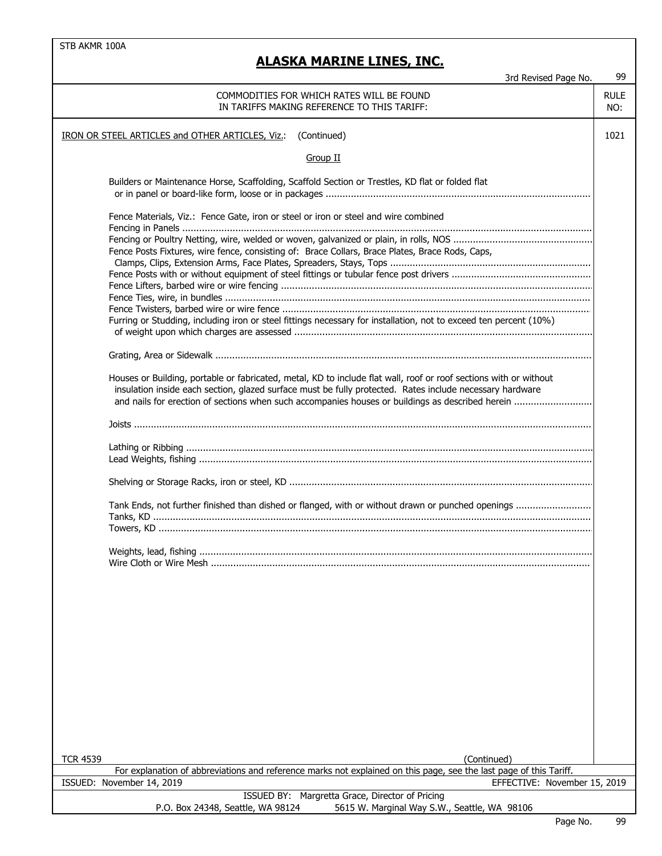## **ALASKA MARINE LINES, INC.**

| 3rd Revised Page No.                                                                                                                                                                                                          | 99                 |
|-------------------------------------------------------------------------------------------------------------------------------------------------------------------------------------------------------------------------------|--------------------|
| COMMODITIES FOR WHICH RATES WILL BE FOUND<br>IN TARIFFS MAKING REFERENCE TO THIS TARIFF:                                                                                                                                      | <b>RULE</b><br>NO: |
| IRON OR STEEL ARTICLES and OTHER ARTICLES, Viz.:<br>(Continued)                                                                                                                                                               | 1021               |
| Group II                                                                                                                                                                                                                      |                    |
| Builders or Maintenance Horse, Scaffolding, Scaffold Section or Trestles, KD flat or folded flat                                                                                                                              |                    |
| Fence Materials, Viz.: Fence Gate, iron or steel or iron or steel and wire combined                                                                                                                                           |                    |
| Fence Posts Fixtures, wire fence, consisting of: Brace Collars, Brace Plates, Brace Rods, Caps,                                                                                                                               |                    |
|                                                                                                                                                                                                                               |                    |
|                                                                                                                                                                                                                               |                    |
| Furring or Studding, including iron or steel fittings necessary for installation, not to exceed ten percent (10%)                                                                                                             |                    |
|                                                                                                                                                                                                                               |                    |
| Houses or Building, portable or fabricated, metal, KD to include flat wall, roof or roof sections with or without<br>insulation inside each section, glazed surface must be fully protected. Rates include necessary hardware |                    |
|                                                                                                                                                                                                                               |                    |
|                                                                                                                                                                                                                               |                    |
|                                                                                                                                                                                                                               |                    |
| Tank Ends, not further finished than dished or flanged, with or without drawn or punched openings                                                                                                                             |                    |
|                                                                                                                                                                                                                               |                    |
| Weights, lead, fishing                                                                                                                                                                                                        |                    |
|                                                                                                                                                                                                                               |                    |
|                                                                                                                                                                                                                               |                    |
|                                                                                                                                                                                                                               |                    |
|                                                                                                                                                                                                                               |                    |
|                                                                                                                                                                                                                               |                    |
|                                                                                                                                                                                                                               |                    |
|                                                                                                                                                                                                                               |                    |
| <b>TCR 4539</b><br>(Continued)                                                                                                                                                                                                |                    |
| For explanation of abbreviations and reference marks not explained on this page, see the last page of this Tariff.<br>ISSUED: November 14, 2019<br>EFFECTIVE: November 15, 2019                                               |                    |

ISSUED BY: Margretta Grace, Director of Pricing P.O. Box 24348, Seattle, WA 98124 5615 W. Marginal Way S.W., Seattle, WA 98106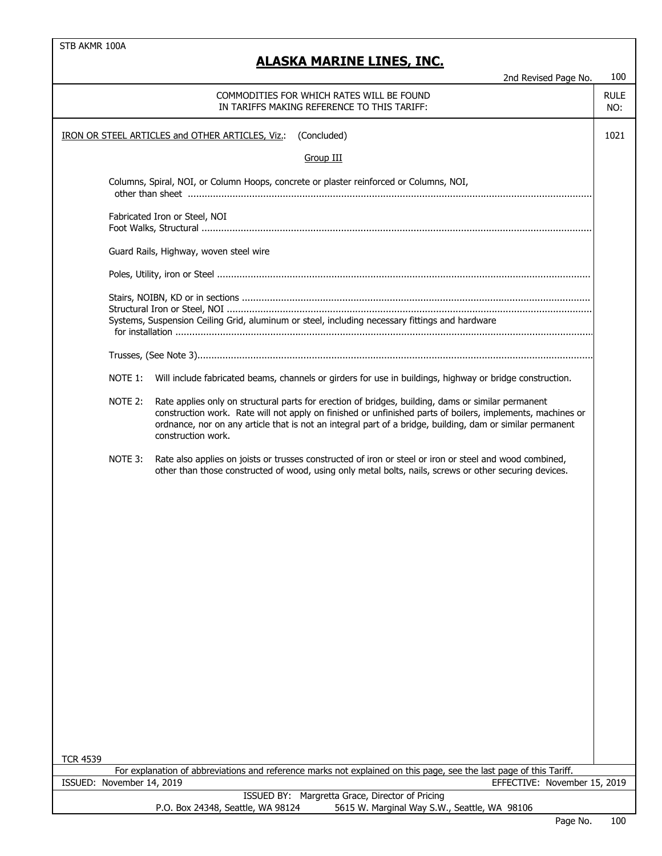| <b>RULE</b><br>COMMODITIES FOR WHICH RATES WILL BE FOUND<br>IN TARIFFS MAKING REFERENCE TO THIS TARIFF:<br>NO:<br>1021<br>IRON OR STEEL ARTICLES and OTHER ARTICLES, Viz.:<br>(Concluded)<br><b>Group III</b><br>Columns, Spiral, NOI, or Column Hoops, concrete or plaster reinforced or Columns, NOI,<br>Fabricated Iron or Steel, NOI<br>Guard Rails, Highway, woven steel wire<br>Systems, Suspension Ceiling Grid, aluminum or steel, including necessary fittings and hardware<br>NOTE 1:<br>Will include fabricated beams, channels or girders for use in buildings, highway or bridge construction.<br>NOTE 2:<br>Rate applies only on structural parts for erection of bridges, building, dams or similar permanent<br>construction work. Rate will not apply on finished or unfinished parts of boilers, implements, machines or<br>ordnance, nor on any article that is not an integral part of a bridge, building, dam or similar permanent<br>construction work.<br>NOTE 3:<br>Rate also applies on joists or trusses constructed of iron or steel or iron or steel and wood combined,<br>other than those constructed of wood, using only metal bolts, nails, screws or other securing devices.<br><b>TCR 4539</b><br>For explanation of abbreviations and reference marks not explained on this page, see the last page of this Tariff.<br>ISSUED: November 14, 2019<br>EFFECTIVE: November 15, 2019<br>ISSUED BY: Margretta Grace, Director of Pricing | 2nd Revised Page No.                                                              | 100 |
|------------------------------------------------------------------------------------------------------------------------------------------------------------------------------------------------------------------------------------------------------------------------------------------------------------------------------------------------------------------------------------------------------------------------------------------------------------------------------------------------------------------------------------------------------------------------------------------------------------------------------------------------------------------------------------------------------------------------------------------------------------------------------------------------------------------------------------------------------------------------------------------------------------------------------------------------------------------------------------------------------------------------------------------------------------------------------------------------------------------------------------------------------------------------------------------------------------------------------------------------------------------------------------------------------------------------------------------------------------------------------------------------------------------------------------------------------------------------|-----------------------------------------------------------------------------------|-----|
|                                                                                                                                                                                                                                                                                                                                                                                                                                                                                                                                                                                                                                                                                                                                                                                                                                                                                                                                                                                                                                                                                                                                                                                                                                                                                                                                                                                                                                                                        |                                                                                   |     |
|                                                                                                                                                                                                                                                                                                                                                                                                                                                                                                                                                                                                                                                                                                                                                                                                                                                                                                                                                                                                                                                                                                                                                                                                                                                                                                                                                                                                                                                                        |                                                                                   |     |
|                                                                                                                                                                                                                                                                                                                                                                                                                                                                                                                                                                                                                                                                                                                                                                                                                                                                                                                                                                                                                                                                                                                                                                                                                                                                                                                                                                                                                                                                        |                                                                                   |     |
|                                                                                                                                                                                                                                                                                                                                                                                                                                                                                                                                                                                                                                                                                                                                                                                                                                                                                                                                                                                                                                                                                                                                                                                                                                                                                                                                                                                                                                                                        |                                                                                   |     |
|                                                                                                                                                                                                                                                                                                                                                                                                                                                                                                                                                                                                                                                                                                                                                                                                                                                                                                                                                                                                                                                                                                                                                                                                                                                                                                                                                                                                                                                                        |                                                                                   |     |
|                                                                                                                                                                                                                                                                                                                                                                                                                                                                                                                                                                                                                                                                                                                                                                                                                                                                                                                                                                                                                                                                                                                                                                                                                                                                                                                                                                                                                                                                        |                                                                                   |     |
|                                                                                                                                                                                                                                                                                                                                                                                                                                                                                                                                                                                                                                                                                                                                                                                                                                                                                                                                                                                                                                                                                                                                                                                                                                                                                                                                                                                                                                                                        |                                                                                   |     |
|                                                                                                                                                                                                                                                                                                                                                                                                                                                                                                                                                                                                                                                                                                                                                                                                                                                                                                                                                                                                                                                                                                                                                                                                                                                                                                                                                                                                                                                                        |                                                                                   |     |
|                                                                                                                                                                                                                                                                                                                                                                                                                                                                                                                                                                                                                                                                                                                                                                                                                                                                                                                                                                                                                                                                                                                                                                                                                                                                                                                                                                                                                                                                        |                                                                                   |     |
|                                                                                                                                                                                                                                                                                                                                                                                                                                                                                                                                                                                                                                                                                                                                                                                                                                                                                                                                                                                                                                                                                                                                                                                                                                                                                                                                                                                                                                                                        |                                                                                   |     |
|                                                                                                                                                                                                                                                                                                                                                                                                                                                                                                                                                                                                                                                                                                                                                                                                                                                                                                                                                                                                                                                                                                                                                                                                                                                                                                                                                                                                                                                                        |                                                                                   |     |
|                                                                                                                                                                                                                                                                                                                                                                                                                                                                                                                                                                                                                                                                                                                                                                                                                                                                                                                                                                                                                                                                                                                                                                                                                                                                                                                                                                                                                                                                        |                                                                                   |     |
|                                                                                                                                                                                                                                                                                                                                                                                                                                                                                                                                                                                                                                                                                                                                                                                                                                                                                                                                                                                                                                                                                                                                                                                                                                                                                                                                                                                                                                                                        |                                                                                   |     |
|                                                                                                                                                                                                                                                                                                                                                                                                                                                                                                                                                                                                                                                                                                                                                                                                                                                                                                                                                                                                                                                                                                                                                                                                                                                                                                                                                                                                                                                                        |                                                                                   |     |
|                                                                                                                                                                                                                                                                                                                                                                                                                                                                                                                                                                                                                                                                                                                                                                                                                                                                                                                                                                                                                                                                                                                                                                                                                                                                                                                                                                                                                                                                        | 5615 W. Marginal Way S.W., Seattle, WA 98106<br>P.O. Box 24348, Seattle, WA 98124 |     |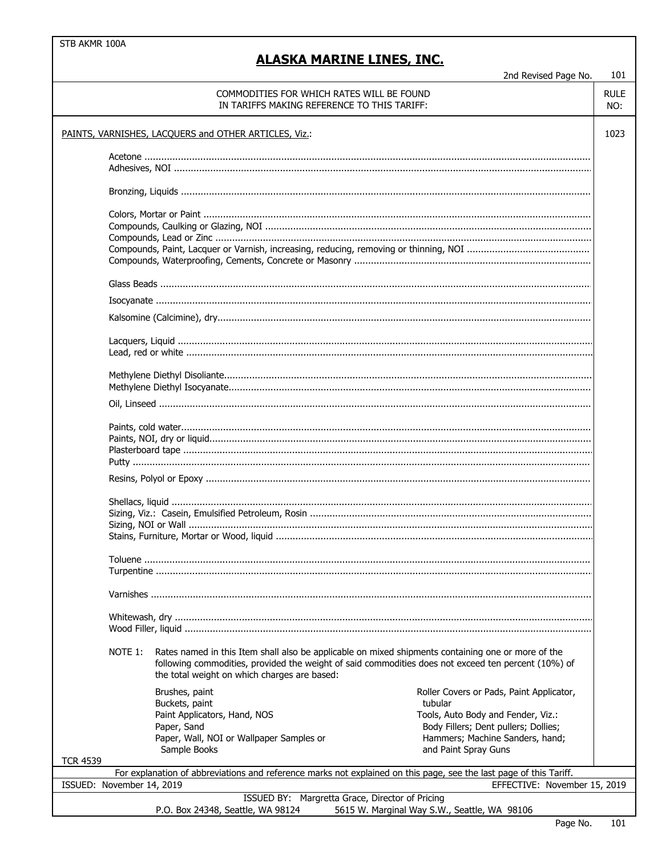| 2nd Revised Page No.                                                                                                                                                                                                                                                                                                                                           | 101                |  |  |  |
|----------------------------------------------------------------------------------------------------------------------------------------------------------------------------------------------------------------------------------------------------------------------------------------------------------------------------------------------------------------|--------------------|--|--|--|
| COMMODITIES FOR WHICH RATES WILL BE FOUND<br>IN TARIFFS MAKING REFERENCE TO THIS TARIFF:                                                                                                                                                                                                                                                                       | <b>RULE</b><br>NO: |  |  |  |
| PAINTS, VARNISHES, LACQUERS and OTHER ARTICLES, Viz.:<br>1023                                                                                                                                                                                                                                                                                                  |                    |  |  |  |
|                                                                                                                                                                                                                                                                                                                                                                |                    |  |  |  |
|                                                                                                                                                                                                                                                                                                                                                                |                    |  |  |  |
|                                                                                                                                                                                                                                                                                                                                                                |                    |  |  |  |
|                                                                                                                                                                                                                                                                                                                                                                |                    |  |  |  |
|                                                                                                                                                                                                                                                                                                                                                                |                    |  |  |  |
|                                                                                                                                                                                                                                                                                                                                                                |                    |  |  |  |
|                                                                                                                                                                                                                                                                                                                                                                |                    |  |  |  |
|                                                                                                                                                                                                                                                                                                                                                                |                    |  |  |  |
|                                                                                                                                                                                                                                                                                                                                                                |                    |  |  |  |
|                                                                                                                                                                                                                                                                                                                                                                |                    |  |  |  |
|                                                                                                                                                                                                                                                                                                                                                                |                    |  |  |  |
|                                                                                                                                                                                                                                                                                                                                                                |                    |  |  |  |
|                                                                                                                                                                                                                                                                                                                                                                |                    |  |  |  |
|                                                                                                                                                                                                                                                                                                                                                                |                    |  |  |  |
| NOTE 1:<br>Rates named in this Item shall also be applicable on mixed shipments containing one or more of the<br>following commodities, provided the weight of said commodities does not exceed ten percent (10%) of<br>the total weight on which charges are based:                                                                                           |                    |  |  |  |
| Brushes, paint<br>Roller Covers or Pads, Paint Applicator,<br>tubular<br>Buckets, paint<br>Tools, Auto Body and Fender, Viz.:<br>Paint Applicators, Hand, NOS<br>Body Fillers; Dent pullers; Dollies;<br>Paper, Sand<br>Hammers; Machine Sanders, hand;<br>Paper, Wall, NOI or Wallpaper Samples or<br>Sample Books<br>and Paint Spray Guns<br><b>TCR 4539</b> |                    |  |  |  |
| For explanation of abbreviations and reference marks not explained on this page, see the last page of this Tariff.                                                                                                                                                                                                                                             |                    |  |  |  |
| ISSUED: November 14, 2019<br>EFFECTIVE: November 15, 2019<br>ISSUED BY: Margretta Grace, Director of Pricing                                                                                                                                                                                                                                                   |                    |  |  |  |
| 5615 W. Marginal Way S.W., Seattle, WA 98106<br>P.O. Box 24348, Seattle, WA 98124                                                                                                                                                                                                                                                                              |                    |  |  |  |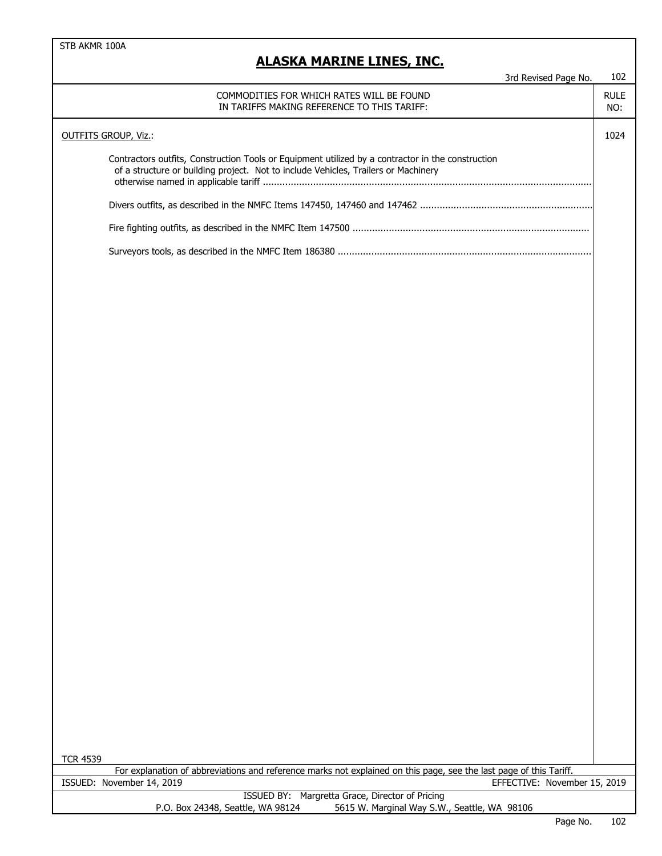| JNA I'IANIIL                                                                                                                                                                            |                    |
|-----------------------------------------------------------------------------------------------------------------------------------------------------------------------------------------|--------------------|
| 3rd Revised Page No.                                                                                                                                                                    | 102                |
| COMMODITIES FOR WHICH RATES WILL BE FOUND<br>IN TARIFFS MAKING REFERENCE TO THIS TARIFF:                                                                                                | <b>RULE</b><br>NO: |
| <b>OUTFITS GROUP, Viz.:</b>                                                                                                                                                             | 1024               |
| Contractors outfits, Construction Tools or Equipment utilized by a contractor in the construction<br>of a structure or building project. Not to include Vehicles, Trailers or Machinery |                    |
|                                                                                                                                                                                         |                    |
|                                                                                                                                                                                         |                    |
|                                                                                                                                                                                         |                    |
|                                                                                                                                                                                         |                    |
|                                                                                                                                                                                         |                    |
|                                                                                                                                                                                         |                    |
|                                                                                                                                                                                         |                    |
|                                                                                                                                                                                         |                    |
|                                                                                                                                                                                         |                    |
|                                                                                                                                                                                         |                    |
|                                                                                                                                                                                         |                    |
|                                                                                                                                                                                         |                    |
|                                                                                                                                                                                         |                    |
|                                                                                                                                                                                         |                    |
|                                                                                                                                                                                         |                    |
|                                                                                                                                                                                         |                    |
|                                                                                                                                                                                         |                    |
|                                                                                                                                                                                         |                    |
|                                                                                                                                                                                         |                    |
|                                                                                                                                                                                         |                    |
|                                                                                                                                                                                         |                    |
|                                                                                                                                                                                         |                    |
|                                                                                                                                                                                         |                    |
|                                                                                                                                                                                         |                    |
| <b>TCR 4539</b>                                                                                                                                                                         |                    |
| For explanation of abbreviations and reference marks not explained on this page, see the last page of this Tariff.                                                                      |                    |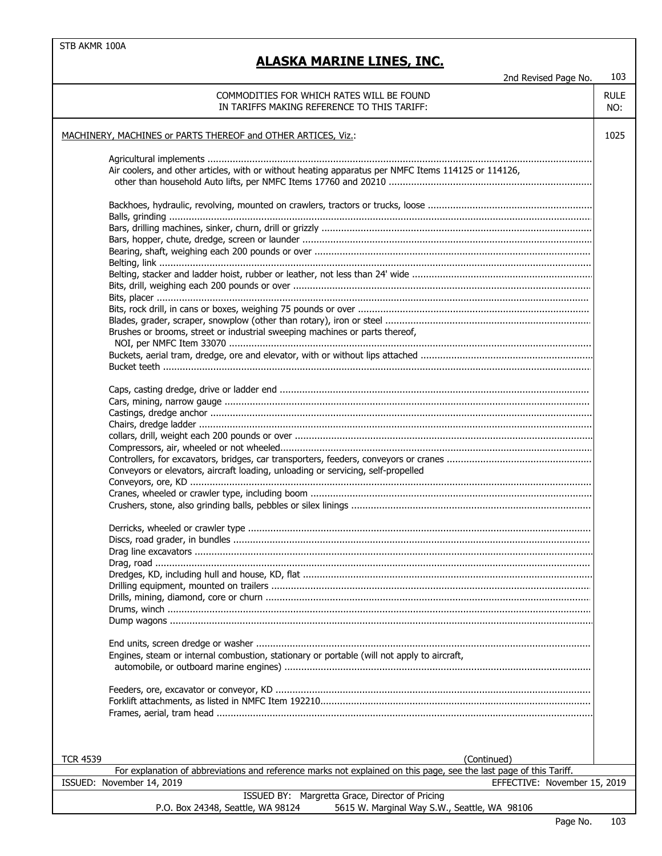| 2nd Revised Page No.                                                                                               | 103         |
|--------------------------------------------------------------------------------------------------------------------|-------------|
| COMMODITIES FOR WHICH RATES WILL BE FOUND                                                                          | <b>RULE</b> |
|                                                                                                                    |             |
| IN TARIFFS MAKING REFERENCE TO THIS TARIFF:                                                                        | NO:         |
|                                                                                                                    |             |
| MACHINERY, MACHINES or PARTS THEREOF and OTHER ARTICES, Viz.:                                                      | 1025        |
|                                                                                                                    |             |
|                                                                                                                    |             |
|                                                                                                                    |             |
| Air coolers, and other articles, with or without heating apparatus per NMFC Items 114125 or 114126,                |             |
|                                                                                                                    |             |
|                                                                                                                    |             |
|                                                                                                                    |             |
|                                                                                                                    |             |
|                                                                                                                    |             |
|                                                                                                                    |             |
|                                                                                                                    |             |
|                                                                                                                    |             |
|                                                                                                                    |             |
|                                                                                                                    |             |
|                                                                                                                    |             |
|                                                                                                                    |             |
|                                                                                                                    |             |
|                                                                                                                    |             |
| Brushes or brooms, street or industrial sweeping machines or parts thereof,                                        |             |
|                                                                                                                    |             |
|                                                                                                                    |             |
|                                                                                                                    |             |
|                                                                                                                    |             |
|                                                                                                                    |             |
|                                                                                                                    |             |
|                                                                                                                    |             |
|                                                                                                                    |             |
|                                                                                                                    |             |
|                                                                                                                    |             |
|                                                                                                                    |             |
|                                                                                                                    |             |
| Conveyors or elevators, aircraft loading, unloading or servicing, self-propelled                                   |             |
|                                                                                                                    |             |
|                                                                                                                    |             |
|                                                                                                                    |             |
|                                                                                                                    |             |
|                                                                                                                    |             |
|                                                                                                                    |             |
|                                                                                                                    |             |
|                                                                                                                    |             |
|                                                                                                                    |             |
|                                                                                                                    |             |
|                                                                                                                    |             |
|                                                                                                                    |             |
|                                                                                                                    |             |
|                                                                                                                    |             |
|                                                                                                                    |             |
|                                                                                                                    |             |
| Engines, steam or internal combustion, stationary or portable (will not apply to aircraft,                         |             |
|                                                                                                                    |             |
|                                                                                                                    |             |
|                                                                                                                    |             |
|                                                                                                                    |             |
|                                                                                                                    |             |
|                                                                                                                    |             |
|                                                                                                                    |             |
|                                                                                                                    |             |
|                                                                                                                    |             |
| <b>TCR 4539</b><br>(Continued)                                                                                     |             |
| For explanation of abbreviations and reference marks not explained on this page, see the last page of this Tariff. |             |
| ISSUED: November 14, 2019<br>EFFECTIVE: November 15, 2019                                                          |             |
| ISSUED BY: Margretta Grace, Director of Pricing                                                                    |             |
| P.O. Box 24348, Seattle, WA 98124<br>5615 W. Marginal Way S.W., Seattle, WA 98106                                  |             |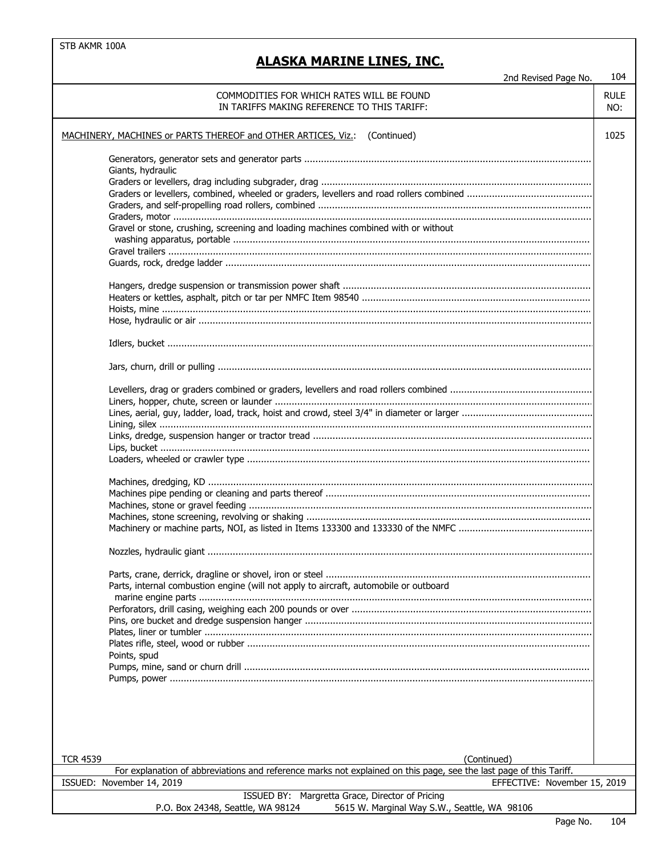| 2nd Revised Page No.                                                                                                                                                            | 104                |  |
|---------------------------------------------------------------------------------------------------------------------------------------------------------------------------------|--------------------|--|
| COMMODITIES FOR WHICH RATES WILL BE FOUND<br>IN TARIFFS MAKING REFERENCE TO THIS TARIFF:                                                                                        | <b>RULE</b><br>NO: |  |
| MACHINERY, MACHINES or PARTS THEREOF and OTHER ARTICES, Viz.: (Continued)                                                                                                       |                    |  |
| Giants, hydraulic                                                                                                                                                               |                    |  |
|                                                                                                                                                                                 |                    |  |
|                                                                                                                                                                                 |                    |  |
| Gravel or stone, crushing, screening and loading machines combined with or without                                                                                              |                    |  |
|                                                                                                                                                                                 |                    |  |
|                                                                                                                                                                                 |                    |  |
|                                                                                                                                                                                 |                    |  |
|                                                                                                                                                                                 |                    |  |
|                                                                                                                                                                                 |                    |  |
|                                                                                                                                                                                 |                    |  |
|                                                                                                                                                                                 |                    |  |
|                                                                                                                                                                                 |                    |  |
|                                                                                                                                                                                 |                    |  |
|                                                                                                                                                                                 |                    |  |
|                                                                                                                                                                                 |                    |  |
|                                                                                                                                                                                 |                    |  |
| Parts, internal combustion engine (will not apply to aircraft, automobile or outboard                                                                                           |                    |  |
|                                                                                                                                                                                 |                    |  |
|                                                                                                                                                                                 |                    |  |
| Points, spud                                                                                                                                                                    |                    |  |
|                                                                                                                                                                                 |                    |  |
|                                                                                                                                                                                 |                    |  |
|                                                                                                                                                                                 |                    |  |
| <b>TCR 4539</b><br>(Continued)                                                                                                                                                  |                    |  |
| For explanation of abbreviations and reference marks not explained on this page, see the last page of this Tariff.<br>ISSUED: November 14, 2019<br>EFFECTIVE: November 15, 2019 |                    |  |
| ISSUED BY: Margretta Grace, Director of Pricing                                                                                                                                 |                    |  |
| P.O. Box 24348, Seattle, WA 98124<br>5615 W. Marginal Way S.W., Seattle, WA 98106                                                                                               |                    |  |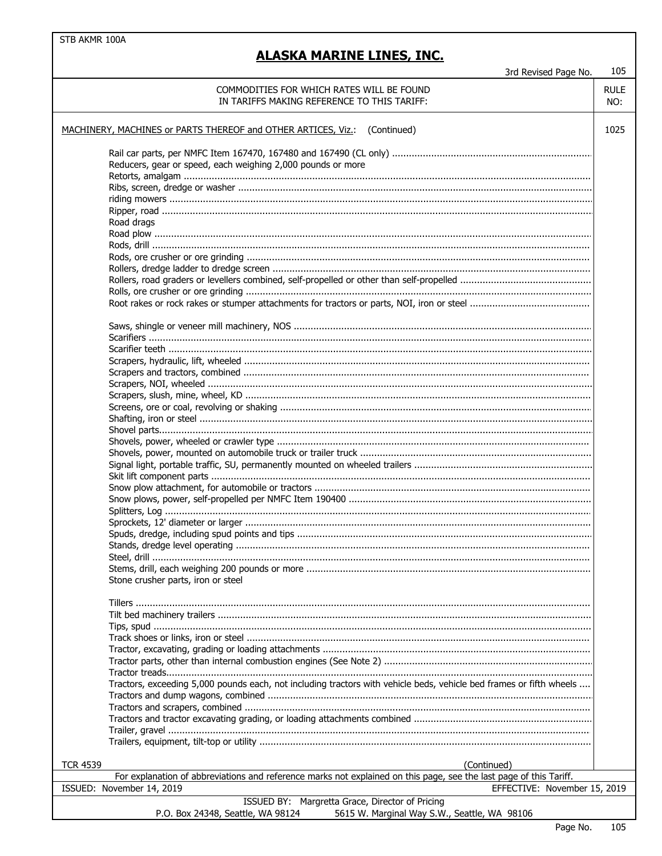| 3rd Revised Page No.                                                                                                | 105                |  |
|---------------------------------------------------------------------------------------------------------------------|--------------------|--|
| COMMODITIES FOR WHICH RATES WILL BE FOUND<br>IN TARIFFS MAKING REFERENCE TO THIS TARIFF:                            | <b>RULE</b><br>NO: |  |
| MACHINERY, MACHINES or PARTS THEREOF and OTHER ARTICES, Viz.:<br>(Continued)<br>1025                                |                    |  |
|                                                                                                                     |                    |  |
| Reducers, gear or speed, each weighing 2,000 pounds or more                                                         |                    |  |
|                                                                                                                     |                    |  |
|                                                                                                                     |                    |  |
|                                                                                                                     |                    |  |
|                                                                                                                     |                    |  |
| Road drags                                                                                                          |                    |  |
|                                                                                                                     |                    |  |
|                                                                                                                     |                    |  |
|                                                                                                                     |                    |  |
|                                                                                                                     |                    |  |
|                                                                                                                     |                    |  |
|                                                                                                                     |                    |  |
|                                                                                                                     |                    |  |
|                                                                                                                     |                    |  |
|                                                                                                                     |                    |  |
|                                                                                                                     |                    |  |
|                                                                                                                     |                    |  |
|                                                                                                                     |                    |  |
|                                                                                                                     |                    |  |
|                                                                                                                     |                    |  |
|                                                                                                                     |                    |  |
|                                                                                                                     |                    |  |
|                                                                                                                     |                    |  |
|                                                                                                                     |                    |  |
|                                                                                                                     |                    |  |
|                                                                                                                     |                    |  |
|                                                                                                                     |                    |  |
|                                                                                                                     |                    |  |
|                                                                                                                     |                    |  |
|                                                                                                                     |                    |  |
|                                                                                                                     |                    |  |
|                                                                                                                     |                    |  |
| Stone crusher parts, iron or steel                                                                                  |                    |  |
|                                                                                                                     |                    |  |
|                                                                                                                     |                    |  |
|                                                                                                                     |                    |  |
|                                                                                                                     |                    |  |
|                                                                                                                     |                    |  |
|                                                                                                                     |                    |  |
|                                                                                                                     |                    |  |
| Tractors, exceeding 5,000 pounds each, not including tractors with vehicle beds, vehicle bed frames or fifth wheels |                    |  |
|                                                                                                                     |                    |  |
|                                                                                                                     |                    |  |
|                                                                                                                     |                    |  |
|                                                                                                                     |                    |  |
|                                                                                                                     |                    |  |
| <b>TCR 4539</b><br>(Continued)                                                                                      |                    |  |
| For explanation of abbreviations and reference marks not explained on this page, see the last page of this Tariff.  |                    |  |
| ISSUED: November 14, 2019<br>EFFECTIVE: November 15, 2019                                                           |                    |  |
| ISSUED BY: Margretta Grace, Director of Pricing                                                                     |                    |  |
| 5615 W. Marginal Way S.W., Seattle, WA 98106<br>P.O. Box 24348, Seattle, WA 98124                                   |                    |  |
|                                                                                                                     |                    |  |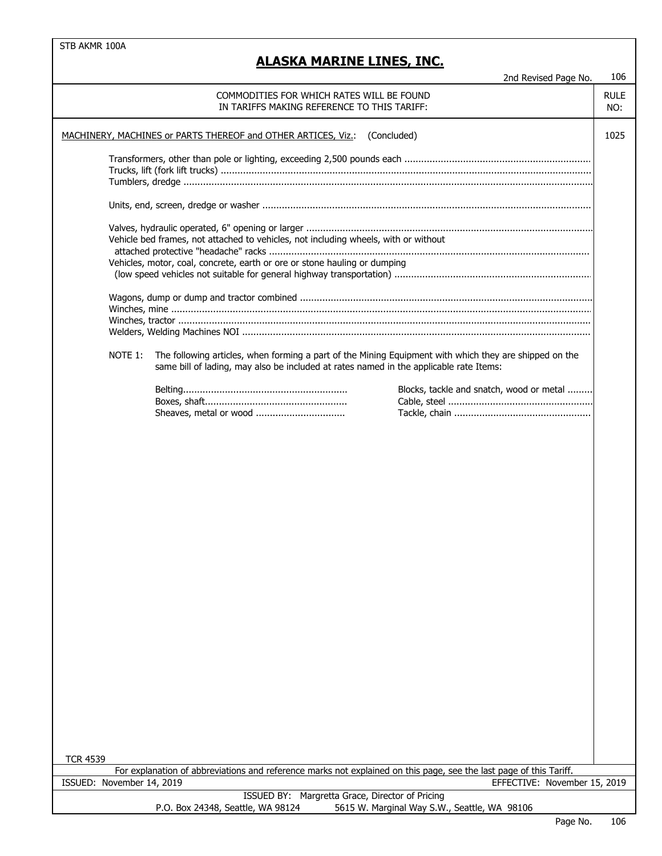|                                                                              |                                                                                                                                                                                                  | 2nd Revised Page No.                     | 106                |  |
|------------------------------------------------------------------------------|--------------------------------------------------------------------------------------------------------------------------------------------------------------------------------------------------|------------------------------------------|--------------------|--|
|                                                                              | COMMODITIES FOR WHICH RATES WILL BE FOUND<br>IN TARIFFS MAKING REFERENCE TO THIS TARIFF:                                                                                                         |                                          | <b>RULE</b><br>NO: |  |
| MACHINERY, MACHINES or PARTS THEREOF and OTHER ARTICES, Viz.:<br>(Concluded) |                                                                                                                                                                                                  |                                          |                    |  |
|                                                                              |                                                                                                                                                                                                  |                                          |                    |  |
|                                                                              |                                                                                                                                                                                                  |                                          |                    |  |
|                                                                              | Vehicle bed frames, not attached to vehicles, not including wheels, with or without                                                                                                              |                                          |                    |  |
|                                                                              | Vehicles, motor, coal, concrete, earth or ore or stone hauling or dumping                                                                                                                        |                                          |                    |  |
|                                                                              |                                                                                                                                                                                                  |                                          |                    |  |
|                                                                              |                                                                                                                                                                                                  |                                          |                    |  |
| NOTE 1:                                                                      | The following articles, when forming a part of the Mining Equipment with which they are shipped on the<br>same bill of lading, may also be included at rates named in the applicable rate Items: |                                          |                    |  |
|                                                                              |                                                                                                                                                                                                  | Blocks, tackle and snatch, wood or metal |                    |  |
|                                                                              |                                                                                                                                                                                                  |                                          |                    |  |
|                                                                              |                                                                                                                                                                                                  |                                          |                    |  |
|                                                                              |                                                                                                                                                                                                  |                                          |                    |  |
|                                                                              |                                                                                                                                                                                                  |                                          |                    |  |
|                                                                              |                                                                                                                                                                                                  |                                          |                    |  |
|                                                                              |                                                                                                                                                                                                  |                                          |                    |  |
|                                                                              |                                                                                                                                                                                                  |                                          |                    |  |
|                                                                              |                                                                                                                                                                                                  |                                          |                    |  |
|                                                                              |                                                                                                                                                                                                  |                                          |                    |  |
|                                                                              |                                                                                                                                                                                                  |                                          |                    |  |
|                                                                              |                                                                                                                                                                                                  |                                          |                    |  |
|                                                                              |                                                                                                                                                                                                  |                                          |                    |  |
| <b>TCR 4539</b>                                                              |                                                                                                                                                                                                  |                                          |                    |  |
|                                                                              | For explanation of abbreviations and reference marks not explained on this page, see the last page of this Tariff.                                                                               |                                          |                    |  |
| ISSUED: November 14, 2019                                                    |                                                                                                                                                                                                  | EFFECTIVE: November 15, 2019             |                    |  |
|                                                                              | ISSUED BY: Margretta Grace, Director of Pricing                                                                                                                                                  |                                          |                    |  |
|                                                                              | 5615 W. Marginal Way S.W., Seattle, WA 98106<br>P.O. Box 24348, Seattle, WA 98124                                                                                                                |                                          |                    |  |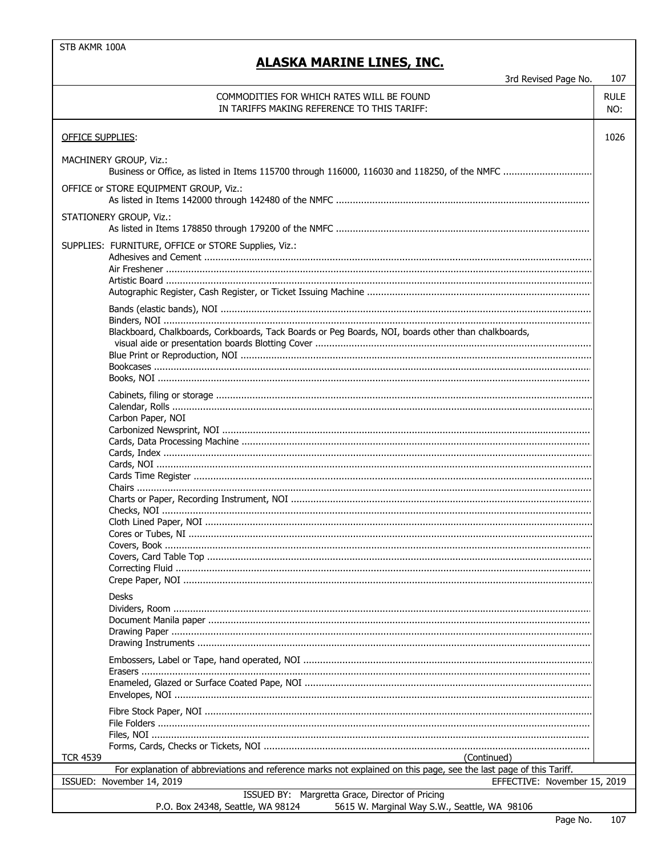### **ALASKA MARINE LINES, INC.**

107 3rd Revised Page No. COMMODITIES FOR WHICH RATES WILL BE FOUND **RULE** IN TARIFFS MAKING REFERENCE TO THIS TARIFF: NO: **OFFICE SUPPLIES:** 1026 MACHINERY GROUP, Viz.: OFFICE or STORE EOUIPMENT GROUP, Viz.: **STATIONERY GROUP, Viz.:** SUPPLIES: FURNITURE, OFFICE or STORE Supplies, Viz.: Blackboard, Chalkboards, Corkboards, Tack Boards or Peg Boards, NOI, boards other than chalkboards, Carbon Paper, NOI **Desks TCR 4539** (Continued) For explanation of abbreviations and reference marks not explained on this page, see the last page of this Tariff. ISSUED: November 14, 2019 EFFECTIVE: November 15, 2019 ISSUED BY: Margretta Grace, Director of Pricing P.O. Box 24348, Seattle, WA 98124 5615 W. Marginal Way S.W., Seattle, WA 98106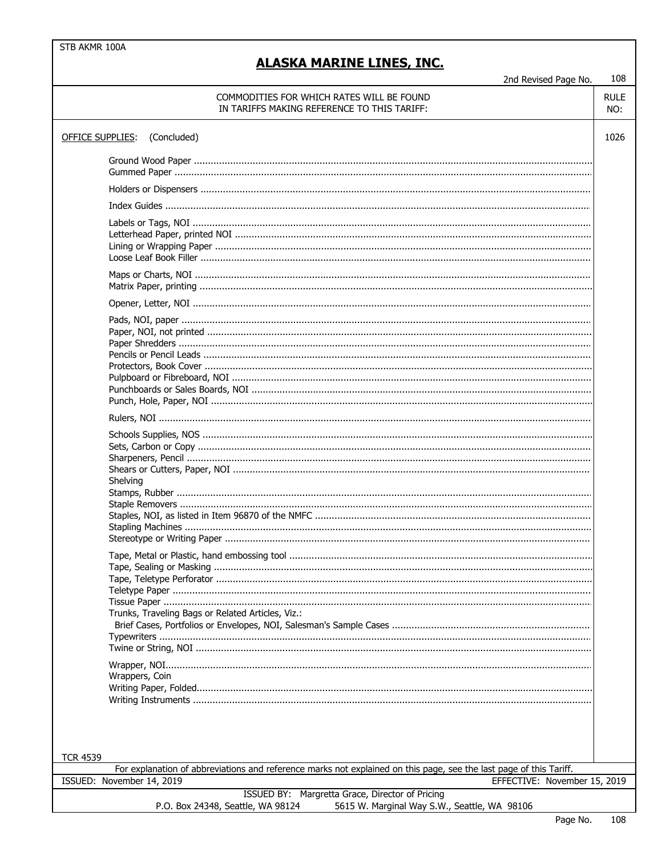#### 108 2nd Revised Page No. COMMODITIES FOR WHICH RATES WILL BE FOUND **RULE** IN TARIFFS MAKING REFERENCE TO THIS TARIFF: NO: OFFICE SUPPLIES: (Concluded) 1026 Shelving Trunks, Traveling Bags or Related Articles, Viz.: Wrappers, Coin **TCR 4539** For explanation of abbreviations and reference marks not explained on this page, see the last page of this Tariff. ISSUED: November 14, 2019 EFFECTIVE: November 15, 2019 ISSUED BY: Margretta Grace, Director of Pricing P.O. Box 24348, Seattle, WA 98124 5615 W. Marginal Way S.W., Seattle, WA 98106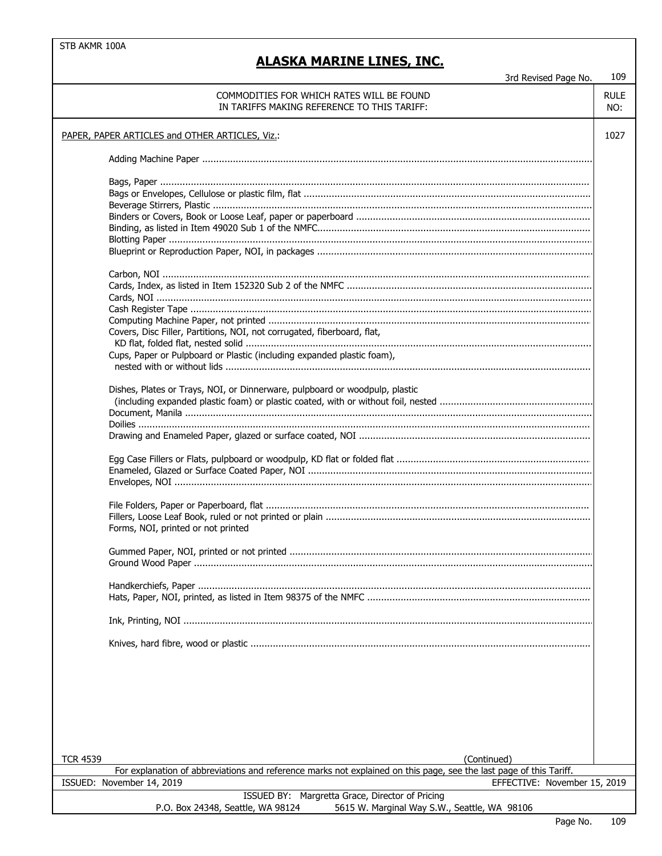ل<br>مد . . . . د د  $\overline{M}$  $100$ 

|                 | 3rd Revised Page No.                                                                                               | TNA         |
|-----------------|--------------------------------------------------------------------------------------------------------------------|-------------|
|                 | COMMODITIES FOR WHICH RATES WILL BE FOUND                                                                          | <b>RULE</b> |
|                 | IN TARIFFS MAKING REFERENCE TO THIS TARIFF:                                                                        | NO:         |
|                 |                                                                                                                    |             |
|                 | PAPER, PAPER ARTICLES and OTHER ARTICLES, Viz.:                                                                    | 1027        |
|                 |                                                                                                                    |             |
|                 |                                                                                                                    |             |
|                 |                                                                                                                    |             |
|                 |                                                                                                                    |             |
|                 |                                                                                                                    |             |
|                 |                                                                                                                    |             |
|                 |                                                                                                                    |             |
|                 |                                                                                                                    |             |
|                 |                                                                                                                    |             |
|                 |                                                                                                                    |             |
|                 |                                                                                                                    |             |
|                 |                                                                                                                    |             |
|                 |                                                                                                                    |             |
|                 |                                                                                                                    |             |
|                 | Covers, Disc Filler, Partitions, NOI, not corrugated, fiberboard, flat,                                            |             |
|                 |                                                                                                                    |             |
|                 | Cups, Paper or Pulpboard or Plastic (including expanded plastic foam),                                             |             |
|                 |                                                                                                                    |             |
|                 |                                                                                                                    |             |
|                 | Dishes, Plates or Trays, NOI, or Dinnerware, pulpboard or woodpulp, plastic                                        |             |
|                 |                                                                                                                    |             |
|                 |                                                                                                                    |             |
|                 |                                                                                                                    |             |
|                 |                                                                                                                    |             |
|                 |                                                                                                                    |             |
|                 |                                                                                                                    |             |
|                 |                                                                                                                    |             |
|                 |                                                                                                                    |             |
|                 |                                                                                                                    |             |
|                 |                                                                                                                    |             |
|                 |                                                                                                                    |             |
|                 | Forms, NOI, printed or not printed                                                                                 |             |
|                 |                                                                                                                    |             |
|                 |                                                                                                                    |             |
|                 |                                                                                                                    |             |
|                 |                                                                                                                    |             |
|                 |                                                                                                                    |             |
|                 |                                                                                                                    |             |
|                 |                                                                                                                    |             |
|                 |                                                                                                                    |             |
|                 |                                                                                                                    |             |
|                 |                                                                                                                    |             |
|                 |                                                                                                                    |             |
|                 |                                                                                                                    |             |
|                 |                                                                                                                    |             |
|                 |                                                                                                                    |             |
|                 |                                                                                                                    |             |
|                 |                                                                                                                    |             |
|                 |                                                                                                                    |             |
| <b>TCR 4539</b> | (Continued)                                                                                                        |             |
|                 | For explanation of abbreviations and reference marks not explained on this page, see the last page of this Tariff. |             |
|                 | ISSUED: November 14, 2019<br>EFFECTIVE: November 15, 2019                                                          |             |
|                 | ISSUED BY: Margretta Grace, Director of Pricing                                                                    |             |
|                 | P.O. Box 24348, Seattle, WA 98124<br>5615 W. Marginal Way S.W., Seattle, WA 98106                                  |             |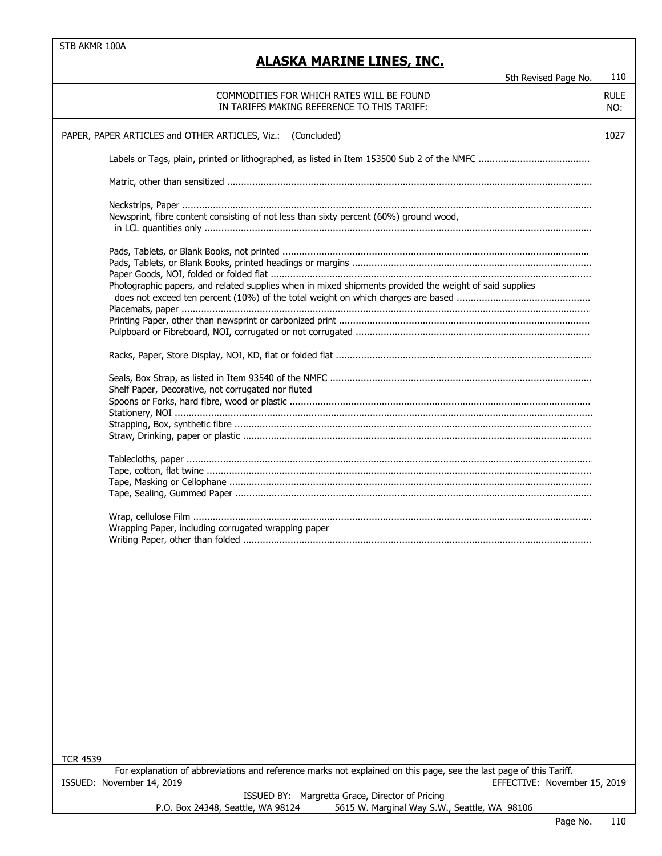# **ALASKA MARINE LINES, INC.**

5th Revised Page No. 110

| COMMODITIES FOR WHICH RATES WILL BE FOUND<br><b>RULE</b><br>IN TARIFFS MAKING REFERENCE TO THIS TARIFF:                               |      |  |  |  |
|---------------------------------------------------------------------------------------------------------------------------------------|------|--|--|--|
| PAPER, PAPER ARTICLES and OTHER ARTICLES, Viz.:<br>(Concluded)                                                                        | 1027 |  |  |  |
|                                                                                                                                       |      |  |  |  |
|                                                                                                                                       |      |  |  |  |
|                                                                                                                                       |      |  |  |  |
| Newsprint, fibre content consisting of not less than sixty percent (60%) ground wood,                                                 |      |  |  |  |
|                                                                                                                                       |      |  |  |  |
|                                                                                                                                       |      |  |  |  |
| Photographic papers, and related supplies when in mixed shipments provided the weight of said supplies                                |      |  |  |  |
|                                                                                                                                       |      |  |  |  |
|                                                                                                                                       |      |  |  |  |
|                                                                                                                                       |      |  |  |  |
|                                                                                                                                       |      |  |  |  |
| Shelf Paper, Decorative, not corrugated nor fluted                                                                                    |      |  |  |  |
|                                                                                                                                       |      |  |  |  |
|                                                                                                                                       |      |  |  |  |
|                                                                                                                                       |      |  |  |  |
|                                                                                                                                       |      |  |  |  |
|                                                                                                                                       |      |  |  |  |
|                                                                                                                                       |      |  |  |  |
|                                                                                                                                       |      |  |  |  |
| Wrapping Paper, including corrugated wrapping paper                                                                                   |      |  |  |  |
|                                                                                                                                       |      |  |  |  |
|                                                                                                                                       |      |  |  |  |
|                                                                                                                                       |      |  |  |  |
|                                                                                                                                       |      |  |  |  |
|                                                                                                                                       |      |  |  |  |
|                                                                                                                                       |      |  |  |  |
|                                                                                                                                       |      |  |  |  |
|                                                                                                                                       |      |  |  |  |
|                                                                                                                                       |      |  |  |  |
|                                                                                                                                       |      |  |  |  |
|                                                                                                                                       |      |  |  |  |
| <b>TCR 4539</b><br>For explanation of abbreviations and reference marks not explained on this page, see the last page of this Tariff. |      |  |  |  |
| ISSUED: November 14, 2019<br>EFFECTIVE: November 15, 2019                                                                             |      |  |  |  |
| ISSUED BY: Margretta Grace, Director of Pricing                                                                                       |      |  |  |  |
| P.O. Box 24348, Seattle, WA 98124<br>5615 W. Marginal Way S.W., Seattle, WA 98106                                                     |      |  |  |  |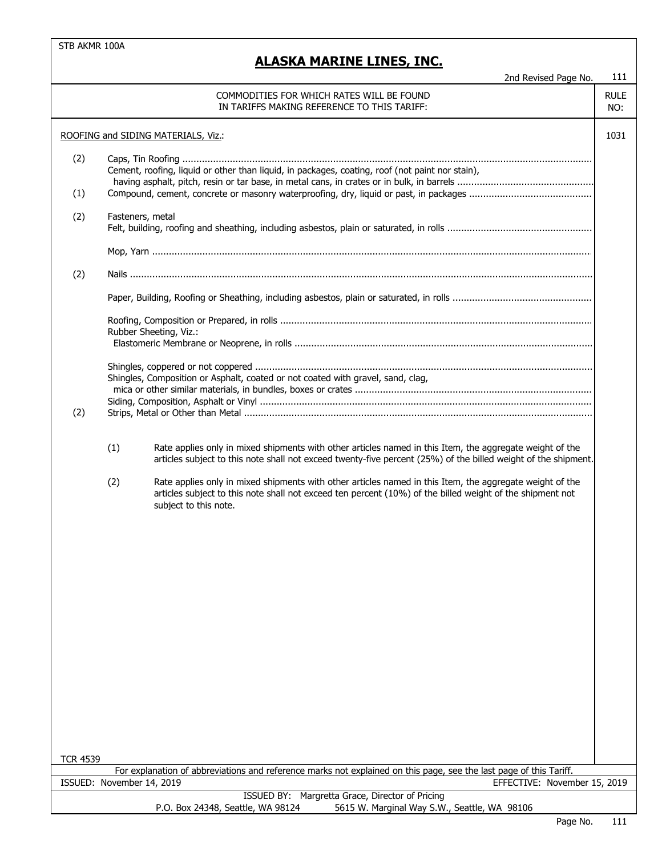|                 |                           | 2nd Revised Page No.                                                                                                                                                                                                                           | 111                |
|-----------------|---------------------------|------------------------------------------------------------------------------------------------------------------------------------------------------------------------------------------------------------------------------------------------|--------------------|
|                 |                           | COMMODITIES FOR WHICH RATES WILL BE FOUND<br>IN TARIFFS MAKING REFERENCE TO THIS TARIFF:                                                                                                                                                       | <b>RULE</b><br>NO: |
|                 |                           | ROOFING and SIDING MATERIALS, Viz.:                                                                                                                                                                                                            | 1031               |
| (2)             |                           | Cement, roofing, liquid or other than liquid, in packages, coating, roof (not paint nor stain),                                                                                                                                                |                    |
| (1)             |                           |                                                                                                                                                                                                                                                |                    |
| (2)             | Fasteners, metal          |                                                                                                                                                                                                                                                |                    |
|                 |                           |                                                                                                                                                                                                                                                |                    |
| (2)             |                           |                                                                                                                                                                                                                                                |                    |
|                 |                           |                                                                                                                                                                                                                                                |                    |
|                 |                           | Rubber Sheeting, Viz.:                                                                                                                                                                                                                         |                    |
| (2)             |                           | Shingles, Composition or Asphalt, coated or not coated with gravel, sand, clag,                                                                                                                                                                |                    |
|                 | (1)                       | Rate applies only in mixed shipments with other articles named in this Item, the aggregate weight of the<br>articles subject to this note shall not exceed twenty-five percent (25%) of the billed weight of the shipment.                     |                    |
|                 | (2)                       | Rate applies only in mixed shipments with other articles named in this Item, the aggregate weight of the<br>articles subject to this note shall not exceed ten percent (10%) of the billed weight of the shipment not<br>subject to this note. |                    |
|                 |                           |                                                                                                                                                                                                                                                |                    |
|                 |                           |                                                                                                                                                                                                                                                |                    |
|                 |                           |                                                                                                                                                                                                                                                |                    |
|                 |                           |                                                                                                                                                                                                                                                |                    |
|                 |                           |                                                                                                                                                                                                                                                |                    |
|                 |                           |                                                                                                                                                                                                                                                |                    |
|                 |                           |                                                                                                                                                                                                                                                |                    |
|                 |                           |                                                                                                                                                                                                                                                |                    |
|                 |                           |                                                                                                                                                                                                                                                |                    |
| <b>TCR 4539</b> |                           |                                                                                                                                                                                                                                                |                    |
|                 | ISSUED: November 14, 2019 | For explanation of abbreviations and reference marks not explained on this page, see the last page of this Tariff.<br>EFFECTIVE: November 15, 2019                                                                                             |                    |
|                 |                           | ISSUED BY: Margretta Grace, Director of Pricing                                                                                                                                                                                                |                    |
|                 |                           | 5615 W. Marginal Way S.W., Seattle, WA 98106<br>P.O. Box 24348, Seattle, WA 98124                                                                                                                                                              |                    |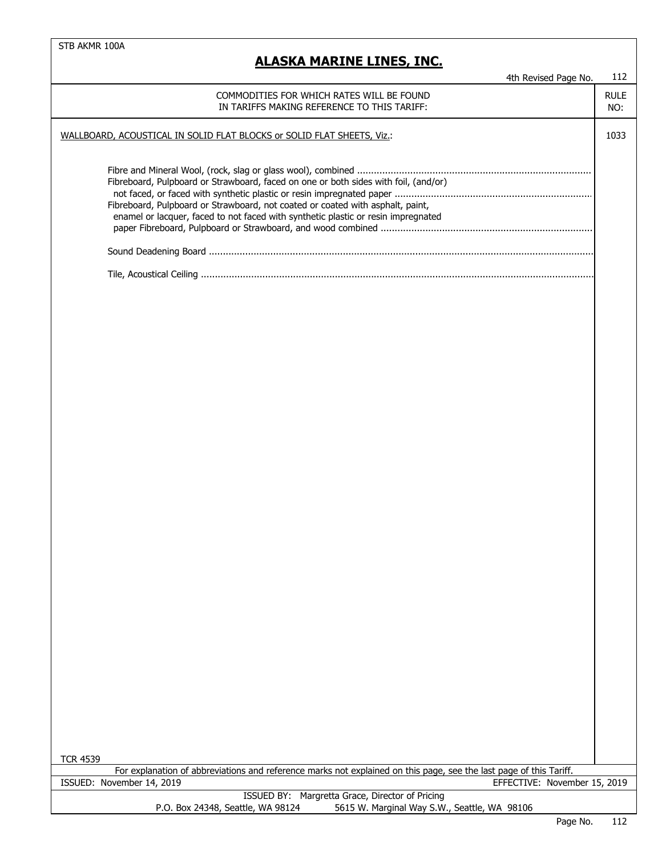| 4th Revised Page No.                                                                                                                                                                                                                                       | 112                |
|------------------------------------------------------------------------------------------------------------------------------------------------------------------------------------------------------------------------------------------------------------|--------------------|
| COMMODITIES FOR WHICH RATES WILL BE FOUND<br>IN TARIFFS MAKING REFERENCE TO THIS TARIFF:                                                                                                                                                                   | <b>RULE</b><br>NO: |
| WALLBOARD, ACOUSTICAL IN SOLID FLAT BLOCKS or SOLID FLAT SHEETS, Viz.:                                                                                                                                                                                     | 1033               |
| Fibreboard, Pulpboard or Strawboard, faced on one or both sides with foil, (and/or)<br>Fibreboard, Pulpboard or Strawboard, not coated or coated with asphalt, paint,<br>enamel or lacquer, faced to not faced with synthetic plastic or resin impregnated |                    |
|                                                                                                                                                                                                                                                            |                    |
|                                                                                                                                                                                                                                                            |                    |
|                                                                                                                                                                                                                                                            |                    |
|                                                                                                                                                                                                                                                            |                    |
|                                                                                                                                                                                                                                                            |                    |
| <b>TCR 4539</b>                                                                                                                                                                                                                                            |                    |
| For explanation of abbreviations and reference marks not explained on this page, see the last page of this Tariff.<br>ISSUED: November 14, 2019<br>EFFECTIVE: November 15, 2019                                                                            |                    |
| ISSUED BY: Margretta Grace, Director of Pricing                                                                                                                                                                                                            |                    |
| 5615 W. Marginal Way S.W., Seattle, WA 98106<br>P.O. Box 24348, Seattle, WA 98124                                                                                                                                                                          |                    |